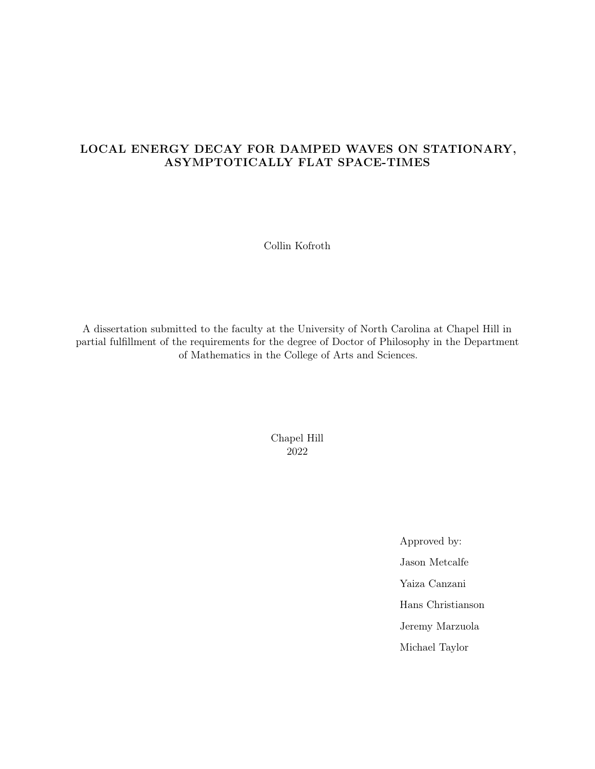# LOCAL ENERGY DECAY FOR DAMPED WAVES ON STATIONARY, ASYMPTOTICALLY FLAT SPACE-TIMES

Collin Kofroth

A dissertation submitted to the faculty at the University of North Carolina at Chapel Hill in partial fulfillment of the requirements for the degree of Doctor of Philosophy in the Department of Mathematics in the College of Arts and Sciences.

> Chapel Hill 2022

> > Approved by: Jason Metcalfe Yaiza Canzani Hans Christianson Jeremy Marzuola Michael Taylor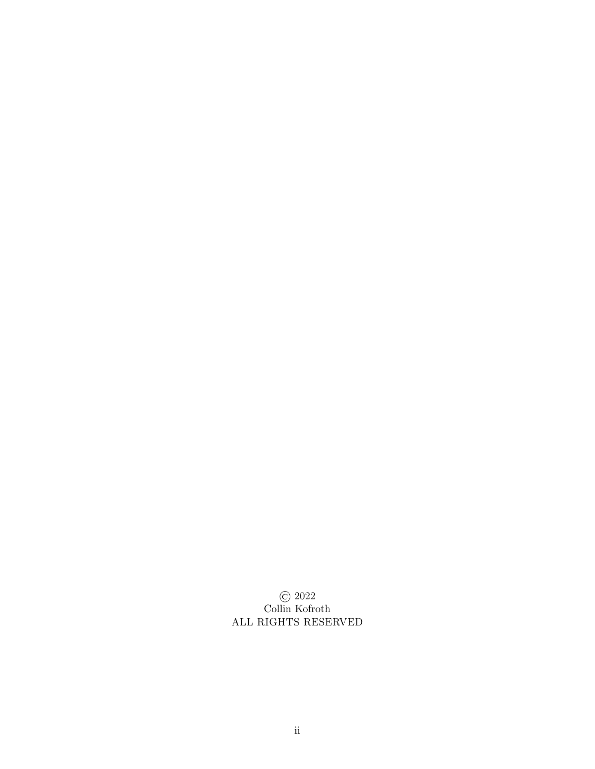© 2022 Collin Kofroth ALL RIGHTS RESERVED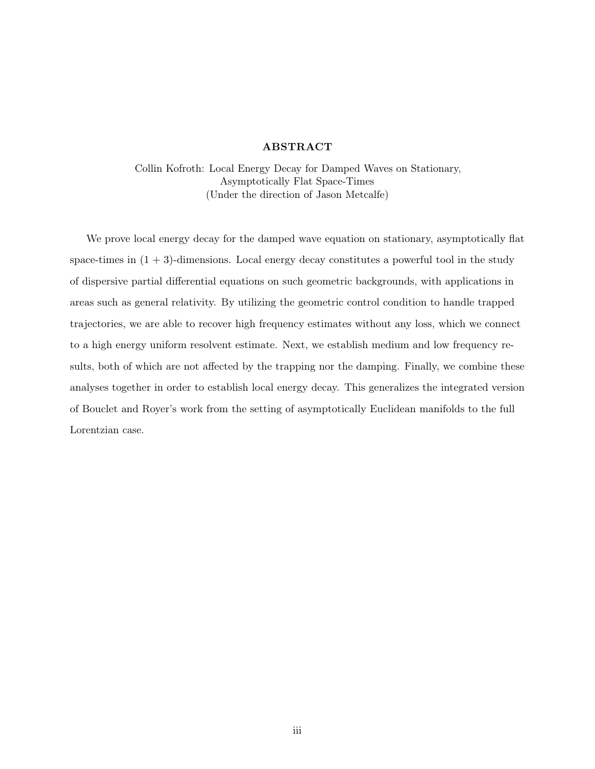# ABSTRACT

Collin Kofroth: Local Energy Decay for Damped Waves on Stationary, Asymptotically Flat Space-Times (Under the direction of Jason Metcalfe)

We prove local energy decay for the damped wave equation on stationary, asymptotically flat space-times in  $(1 + 3)$ -dimensions. Local energy decay constitutes a powerful tool in the study of dispersive partial differential equations on such geometric backgrounds, with applications in areas such as general relativity. By utilizing the geometric control condition to handle trapped trajectories, we are able to recover high frequency estimates without any loss, which we connect to a high energy uniform resolvent estimate. Next, we establish medium and low frequency results, both of which are not affected by the trapping nor the damping. Finally, we combine these analyses together in order to establish local energy decay. This generalizes the integrated version of Bouclet and Royer's work from the setting of asymptotically Euclidean manifolds to the full Lorentzian case.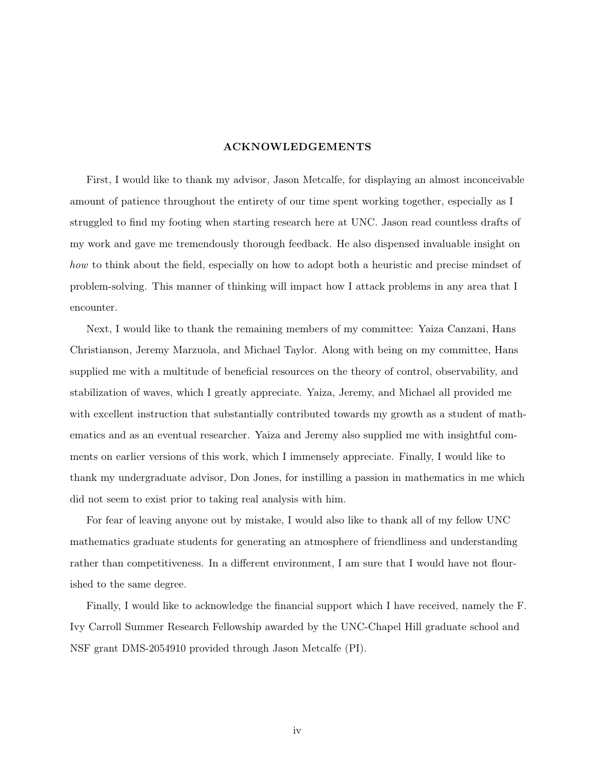# ACKNOWLEDGEMENTS

First, I would like to thank my advisor, Jason Metcalfe, for displaying an almost inconceivable amount of patience throughout the entirety of our time spent working together, especially as I struggled to find my footing when starting research here at UNC. Jason read countless drafts of my work and gave me tremendously thorough feedback. He also dispensed invaluable insight on how to think about the field, especially on how to adopt both a heuristic and precise mindset of problem-solving. This manner of thinking will impact how I attack problems in any area that I encounter.

Next, I would like to thank the remaining members of my committee: Yaiza Canzani, Hans Christianson, Jeremy Marzuola, and Michael Taylor. Along with being on my committee, Hans supplied me with a multitude of beneficial resources on the theory of control, observability, and stabilization of waves, which I greatly appreciate. Yaiza, Jeremy, and Michael all provided me with excellent instruction that substantially contributed towards my growth as a student of mathematics and as an eventual researcher. Yaiza and Jeremy also supplied me with insightful comments on earlier versions of this work, which I immensely appreciate. Finally, I would like to thank my undergraduate advisor, Don Jones, for instilling a passion in mathematics in me which did not seem to exist prior to taking real analysis with him.

For fear of leaving anyone out by mistake, I would also like to thank all of my fellow UNC mathematics graduate students for generating an atmosphere of friendliness and understanding rather than competitiveness. In a different environment, I am sure that I would have not flourished to the same degree.

Finally, I would like to acknowledge the financial support which I have received, namely the F. Ivy Carroll Summer Research Fellowship awarded by the UNC-Chapel Hill graduate school and NSF grant DMS-2054910 provided through Jason Metcalfe (PI).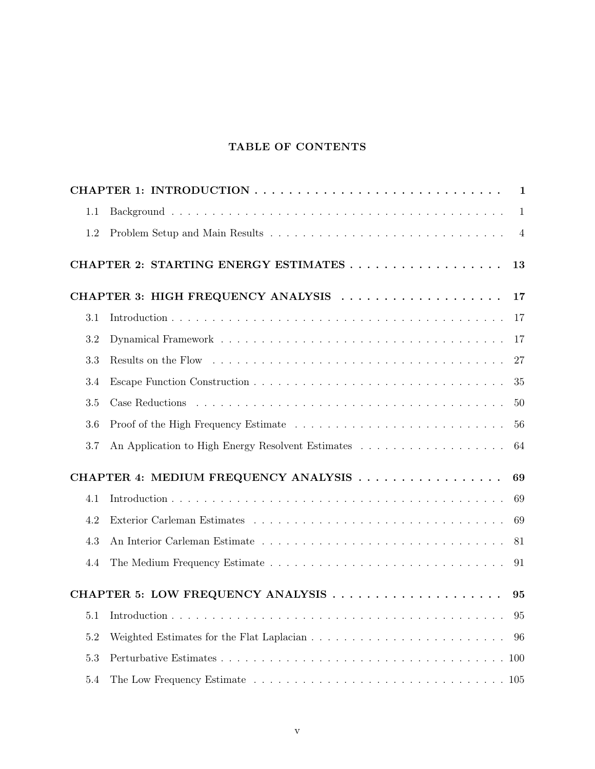# TABLE OF CONTENTS

|                                            |                                    | $\mathbf{1}$   |  |  |  |  |  |  |
|--------------------------------------------|------------------------------------|----------------|--|--|--|--|--|--|
| 1.1                                        |                                    | $\mathbf{1}$   |  |  |  |  |  |  |
| 1.2                                        |                                    | $\overline{4}$ |  |  |  |  |  |  |
| 13                                         |                                    |                |  |  |  |  |  |  |
|                                            | CHAPTER 3: HIGH FREQUENCY ANALYSIS | 17             |  |  |  |  |  |  |
| 3.1                                        |                                    | 17             |  |  |  |  |  |  |
| 3.2                                        |                                    | 17             |  |  |  |  |  |  |
| 3.3                                        |                                    | 27             |  |  |  |  |  |  |
| 3.4                                        |                                    | 35             |  |  |  |  |  |  |
| 3.5                                        |                                    | 50             |  |  |  |  |  |  |
| 3.6                                        |                                    | 56             |  |  |  |  |  |  |
| 3.7                                        |                                    | 64             |  |  |  |  |  |  |
| CHAPTER 4: MEDIUM FREQUENCY ANALYSIS<br>69 |                                    |                |  |  |  |  |  |  |
| 4.1                                        |                                    | 69             |  |  |  |  |  |  |
| 4.2                                        |                                    | 69             |  |  |  |  |  |  |
| 4.3                                        |                                    | 81             |  |  |  |  |  |  |
| 4.4                                        |                                    | 91             |  |  |  |  |  |  |
|                                            | CHAPTER 5: LOW FREQUENCY ANALYSIS  | 95             |  |  |  |  |  |  |
| 5.1                                        |                                    | 95             |  |  |  |  |  |  |
| 5.2                                        |                                    | 96             |  |  |  |  |  |  |
| 5.3                                        |                                    |                |  |  |  |  |  |  |
| 5.4                                        |                                    |                |  |  |  |  |  |  |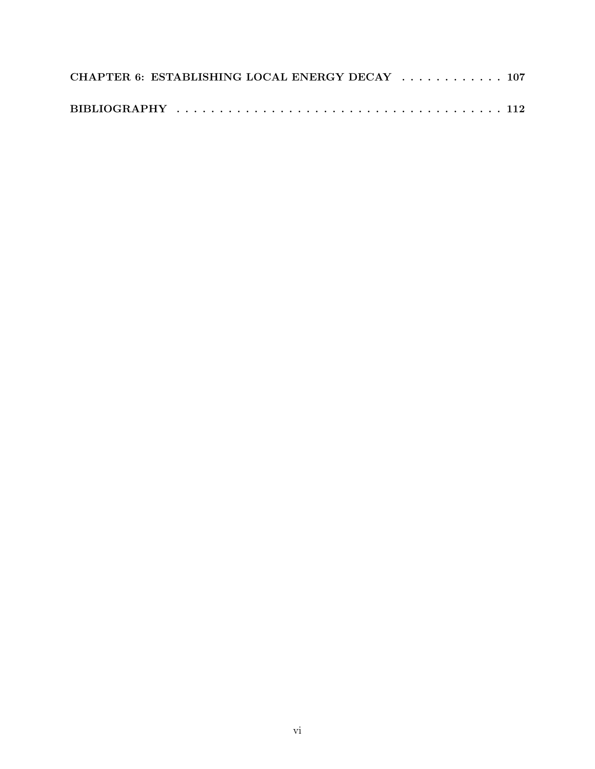|  | CHAPTER 6: ESTABLISHING LOCAL ENERGY DECAY  107 |  |  |
|--|-------------------------------------------------|--|--|
|  |                                                 |  |  |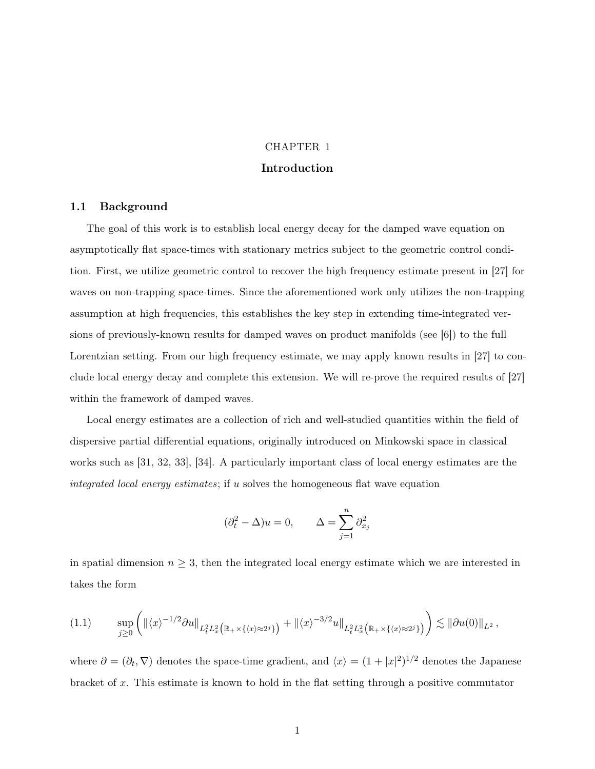# CHAPTER 1 Introduction

# 1.1 Background

The goal of this work is to establish local energy decay for the damped wave equation on asymptotically flat space-times with stationary metrics subject to the geometric control condition. First, we utilize geometric control to recover the high frequency estimate present in [27] for waves on non-trapping space-times. Since the aforementioned work only utilizes the non-trapping assumption at high frequencies, this establishes the key step in extending time-integrated versions of previously-known results for damped waves on product manifolds (see [6]) to the full Lorentzian setting. From our high frequency estimate, we may apply known results in [27] to conclude local energy decay and complete this extension. We will re-prove the required results of [27] within the framework of damped waves.

Local energy estimates are a collection of rich and well-studied quantities within the field of dispersive partial differential equations, originally introduced on Minkowski space in classical works such as [31, 32, 33], [34]. A particularly important class of local energy estimates are the integrated local energy estimates; if u solves the homogeneous flat wave equation

$$
(\partial_t^2 - \Delta)u = 0, \qquad \Delta = \sum_{j=1}^n \partial_{x_j}^2
$$

in spatial dimension  $n \geq 3$ , then the integrated local energy estimate which we are interested in takes the form

$$
(1.1) \qquad \sup_{j\geq 0} \left( \|\langle x \rangle^{-1/2} \partial u\|_{L_t^2 L_x^2 \big( \mathbb{R}_+ \times \{\langle x \rangle \approx 2^j\} \big)} + \|\langle x \rangle^{-3/2} u\|_{L_t^2 L_x^2 \big( \mathbb{R}_+ \times \{\langle x \rangle \approx 2^j\} \big)} \right) \lesssim \|\partial u(0)\|_{L^2},
$$

where  $\partial = (\partial_t, \nabla)$  denotes the space-time gradient, and  $\langle x \rangle = (1 + |x|^2)^{1/2}$  denotes the Japanese bracket of x. This estimate is known to hold in the flat setting through a positive commutator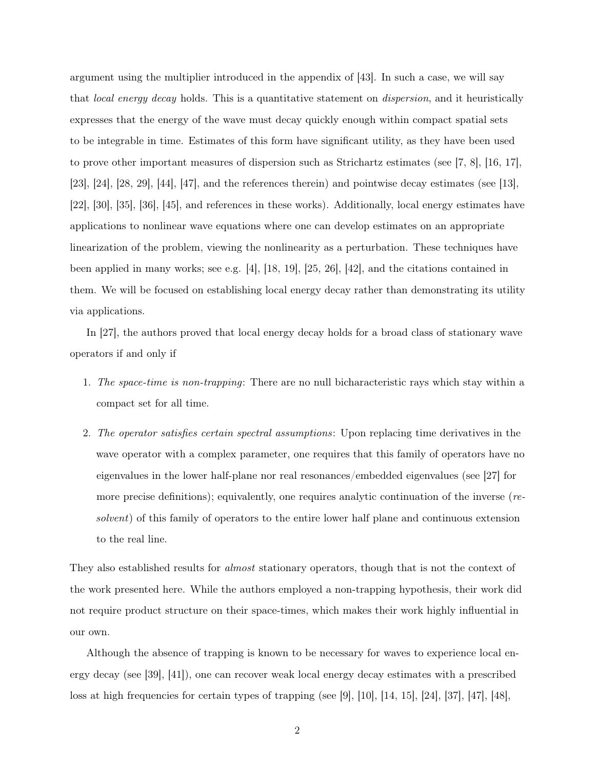argument using the multiplier introduced in the appendix of  $|43|$ . In such a case, we will say that *local energy decay* holds. This is a quantitative statement on *dispersion*, and it heuristically expresses that the energy of the wave must decay quickly enough within compact spatial sets to be integrable in time. Estimates of this form have significant utility, as they have been used to prove other important measures of dispersion such as Strichartz estimates (see [7, 8], [16, 17], [23], [24], [28, 29], [44], [47], and the references therein) and pointwise decay estimates (see [13], [22], [30], [35], [36], [45], and references in these works). Additionally, local energy estimates have applications to nonlinear wave equations where one can develop estimates on an appropriate linearization of the problem, viewing the nonlinearity as a perturbation. These techniques have been applied in many works; see e.g. [4], [18, 19], [25, 26], [42], and the citations contained in them. We will be focused on establishing local energy decay rather than demonstrating its utility via applications.

In [27], the authors proved that local energy decay holds for a broad class of stationary wave operators if and only if

- 1. The space-time is non-trapping: There are no null bicharacteristic rays which stay within a compact set for all time.
- 2. The operator satisfies certain spectral assumptions: Upon replacing time derivatives in the wave operator with a complex parameter, one requires that this family of operators have no eigenvalues in the lower half-plane nor real resonances/embedded eigenvalues (see [27] for more precise definitions); equivalently, one requires analytic continuation of the inverse (resolvent) of this family of operators to the entire lower half plane and continuous extension to the real line.

They also established results for *almost* stationary operators, though that is not the context of the work presented here. While the authors employed a non-trapping hypothesis, their work did not require product structure on their space-times, which makes their work highly influential in our own.

Although the absence of trapping is known to be necessary for waves to experience local energy decay (see [39], [41]), one can recover weak local energy decay estimates with a prescribed loss at high frequencies for certain types of trapping (see [9], [10], [14, 15], [24], [37], [47], [48],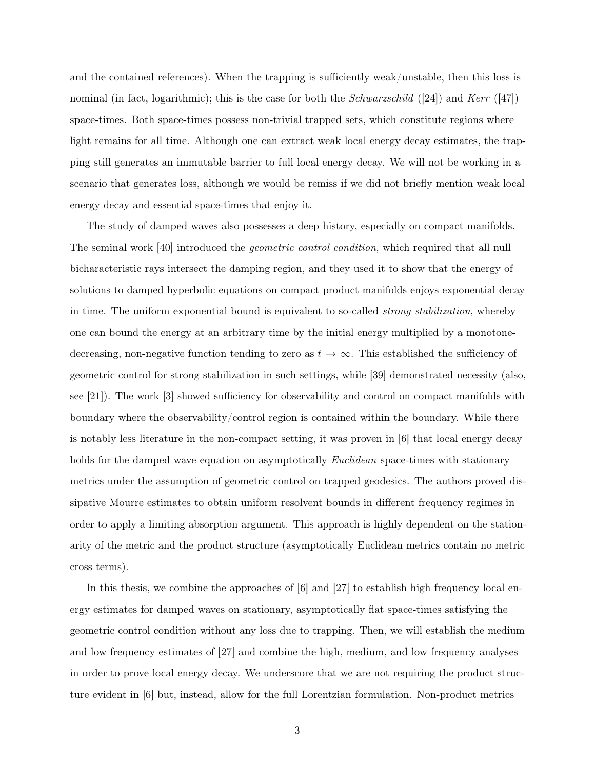and the contained references). When the trapping is sufficiently weak/unstable, then this loss is nominal (in fact, logarithmic); this is the case for both the *Schwarzschild* ([24]) and Kerr ([47]) space-times. Both space-times possess non-trivial trapped sets, which constitute regions where light remains for all time. Although one can extract weak local energy decay estimates, the trapping still generates an immutable barrier to full local energy decay. We will not be working in a scenario that generates loss, although we would be remiss if we did not briefly mention weak local energy decay and essential space-times that enjoy it.

The study of damped waves also possesses a deep history, especially on compact manifolds. The seminal work [40] introduced the *geometric control condition*, which required that all null bicharacteristic rays intersect the damping region, and they used it to show that the energy of solutions to damped hyperbolic equations on compact product manifolds enjoys exponential decay in time. The uniform exponential bound is equivalent to so-called *strong stabilization*, whereby one can bound the energy at an arbitrary time by the initial energy multiplied by a monotonedecreasing, non-negative function tending to zero as  $t \to \infty$ . This established the sufficiency of geometric control for strong stabilization in such settings, while [39] demonstrated necessity (also, see [21]). The work [3] showed sufficiency for observability and control on compact manifolds with boundary where the observability/control region is contained within the boundary. While there is notably less literature in the non-compact setting, it was proven in [6] that local energy decay holds for the damped wave equation on asymptotically *Euclidean* space-times with stationary metrics under the assumption of geometric control on trapped geodesics. The authors proved dissipative Mourre estimates to obtain uniform resolvent bounds in different frequency regimes in order to apply a limiting absorption argument. This approach is highly dependent on the stationarity of the metric and the product structure (asymptotically Euclidean metrics contain no metric cross terms).

In this thesis, we combine the approaches of  $[6]$  and  $[27]$  to establish high frequency local energy estimates for damped waves on stationary, asymptotically flat space-times satisfying the geometric control condition without any loss due to trapping. Then, we will establish the medium and low frequency estimates of [27] and combine the high, medium, and low frequency analyses in order to prove local energy decay. We underscore that we are not requiring the product structure evident in [6] but, instead, allow for the full Lorentzian formulation. Non-product metrics

3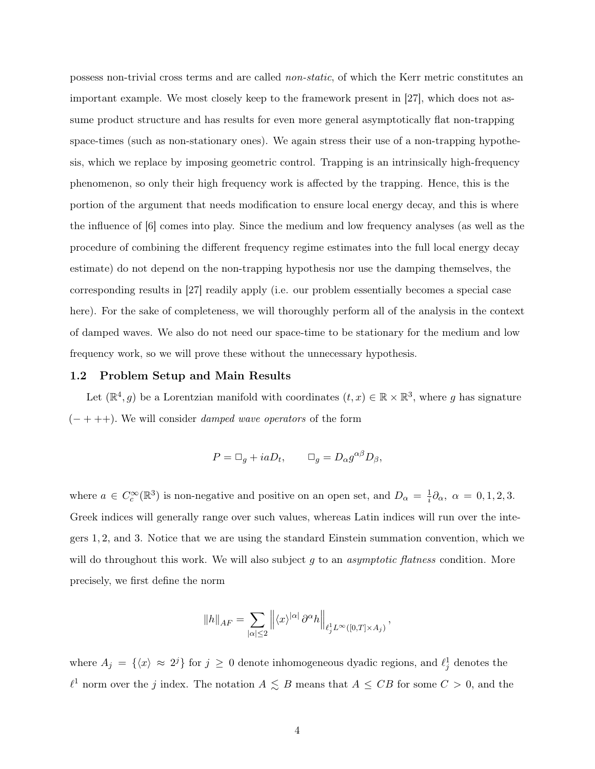possess non-trivial cross terms and are called non-static, of which the Kerr metric constitutes an important example. We most closely keep to the framework present in [27], which does not assume product structure and has results for even more general asymptotically flat non-trapping space-times (such as non-stationary ones). We again stress their use of a non-trapping hypothesis, which we replace by imposing geometric control. Trapping is an intrinsically high-frequency phenomenon, so only their high frequency work is affected by the trapping. Hence, this is the portion of the argument that needs modification to ensure local energy decay, and this is where the influence of [6] comes into play. Since the medium and low frequency analyses (as well as the procedure of combining the different frequency regime estimates into the full local energy decay estimate) do not depend on the non-trapping hypothesis nor use the damping themselves, the corresponding results in [27] readily apply (i.e. our problem essentially becomes a special case here). For the sake of completeness, we will thoroughly perform all of the analysis in the context of damped waves. We also do not need our space-time to be stationary for the medium and low frequency work, so we will prove these without the unnecessary hypothesis.

## 1.2 Problem Setup and Main Results

Let  $(\mathbb{R}^4, g)$  be a Lorentzian manifold with coordinates  $(t, x) \in \mathbb{R} \times \mathbb{R}^3$ , where g has signature  $(- + + +)$ . We will consider *damped wave operators* of the form

$$
P = \Box_g + iaD_t, \qquad \Box_g = D_\alpha g^{\alpha\beta} D_\beta,
$$

where  $a \in C_c^{\infty}(\mathbb{R}^3)$  is non-negative and positive on an open set, and  $D_{\alpha} = \frac{1}{i}$  $\frac{1}{i}\partial_{\alpha}$ ,  $\alpha = 0, 1, 2, 3$ . Greek indices will generally range over such values, whereas Latin indices will run over the integers 1, 2, and 3. Notice that we are using the standard Einstein summation convention, which we will do throughout this work. We will also subject  $g$  to an *asymptotic flatness* condition. More precisely, we first define the norm

$$
||h||_{AF} = \sum_{|\alpha| \le 2} ||\langle x \rangle^{|\alpha|} \partial^{\alpha} h||_{\ell_j^1 L^{\infty}([0,T] \times A_j)},
$$

where  $A_j = \{ \langle x \rangle \approx 2^j \}$  for  $j \geq 0$  denote inhomogeneous dyadic regions, and  $\ell_j^1$  denotes the  $\ell^1$  norm over the j index. The notation  $A \leq B$  means that  $A \leq CB$  for some  $C > 0$ , and the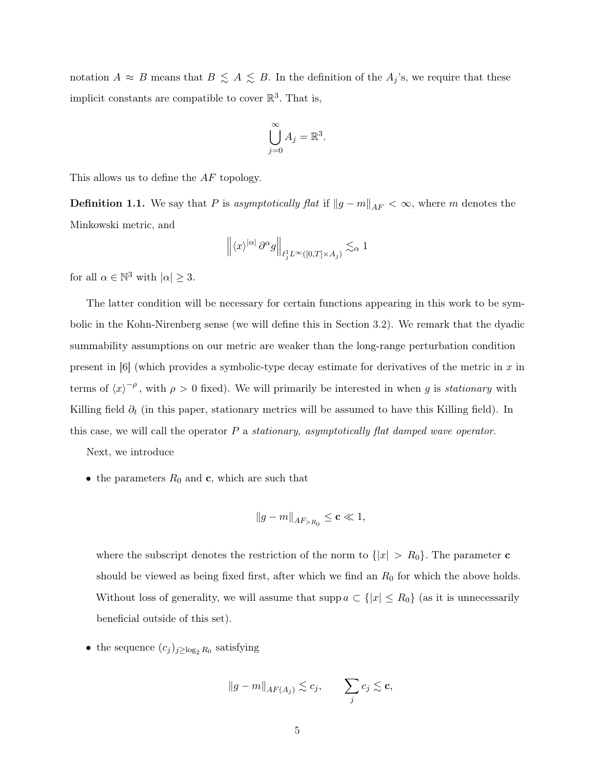notation  $A \approx B$  means that  $B \leq A \leq B$ . In the definition of the  $A_j$ 's, we require that these implicit constants are compatible to cover  $\mathbb{R}^3$ . That is,

$$
\bigcup_{j=0}^{\infty} A_j = \mathbb{R}^3.
$$

This allows us to define the AF topology.

**Definition 1.1.** We say that P is asymptotically flat if  $||g - m||_{AF} < \infty$ , where m denotes the Minkowski metric, and

$$
\left\|\langle x\rangle^{|\alpha|}\,\partial^\alpha g\right\|_{\ell_j^1L^\infty([0,T]\times A_j)}\lesssim_\alpha 1
$$

for all  $\alpha \in \mathbb{N}^3$  with  $|\alpha| \geq 3$ .

The latter condition will be necessary for certain functions appearing in this work to be symbolic in the Kohn-Nirenberg sense (we will define this in Section 3.2). We remark that the dyadic summability assumptions on our metric are weaker than the long-range perturbation condition present in  $[6]$  (which provides a symbolic-type decay estimate for derivatives of the metric in x in terms of  $\langle x \rangle^{-\rho}$ , with  $\rho > 0$  fixed). We will primarily be interested in when g is stationary with Killing field  $\partial_t$  (in this paper, stationary metrics will be assumed to have this Killing field). In this case, we will call the operator  $P$  a stationary, asymptotically flat damped wave operator.

Next, we introduce

• the parameters  $R_0$  and **c**, which are such that

$$
||g - m||_{AF > R_0} \leq \mathbf{c} \ll 1,
$$

where the subscript denotes the restriction of the norm to  $\{|x| > R_0\}$ . The parameter c should be viewed as being fixed first, after which we find an  $R_0$  for which the above holds. Without loss of generality, we will assume that supp  $a \subset \{|x| \leq R_0\}$  (as it is unnecessarily beneficial outside of this set).

• the sequence  $(c_j)_{j \geq \log_2 R_0}$  satisfying

$$
||g - m||_{AF(A_j)} \lesssim c_j, \qquad \sum_j c_j \lesssim \mathbf{c},
$$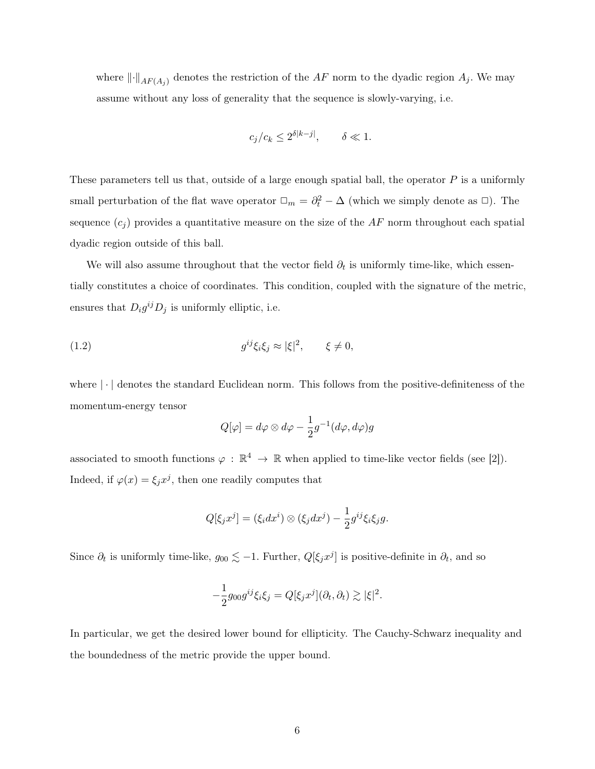where  $\lVert \cdot \rVert_{AF(A_j)}$  denotes the restriction of the AF norm to the dyadic region  $A_j$ . We may assume without any loss of generality that the sequence is slowly-varying, i.e.

$$
c_j/c_k \le 2^{\delta |k-j|}, \qquad \delta \ll 1.
$$

These parameters tell us that, outside of a large enough spatial ball, the operator P is a uniformly small perturbation of the flat wave operator  $\Box_m = \partial_t^2 - \Delta$  (which we simply denote as  $\Box$ ). The sequence  $(c_j)$  provides a quantitative measure on the size of the AF norm throughout each spatial dyadic region outside of this ball.

We will also assume throughout that the vector field  $\partial_t$  is uniformly time-like, which essentially constitutes a choice of coordinates. This condition, coupled with the signature of the metric, ensures that  $D_i g^{ij} D_j$  is uniformly elliptic, i.e.

$$
(1.2) \t\t g^{ij}\xi_i\xi_j \approx |\xi|^2, \t\t \xi \neq 0,
$$

where  $\lvert \cdot \rvert$  denotes the standard Euclidean norm. This follows from the positive-definiteness of the momentum-energy tensor

$$
Q[\varphi] = d\varphi \otimes d\varphi - \frac{1}{2}g^{-1}(d\varphi, d\varphi)g
$$

associated to smooth functions  $\varphi : \mathbb{R}^4 \to \mathbb{R}$  when applied to time-like vector fields (see [2]). Indeed, if  $\varphi(x) = \xi_j x^j$ , then one readily computes that

$$
Q[\xi_j x^j] = (\xi_i dx^i) \otimes (\xi_j dx^j) - \frac{1}{2} g^{ij} \xi_i \xi_j g.
$$

Since  $\partial_t$  is uniformly time-like,  $g_{00} \lesssim -1$ . Further,  $Q[\xi_j x^j]$  is positive-definite in  $\partial_t$ , and so

$$
-\frac{1}{2}g_{00}g^{ij}\xi_i\xi_j = Q[\xi_j x^j](\partial_t, \partial_t) \gtrsim |\xi|^2.
$$

In particular, we get the desired lower bound for ellipticity. The Cauchy-Schwarz inequality and the boundedness of the metric provide the upper bound.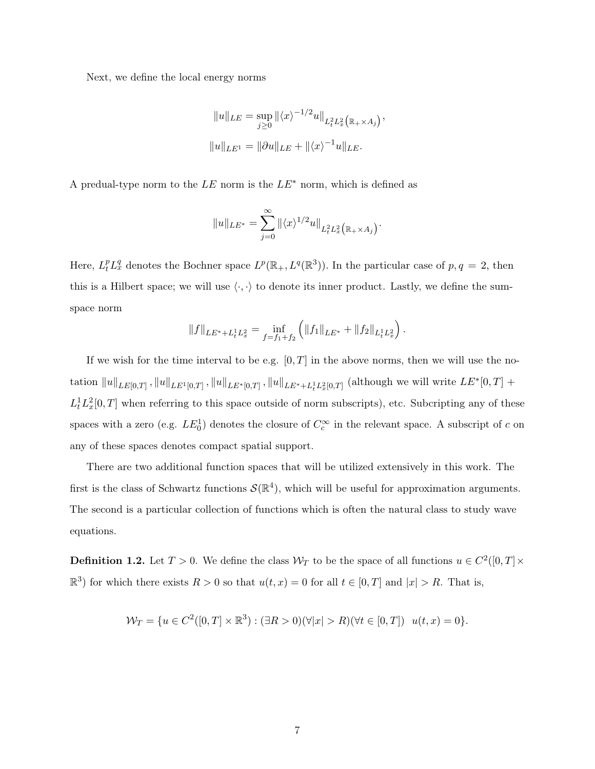Next, we define the local energy norms

$$
||u||_{LE} = \sup_{j\geq 0} ||\langle x \rangle^{-1/2} u||_{L_t^2 L_x^2(\mathbb{R}_+ \times A_j)},
$$
  

$$
||u||_{LE^1} = ||\partial u||_{LE} + ||\langle x \rangle^{-1} u||_{LE}.
$$

A predual-type norm to the LE norm is the  $LE^*$  norm, which is defined as

$$
||u||_{LE^*} = \sum_{j=0}^\infty ||\langle x \rangle^{1/2} u||_{L^2_t L^2_x\big(\mathbb{R}_+\times A_j\big)}.
$$

Here,  $L_t^p L_x^q$  denotes the Bochner space  $L^p(\mathbb{R}_+, L^q(\mathbb{R}^3))$ . In the particular case of  $p, q = 2$ , then this is a Hilbert space; we will use  $\langle \cdot, \cdot \rangle$  to denote its inner product. Lastly, we define the sumspace norm

$$
||f||_{LE^* + L_t^1 L_x^2} = \inf_{f=f_1+f_2} (||f_1||_{LE^*} + ||f_2||_{L_t^1 L_x^2}).
$$

If we wish for the time interval to be e.g.  $[0, T]$  in the above norms, then we will use the notation  $||u||_{LE[0,T]}$ ,  $||u||_{LE^{1}[0,T]}$ ,  $||u||_{LE^{*}[0,T]}$ ,  $||u||_{LE^{*}+L_t^1L_x^2[0,T]}$  (although we will write  $LE^{*}[0,T]$  +  $L_t^1 L_x^2[0,T]$  when referring to this space outside of norm subscripts), etc. Subcripting any of these spaces with a zero (e.g.  $LE_0^1$ ) denotes the closure of  $C_c^{\infty}$  in the relevant space. A subscript of c on any of these spaces denotes compact spatial support.

There are two additional function spaces that will be utilized extensively in this work. The first is the class of Schwartz functions  $\mathcal{S}(\mathbb{R}^4)$ , which will be useful for approximation arguments. The second is a particular collection of functions which is often the natural class to study wave equations.

**Definition 1.2.** Let  $T > 0$ . We define the class  $W_T$  to be the space of all functions  $u \in C^2([0, T] \times$  $\mathbb{R}^3$  for which there exists  $R > 0$  so that  $u(t, x) = 0$  for all  $t \in [0, T]$  and  $|x| > R$ . That is,

$$
\mathcal{W}_T = \{ u \in C^2([0, T] \times \mathbb{R}^3) : (\exists R > 0)(\forall |x| > R)(\forall t \in [0, T]) \mid u(t, x) = 0 \}.
$$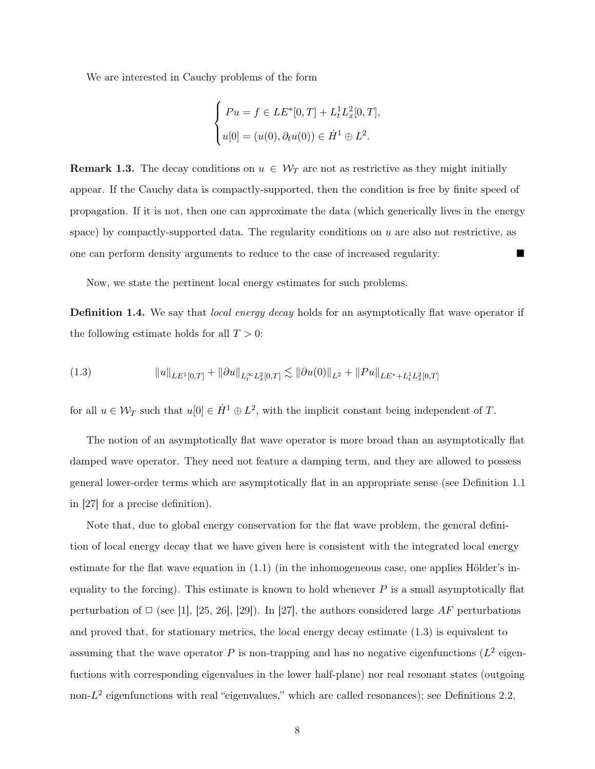We are interested in Cauchy problems of the form

$$
\begin{cases}\nPu = f \in LE^*[0, T] + L_t^1 L_x^2 [0, T], \\
u[0] = (u(0), \partial_t u(0)) \in \dot{H}^1 \oplus L^2.\n\end{cases}
$$

**Remark 1.3.** The decay conditions on  $u \in \mathcal{W}_T$  are not as restrictive as they might initially appear. If the Cauchy data is compactly-supported, then the condition is free by finite speed of propagation. If it is not, then one can approximate the data (which generically lives in the energy space) by compactly-supported data. The regularity conditions on  $u$  are also not restrictive, as one can perform density arguments to reduce to the case of increased regularity.

Now, we state the pertinent local energy estimates for such problems.

**Definition 1.4.** We say that *local energy decay* holds for an asymptotically flat wave operator if the following estimate holds for all  $T > 0$ :

(1.3) kukLE1[0,T] + k∂ukL∞<sup>t</sup> <sup>L</sup><sup>2</sup> <sup>x</sup>[0,T] . <sup>k</sup>∂u(0)kL<sup>2</sup> <sup>+</sup> <sup>k</sup>P ukLE∗+L<sup>1</sup> <sup>t</sup> L<sup>2</sup> <sup>x</sup>[0,T]

for all  $u \in \mathcal{W}_T$  such that  $u[0] \in \dot{H}^1 \oplus L^2$ , with the implicit constant being independent of T.

The notion of an asymptotically flat wave operator is more broad than an asymptotically flat damped wave operator. They need not feature a damping term, and they are allowed to possess general lower-order terms which are asymptotically flat in an appropriate sense (see Definition 1.1 in [27] for a precise definition).

Note that, due to global energy conservation for the flat wave problem, the general definition of local energy decay that we have given here is consistent with the integrated local energy estimate for the flat wave equation in (1.1) (in the inhomogeneous case, one applies Hölder's inequality to the forcing). This estimate is known to hold whenever  $P$  is a small asymptotically flat perturbation of  $\Box$  (see [1], [25, 26], [29]). In [27], the authors considered large AF perturbations and proved that, for stationary metrics, the local energy decay estimate (1.3) is equivalent to assuming that the wave operator P is non-trapping and has no negative eigenfunctions ( $L^2$  eigenfuctions with corresponding eigenvalues in the lower half-plane) nor real resonant states (outgoing non- $L^2$  eigenfunctions with real "eigenvalues," which are called resonances); see Definitions 2.2,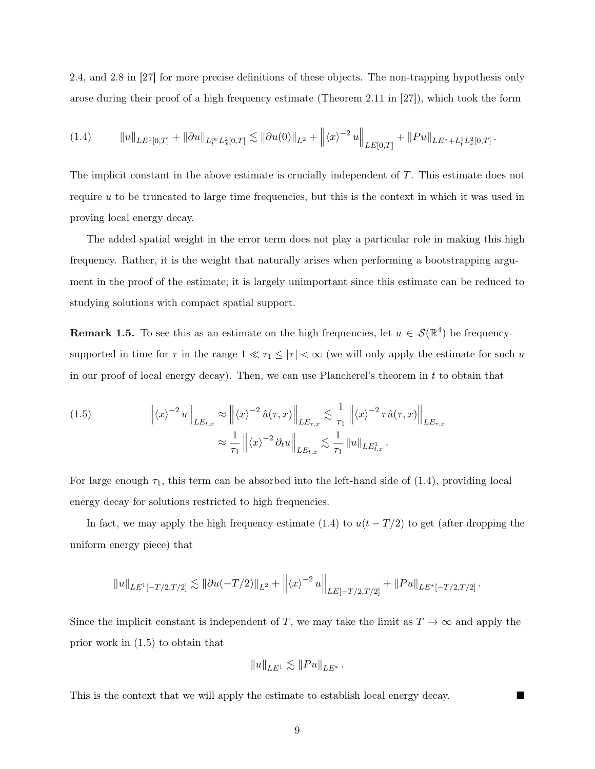2.4, and 2.8 in [27] for more precise definitions of these objects. The non-trapping hypothesis only arose during their proof of a high frequency estimate (Theorem 2.11 in [27]), which took the form

kukLE1[0,T] + k∂ukL∞<sup>t</sup> <sup>L</sup><sup>2</sup> <sup>x</sup>[0,T] . <sup>k</sup>∂u(0)kL<sup>2</sup> <sup>+</sup> <sup>h</sup>x<sup>i</sup> −2 u LE[0,T] + kP ukLE∗+L<sup>1</sup> <sup>t</sup> L<sup>2</sup> <sup>x</sup>[0,T] (1.4) .

The implicit constant in the above estimate is crucially independent of T. This estimate does not require u to be truncated to large time frequencies, but this is the context in which it was used in proving local energy decay.

The added spatial weight in the error term does not play a particular role in making this high frequency. Rather, it is the weight that naturally arises when performing a bootstrapping argument in the proof of the estimate; it is largely unimportant since this estimate can be reduced to studying solutions with compact spatial support.

**Remark 1.5.** To see this as an estimate on the high frequencies, let  $u \in \mathcal{S}(\mathbb{R}^4)$  be frequencysupported in time for  $\tau$  in the range  $1 \ll \tau_1 \leq |\tau| < \infty$  (we will only apply the estimate for such u in our proof of local energy decay). Then, we can use Plancherel's theorem in  $t$  to obtain that

(1.5) 
$$
\left\| \langle x \rangle^{-2} u \right\|_{LE_{t,x}} \approx \left\| \langle x \rangle^{-2} \hat{u}(\tau, x) \right\|_{LE_{\tau,x}} \lesssim \frac{1}{\tau_1} \left\| \langle x \rangle^{-2} \tau \hat{u}(\tau, x) \right\|_{LE_{\tau,x}} \approx \frac{1}{\tau_1} \left\| \langle x \rangle^{-2} \partial_t u \right\|_{LE_{t,x}} \lesssim \frac{1}{\tau_1} \left\| u \right\|_{LE_{t,x}^1}.
$$

For large enough  $\tau_1$ , this term can be absorbed into the left-hand side of (1.4), providing local energy decay for solutions restricted to high frequencies.

In fact, we may apply the high frequency estimate (1.4) to  $u(t - T/2)$  to get (after dropping the uniform energy piece) that

$$
||u||_{LE^{1}[-T/2,T/2]} \lesssim ||\partial u(-T/2)||_{L^{2}} + ||\langle x \rangle^{-2} u||_{LE[-T/2,T/2]} + ||Pu||_{LE^{*}[-T/2,T/2]}.
$$

Since the implicit constant is independent of T, we may take the limit as  $T \to \infty$  and apply the prior work in (1.5) to obtain that

$$
||u||_{LE^1} \lesssim ||Pu||_{LE^*}.
$$

This is the context that we will apply the estimate to establish local energy decay.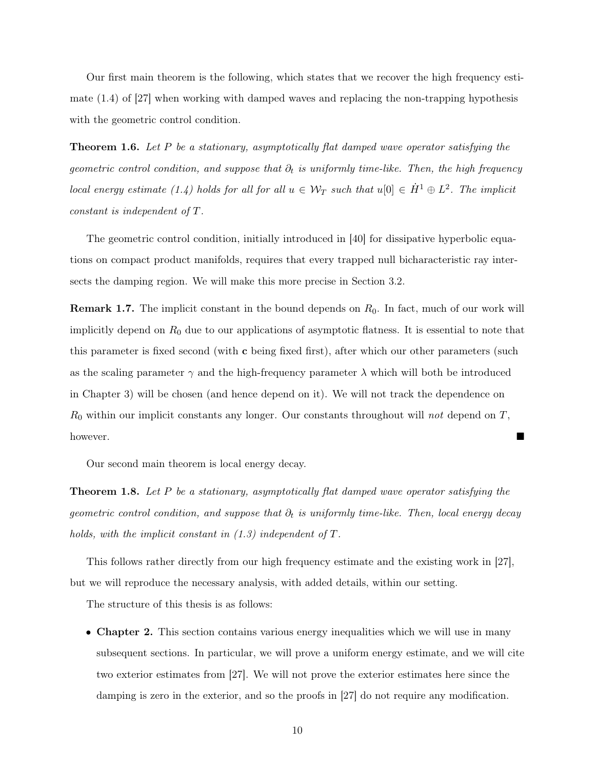Our first main theorem is the following, which states that we recover the high frequency estimate (1.4) of [27] when working with damped waves and replacing the non-trapping hypothesis with the geometric control condition.

**Theorem 1.6.** Let P be a stationary, asymptotically flat damped wave operator satisfying the geometric control condition, and suppose that  $\partial_t$  is uniformly time-like. Then, the high frequency local energy estimate (1.4) holds for all for all  $u \in \mathcal{W}_T$  such that  $u[0] \in \dot{H}^1 \oplus L^2$ . The implicit constant is independent of T.

The geometric control condition, initially introduced in [40] for dissipative hyperbolic equations on compact product manifolds, requires that every trapped null bicharacteristic ray intersects the damping region. We will make this more precise in Section 3.2.

**Remark 1.7.** The implicit constant in the bound depends on  $R_0$ . In fact, much of our work will implicitly depend on  $R_0$  due to our applications of asymptotic flatness. It is essential to note that this parameter is fixed second (with c being fixed first), after which our other parameters (such as the scaling parameter  $\gamma$  and the high-frequency parameter  $\lambda$  which will both be introduced in Chapter 3) will be chosen (and hence depend on it). We will not track the dependence on  $R_0$  within our implicit constants any longer. Our constants throughout will not depend on  $T$ , however.

Our second main theorem is local energy decay.

**Theorem 1.8.** Let P be a stationary, asymptotically flat damped wave operator satisfying the geometric control condition, and suppose that  $\partial_t$  is uniformly time-like. Then, local energy decay holds, with the implicit constant in  $(1.3)$  independent of T.

This follows rather directly from our high frequency estimate and the existing work in [27], but we will reproduce the necessary analysis, with added details, within our setting.

The structure of this thesis is as follows:

• Chapter 2. This section contains various energy inequalities which we will use in many subsequent sections. In particular, we will prove a uniform energy estimate, and we will cite two exterior estimates from [27]. We will not prove the exterior estimates here since the damping is zero in the exterior, and so the proofs in [27] do not require any modification.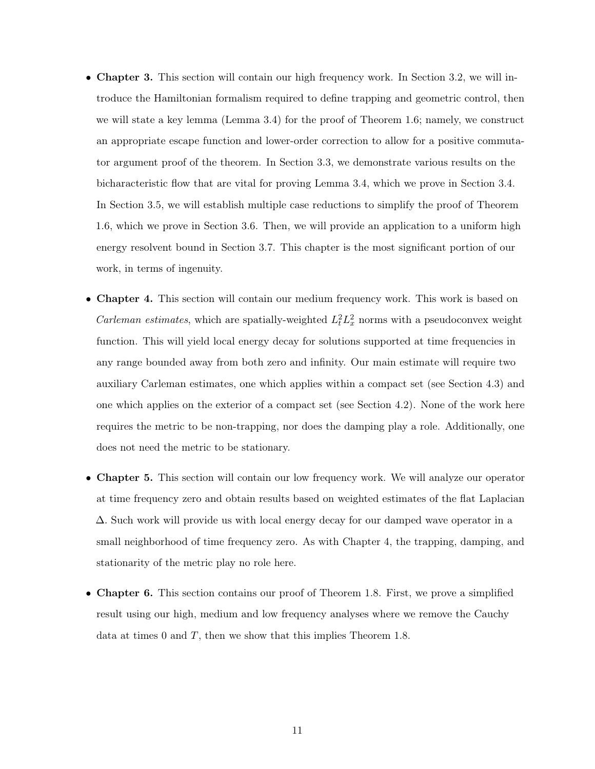- Chapter 3. This section will contain our high frequency work. In Section 3.2, we will introduce the Hamiltonian formalism required to define trapping and geometric control, then we will state a key lemma (Lemma 3.4) for the proof of Theorem 1.6; namely, we construct an appropriate escape function and lower-order correction to allow for a positive commutator argument proof of the theorem. In Section 3.3, we demonstrate various results on the bicharacteristic flow that are vital for proving Lemma 3.4, which we prove in Section 3.4. In Section 3.5, we will establish multiple case reductions to simplify the proof of Theorem 1.6, which we prove in Section 3.6. Then, we will provide an application to a uniform high energy resolvent bound in Section 3.7. This chapter is the most significant portion of our work, in terms of ingenuity.
- Chapter 4. This section will contain our medium frequency work. This work is based on *Carleman estimates*, which are spatially-weighted  $L_t^2 L_x^2$  norms with a pseudoconvex weight function. This will yield local energy decay for solutions supported at time frequencies in any range bounded away from both zero and infinity. Our main estimate will require two auxiliary Carleman estimates, one which applies within a compact set (see Section 4.3) and one which applies on the exterior of a compact set (see Section 4.2). None of the work here requires the metric to be non-trapping, nor does the damping play a role. Additionally, one does not need the metric to be stationary.
- Chapter 5. This section will contain our low frequency work. We will analyze our operator at time frequency zero and obtain results based on weighted estimates of the flat Laplacian ∆. Such work will provide us with local energy decay for our damped wave operator in a small neighborhood of time frequency zero. As with Chapter 4, the trapping, damping, and stationarity of the metric play no role here.
- Chapter 6. This section contains our proof of Theorem 1.8. First, we prove a simplified result using our high, medium and low frequency analyses where we remove the Cauchy data at times 0 and  $T$ , then we show that this implies Theorem 1.8.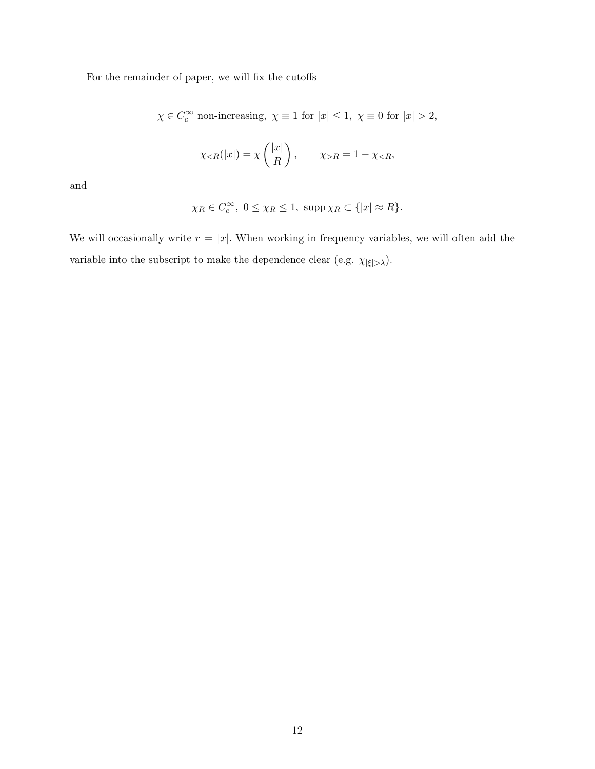For the remainder of paper, we will fix the cutoffs

$$
\chi\in C_c^\infty\text{ non-increasing},\ \chi\equiv 1\text{ for }|x|\leq 1,\ \chi\equiv 0\text{ for }|x|>2,
$$

$$
\chi_{\leq R}(|x|) = \chi\left(\frac{|x|}{R}\right), \qquad \chi_{>R} = 1 - \chi_{\leq R},
$$

and

$$
\chi_R \in C_c^{\infty}, \ 0 \le \chi_R \le 1, \ \operatorname{supp} \chi_R \subset \{ |x| \approx R \}.
$$

We will occasionally write  $r = |x|$ . When working in frequency variables, we will often add the variable into the subscript to make the dependence clear (e.g.  $\chi_{|\xi|>\lambda}).$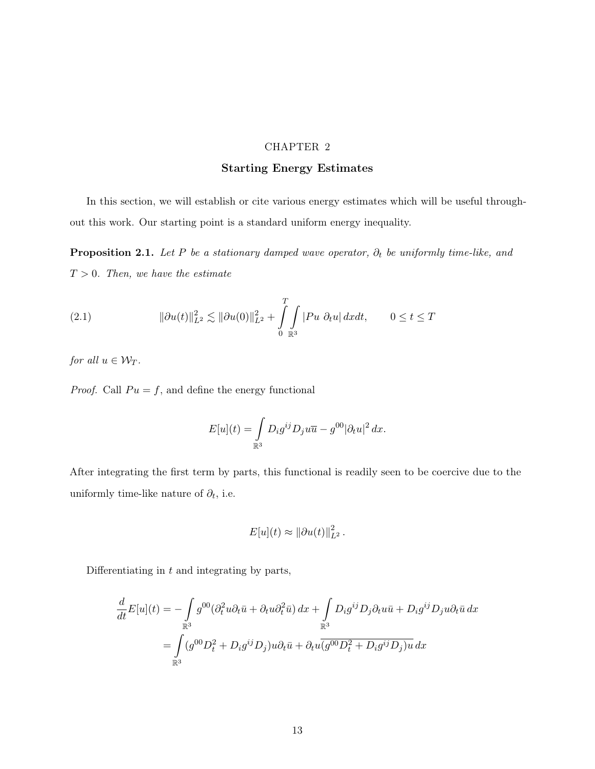# CHAPTER 2

# Starting Energy Estimates

In this section, we will establish or cite various energy estimates which will be useful throughout this work. Our starting point is a standard uniform energy inequality.

**Proposition 2.1.** Let P be a stationary damped wave operator,  $\partial_t$  be uniformly time-like, and  $T > 0$ . Then, we have the estimate

(2.1) 
$$
\|\partial u(t)\|_{L^2}^2 \lesssim \|\partial u(0)\|_{L^2}^2 + \int_0^T \int_{\mathbb{R}^3} |Pu \ \partial_t u| \ dx dt, \qquad 0 \le t \le T
$$

for all  $u \in \mathcal{W}_T$ .

*Proof.* Call  $Pu = f$ , and define the energy functional

$$
E[u](t) = \int_{\mathbb{R}^3} D_i g^{ij} D_j u \overline{u} - g^{00} |\partial_t u|^2 dx.
$$

After integrating the first term by parts, this functional is readily seen to be coercive due to the uniformly time-like nature of  $\partial_t$ , i.e.

$$
E[u](t) \approx ||\partial u(t)||_{L^2}^2.
$$

Differentiating in  $t$  and integrating by parts,

$$
\frac{d}{dt}E[u](t) = -\int_{\mathbb{R}^3} g^{00}(\partial_t^2 u \partial_t \bar{u} + \partial_t u \partial_t^2 \bar{u}) dx + \int_{\mathbb{R}^3} D_i g^{ij} D_j \partial_t u \bar{u} + D_i g^{ij} D_j u \partial_t \bar{u} dx
$$

$$
= \int_{\mathbb{R}^3} (g^{00} D_t^2 + D_i g^{ij} D_j) u \partial_t \bar{u} + \partial_t u \overline{(g^{00} D_t^2 + D_i g^{ij} D_j) u} dx
$$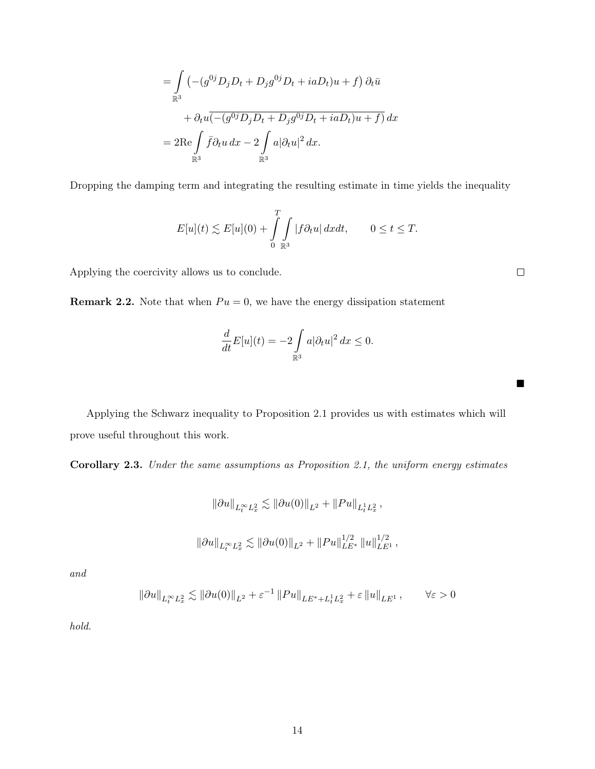$$
= \int_{\mathbb{R}^3} \left( -(g^{0j} D_j D_t + D_j g^{0j} D_t + iaD_t)u + f \right) \partial_t \bar{u}
$$
  
+  $\partial_t u \overline{(-(g^{0j} D_j D_t + D_j g^{0j} D_t + iaD_t)u + f)} dx$   
=  $2 \text{Re} \int_{\mathbb{R}^3} \bar{f} \partial_t u \, dx - 2 \int_{\mathbb{R}^3} a |\partial_t u|^2 \, dx.$ 

Dropping the damping term and integrating the resulting estimate in time yields the inequality

$$
E[u](t) \lesssim E[u](0) + \int_{0}^{T} \int_{\mathbb{R}^3} |f \partial_t u| \, dx dt, \qquad 0 \le t \le T.
$$

Applying the coercivity allows us to conclude.

**Remark 2.2.** Note that when  $Pu = 0$ , we have the energy dissipation statement

$$
\frac{d}{dt}E[u](t) = -2\int_{\mathbb{R}^3} a|\partial_t u|^2 dx \le 0.
$$

Applying the Schwarz inequality to Proposition 2.1 provides us with estimates which will prove useful throughout this work.

Corollary 2.3. Under the same assumptions as Proposition 2.1, the uniform energy estimates

$$
\begin{array}{c} \left\|\partial u\right\|_{L^{\infty}_{t}L^{2}_{x}}\lesssim \left\|\partial u(0)\right\|_{L^{2}}+\left\|Pu\right\|_{L^{1}_{t}L^{2}_{x}},\\\\ \left\|\partial u\right\|_{L^{\infty}_{t}L^{2}_{x}}\lesssim \left\|\partial u(0)\right\|_{L^{2}}+\left\|Pu\right\|^{1/2}_{LE^{*}}\left\|u\right\|^{1/2}_{LE^{1}}, \end{array}
$$

and

$$
\left\|\partial u\right\|_{L^\infty_t L^2_x} \lesssim \left\|\partial u(0)\right\|_{L^2} + \varepsilon^{-1}\left\|Pu\right\|_{LE^* + L^1_t L^2_x} + \varepsilon\left\|u\right\|_{LE^1}, \qquad \forall \varepsilon > 0
$$

hold.

 $\Box$ 

 $\blacksquare$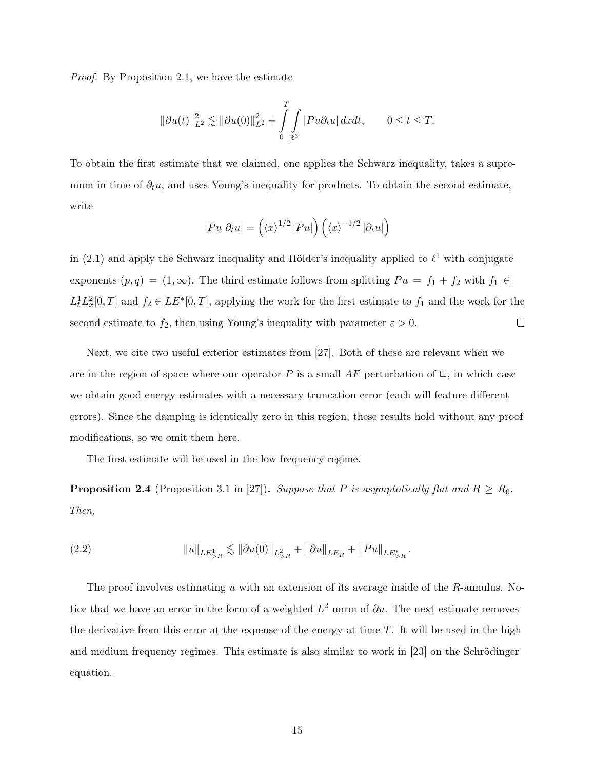Proof. By Proposition 2.1, we have the estimate

$$
\|\partial u(t)\|_{L^2}^2 \lesssim \|\partial u(0)\|_{L^2}^2 + \int\limits_0^T \int\limits_{\mathbb R^3} |Pu\partial_t u| \,dxdt, \qquad 0 \le t \le T.
$$

To obtain the first estimate that we claimed, one applies the Schwarz inequality, takes a supremum in time of  $\partial_t u$ , and uses Young's inequality for products. To obtain the second estimate, write

$$
|Pu \partial_t u| = ((x)^{1/2} |Pu|) ((x)^{-1/2} |\partial_t u|)
$$

in (2.1) and apply the Schwarz inequality and Hölder's inequality applied to  $\ell^1$  with conjugate exponents  $(p, q) = (1, \infty)$ . The third estimate follows from splitting  $Pu = f_1 + f_2$  with  $f_1 \in$  $L_t^1 L_x^2[0,T]$  and  $f_2 \in LE^*[0,T]$ , applying the work for the first estimate to  $f_1$  and the work for the second estimate to  $f_2$ , then using Young's inequality with parameter  $\varepsilon > 0$ .  $\Box$ 

Next, we cite two useful exterior estimates from [27]. Both of these are relevant when we are in the region of space where our operator P is a small AF perturbation of  $\Box$ , in which case we obtain good energy estimates with a necessary truncation error (each will feature different errors). Since the damping is identically zero in this region, these results hold without any proof modifications, so we omit them here.

The first estimate will be used in the low frequency regime.

**Proposition 2.4** (Proposition 3.1 in [27]). Suppose that P is asymptotically flat and  $R \ge R_0$ . Then,

(2.2) 
$$
||u||_{LE_{>R}^1} \lesssim ||\partial u(0)||_{L_{>R}^2} + ||\partial u||_{LE_R} + ||Pu||_{LE_{>R}^*}.
$$

The proof involves estimating u with an extension of its average inside of the  $R$ -annulus. Notice that we have an error in the form of a weighted  $L^2$  norm of  $\partial u$ . The next estimate removes the derivative from this error at the expense of the energy at time  $T$ . It will be used in the high and medium frequency regimes. This estimate is also similar to work in [23] on the Schrödinger equation.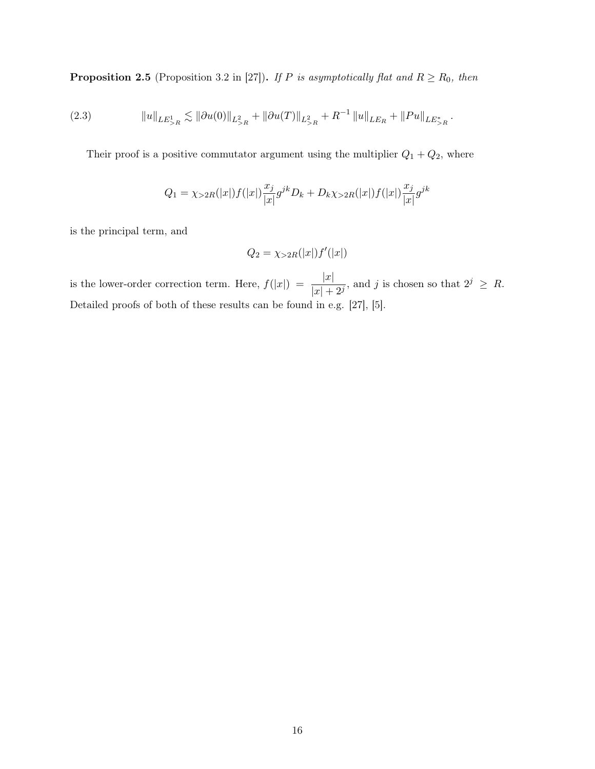**Proposition 2.5** (Proposition 3.2 in [27]). If P is asymptotically flat and  $R \ge R_0$ , then

kukLE<sup>1</sup> >R . <sup>k</sup>∂u(0)kL<sup>2</sup> >R + k∂u(T)kL<sup>2</sup> >R + R −1 kukLE<sup>R</sup> + kP ukLE<sup>∗</sup> >R (2.3) .

Their proof is a positive commutator argument using the multiplier  $Q_1 + Q_2$ , where

$$
Q_1 = \chi_{>2R}(|x|)f(|x|)\frac{x_j}{|x|}g^{jk}D_k + D_k\chi_{>2R}(|x|)f(|x|)\frac{x_j}{|x|}g^{jk}
$$

is the principal term, and

$$
Q_2 = \chi_{>2R}(|x|)f'(|x|)
$$

is the lower-order correction term. Here,  $f(|x|) = \frac{|x|}{|x| + 2^j}$ , and j is chosen so that  $2^j \geq R$ . Detailed proofs of both of these results can be found in e.g. [27], [5].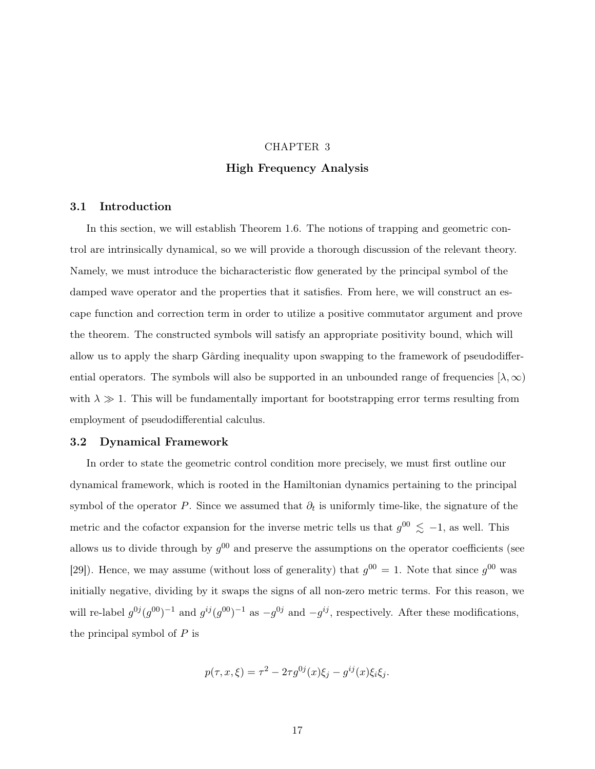# CHAPTER 3 High Frequency Analysis

#### 3.1 Introduction

In this section, we will establish Theorem 1.6. The notions of trapping and geometric control are intrinsically dynamical, so we will provide a thorough discussion of the relevant theory. Namely, we must introduce the bicharacteristic flow generated by the principal symbol of the damped wave operator and the properties that it satisfies. From here, we will construct an escape function and correction term in order to utilize a positive commutator argument and prove the theorem. The constructed symbols will satisfy an appropriate positivity bound, which will allow us to apply the sharp Gårding inequality upon swapping to the framework of pseudodifferential operators. The symbols will also be supported in an unbounded range of frequencies  $[\lambda, \infty)$ with  $\lambda \gg 1$ . This will be fundamentally important for bootstrapping error terms resulting from employment of pseudodifferential calculus.

## 3.2 Dynamical Framework

In order to state the geometric control condition more precisely, we must first outline our dynamical framework, which is rooted in the Hamiltonian dynamics pertaining to the principal symbol of the operator P. Since we assumed that  $\partial_t$  is uniformly time-like, the signature of the metric and the cofactor expansion for the inverse metric tells us that  $g^{00} \lesssim -1$ , as well. This allows us to divide through by  $g^{00}$  and preserve the assumptions on the operator coefficients (see [29]). Hence, we may assume (without loss of generality) that  $g^{00} = 1$ . Note that since  $g^{00}$  was initially negative, dividing by it swaps the signs of all non-zero metric terms. For this reason, we will re-label  $g^{0j}(g^{00})^{-1}$  and  $g^{ij}(g^{00})^{-1}$  as  $-g^{0j}$  and  $-g^{ij}$ , respectively. After these modifications, the principal symbol of  $P$  is

$$
p(\tau, x, \xi) = \tau^2 - 2\tau g^{0j}(x)\xi_j - g^{ij}(x)\xi_i\xi_j.
$$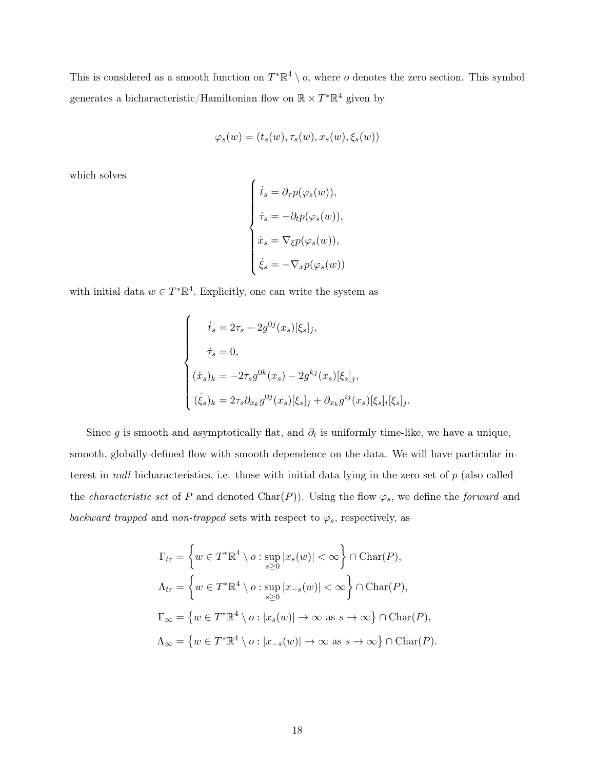This is considered as a smooth function on  $T^*\mathbb{R}^4 \setminus o$ , where o denotes the zero section. This symbol generates a bicharacteristic/Hamiltonian flow on  $\mathbb{R} \times T^* \mathbb{R}^4$  given by

$$
\varphi_s(w) = (t_s(w), \tau_s(w), x_s(w), \xi_s(w))
$$

which solves

$$
\begin{cases}\n\dot{t}_s = \partial_\tau p(\varphi_s(w)), \\
\dot{\tau}_s = -\partial_t p(\varphi_s(w)), \\
\dot{x}_s = \nabla_\xi p(\varphi_s(w)), \\
\dot{\xi}_s = -\nabla_x p(\varphi_s(w))\n\end{cases}
$$

with initial data  $w \in T^*\mathbb{R}^4$ . Explicitly, one can write the system as

$$
\begin{cases}\n\dot{t}_s = 2\tau_s - 2g^{0j}(x_s)[\xi_s]_j, \\
\dot{\tau}_s = 0, \\
(\dot{x}_s)_k = -2\tau_s g^{0k}(x_s) - 2g^{kj}(x_s)[\xi_s]_j, \\
(\dot{\xi}_s)_k = 2\tau_s \partial_{x_k} g^{0j}(x_s)[\xi_s]_j + \partial_{x_k} g^{ij}(x_s)[\xi_s]_i[\xi_s]_j.\n\end{cases}
$$

Since g is smooth and asymptotically flat, and  $\partial_t$  is uniformly time-like, we have a unique, smooth, globally-defined flow with smooth dependence on the data. We will have particular interest in null bicharacteristics, i.e. those with initial data lying in the zero set of  $p$  (also called the *characteristic set* of P and denoted Char(P)). Using the flow  $\varphi_s$ , we define the *forward* and backward trapped and non-trapped sets with respect to  $\varphi_s$ , respectively, as

$$
\Gamma_{tr} = \left\{ w \in T^* \mathbb{R}^4 \setminus o : \sup_{s \ge 0} |x_s(w)| < \infty \right\} \cap \text{Char}(P),
$$
  

$$
\Lambda_{tr} = \left\{ w \in T^* \mathbb{R}^4 \setminus o : \sup_{s \ge 0} |x_{-s}(w)| < \infty \right\} \cap \text{Char}(P),
$$
  

$$
\Gamma_{\infty} = \left\{ w \in T^* \mathbb{R}^4 \setminus o : |x_s(w)| \to \infty \text{ as } s \to \infty \right\} \cap \text{Char}(P),
$$
  

$$
\Lambda_{\infty} = \left\{ w \in T^* \mathbb{R}^4 \setminus o : |x_{-s}(w)| \to \infty \text{ as } s \to \infty \right\} \cap \text{Char}(P).
$$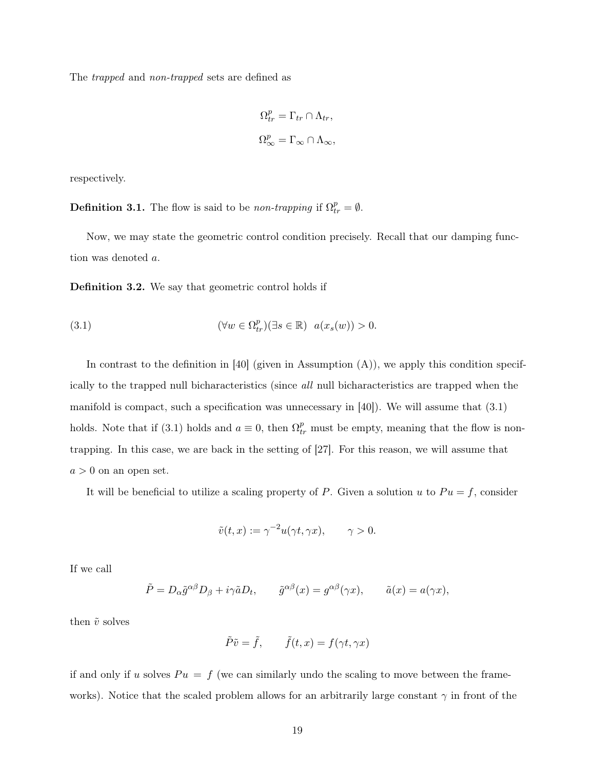The trapped and non-trapped sets are defined as

$$
\Omega_{tr}^p = \Gamma_{tr} \cap \Lambda_{tr},
$$
  

$$
\Omega_{\infty}^p = \Gamma_{\infty} \cap \Lambda_{\infty},
$$

respectively.

**Definition 3.1.** The flow is said to be *non-trapping* if  $\Omega_{tr}^p = \emptyset$ .

Now, we may state the geometric control condition precisely. Recall that our damping function was denoted a.

Definition 3.2. We say that geometric control holds if

(3.1) 
$$
(\forall w \in \Omega^p_{tr})(\exists s \in \mathbb{R}) \ \ a(x_s(w)) > 0.
$$

In contrast to the definition in [40] (given in Assumption  $(A)$ ), we apply this condition specifically to the trapped null bicharacteristics (since all null bicharacteristics are trapped when the manifold is compact, such a specification was unnecessary in  $[40]$ . We will assume that  $(3.1)$ holds. Note that if (3.1) holds and  $a \equiv 0$ , then  $\Omega_{tr}^p$  must be empty, meaning that the flow is nontrapping. In this case, we are back in the setting of [27]. For this reason, we will assume that  $a > 0$  on an open set.

It will be beneficial to utilize a scaling property of P. Given a solution u to  $Pu = f$ , consider

$$
\tilde{v}(t,x) := \gamma^{-2} u(\gamma t, \gamma x), \qquad \gamma > 0.
$$

If we call

$$
\tilde{P} = D_{\alpha} \tilde{g}^{\alpha\beta} D_{\beta} + i\gamma \tilde{a} D_t, \qquad \tilde{g}^{\alpha\beta}(x) = g^{\alpha\beta}(\gamma x), \qquad \tilde{a}(x) = a(\gamma x),
$$

then  $\tilde{v}$  solves

$$
\tilde{P}\tilde{v} = \tilde{f}, \qquad \tilde{f}(t, x) = f(\gamma t, \gamma x)
$$

if and only if u solves  $Pu = f$  (we can similarly undo the scaling to move between the frameworks). Notice that the scaled problem allows for an arbitrarily large constant  $\gamma$  in front of the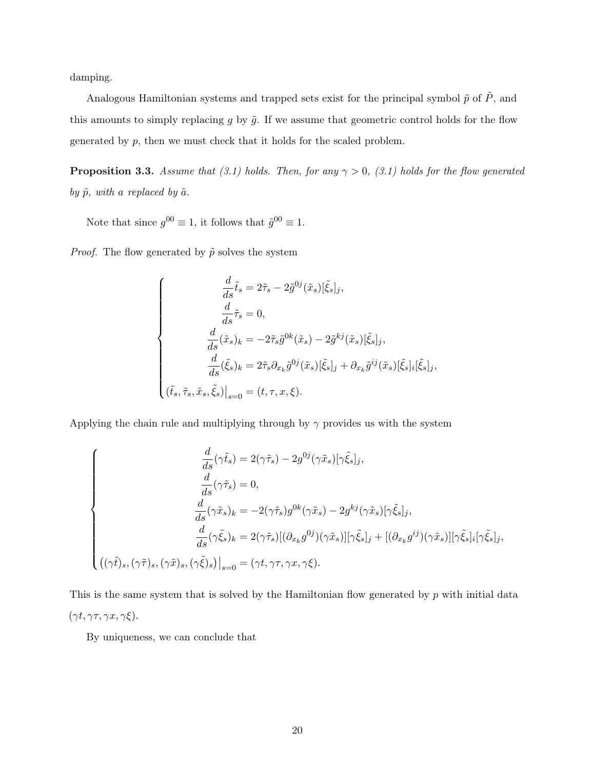damping.

Analogous Hamiltonian systems and trapped sets exist for the principal symbol  $\tilde{p}$  of  $\tilde{P},$  and this amounts to simply replacing g by  $\tilde{g}$ . If we assume that geometric control holds for the flow generated by p, then we must check that it holds for the scaled problem.

**Proposition 3.3.** Assume that (3.1) holds. Then, for any  $\gamma > 0$ , (3.1) holds for the flow generated by  $\tilde{p}$ , with a replaced by  $\tilde{a}$ .

Note that since  $g^{00} \equiv 1$ , it follows that  $\tilde{g}^{00} \equiv 1$ .

*Proof.* The flow generated by  $\tilde{p}$  solves the system

$$
\begin{cases}\n\frac{d}{ds}\tilde{t}_s = 2\tilde{\tau}_s - 2\tilde{g}^{0j}(\tilde{x}_s)[\tilde{\xi}_s]_j, \\
\frac{d}{ds}\tilde{\tau}_s = 0, \\
\frac{d}{ds}(\tilde{x}_s)_k = -2\tilde{\tau}_s\tilde{g}^{0k}(\tilde{x}_s) - 2\tilde{g}^{kj}(\tilde{x}_s)[\tilde{\xi}_s]_j, \\
\frac{d}{ds}(\tilde{\xi}_s)_k = 2\tilde{\tau}_s\partial_{x_k}\tilde{g}^{0j}(\tilde{x}_s)[\tilde{\xi}_s]_j + \partial_{x_k}\tilde{g}^{ij}(\tilde{x}_s)[\tilde{\xi}_s]_i[\tilde{\xi}_s]_j, \\
(\tilde{t}_s, \tilde{\tau}_s, \tilde{x}_s, \tilde{\xi}_s)\big|_{s=0} = (t, \tau, x, \xi).\n\end{cases}
$$

Applying the chain rule and multiplying through by  $\gamma$  provides us with the system

$$
\begin{cases}\n\frac{d}{ds}(\gamma \tilde{t}_s) = 2(\gamma \tilde{\tau}_s) - 2g^{0j}(\gamma \tilde{x}_s)[\gamma \tilde{\xi}_s]_j, \\
\frac{d}{ds}(\gamma \tilde{\tau}_s) = 0, \\
\frac{d}{ds}(\gamma \tilde{x}_s)_k = -2(\gamma \tilde{\tau}_s)g^{0k}(\gamma \tilde{x}_s) - 2g^{kj}(\gamma \tilde{x}_s)[\gamma \tilde{\xi}_s]_j, \\
\frac{d}{ds}(\gamma \tilde{\xi}_s)_k = 2(\gamma \tilde{\tau}_s)[(\partial_{x_k} g^{0j})(\gamma \tilde{x}_s)][\gamma \tilde{\xi}_s]_j + [(\partial_{x_k} g^{ij})(\gamma \tilde{x}_s)][\gamma \tilde{\xi}_s]_i[\gamma \tilde{\xi}_s]_j, \\
((\gamma \tilde{t})_s, (\gamma \tilde{\tau})_s, (\gamma \tilde{x})_s, (\gamma \tilde{\xi})_s)|_{s=0} = (\gamma t, \gamma \tau, \gamma x, \gamma \xi).\n\end{cases}
$$

This is the same system that is solved by the Hamiltonian flow generated by  $p$  with initial data  $(\gamma t, \gamma \tau, \gamma x, \gamma \xi).$ 

By uniqueness, we can conclude that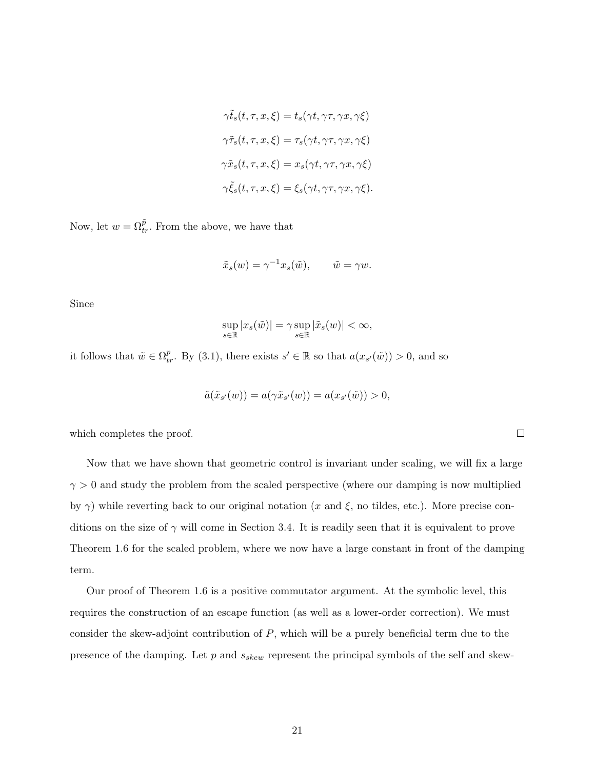$$
\gamma \tilde{t}_s(t, \tau, x, \xi) = t_s(\gamma t, \gamma \tau, \gamma x, \gamma \xi)
$$

$$
\gamma \tilde{\tau}_s(t, \tau, x, \xi) = \tau_s(\gamma t, \gamma \tau, \gamma x, \gamma \xi)
$$

$$
\gamma \tilde{x}_s(t, \tau, x, \xi) = x_s(\gamma t, \gamma \tau, \gamma x, \gamma \xi)
$$

$$
\gamma \tilde{\xi}_s(t, \tau, x, \xi) = \xi_s(\gamma t, \gamma \tau, \gamma x, \gamma \xi).
$$

Now, let  $w = \Omega_{tr}^{\tilde{p}}$ . From the above, we have that

$$
\tilde{x}_s(w) = \gamma^{-1} x_s(\tilde{w}), \qquad \tilde{w} = \gamma w.
$$

Since

$$
\sup_{s \in \mathbb{R}} |x_s(\tilde{w})| = \gamma \sup_{s \in \mathbb{R}} |\tilde{x}_s(w)| < \infty,
$$

it follows that  $\tilde{w} \in \Omega_{tr}^p$ . By (3.1), there exists  $s' \in \mathbb{R}$  so that  $a(x_{s'}(\tilde{w})) > 0$ , and so

$$
\tilde{a}(\tilde{x}_{s'}(w)) = a(\gamma \tilde{x}_{s'}(w)) = a(x_{s'}(\tilde{w})) > 0,
$$

which completes the proof.

Now that we have shown that geometric control is invariant under scaling, we will fix a large  $\gamma > 0$  and study the problem from the scaled perspective (where our damping is now multiplied by  $\gamma$ ) while reverting back to our original notation (x and  $\xi$ , no tildes, etc.). More precise conditions on the size of  $\gamma$  will come in Section 3.4. It is readily seen that it is equivalent to prove Theorem 1.6 for the scaled problem, where we now have a large constant in front of the damping term.

Our proof of Theorem 1.6 is a positive commutator argument. At the symbolic level, this requires the construction of an escape function (as well as a lower-order correction). We must consider the skew-adjoint contribution of P, which will be a purely beneficial term due to the presence of the damping. Let  $p$  and  $s_{skew}$  represent the principal symbols of the self and skew-

 $\Box$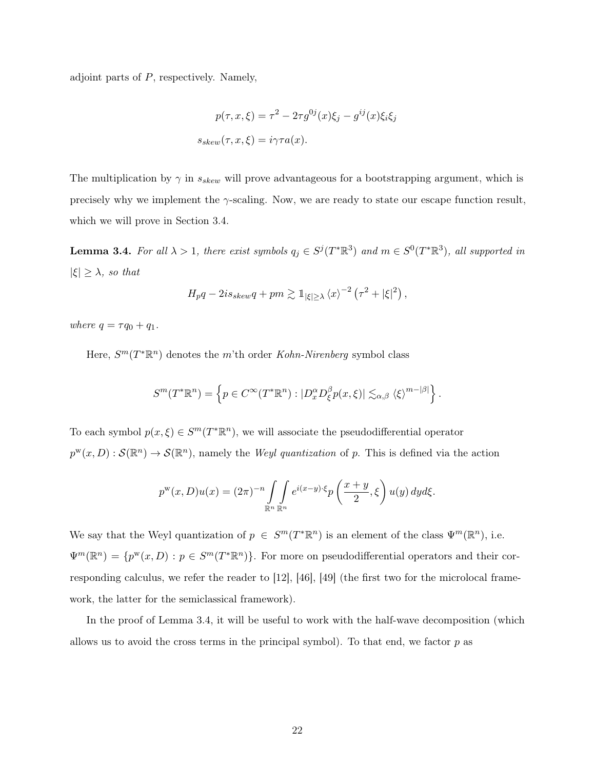adjoint parts of  $P$ , respectively. Namely,

$$
p(\tau, x, \xi) = \tau^2 - 2\tau g^{0j}(x)\xi_j - g^{ij}(x)\xi_i\xi_j
$$

$$
s_{skew}(\tau, x, \xi) = i\gamma\tau a(x).
$$

The multiplication by  $\gamma$  in  $s_{skew}$  will prove advantageous for a bootstrapping argument, which is precisely why we implement the  $\gamma$ -scaling. Now, we are ready to state our escape function result, which we will prove in Section 3.4.

**Lemma 3.4.** For all  $\lambda > 1$ , there exist symbols  $q_j \in S^j(T^*\mathbb{R}^3)$  and  $m \in S^0(T^*\mathbb{R}^3)$ , all supported in  $|\xi| \geq \lambda$ , so that

$$
H_p q - 2i s_{skew} q + pm \gtrsim 1_{|\xi| \ge \lambda} \langle x \rangle^{-2} \left( \tau^2 + |\xi|^2 \right),
$$

where  $q = \tau q_0 + q_1$ .

Here,  $S^m(T^*\mathbb{R}^n)$  denotes the m'th order Kohn-Nirenberg symbol class

$$
S^{m}(T^{*}\mathbb{R}^{n}) = \left\{ p \in C^{\infty}(T^{*}\mathbb{R}^{n}) : |D_{x}^{\alpha}D_{\xi}^{\beta}p(x,\xi)| \lesssim_{\alpha,\beta} \langle \xi \rangle^{m-|\beta|} \right\}.
$$

To each symbol  $p(x,\xi) \in S^m(T^*\mathbb{R}^n)$ , we will associate the pseudodifferential operator  $p^{w}(x, D) : \mathcal{S}(\mathbb{R}^{n}) \to \mathcal{S}(\mathbb{R}^{n})$ , namely the Weyl quantization of p. This is defined via the action

$$
p^{w}(x,D)u(x) = (2\pi)^{-n} \int_{\mathbb{R}^n} \int_{\mathbb{R}^n} e^{i(x-y)\cdot\xi} p\left(\frac{x+y}{2},\xi\right) u(y) dyd\xi.
$$

We say that the Weyl quantization of  $p \in S^m(T^*\mathbb{R}^n)$  is an element of the class  $\Psi^m(\mathbb{R}^n)$ , i.e.  $\Psi^m(\mathbb{R}^n) = \{p^w(x,D) : p \in S^m(T^*\mathbb{R}^n)\}.$  For more on pseudodifferential operators and their corresponding calculus, we refer the reader to [12], [46], [49] (the first two for the microlocal framework, the latter for the semiclassical framework).

In the proof of Lemma 3.4, it will be useful to work with the half-wave decomposition (which allows us to avoid the cross terms in the principal symbol). To that end, we factor  $p$  as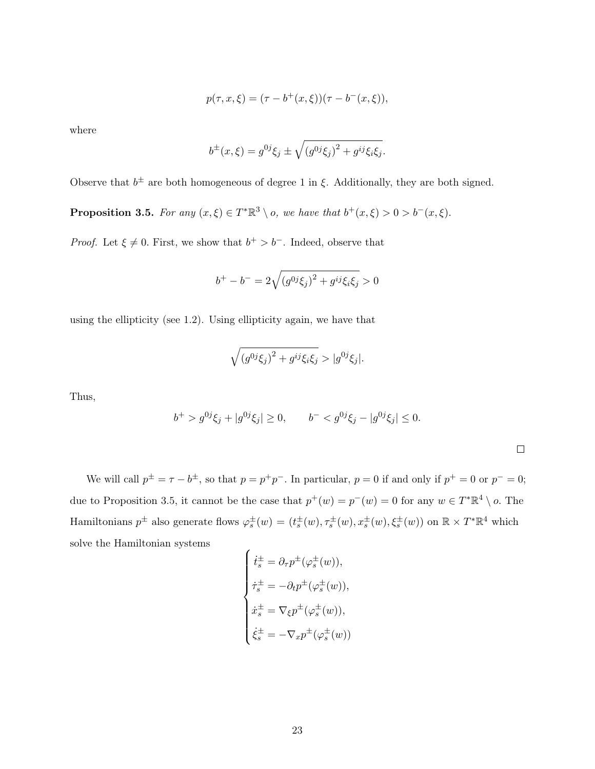$$
p(\tau, x, \xi) = (\tau - b^{+}(x, \xi))(\tau - b^{-}(x, \xi)),
$$

where

$$
b^{\pm}(x,\xi) = g^{0j}\xi_j \pm \sqrt{(g^{0j}\xi_j)^2 + g^{ij}\xi_i\xi_j}.
$$

Observe that  $b^{\pm}$  are both homogeneous of degree 1 in  $\xi$ . Additionally, they are both signed.

**Proposition 3.5.** For any  $(x,\xi) \in T^*\mathbb{R}^3 \setminus o$ , we have that  $b^+(x,\xi) > 0 > b^-(x,\xi)$ .

*Proof.* Let  $\xi \neq 0$ . First, we show that  $b^+ > b^-$ . Indeed, observe that

$$
b^{+} - b^{-} = 2\sqrt{(g^{0j}\xi_j)^2 + g^{ij}\xi_i\xi_j} > 0
$$

using the ellipticity (see 1.2). Using ellipticity again, we have that

$$
\sqrt{(g^{0j}\xi_j)^2 + g^{ij}\xi_i\xi_j} > |g^{0j}\xi_j|.
$$

Thus,

$$
b^{+} > g^{0j}\xi_{j} + |g^{0j}\xi_{j}| \ge 0, \qquad b^{-} < g^{0j}\xi_{j} - |g^{0j}\xi_{j}| \le 0.
$$

We will call  $p^{\pm} = \tau - b^{\pm}$ , so that  $p = p^+p^-$ . In particular,  $p = 0$  if and only if  $p^+ = 0$  or  $p^- = 0$ ; due to Proposition 3.5, it cannot be the case that  $p^+(w) = p^-(w) = 0$  for any  $w \in T^*\mathbb{R}^4 \setminus o$ . The Hamiltonians  $p^{\pm}$  also generate flows  $\varphi_s^{\pm}(w) = (t_s^{\pm}(w), \tau_s^{\pm}(w), x_s^{\pm}(w), \xi_s^{\pm}(w))$  on  $\mathbb{R} \times T^*\mathbb{R}^4$  which solve the Hamiltonian systems

$$
\begin{cases}\n\dot{t}_s^{\pm} = \partial_{\tau} p^{\pm} (\varphi_s^{\pm}(w)), \\
\dot{\tau}_s^{\pm} = -\partial_t p^{\pm} (\varphi_s^{\pm}(w)), \\
\dot{x}_s^{\pm} = \nabla_{\xi} p^{\pm} (\varphi_s^{\pm}(w)), \\
\dot{\xi}_s^{\pm} = -\nabla_x p^{\pm} (\varphi_s^{\pm}(w))\n\end{cases}
$$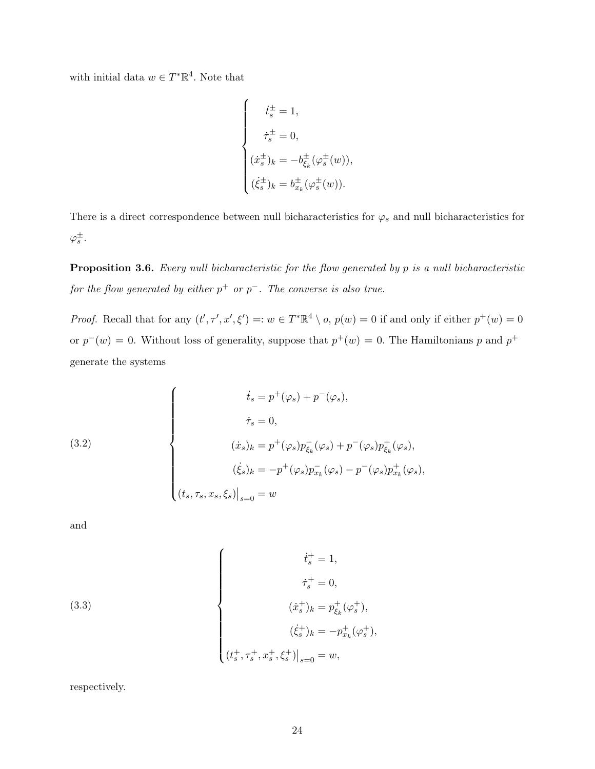with initial data  $w \in T^*\mathbb{R}^4$ . Note that

$$
\begin{cases}\n\dot{t}_s^{\pm} = 1, \\
\dot{\tau}_s^{\pm} = 0, \\
(\dot{x}_s^{\pm})_k = -b_{\xi_k}^{\pm}(\varphi_s^{\pm}(w)), \\
(\dot{\xi}_s^{\pm})_k = b_{x_k}^{\pm}(\varphi_s^{\pm}(w)).\n\end{cases}
$$

There is a direct correspondence between null bicharacteristics for  $\varphi_s$  and null bicharacteristics for  $\varphi_s^{\pm}.$ 

**Proposition 3.6.** Every null bicharacteristic for the flow generated by  $p$  is a null bicharacteristic for the flow generated by either  $p^+$  or  $p^-$ . The converse is also true.

*Proof.* Recall that for any  $(t', \tau', x', \xi') =: w \in T^* \mathbb{R}^4 \setminus o$ ,  $p(w) = 0$  if and only if either  $p^+(w) = 0$ or  $p^-(w) = 0$ . Without loss of generality, suppose that  $p^+(w) = 0$ . The Hamiltonians p and  $p^+$ generate the systems

(3.2)  

$$
\begin{cases}\n\dot{t}_s = p^+(\varphi_s) + p^-(\varphi_s), \\
\dot{\tau}_s = 0, \\
(\dot{x}_s)_k = p^+(\varphi_s)p_{\xi_k}^-(\varphi_s) + p^-(\varphi_s)p_{\xi_k}^+(\varphi_s), \\
(\dot{\xi}_s)_k = -p^+(\varphi_s)p_{x_k}^-(\varphi_s) - p^-(\varphi_s)p_{x_k}^+(\varphi_s), \\
(t_s, \tau_s, x_s, \xi_s)|_{s=0} = w\n\end{cases}
$$

and

(3.3)  

$$
\begin{cases}\n\dot{t}_s^+ = 1, \\
\dot{\tau}_s^+ = 0, \\
(\dot{x}_s^+)_{k} = p_{\xi_k}^+(\varphi_s^+), \\
(\dot{\xi}_s^+)_{k} = -p_{x_k}^+(\varphi_s^+), \\
(t_s^+, \tau_s^+, x_s^+, \xi_s^+) \big|_{s=0} = w,\n\end{cases}
$$

respectively.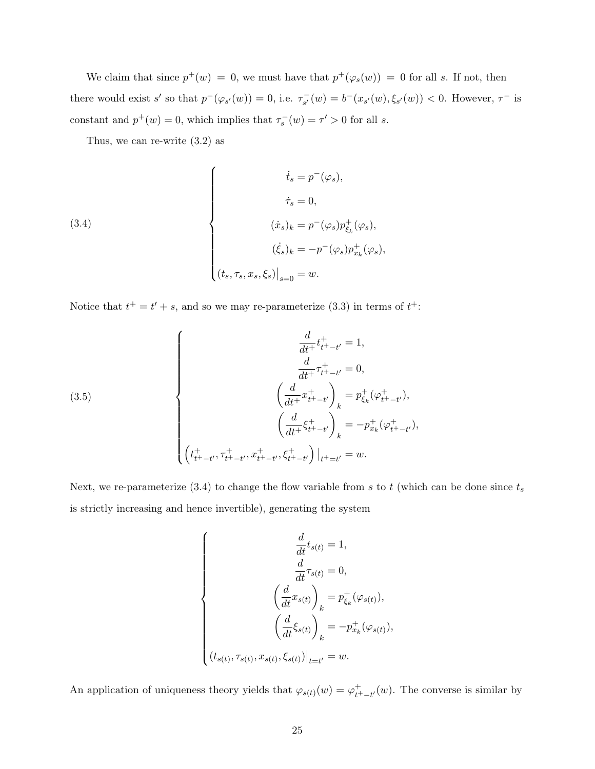We claim that since  $p^+(w) = 0$ , we must have that  $p^+(\varphi_s(w)) = 0$  for all s. If not, then there would exist s' so that  $p^-(\varphi_{s'}(w)) = 0$ , i.e.  $\tau_{s'}^{-}$  $s_{s'}(w) = b^{-}(x_{s'}(w), \xi_{s'}(w)) < 0.$  However,  $\tau^{-}$  is constant and  $p^+(w) = 0$ , which implies that  $\tau_s^-(w) = \tau' > 0$  for all s.

Thus, we can re-write (3.2) as

(3.4)  

$$
\begin{cases}\n\dot{t}_s = p^-(\varphi_s), \\
\dot{\tau}_s = 0, \\
(\dot{x}_s)_k = p^-(\varphi_s)p^+_{\xi_k}(\varphi_s), \\
(\dot{\xi}_s)_k = -p^-(\varphi_s)p^+_{x_k}(\varphi_s), \\
(t_s, \tau_s, x_s, \xi_s)|_{s=0} = w.\n\end{cases}
$$

Notice that  $t^+ = t' + s$ , and so we may re-parameterize (3.3) in terms of  $t^+$ .

(3.5)  

$$
\begin{cases}\n\frac{d}{dt^{+}}t_{t^{+}-t'}^{+} = 1, \\
\frac{d}{dt^{+}}\tau_{t^{+}-t'}^{+} = 0, \\
\left(\frac{d}{dt^{+}}x_{t^{+}-t'}^{+}\right)_{k} = p_{\xi_{k}}^{+}(\varphi_{t^{+}-t'}^{+}), \\
\left(\frac{d}{dt^{+}}\xi_{t^{+}-t'}^{+}\right)_{k} = -p_{x_{k}}^{+}(\varphi_{t^{+}-t'}^{+}), \\
\left(t_{t^{+}-t'}^{+},\tau_{t^{+}-t'}^{+},x_{t^{+}-t'}^{+},\xi_{t^{+}-t'}^{+}\right) |_{t^{+}=t'} = w.\n\end{cases}
$$

Next, we re-parameterize  $(3.4)$  to change the flow variable from s to t (which can be done since  $t_s$ is strictly increasing and hence invertible), generating the system

$$
\left\{\begin{aligned}\n\frac{d}{dt}t_{s(t)} &= 1, \\
\frac{d}{dt}\tau_{s(t)} &= 0, \\
\left(\frac{d}{dt}x_{s(t)}\right)_k &= p_{\xi_k}^+(\varphi_{s(t)}), \\
\left(\frac{d}{dt}\xi_{s(t)}\right)_k &= -p_{x_k}^+(\varphi_{s(t)}), \\
(t_{s(t)}, \tau_{s(t)}, x_{s(t)}, \xi_{s(t)})|_{t=t'} &= w.\n\end{aligned}\right.
$$

An application of uniqueness theory yields that  $\varphi_{s(t)}(w) = \varphi_{t^+ - t'}^+(w)$ . The converse is similar by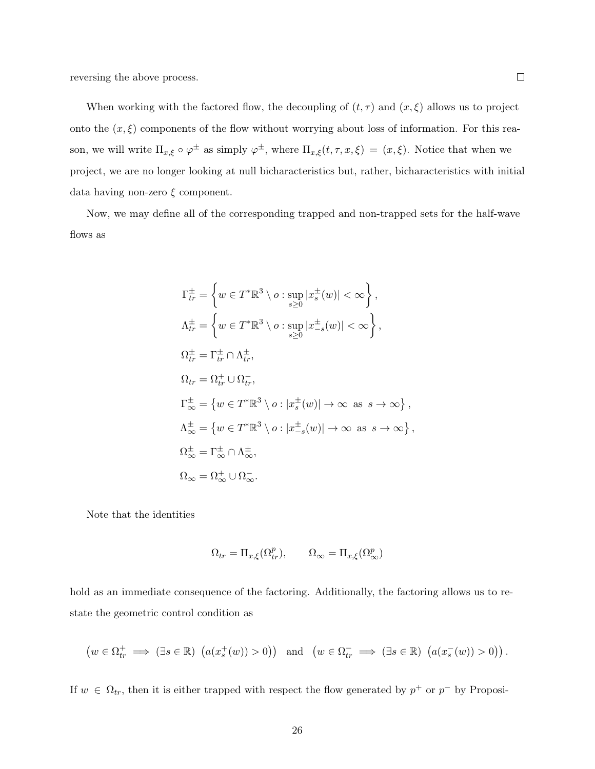reversing the above process.

When working with the factored flow, the decoupling of  $(t, \tau)$  and  $(x, \xi)$  allows us to project onto the  $(x, \xi)$  components of the flow without worrying about loss of information. For this reason, we will write  $\Pi_{x,\xi} \circ \varphi^{\pm}$  as simply  $\varphi^{\pm}$ , where  $\Pi_{x,\xi}(t,\tau,x,\xi) = (x,\xi)$ . Notice that when we project, we are no longer looking at null bicharacteristics but, rather, bicharacteristics with initial data having non-zero  $\xi$  component.

Now, we may define all of the corresponding trapped and non-trapped sets for the half-wave flows as

$$
\Gamma_{tr}^{\pm} = \left\{ w \in T^* \mathbb{R}^3 \setminus o : \sup_{s \ge 0} |x_s^{\pm}(w)| < \infty \right\},
$$
  
\n
$$
\Lambda_{tr}^{\pm} = \left\{ w \in T^* \mathbb{R}^3 \setminus o : \sup_{s \ge 0} |x_{-s}^{\pm}(w)| < \infty \right\},
$$
  
\n
$$
\Omega_{tr}^{\pm} = \Gamma_{tr}^{\pm} \cap \Lambda_{tr}^{\pm},
$$
  
\n
$$
\Omega_{tr} = \Omega_{tr}^{\pm} \cup \Omega_{tr}^{-},
$$
  
\n
$$
\Gamma_{\infty}^{\pm} = \left\{ w \in T^* \mathbb{R}^3 \setminus o : |x_s^{\pm}(w)| \to \infty \text{ as } s \to \infty \right\},
$$
  
\n
$$
\Lambda_{\infty}^{\pm} = \left\{ w \in T^* \mathbb{R}^3 \setminus o : |x_{-s}^{\pm}(w)| \to \infty \text{ as } s \to \infty \right\},
$$
  
\n
$$
\Omega_{\infty}^{\pm} = \Gamma_{\infty}^{\pm} \cap \Lambda_{\infty}^{\pm},
$$
  
\n
$$
\Omega_{\infty} = \Omega_{\infty}^{\pm} \cup \Omega_{\infty}^{-}.
$$

,

Note that the identities

$$
\Omega_{tr} = \Pi_{x,\xi}(\Omega_{tr}^p), \qquad \Omega_{\infty} = \Pi_{x,\xi}(\Omega_{\infty}^p)
$$

hold as an immediate consequence of the factoring. Additionally, the factoring allows us to restate the geometric control condition as

$$
\left(w \in \Omega^+_{tr} \implies (\exists s \in \mathbb{R}) \ \left(a(x_s^+(w)) > 0\right)\right) \quad \text{and} \quad \left(w \in \Omega^-_{tr} \implies (\exists s \in \mathbb{R}) \ \left(a(x_s^-(w)) > 0\right)\right).
$$

If  $w \in \Omega_{tr}$ , then it is either trapped with respect the flow generated by  $p^+$  or  $p^-$  by Proposi-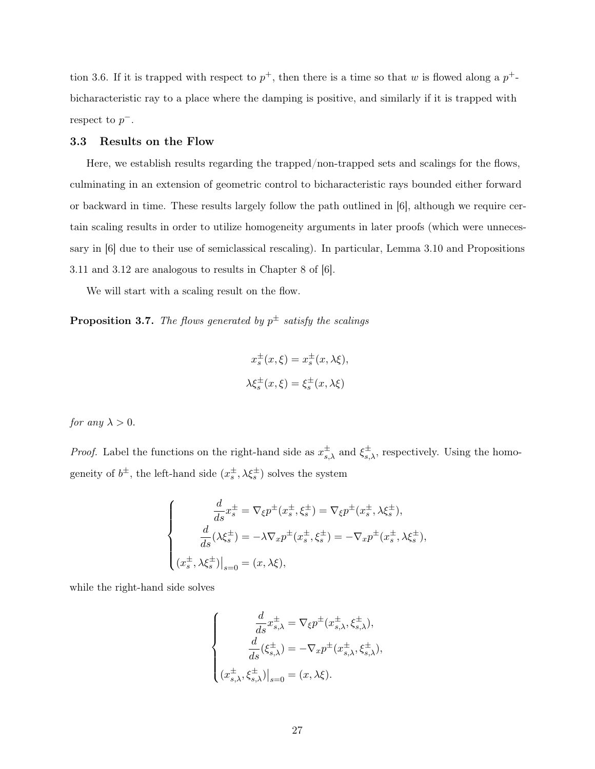tion 3.6. If it is trapped with respect to  $p^+$ , then there is a time so that w is flowed along a  $p^+$ bicharacteristic ray to a place where the damping is positive, and similarly if it is trapped with respect to  $p^-$ .

## 3.3 Results on the Flow

Here, we establish results regarding the trapped/non-trapped sets and scalings for the flows, culminating in an extension of geometric control to bicharacteristic rays bounded either forward or backward in time. These results largely follow the path outlined in [6], although we require certain scaling results in order to utilize homogeneity arguments in later proofs (which were unnecessary in [6] due to their use of semiclassical rescaling). In particular, Lemma 3.10 and Propositions 3.11 and 3.12 are analogous to results in Chapter 8 of [6].

We will start with a scaling result on the flow.

**Proposition 3.7.** The flows generated by  $p^{\pm}$  satisfy the scalings

$$
x_s^{\pm}(x,\xi) = x_s^{\pm}(x,\lambda\xi),
$$
  

$$
\lambda\xi_s^{\pm}(x,\xi) = \xi_s^{\pm}(x,\lambda\xi)
$$

for any  $\lambda > 0$ .

*Proof.* Label the functions on the right-hand side as  $x^{\pm}_{s,\lambda}$  and  $\xi^{\pm}_{s,\lambda}$ , respectively. Using the homogeneity of  $b^{\pm}$ , the left-hand side  $(x_s^{\pm}, \lambda \xi_s^{\pm})$  solves the system

$$
\begin{cases}\n\frac{d}{ds}x_s^{\pm} = \nabla_{\xi}p^{\pm}(x_s^{\pm}, \xi_s^{\pm}) = \nabla_{\xi}p^{\pm}(x_s^{\pm}, \lambda\xi_s^{\pm}),\\
\frac{d}{ds}(\lambda\xi_s^{\pm}) = -\lambda\nabla_xp^{\pm}(x_s^{\pm}, \xi_s^{\pm}) = -\nabla_xp^{\pm}(x_s^{\pm}, \lambda\xi_s^{\pm}),\\
(x_s^{\pm}, \lambda\xi_s^{\pm})\big|_{s=0} = (x, \lambda\xi),\n\end{cases}
$$

while the right-hand side solves

$$
\left\{ \begin{aligned} \frac{d}{ds}x^\pm_{s,\lambda} &= \nabla_\xi p^\pm(x^\pm_{s,\lambda},\xi^\pm_{s,\lambda}),\\ \frac{d}{ds}(\xi^\pm_{s,\lambda}) &= -\nabla_x p^\pm(x^\pm_{s,\lambda},\xi^\pm_{s,\lambda}),\\ \left. (x^\pm_{s,\lambda},\xi^\pm_{s,\lambda}) \right|_{s=0} &= (x,\lambda\xi). \end{aligned} \right.
$$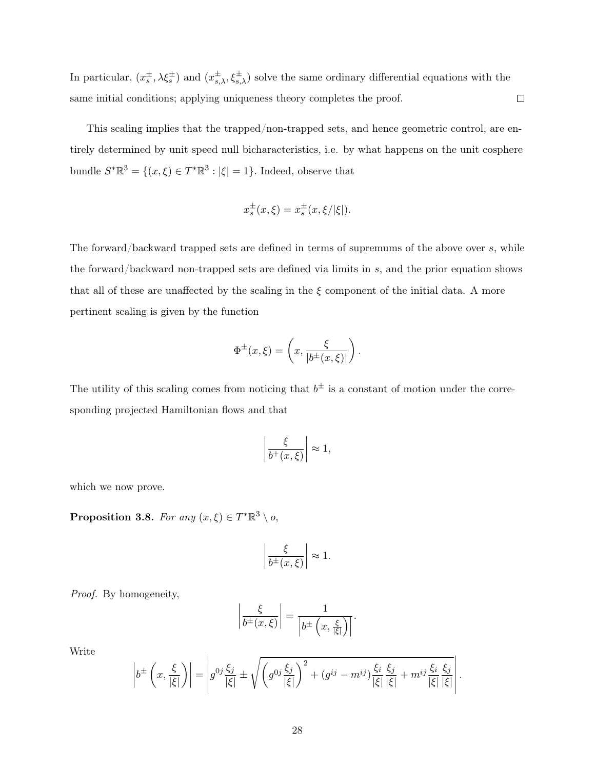In particular,  $(x_s^{\pm}, \lambda \xi_s^{\pm})$  and  $(x_{s,\lambda}^{\pm}, \xi_{s,\lambda}^{\pm})$  solve the same ordinary differential equations with the  $\Box$ same initial conditions; applying uniqueness theory completes the proof.

This scaling implies that the trapped/non-trapped sets, and hence geometric control, are entirely determined by unit speed null bicharacteristics, i.e. by what happens on the unit cosphere bundle  $S^* \mathbb{R}^3 = \{(x, \xi) \in T^* \mathbb{R}^3 : |\xi| = 1\}.$  Indeed, observe that

$$
x_s^{\pm}(x,\xi) = x_s^{\pm}(x,\xi/|\xi|).
$$

The forward/backward trapped sets are defined in terms of supremums of the above over s, while the forward/backward non-trapped sets are defined via limits in s, and the prior equation shows that all of these are unaffected by the scaling in the  $\xi$  component of the initial data. A more pertinent scaling is given by the function

$$
\Phi^{\pm}(x,\xi) = \left(x, \frac{\xi}{|b^{\pm}(x,\xi)|}\right).
$$

The utility of this scaling comes from noticing that  $b^{\pm}$  is a constant of motion under the corresponding projected Hamiltonian flows and that

$$
\left|\frac{\xi}{b^+(x,\xi)}\right| \approx 1,
$$

which we now prove.

**Proposition 3.8.** For any  $(x,\xi) \in T^* \mathbb{R}^3 \setminus \mathfrak{o}$ ,

$$
\left|\frac{\xi}{b^{\pm}(x,\xi)}\right| \approx 1.
$$

Proof. By homogeneity,

$$
\left|\frac{\xi}{b^{\pm}(x,\xi)}\right| = \frac{1}{\left|b^{\pm}\left(x,\frac{\xi}{|\xi|}\right)\right|}.
$$

Write

$$
\left|b^{\pm}\left(x,\frac{\xi}{|\xi|}\right)\right| = \left|g^{0j}\frac{\xi_j}{|\xi|} \pm \sqrt{\left(g^{0j}\frac{\xi_j}{|\xi|}\right)^2 + (g^{ij} - m^{ij})\frac{\xi_i}{|\xi|}\frac{\xi_j}{|\xi|} + m^{ij}\frac{\xi_i}{|\xi|}\frac{\xi_j}{|\xi|}}\right|.
$$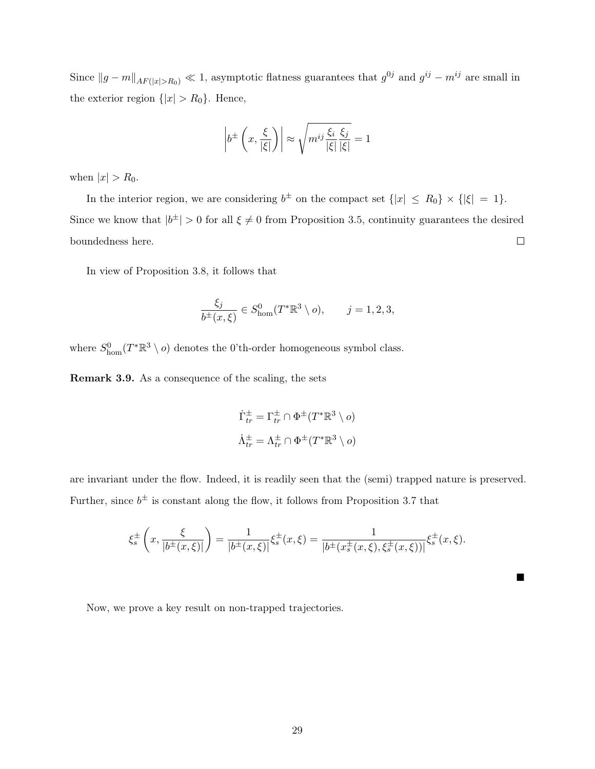Since  $||g - m||_{AF(|x| > R_0)} \ll 1$ , asymptotic flatness guarantees that  $g^{0j}$  and  $g^{ij} - m^{ij}$  are small in the exterior region  $\{|x| > R_0\}$ . Hence,

$$
\left| b^{\pm}\left(x,\frac{\xi}{|\xi|}\right) \right| \approx \sqrt{m^{ij}\frac{\xi_i}{|\xi|}\frac{\xi_j}{|\xi|}} = 1
$$

when  $|x| > R_0$ .

In the interior region, we are considering  $b^{\pm}$  on the compact set  $\{|x| \le R_0\} \times \{|\xi| = 1\}$ . Since we know that  $|b^{\pm}| > 0$  for all  $\xi \neq 0$  from Proposition 3.5, continuity guarantees the desired boundedness here.  $\Box$ 

In view of Proposition 3.8, it follows that

$$
\frac{\xi_j}{b^{\pm}(x,\xi)} \in S^0_{\text{hom}}(T^*\mathbb{R}^3 \setminus o), \qquad j = 1,2,3,
$$

where  $S^0_{\text{hom}}(T^*\mathbb{R}^3 \setminus o)$  denotes the 0'th-order homogeneous symbol class.

Remark 3.9. As a consequence of the scaling, the sets

$$
\dot{\Gamma}_{tr}^{\pm} = \Gamma_{tr}^{\pm} \cap \Phi^{\pm}(T^*\mathbb{R}^3 \setminus o)
$$

$$
\dot{\Lambda}_{tr}^{\pm} = \Lambda_{tr}^{\pm} \cap \Phi^{\pm}(T^*\mathbb{R}^3 \setminus o)
$$

are invariant under the flow. Indeed, it is readily seen that the (semi) trapped nature is preserved. Further, since  $b^{\pm}$  is constant along the flow, it follows from Proposition 3.7 that

$$
\xi_s^{\pm}\left(x,\frac{\xi}{|b^{\pm}(x,\xi)|}\right) = \frac{1}{|b^{\pm}(x,\xi)|} \xi_s^{\pm}(x,\xi) = \frac{1}{|b^{\pm}(x_s^{\pm}(x,\xi),\xi_s^{\pm}(x,\xi))|} \xi_s^{\pm}(x,\xi).
$$

■

Now, we prove a key result on non-trapped trajectories.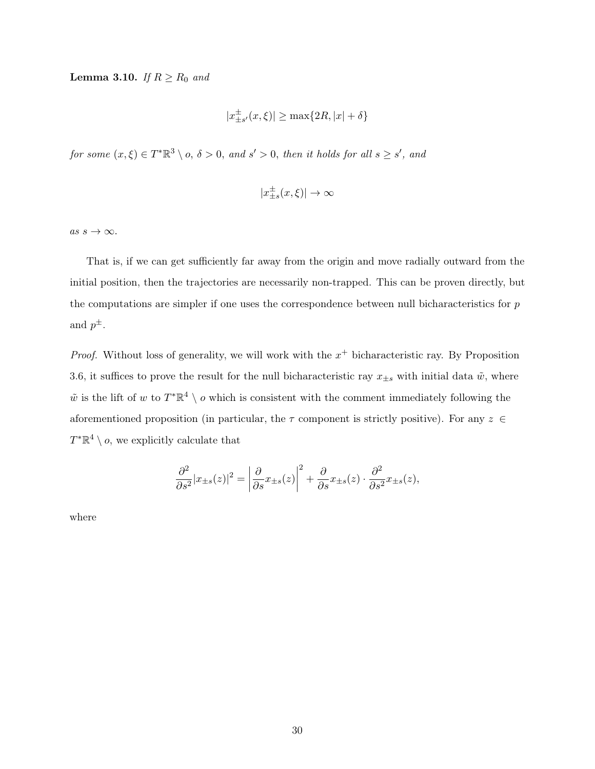**Lemma 3.10.** If  $R \ge R_0$  and

$$
|x_{\pm s'}^\pm(x,\xi)|\geq \max\{2R,|x|+\delta\}
$$

for some  $(x,\xi) \in T^* \mathbb{R}^3 \setminus \rho, \delta > 0$ , and  $s' > 0$ , then it holds for all  $s \geq s'$ , and

$$
|x_{\pm s}^\pm(x,\xi)|\to\infty
$$

as  $s \to \infty$ .

That is, if we can get sufficiently far away from the origin and move radially outward from the initial position, then the trajectories are necessarily non-trapped. This can be proven directly, but the computations are simpler if one uses the correspondence between null bicharacteristics for  $p$ and  $p^{\pm}$ .

*Proof.* Without loss of generality, we will work with the  $x^+$  bicharacteristic ray. By Proposition 3.6, it suffices to prove the result for the null bicharacteristic ray  $x_{\pm s}$  with initial data  $\tilde{w}$ , where  $\tilde{w}$  is the lift of w to  $T^*\mathbb{R}^4 \setminus o$  which is consistent with the comment immediately following the aforementioned proposition (in particular, the  $\tau$  component is strictly positive). For any  $z \in \mathcal{Z}$  $T^*\mathbb{R}^4 \setminus o$ , we explicitly calculate that

$$
\frac{\partial^2}{\partial s^2}|x_{\pm s}(z)|^2 = \left|\frac{\partial}{\partial s}x_{\pm s}(z)\right|^2 + \frac{\partial}{\partial s}x_{\pm s}(z)\cdot\frac{\partial^2}{\partial s^2}x_{\pm s}(z),
$$

where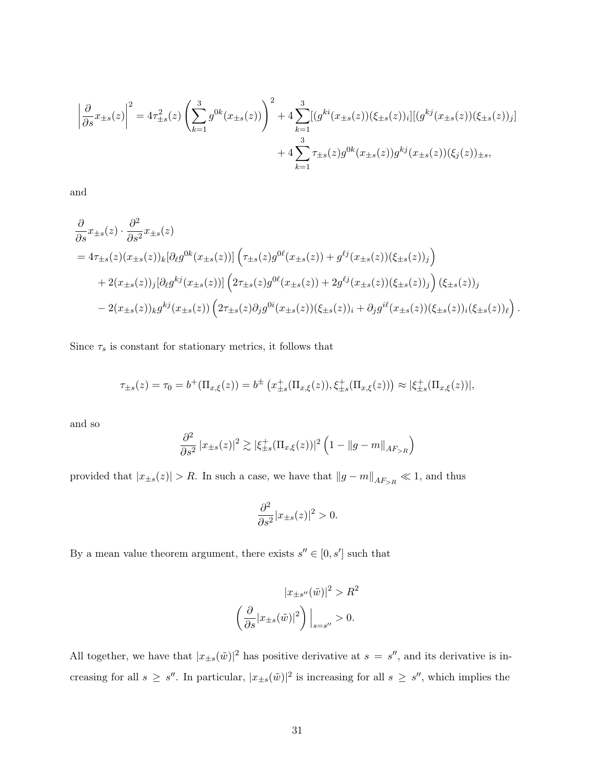$$
\left| \frac{\partial}{\partial s} x_{\pm s}(z) \right|^2 = 4\tau_{\pm s}^2(z) \left( \sum_{k=1}^3 g^{0k}(x_{\pm s}(z)) \right)^2 + 4 \sum_{k=1}^3 [(g^{ki}(x_{\pm s}(z))(\xi_{\pm s}(z))_i] [(g^{kj}(x_{\pm s}(z))(\xi_{\pm s}(z)))_j] + 4 \sum_{k=1}^3 \tau_{\pm s}(z) g^{0k}(x_{\pm s}(z)) g^{kj}(x_{\pm s}(z)) (\xi_j(z))_{\pm s},
$$

and

$$
\frac{\partial}{\partial s} x_{\pm s}(z) \cdot \frac{\partial^2}{\partial s^2} x_{\pm s}(z) \n= 4\tau_{\pm s}(z) (x_{\pm s}(z))_k [\partial_\ell g^{0k}(x_{\pm s}(z))] \left( \tau_{\pm s}(z) g^{0\ell}(x_{\pm s}(z)) + g^{\ell j}(x_{\pm s}(z))(\xi_{\pm s}(z))_j \right) \n+ 2(x_{\pm s}(z))_j [\partial_\ell g^{kj}(x_{\pm s}(z))] \left( 2\tau_{\pm s}(z) g^{0\ell}(x_{\pm s}(z)) + 2g^{\ell j}(x_{\pm s}(z))(\xi_{\pm s}(z))_j \right) (\xi_{\pm s}(z))_j \n- 2(x_{\pm s}(z))_k g^{kj}(x_{\pm s}(z)) \left( 2\tau_{\pm s}(z) \partial_j g^{0i}(x_{\pm s}(z))(\xi_{\pm s}(z))_i + \partial_j g^{i\ell}(x_{\pm s}(z))(\xi_{\pm s}(z))_i(\xi_{\pm s}(z))_l \right).
$$

Since  $\tau_s$  is constant for stationary metrics, it follows that

$$
\tau_{\pm s}(z) = \tau_0 = b^+(\Pi_{x,\xi}(z)) = b^{\pm}(\pi_{\pm s}^+(\Pi_{x,\xi}(z)), \xi_{\pm s}^+(\Pi_{x,\xi}(z))) \approx |\xi_{\pm s}^+(\Pi_{x,\xi}(z))|,
$$

and so

$$
\frac{\partial^2}{\partial s^2} |x_{\pm s}(z)|^2 \gtrsim |\xi_{\pm s}^+(\Pi_{x,\xi}(z))|^2 \left(1 - \|g - m\|_{AF_{>R}}\right)
$$

provided that  $|x_{\pm s}(z)| > R$ . In such a case, we have that  $||g - m||_{AF_{>R}} \ll 1$ , and thus

$$
\frac{\partial^2}{\partial s^2}|x_{\pm s}(z)|^2 > 0.
$$

By a mean value theorem argument, there exists  $s'' \in [0, s']$  such that

$$
|x_{\pm s''}(\tilde{w})|^2 > R^2
$$

$$
\left(\frac{\partial}{\partial s}|x_{\pm s}(\tilde{w})|^2\right)\Big|_{s=s''} > 0.
$$

All together, we have that  $|x_{\pm s}(\tilde{w})|^2$  has positive derivative at  $s = s''$ , and its derivative is increasing for all  $s \geq s''$ . In particular,  $|x_{\pm s}(\tilde{w})|^2$  is increasing for all  $s \geq s''$ , which implies the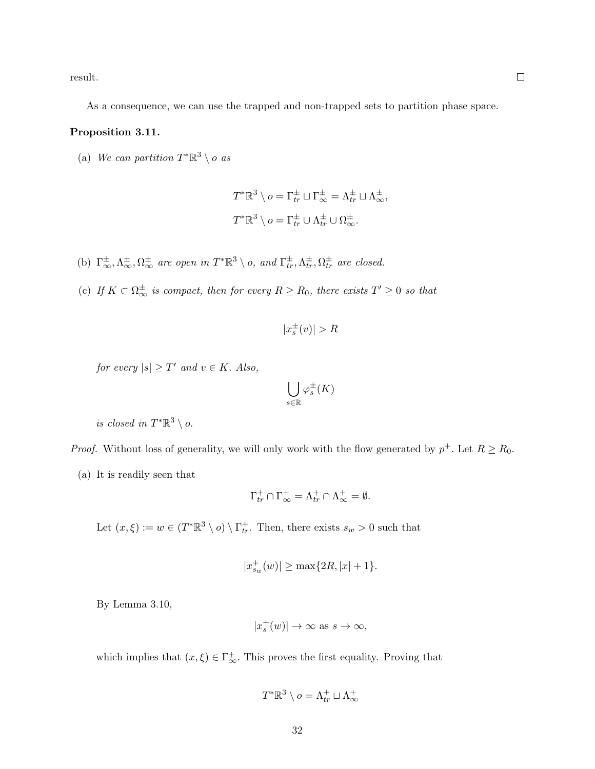result.

As a consequence, we can use the trapped and non-trapped sets to partition phase space.

#### Proposition 3.11.

(a) We can partition  $T^*\mathbb{R}^3 \setminus o$  as

$$
T^*\mathbb{R}^3 \setminus o = \Gamma_{tr}^{\pm} \sqcup \Gamma_{\infty}^{\pm} = \Lambda_{tr}^{\pm} \sqcup \Lambda_{\infty}^{\pm},
$$
  

$$
T^*\mathbb{R}^3 \setminus o = \Gamma_{tr}^{\pm} \cup \Lambda_{tr}^{\pm} \cup \Omega_{\infty}^{\pm}.
$$

- (b)  $\Gamma^{\pm}_{\infty}, \Lambda^{\pm}_{\infty}, \Omega^{\pm}_{\infty}$  are open in  $T^* \mathbb{R}^3 \setminus o$ , and  $\Gamma^{\pm}_{tr}, \Lambda^{\pm}_{tr}, \Omega^{\pm}_{tr}$  are closed.
- (c) If  $K \subset \Omega_{\infty}^{\pm}$  is compact, then for every  $R \ge R_0$ , there exists  $T' \ge 0$  so that

$$
|x_s^{\pm}(v)| > R
$$

for every  $|s| \geq T'$  and  $v \in K$ . Also,

$$
\bigcup_{s\in\mathbb{R}}\varphi_s^\pm(K)
$$

is closed in  $T^*\mathbb{R}^3 \setminus o$ .

*Proof.* Without loss of generality, we will only work with the flow generated by  $p^+$ . Let  $R \geq R_0$ .

(a) It is readily seen that

$$
\Gamma^+_{tr} \cap \Gamma^+_{\infty} = \Lambda^+_{tr} \cap \Lambda^+_{\infty} = \emptyset.
$$

Let  $(x,\xi) := w \in (T^*\mathbb{R}^3 \setminus o) \setminus \Gamma^+_{tr}$ . Then, there exists  $s_w > 0$  such that

$$
|x_{s_w}^+(w)| \ge \max\{2R, |x|+1\}.
$$

By Lemma 3.10,

$$
|x_s^+(w)| \to \infty \text{ as } s \to \infty,
$$

which implies that  $(x, \xi) \in \Gamma^+_{\infty}$ . This proves the first equality. Proving that

$$
T^*\mathbb{R}^3\setminus o=\Lambda_{tr}^+\sqcup\Lambda_{\infty}^+
$$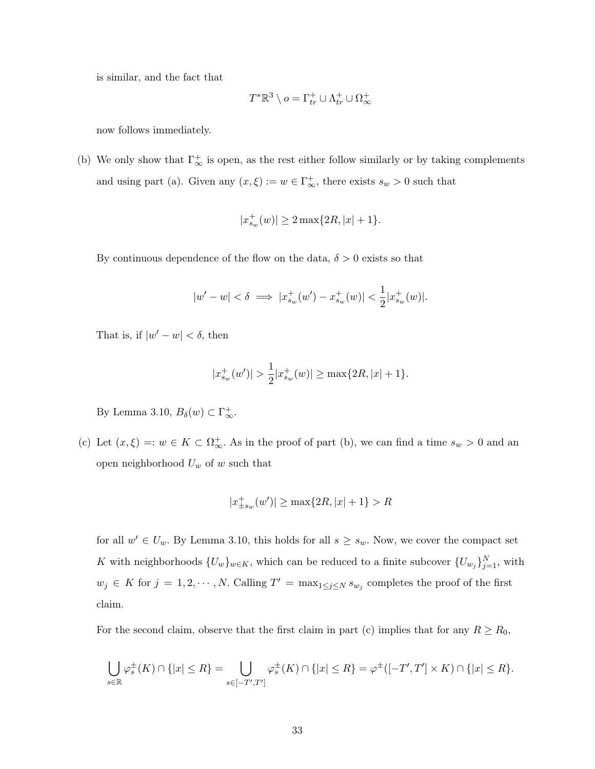is similar, and the fact that

$$
T^* \mathbb{R}^3 \setminus o = \Gamma^+_{tr} \cup \Lambda^+_{tr} \cup \Omega^+_{\infty}
$$

now follows immediately.

(b) We only show that  $\Gamma_{\infty}^{+}$  is open, as the rest either follow similarly or by taking complements and using part (a). Given any  $(x, \xi) := w \in \Gamma^+_{\infty}$ , there exists  $s_w > 0$  such that

$$
|x_{s_w}^+(w)| \ge 2 \max\{2R, |x|+1\}.
$$

By continuous dependence of the flow on the data,  $\delta > 0$  exists so that

$$
|w'-w| < \delta \implies |x_{s_w}^+(w') - x_{s_w}^+(w)| < \frac{1}{2}|x_{s_w}^+(w)|.
$$

That is, if  $|w'-w| < \delta$ , then

$$
|x_{s_w}^+(w')| > \frac{1}{2}|x_{s_w}^+(w)| \ge \max\{2R, |x|+1\}.
$$

By Lemma 3.10,  $B_{\delta}(w) \subset \Gamma_{\infty}^{+}$ .

(c) Let  $(x,\xi) =: w \in K \subset \Omega_{\infty}^+$ . As in the proof of part (b), we can find a time  $s_w > 0$  and an open neighborhood  $U_w$  of w such that

$$
|x^{+}_{\pm s_w}(w')| \geq \max\{2R, |x|+1\} > R
$$

for all  $w' \in U_w$ . By Lemma 3.10, this holds for all  $s \geq s_w$ . Now, we cover the compact set K with neighborhoods  $\{U_w\}_{w \in K}$ , which can be reduced to a finite subcover  $\{U_{w_j}\}_{j=1}^N$ , with  $w_j \in K$  for  $j = 1, 2, \dots, N$ . Calling  $T' = \max_{1 \leq j \leq N} s_{w_j}$  completes the proof of the first claim.

For the second claim, observe that the first claim in part (c) implies that for any  $R \ge R_0$ ,

$$
\bigcup_{s\in\mathbb{R}}\varphi_s^{\pm}(K)\cap\{|x|\leq R\}=\bigcup_{s\in[-T',T']}\varphi_s^{\pm}(K)\cap\{|x|\leq R\}=\varphi^{\pm}([-T',T']\times K)\cap\{|x|\leq R\}.
$$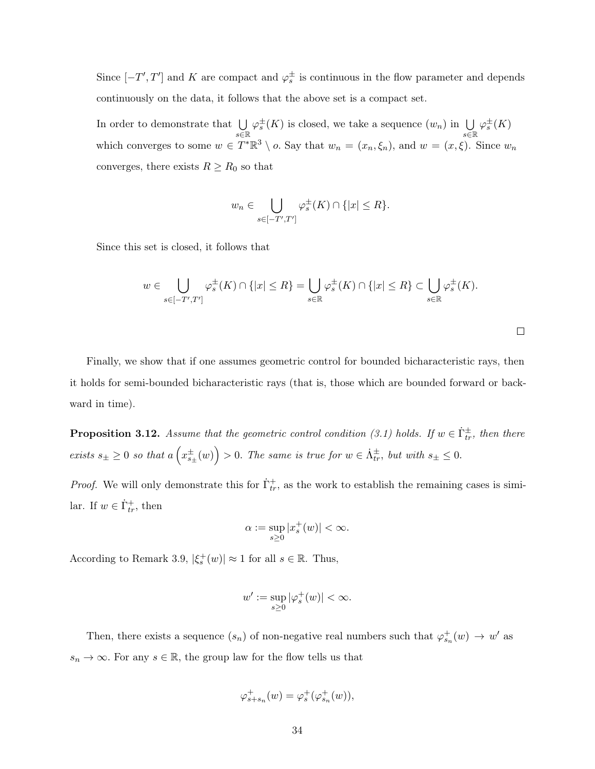Since  $[-T', T']$  and K are compact and  $\varphi_s^{\pm}$  is continuous in the flow parameter and depends continuously on the data, it follows that the above set is a compact set.

In order to demonstrate that  $\bigcup$ s∈R  $\varphi_s^{\pm}(K)$  is closed, we take a sequence  $(w_n)$  in  $\bigcup$ s∈R  $\varphi_s^\pm(K)$ which converges to some  $w \in T^*\mathbb{R}^3 \setminus o$ . Say that  $w_n = (x_n, \xi_n)$ , and  $w = (x, \xi)$ . Since  $w_n$ converges, there exists  $R \geq R_0$  so that

$$
w_n \in \bigcup_{s \in [-T',T']} \varphi_s^{\pm}(K) \cap \{|x| \leq R\}.
$$

Since this set is closed, it follows that

$$
w \in \bigcup_{s \in [-T',T']} \varphi_s^{\pm}(K) \cap \{|x| \le R\} = \bigcup_{s \in \mathbb{R}} \varphi_s^{\pm}(K) \cap \{|x| \le R\} \subset \bigcup_{s \in \mathbb{R}} \varphi_s^{\pm}(K).
$$

 $\Box$ 

Finally, we show that if one assumes geometric control for bounded bicharacteristic rays, then it holds for semi-bounded bicharacteristic rays (that is, those which are bounded forward or backward in time).

**Proposition 3.12.** Assume that the geometric control condition (3.1) holds. If  $w \in \dot{\Gamma}_{tr}^{\pm}$ , then there exists  $s_{\pm} \geq 0$  so that  $a\left(x_{s_{\pm}}^{\pm}(w)\right) > 0$ . The same is true for  $w \in \dot{\Lambda}_{tr}^{\pm}$ , but with  $s_{\pm} \leq 0$ .

*Proof.* We will only demonstrate this for  $\dot{\Gamma}_{tr}^{+}$ , as the work to establish the remaining cases is similar. If  $w \in \dot{\Gamma}^+_{tr}$ , then

$$
\alpha := \sup_{s \ge 0} |x_s^+(w)| < \infty.
$$

According to Remark 3.9,  $|\xi_s^+(w)| \approx 1$  for all  $s \in \mathbb{R}$ . Thus,

$$
w' := \sup_{s \ge 0} |\varphi_s^+(w)| < \infty.
$$

Then, there exists a sequence  $(s_n)$  of non-negative real numbers such that  $\varphi_{s_n}^+(w) \to w'$  as  $s_n\to\infty.$  For any  $s\in\mathbb{R},$  the group law for the flow tells us that

$$
\varphi_{s+s_n}^+(w) = \varphi_s^+(\varphi_{s_n}^+(w)),
$$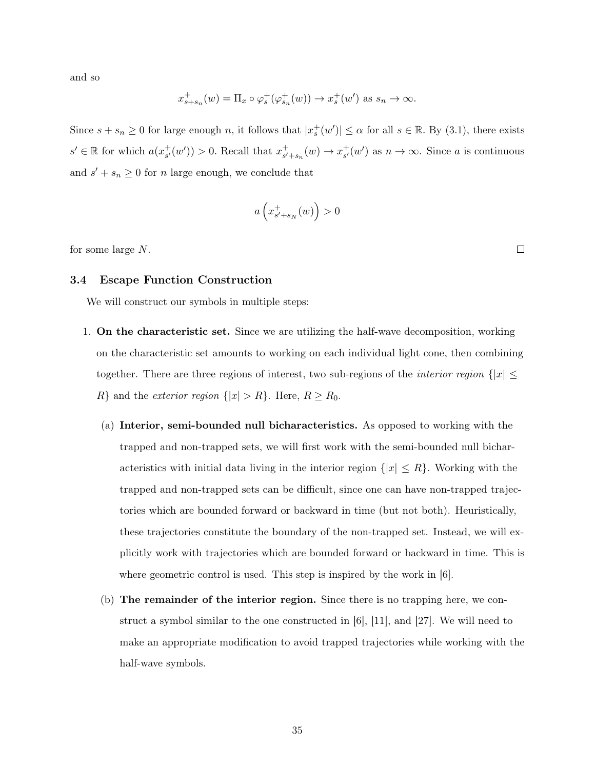and so

$$
x_{s+s_n}^+(w) = \Pi_x \circ \varphi_s^+(\varphi_{s_n}^+(w)) \to x_s^+(w') \text{ as } s_n \to \infty.
$$

Since  $s + s_n \geq 0$  for large enough n, it follows that  $|x_s^+(w')| \leq \alpha$  for all  $s \in \mathbb{R}$ . By (3.1), there exists  $s' \in \mathbb{R}$  for which  $a(x_{s'}^+)$  $s'(w') > 0$ . Recall that  $x_{s'}^{+}$  $s'_{s'+s_n}(w) \to x_{s'}^{+}$  $_{s'}^+(w')$  as  $n \to \infty$ . Since a is continuous and  $s' + s_n \geq 0$  for *n* large enough, we conclude that

$$
a\left(x_{s'+s_N}^+(w)\right) > 0
$$

for some large N.

### 3.4 Escape Function Construction

We will construct our symbols in multiple steps:

- 1. On the characteristic set. Since we are utilizing the half-wave decomposition, working on the characteristic set amounts to working on each individual light cone, then combining together. There are three regions of interest, two sub-regions of the *interior region*  $\{|x| \leq$  $R$ } and the *exterior region*  $\{|x| > R\}$ . Here,  $R \ge R_0$ .
	- (a) Interior, semi-bounded null bicharacteristics. As opposed to working with the trapped and non-trapped sets, we will first work with the semi-bounded null bicharacteristics with initial data living in the interior region  $\{|x| \leq R\}$ . Working with the trapped and non-trapped sets can be difficult, since one can have non-trapped trajectories which are bounded forward or backward in time (but not both). Heuristically, these trajectories constitute the boundary of the non-trapped set. Instead, we will explicitly work with trajectories which are bounded forward or backward in time. This is where geometric control is used. This step is inspired by the work in  $[6]$ .
	- (b) The remainder of the interior region. Since there is no trapping here, we construct a symbol similar to the one constructed in [6], [11], and [27]. We will need to make an appropriate modification to avoid trapped trajectories while working with the half-wave symbols.

 $\Box$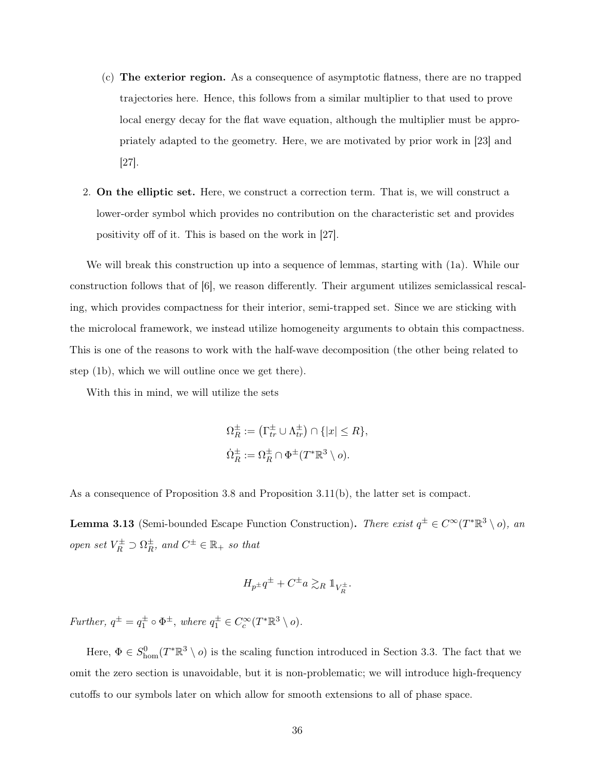- (c) The exterior region. As a consequence of asymptotic flatness, there are no trapped trajectories here. Hence, this follows from a similar multiplier to that used to prove local energy decay for the flat wave equation, although the multiplier must be appropriately adapted to the geometry. Here, we are motivated by prior work in [23] and [27].
- 2. On the elliptic set. Here, we construct a correction term. That is, we will construct a lower-order symbol which provides no contribution on the characteristic set and provides positivity off of it. This is based on the work in [27].

We will break this construction up into a sequence of lemmas, starting with (1a). While our construction follows that of [6], we reason differently. Their argument utilizes semiclassical rescaling, which provides compactness for their interior, semi-trapped set. Since we are sticking with the microlocal framework, we instead utilize homogeneity arguments to obtain this compactness. This is one of the reasons to work with the half-wave decomposition (the other being related to step (1b), which we will outline once we get there).

With this in mind, we will utilize the sets

$$
\Omega_R^{\pm} := (\Gamma_{tr}^{\pm} \cup \Lambda_{tr}^{\pm}) \cap \{|x| \le R\},
$$
  

$$
\Omega_R^{\pm} := \Omega_R^{\pm} \cap \Phi^{\pm}(T^*\mathbb{R}^3 \setminus o).
$$

As a consequence of Proposition 3.8 and Proposition 3.11(b), the latter set is compact.

**Lemma 3.13** (Semi-bounded Escape Function Construction). There exist  $q^{\pm} \in C^{\infty}(T^*\mathbb{R}^3 \setminus o)$ , an open set  $V_R^{\pm} \supset \Omega_R^{\pm}$  $\frac{1}{R}$ , and  $C^{\pm} \in \mathbb{R}_+$  so that

$$
H_{p^{\pm}}q^{\pm} + C^{\pm}a \gtrsim_{R} 1\!\!1_{V_{R}^{\pm}}.
$$

Further,  $q^{\pm} = q_1^{\pm} \circ \Phi^{\pm}$ , where  $q_1^{\pm} \in C_c^{\infty}(T^*\mathbb{R}^3 \setminus o)$ .

Here,  $\Phi \in S^0_{\text{hom}}(T^*\mathbb{R}^3 \setminus o)$  is the scaling function introduced in Section 3.3. The fact that we omit the zero section is unavoidable, but it is non-problematic; we will introduce high-frequency cutoffs to our symbols later on which allow for smooth extensions to all of phase space.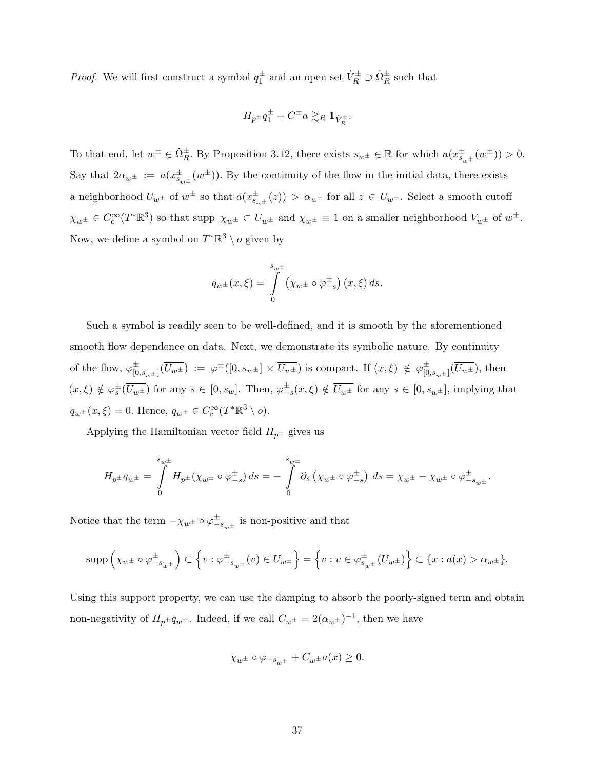*Proof.* We will first construct a symbol  $q_1^{\pm}$  and an open set  $\dot{V}_R^{\pm} \supset \dot{\Omega}_R^{\pm}$  such that

$$
H_{p^\pm}q_1^\pm+C^\pm a\gtrsim_R \mathbbm{1}_{\dot{V}_R^\pm}.
$$

To that end, let  $w^{\pm} \in \dot{\Omega}_R^{\pm}$ . By Proposition 3.12, there exists  $s_{w^{\pm}} \in \mathbb{R}$  for which  $a(x_{s_{w^{\pm}}}^{\pm}(w^{\pm})) > 0$ . Say that  $2\alpha_{w^{\pm}} := a(x_{s_{w^{\pm}}}^{\pm}(w^{\pm}))$ . By the continuity of the flow in the initial data, there exists a neighborhood  $U_{w^{\pm}}$  of  $w^{\pm}$  so that  $a(x_{s_{w^{\pm}}}^{\pm}(z)) > \alpha_{w^{\pm}}$  for all  $z \in U_{w^{\pm}}$ . Select a smooth cutoff  $\chi_{w^{\pm}} \in C_c^{\infty}(T^*\mathbb{R}^3)$  so that supp  $\chi_{w^{\pm}} \subset U_{w^{\pm}}$  and  $\chi_{w^{\pm}} \equiv 1$  on a smaller neighborhood  $V_{w^{\pm}}$  of  $w^{\pm}$ . Now, we define a symbol on  $T^*\mathbb{R}^3 \setminus o$  given by

$$
q_{w^{\pm}}(x,\xi) = \int\limits_{0}^{s_{w^{\pm}}} (\chi_{w^{\pm}} \circ \varphi_{-s}^{\pm}) (x,\xi) ds.
$$

Such a symbol is readily seen to be well-defined, and it is smooth by the aforementioned smooth flow dependence on data. Next, we demonstrate its symbolic nature. By continuity of the flow,  $\varphi_{\text{in}}^{\pm}$  $\overline{U}_{[0,s_{w^{\pm}}]}^{\pm}$   $(\overline{U_{w^{\pm}}}) := \varphi^{\pm}([0,s_{w^{\pm}}] \times \overline{U_{w^{\pm}}})$  is compact. If  $(x,\xi) \notin \varphi^{\pm}_{[0,\xi]}$  $^{\pm}_{[0,s_{w^{\pm}}]}(U_{w^{\pm}})$ , then  $(x,\xi) \notin \varphi_s^{\pm}(\overline{U_{w^{\pm}}})$  for any  $s \in [0, s_w]$ . Then,  $\varphi_{-s}^{\pm}(x,\xi) \notin \overline{U_{w^{\pm}}}$  for any  $s \in [0, s_{w^{\pm}}]$ , implying that  $q_{w^{\pm}}(x,\xi) = 0.$  Hence,  $q_{w^{\pm}} \in C_c^{\infty}(T^*\mathbb{R}^3 \setminus o).$ 

Applying the Hamiltonian vector field  $H_{p^{\pm}}$  gives us

$$
H_{p\pm}q_{w\pm} = \int_{0}^{s_{w\pm}} H_{p\pm}(\chi_{w\pm} \circ \varphi_{-s}^{\pm}) ds = - \int_{0}^{s_{w\pm}} \partial_{s} (\chi_{w\pm} \circ \varphi_{-s}^{\pm}) ds = \chi_{w\pm} - \chi_{w\pm} \circ \varphi_{-s_{w\pm}}^{\pm}.
$$

Notice that the term  $-\chi_{w^{\pm}} \circ \varphi_{-s_{w^{\pm}}}^{\pm}$  is non-positive and that

$$
\mathrm{supp} \left( \chi_{w^\pm} \circ \varphi_{-s_{w^\pm}}^\pm \right) \subset \left\{ v: \varphi_{-s_{w^\pm}}^\pm(v) \in U_{w^\pm} \right\} = \left\{ v: v \in \varphi_{s_{w^\pm}}^\pm(U_{w^\pm}) \right\} \subset \{x: a(x) > \alpha_{w^\pm} \}.
$$

Using this support property, we can use the damping to absorb the poorly-signed term and obtain non-negativity of  $H_{p^{\pm}} q_{w^{\pm}}$ . Indeed, if we call  $C_{w^{\pm}} = 2(\alpha_{w^{\pm}})^{-1}$ , then we have

$$
\chi_{w^\pm}\circ\varphi_{-s_{w^\pm}}+C_{w^\pm}a(x)\geq 0.
$$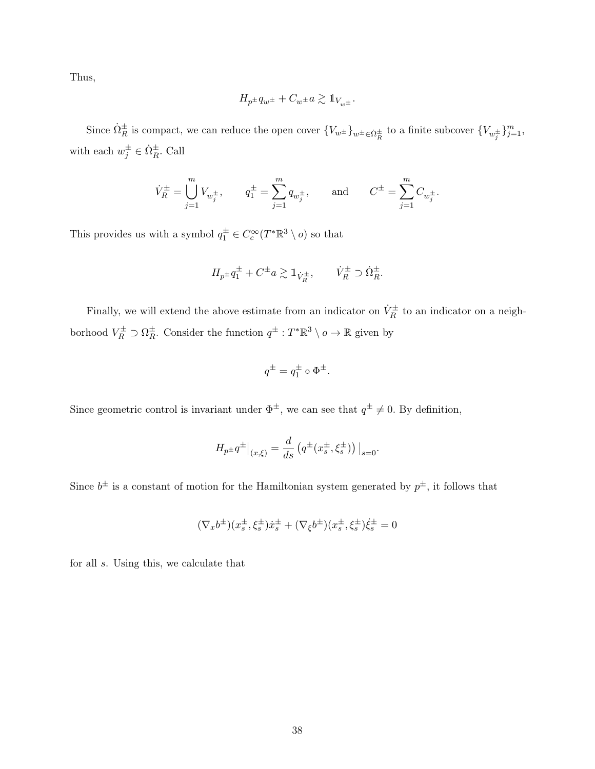Thus,

$$
H_{p^{\pm}}q_{w^{\pm}} + C_{w^{\pm}}a \gtrsim \mathbb{1}_{V_{w^{\pm}}}.
$$

Since  $\dot{\Omega}_R^{\pm}$  is compact, we can reduce the open cover  ${V_{w^{\pm}}}_{\mu}$ <sub> $\chi_{w^{\pm}} \in \dot{\Omega}_R^{\pm}$  to a finite subcover  ${V_{w_j^{\pm}}}_{j=1}$ ,</sub> with each  $w_j^{\pm} \in \dot{\Omega}_R^{\pm}$ . Call

$$
\dot{V}^\pm_R = \bigcup_{j=1}^m V_{w^\pm_j}, \qquad q^\pm_1 = \sum_{j=1}^m q_{w^\pm_j}, \qquad \text{and} \qquad C^\pm = \sum_{j=1}^m C_{w^\pm_j}.
$$

This provides us with a symbol  $q_1^{\pm} \in C_c^{\infty}(T^*\mathbb{R}^3 \setminus o)$  so that

$$
H_{p^{\pm}}q_1^{\pm} + C^{\pm} a \gtrsim \mathbb{1}_{\dot{V}_R^{\pm}}, \qquad \dot{V}_R^{\pm} \supset \dot{\Omega}_R^{\pm}.
$$

Finally, we will extend the above estimate from an indicator on  $\dot{V}_R^{\pm}$  to an indicator on a neighborhood  $V_R^{\pm} \supset \Omega_R^{\pm}$  $\frac{1}{R}$ . Consider the function  $q^{\pm} : T^* \mathbb{R}^3 \setminus o \to \mathbb{R}$  given by

$$
q^{\pm} = q_1^{\pm} \circ \Phi^{\pm}.
$$

Since geometric control is invariant under  $\Phi^{\pm}$ , we can see that  $q^{\pm} \neq 0$ . By definition,

$$
H_{p^{\pm}}q^{\pm}|_{(x,\xi)} = \frac{d}{ds} \left( q^{\pm}(x_s^{\pm}, \xi_s^{\pm}) \right)|_{s=0}.
$$

Since  $b^{\pm}$  is a constant of motion for the Hamiltonian system generated by  $p^{\pm}$ , it follows that

$$
(\nabla_x b^\pm)(x_s^\pm,\xi_s^\pm)\dot{x}_s^\pm+(\nabla_\xi b^\pm)(x_s^\pm,\xi_s^\pm)\dot{\xi}_s^\pm=0
$$

for all s. Using this, we calculate that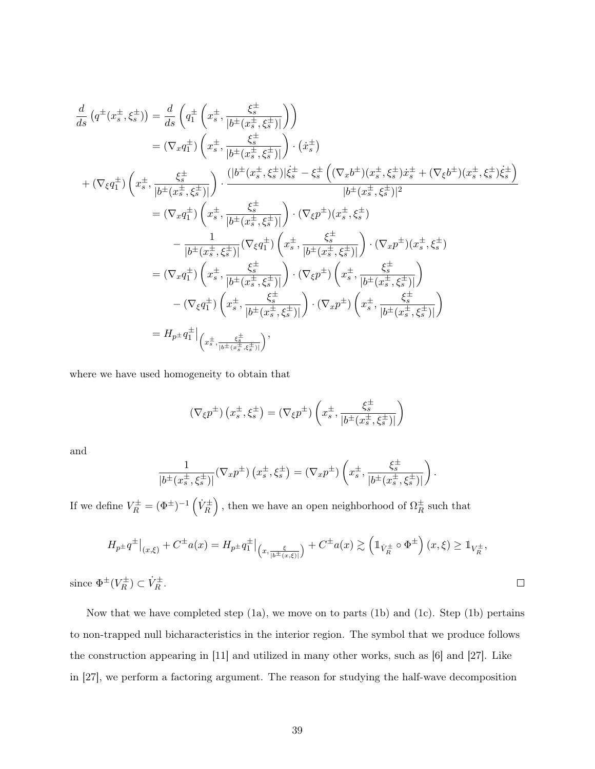$$
\frac{d}{ds} (q^{\pm}(x_s^{\pm}, \xi_s^{\pm})) = \frac{d}{ds} \left( q_1^{\pm} \left( x_s^{\pm}, \frac{\xi_s^{\pm}}{|b^{\pm}(x_s^{\pm}, \xi_s^{\pm})|} \right) \right)
$$
\n
$$
= (\nabla_x q_1^{\pm}) \left( x_s^{\pm}, \frac{\xi_s^{\pm}}{|b^{\pm}(x_s^{\pm}, \xi_s^{\pm})|} \right) \cdot (x_s^{\pm})
$$
\n
$$
+ (\nabla_{\xi} q_1^{\pm}) \left( x_s^{\pm}, \frac{\xi_s^{\pm}}{|b^{\pm}(x_s^{\pm}, \xi_s^{\pm})|} \right) \cdot \frac{(|b^{\pm}(x_s^{\pm}, \xi_s^{\pm})|\dot{\xi}_s^{\pm} - \xi_s^{\pm} \left( (\nabla_x b^{\pm})(x_s^{\pm}, \xi_s^{\pm})\dot{x}_s^{\pm} + (\nabla_{\xi} b^{\pm})(x_s^{\pm}, \xi_s^{\pm})\dot{\xi}_s^{\pm} \right)}{|b^{\pm}(x_s^{\pm}, \xi_s^{\pm})|^2}
$$
\n
$$
= (\nabla_x q_1^{\pm}) \left( x_s^{\pm}, \frac{\xi_s^{\pm}}{|b^{\pm}(x_s^{\pm}, \xi_s^{\pm})|} \right) \cdot (\nabla_{\xi} p^{\pm}) (x_s^{\pm}, \xi_s^{\pm})
$$
\n
$$
- \frac{1}{|b^{\pm}(x_s^{\pm}, \xi_s^{\pm})|} (\nabla_{\xi} q_1^{\pm}) \left( x_s^{\pm}, \frac{\xi_s^{\pm}}{|b^{\pm}(x_s^{\pm}, \xi_s^{\pm})|} \right) \cdot (\nabla_x p^{\pm}) (x_s^{\pm}, \xi_s^{\pm})
$$
\n
$$
= (\nabla_x q_1^{\pm}) \left( x_s^{\pm}, \frac{\xi_s^{\pm}}{|b^{\pm}(x_s^{\pm}, \xi_s^{\pm})|} \right) \cdot (\nabla_{\xi} p^{\pm}) \left( x_s^{\pm}, \frac{\xi_s^{\pm}}{|b^{\pm}(x_s^{\pm}, \xi_s^{\pm})|} \right)
$$
\n
$$
- (\nabla_{\xi} q_1^{\pm}) \left( x_s^{\pm}, \frac{\xi_s^{\pm}}{|b^{\pm}(x_s^{\pm}, \
$$

where we have used homogeneity to obtain that

$$
\left(\nabla_{\xi}p^{\pm}\right)\left(x_{s}^{\pm},\xi_{s}^{\pm}\right)=\left(\nabla_{\xi}p^{\pm}\right)\left(x_{s}^{\pm},\frac{\xi_{s}^{\pm}}{\left|b^{\pm}\left(x_{s}^{\pm},\xi_{s}^{\pm}\right)\right|}\right)
$$

and

$$
\frac{1}{|b^{\pm}(x_s^{\pm},\xi_s^{\pm})|}(\nabla_x p^{\pm})\left(x_s^{\pm},\xi_s^{\pm}\right)=(\nabla_x p^{\pm})\left(x_s^{\pm},\frac{\xi_s^{\pm}}{|b^{\pm}(x_s^{\pm},\xi_s^{\pm})|}\right).
$$

If we define  $V_R^{\pm} = (\Phi^{\pm})^{-1} \left( \dot{V}_R^{\pm} \right)$ , then we have an open neighborhood of  $\Omega_R^{\pm}$  $\frac{1}{R}$  such that

$$
H_{p^{\pm}}q^{\pm}|_{(x,\xi)} + C^{\pm}a(x) = H_{p^{\pm}}q_{1}^{\pm}|_{(x,\frac{\xi}{|b^{\pm}(x,\xi)|})} + C^{\pm}a(x) \gtrsim \left(\mathbb{1}_{\dot{V}_{R}^{\pm}} \circ \Phi^{\pm}\right)(x,\xi) \geq \mathbb{1}_{V_{R}^{\pm}},
$$
  

$$
\mathbb{1}_{(V_{R}^{\pm})} \subset \dot{V}_{R}^{\pm}
$$

 $\Box$ 

since  $\Phi^{\pm}(V^{\pm}_R)$  $(\overline{R}^{\pm}) \subset \dot{V}_R^{\pm}.$ 

Now that we have completed step (1a), we move on to parts (1b) and (1c). Step (1b) pertains to non-trapped null bicharacteristics in the interior region. The symbol that we produce follows the construction appearing in [11] and utilized in many other works, such as [6] and [27]. Like in [27], we perform a factoring argument. The reason for studying the half-wave decomposition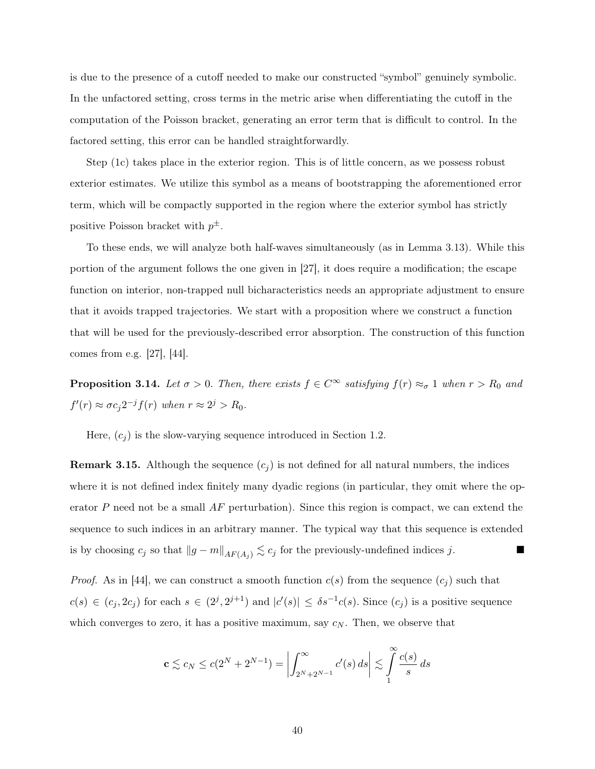is due to the presence of a cutoff needed to make our constructed "symbol" genuinely symbolic. In the unfactored setting, cross terms in the metric arise when differentiating the cutoff in the computation of the Poisson bracket, generating an error term that is difficult to control. In the factored setting, this error can be handled straightforwardly.

Step (1c) takes place in the exterior region. This is of little concern, as we possess robust exterior estimates. We utilize this symbol as a means of bootstrapping the aforementioned error term, which will be compactly supported in the region where the exterior symbol has strictly positive Poisson bracket with  $p^{\pm}$ .

To these ends, we will analyze both half-waves simultaneously (as in Lemma 3.13). While this portion of the argument follows the one given in [27], it does require a modification; the escape function on interior, non-trapped null bicharacteristics needs an appropriate adjustment to ensure that it avoids trapped trajectories. We start with a proposition where we construct a function that will be used for the previously-described error absorption. The construction of this function comes from e.g. [27], [44].

**Proposition 3.14.** Let  $\sigma > 0$ . Then, there exists  $f \in C^{\infty}$  satisfying  $f(r) \approx_{\sigma} 1$  when  $r > R_0$  and  $f'(r) \approx \sigma c_j 2^{-j} f(r)$  when  $r \approx 2^j > R_0$ .

Here,  $(c_i)$  is the slow-varying sequence introduced in Section 1.2.

**Remark 3.15.** Although the sequence  $(c_j)$  is not defined for all natural numbers, the indices where it is not defined index finitely many dyadic regions (in particular, they omit where the operator P need not be a small  $AF$  perturbation). Since this region is compact, we can extend the sequence to such indices in an arbitrary manner. The typical way that this sequence is extended is by choosing  $c_j$  so that  $||g - m||_{AF(A_j)} \lesssim c_j$  for the previously-undefined indices j. ■

*Proof.* As in [44], we can construct a smooth function  $c(s)$  from the sequence  $(c_j)$  such that  $c(s) \in (c_j, 2c_j)$  for each  $s \in (2^j, 2^{j+1})$  and  $|c'(s)| \leq \delta s^{-1}c(s)$ . Since  $(c_j)$  is a positive sequence which converges to zero, it has a positive maximum, say  $c_N$ . Then, we observe that

$$
\mathbf{c} \lesssim c_N \le c(2^N + 2^{N-1}) = \left| \int_{2^N + 2^{N-1}}^{\infty} c'(s) \, ds \right| \lesssim \int_{1}^{\infty} \frac{c(s)}{s} \, ds
$$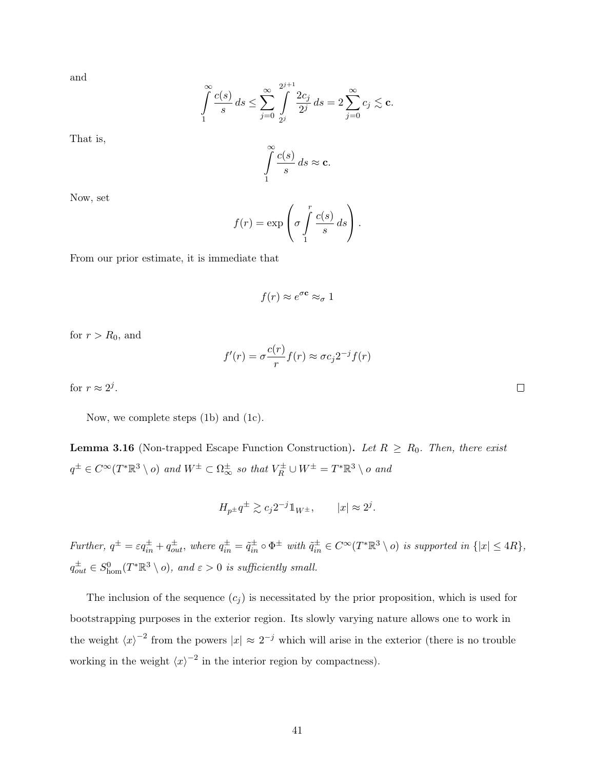and

$$
\int_{1}^{\infty} \frac{c(s)}{s} ds \le \sum_{j=0}^{\infty} \int_{2^{j}}^{2^{j+1}} \frac{2c_j}{2^{j}} ds = 2 \sum_{j=0}^{\infty} c_j \lesssim \mathbf{c}.
$$

That is,

 $\int_0^\infty c(s)$ 1  $\frac{S}{s}$  ds  $\approx$  c.

Now, set

$$
f(r) = \exp\left(\sigma \int_{1}^{r} \frac{c(s)}{s} ds\right).
$$

From our prior estimate, it is immediate that

$$
f(r) \approx e^{\sigma \mathbf{c}} \approx_{\sigma} 1
$$

for  $r > R_0$ , and

$$
f'(r) = \sigma \frac{c(r)}{r} f(r) \approx \sigma c_j 2^{-j} f(r)
$$

for  $r \approx 2^j$ .

Now, we complete steps (1b) and (1c).

**Lemma 3.16** (Non-trapped Escape Function Construction). Let  $R \geq R_0$ . Then, there exist  $q^{\pm} \in C^{\infty}(T^*\mathbb{R}^3 \setminus o)$  and  $W^{\pm} \subset \Omega_{\infty}^{\pm}$  so that  $V_R^{\pm} \cup W^{\pm} = T^*\mathbb{R}^3 \setminus o$  and

$$
H_{p^{\pm}}q^{\pm} \gtrsim c_j 2^{-j} \mathbb{1}_{W^{\pm}}, \qquad |x| \approx 2^j.
$$

Further,  $q^{\pm} = \varepsilon q^{\pm}_{in} + q^{\pm}_{out}$ , where  $q^{\pm}_{in} = \tilde{q}^{\pm}_{in} \circ \Phi^{\pm}$  with  $\tilde{q}^{\pm}_{in} \in C^{\infty}(T^*\mathbb{R}^3 \setminus o)$  is supported in  $\{|x| \leq 4R\}$ ,  $q_{out}^{\pm} \in S_{\text{hom}}^{0}(T^{*}\mathbb{R}^{3} \setminus o)$ , and  $\varepsilon > 0$  is sufficiently small.

The inclusion of the sequence  $(c_i)$  is necessitated by the prior proposition, which is used for bootstrapping purposes in the exterior region. Its slowly varying nature allows one to work in the weight  $\langle x \rangle^{-2}$  from the powers  $|x| \approx 2^{-j}$  which will arise in the exterior (there is no trouble working in the weight  $\langle x \rangle^{-2}$  in the interior region by compactness).

 $\Box$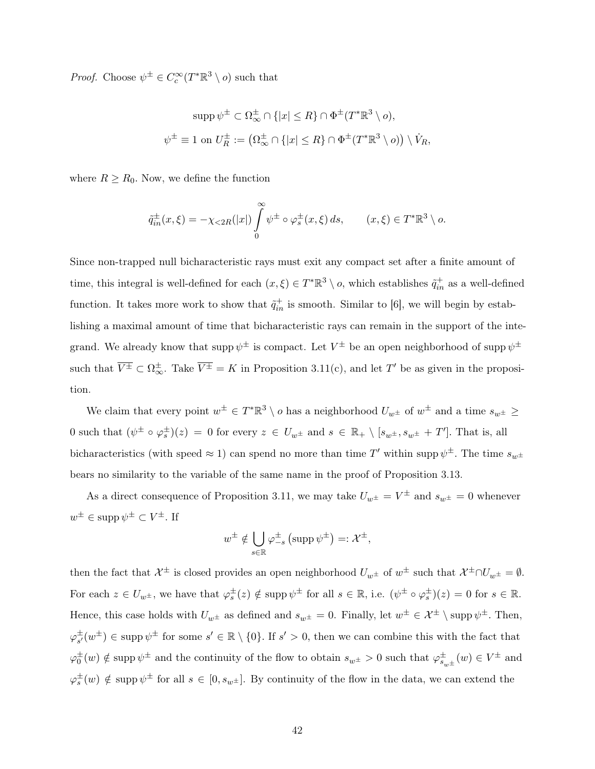*Proof.* Choose  $\psi^{\pm} \in C_c^{\infty}(T^*\mathbb{R}^3 \setminus o)$  such that

$$
\operatorname{supp} \psi^{\pm} \subset \Omega_{\infty}^{\pm} \cap \{|x| \le R\} \cap \Phi^{\pm}(T^*\mathbb{R}^3 \setminus o),
$$
  

$$
\psi^{\pm} \equiv 1 \text{ on } U_R^{\pm} := (\Omega_{\infty}^{\pm} \cap \{|x| \le R\} \cap \Phi^{\pm}(T^*\mathbb{R}^3 \setminus o)) \setminus V_R,
$$

where  $R \ge R_0$ . Now, we define the function

$$
\tilde{q}_{in}^{\pm}(x,\xi) = -\chi_{\leq 2R}(|x|) \int_{0}^{\infty} \psi^{\pm} \circ \varphi^{\pm}_{s}(x,\xi) ds, \qquad (x,\xi) \in T^{*}\mathbb{R}^{3} \setminus o.
$$

Since non-trapped null bicharacteristic rays must exit any compact set after a finite amount of time, this integral is well-defined for each  $(x,\xi) \in T^*\mathbb{R}^3 \setminus o$ , which establishes  $\tilde{q}^+_{in}$  as a well-defined function. It takes more work to show that  $\tilde{q}^+_{in}$  is smooth. Similar to [6], we will begin by establishing a maximal amount of time that bicharacteristic rays can remain in the support of the integrand. We already know that supp  $\psi^{\pm}$  is compact. Let  $V^{\pm}$  be an open neighborhood of supp  $\psi^{\pm}$ such that  $\overline{V^{\pm}} \subset \Omega_{\infty}^{\pm}$ . Take  $\overline{V^{\pm}} = K$  in Proposition 3.11(c), and let T' be as given in the proposition.

We claim that every point  $w^{\pm} \in T^*\mathbb{R}^3 \setminus o$  has a neighborhood  $U_{w^{\pm}}$  of  $w^{\pm}$  and a time  $s_{w^{\pm}} \geq$ 0 such that  $(\psi^{\pm} \circ \varphi_s^{\pm})(z) = 0$  for every  $z \in U_{w^{\pm}}$  and  $s \in \mathbb{R}_+ \setminus [s_{w^{\pm}}, s_{w^{\pm}} + T']$ . That is, all bicharacteristics (with speed  $\approx 1$ ) can spend no more than time T' within supp  $\psi^{\pm}$ . The time  $s_{w^{\pm}}$ bears no similarity to the variable of the same name in the proof of Proposition 3.13.

As a direct consequence of Proposition 3.11, we may take  $U_{w^{\pm}} = V^{\pm}$  and  $s_{w^{\pm}} = 0$  whenever  $w^{\pm} \in \mathrm{supp} \, \psi^{\pm} \subset V^{\pm}$ . If

$$
w^{\pm} \notin \bigcup_{s \in \mathbb{R}} \varphi_{-s}^{\pm} \left( \operatorname{supp} \psi^{\pm} \right) =: \mathcal{X}^{\pm},
$$

then the fact that  $\mathcal{X}^{\pm}$  is closed provides an open neighborhood  $U_{w^{\pm}}$  of  $w^{\pm}$  such that  $\mathcal{X}^{\pm} \cap U_{w^{\pm}} = \emptyset$ . For each  $z \in U_{w^{\pm}}$ , we have that  $\varphi_s^{\pm}(z) \notin \text{supp }\psi^{\pm}$  for all  $s \in \mathbb{R}$ , i.e.  $(\psi^{\pm} \circ \varphi_s^{\pm})(z) = 0$  for  $s \in \mathbb{R}$ . Hence, this case holds with  $U_{w^{\pm}}$  as defined and  $s_{w^{\pm}} = 0$ . Finally, let  $w^{\pm} \in \mathcal{X}^{\pm} \setminus \text{supp }\psi^{\pm}$ . Then,  $\varphi_{s'}^{\pm}$  $\frac{1}{s'}(w^{\pm}) \in \text{supp } \psi^{\pm}$  for some  $s' \in \mathbb{R} \setminus \{0\}$ . If  $s' > 0$ , then we can combine this with the fact that  $\varphi_0^{\pm}(w) \notin \text{supp }\psi^{\pm}$  and the continuity of the flow to obtain  $s_{w^{\pm}} > 0$  such that  $\varphi_{s_{w^{\pm}}}^{\pm}(w) \in V^{\pm}$  and  $\varphi_s^{\pm}(w) \notin \operatorname{supp} \psi^{\pm}$  for all  $s \in [0, s_{w^{\pm}}]$ . By continuity of the flow in the data, we can extend the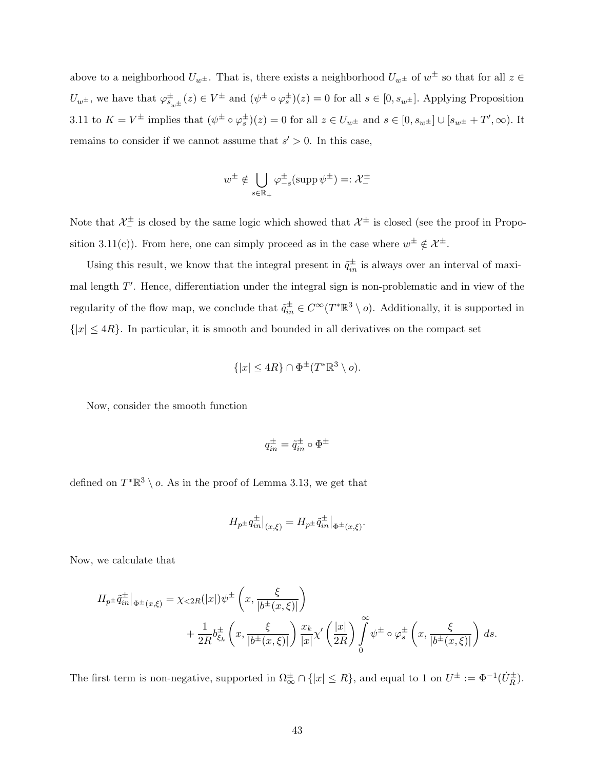above to a neighborhood  $U_{w^{\pm}}$ . That is, there exists a neighborhood  $U_{w^{\pm}}$  of  $w^{\pm}$  so that for all  $z \in$  $U_{w^{\pm}}$ , we have that  $\varphi_{s_{w^{\pm}}}^{\pm}(z) \in V^{\pm}$  and  $(\psi^{\pm} \circ \varphi_s^{\pm})(z) = 0$  for all  $s \in [0, s_{w^{\pm}}]$ . Applying Proposition 3.11 to  $K = V^{\pm}$  implies that  $(\psi^{\pm} \circ \varphi_s^{\pm})(z) = 0$  for all  $z \in U_{w^{\pm}}$  and  $s \in [0, s_{w^{\pm}}] \cup [s_{w^{\pm}} + T', \infty)$ . It remains to consider if we cannot assume that  $s' > 0$ . In this case,

$$
w^\pm \notin \bigcup_{s\in\mathbb{R}_+} \varphi_{-s}^\pm({\mathrm{supp} \, \psi^\pm}) =: \mathcal{X}^\pm_-
$$

Note that  $\mathcal{X}^{\pm}$  is closed by the same logic which showed that  $\mathcal{X}^{\pm}$  is closed (see the proof in Proposition 3.11(c)). From here, one can simply proceed as in the case where  $w^{\pm} \notin \mathcal{X}^{\pm}$ .

Using this result, we know that the integral present in  $\tilde{q}_{in}^{\pm}$  is always over an interval of maximal length  $T'$ . Hence, differentiation under the integral sign is non-problematic and in view of the regularity of the flow map, we conclude that  $\tilde{q}^{\pm}_{in} \in C^{\infty}(T^*\mathbb{R}^3 \setminus o)$ . Additionally, it is supported in  $\{|x| \leq 4R\}$ . In particular, it is smooth and bounded in all derivatives on the compact set

$$
\{|x| \le 4R\} \cap \Phi^{\pm}(T^*\mathbb{R}^3 \setminus o).
$$

Now, consider the smooth function

$$
q^\pm_{in} = \tilde{q}^\pm_{in} \circ \Phi^\pm
$$

defined on  $T^*\mathbb{R}^3 \setminus o$ . As in the proof of Lemma 3.13, we get that

$$
H_{p^{\pm}}q^{\pm}_{in}|_{(x,\xi)} = H_{p^{\pm}}\tilde{q}^{\pm}_{in}|_{\Phi^{\pm}(x,\xi)}.
$$

Now, we calculate that

$$
H_{p\pm}\tilde{q}_{in}^{\pm}\Big|_{\Phi^{\pm}(x,\xi)} = \chi_{\leq 2R}(|x|)\psi^{\pm}\left(x,\frac{\xi}{|b^{\pm}(x,\xi)|}\right)
$$
  
+ 
$$
\frac{1}{2R}b_{\xi_k}^{\pm}\left(x,\frac{\xi}{|b^{\pm}(x,\xi)|}\right)\frac{x_k}{|x|}\chi'\left(\frac{|x|}{2R}\right)\int_{0}^{\infty}\psi^{\pm}\circ\varphi_s^{\pm}\left(x,\frac{\xi}{|b^{\pm}(x,\xi)|}\right) ds.
$$

The first term is non-negative, supported in  $\Omega_{\infty}^{\pm} \cap \{|x| \leq R\}$ , and equal to 1 on  $U^{\pm} := \Phi^{-1}(\dot{U}_{R}^{\pm})$ .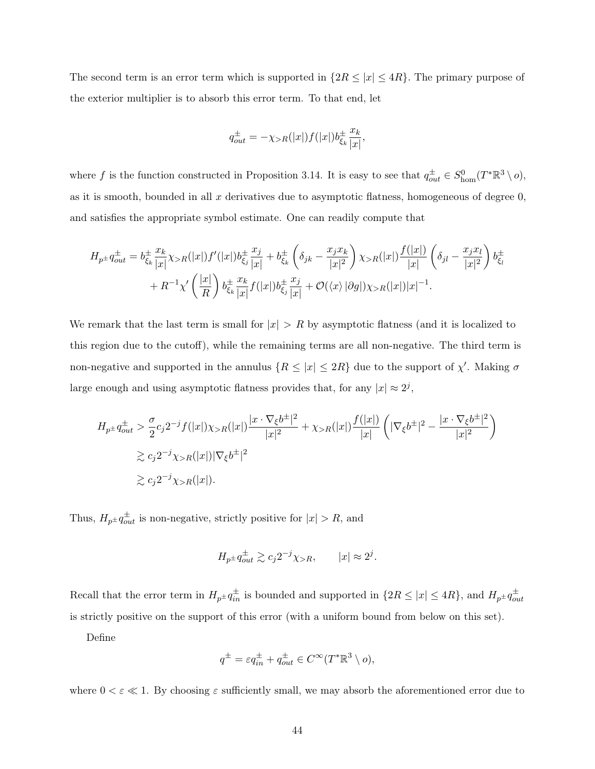The second term is an error term which is supported in  $\{2R \leq |x| \leq 4R\}$ . The primary purpose of the exterior multiplier is to absorb this error term. To that end, let

$$
q_{out}^{\pm} = -\chi_{>R}(|x|)f(|x|)b_{\xi_k}^{\pm} \frac{x_k}{|x|},
$$

where f is the function constructed in Proposition 3.14. It is easy to see that  $q_{out}^{\pm} \in S_{\text{hom}}^0(T^*\mathbb{R}^3 \setminus o)$ , as it is smooth, bounded in all  $x$  derivatives due to asymptotic flatness, homogeneous of degree  $0$ , and satisfies the appropriate symbol estimate. One can readily compute that

$$
H_{p\pm}q_{out}^{\pm} = b_{\xi_k}^{\pm} \frac{x_k}{|x|} \chi_{>R}(|x|)f'(|x|)b_{\xi_j}^{\pm} \frac{x_j}{|x|} + b_{\xi_k}^{\pm} \left(\delta_{jk} - \frac{x_j x_k}{|x|^2}\right) \chi_{>R}(|x|) \frac{f(|x|)}{|x|} \left(\delta_{jl} - \frac{x_j x_l}{|x|^2}\right) b_{\xi_l}^{\pm} + R^{-1} \chi' \left(\frac{|x|}{R}\right) b_{\xi_k}^{\pm} \frac{x_k}{|x|} f(|x|)b_{\xi_j}^{\pm} \frac{x_j}{|x|} + \mathcal{O}(\langle x \rangle |\partial g|) \chi_{>R}(|x|)|x|^{-1}.
$$

We remark that the last term is small for  $|x| > R$  by asymptotic flatness (and it is localized to this region due to the cutoff), while the remaining terms are all non-negative. The third term is non-negative and supported in the annulus  $\{R \leq |x| \leq 2R\}$  due to the support of  $\chi'$ . Making  $\sigma$ large enough and using asymptotic flatness provides that, for any  $|x| \approx 2^j$ ,

$$
H_{p\pm}q_{out}^{\pm} > \frac{\sigma}{2}c_j 2^{-j} f(|x|) \chi_{>R}(|x|) \frac{|x \cdot \nabla_{\xi} b^{\pm}|^2}{|x|^2} + \chi_{>R}(|x|) \frac{f(|x|)}{|x|} \left( |\nabla_{\xi} b^{\pm}|^2 - \frac{|x \cdot \nabla_{\xi} b^{\pm}|^2}{|x|^2} \right)
$$
  

$$
\ge c_j 2^{-j} \chi_{>R}(|x|) |\nabla_{\xi} b^{\pm}|^2
$$
  

$$
\ge c_j 2^{-j} \chi_{>R}(|x|).
$$

Thus,  $H_{p\pm}q_{out}^{\pm}$  is non-negative, strictly positive for  $|x| > R$ , and

$$
H_{p\pm}q_{out}^{\pm} \gtrsim c_j 2^{-j} \chi_{>R}, \qquad |x| \approx 2^j.
$$

Recall that the error term in  $H_{p\pm}q_{in}^{\pm}$  is bounded and supported in  $\{2R \leq |x| \leq 4R\}$ , and  $H_{p\pm}q_{out}^{\pm}$ is strictly positive on the support of this error (with a uniform bound from below on this set).

Define

$$
q^{\pm} = \varepsilon q_{in}^{\pm} + q_{out}^{\pm} \in C^{\infty}(T^*\mathbb{R}^3 \setminus o),
$$

where  $0 < \varepsilon \ll 1$ . By choosing  $\varepsilon$  sufficiently small, we may absorb the aforementioned error due to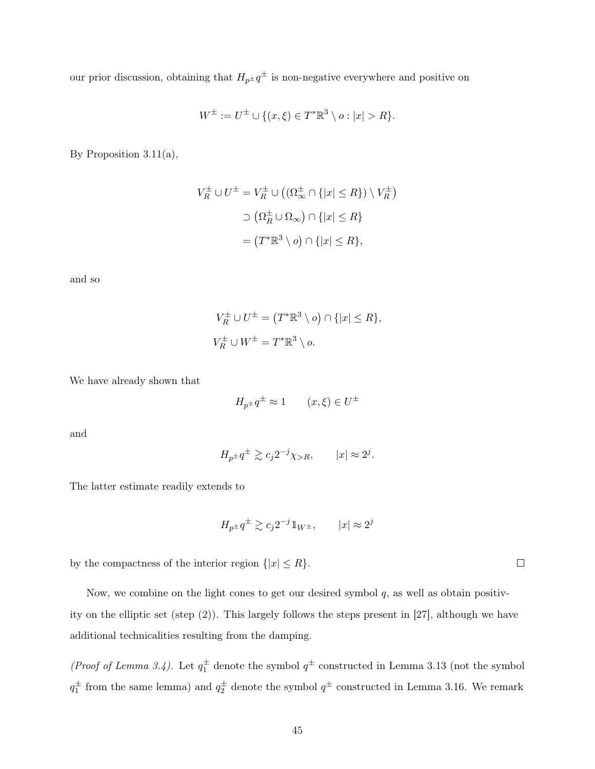our prior discussion, obtaining that  $H_{p^{\pm}} q^{\pm}$  is non-negative everywhere and positive on

$$
W^{\pm} := U^{\pm} \cup \{(x,\xi) \in T^* \mathbb{R}^3 \setminus o : |x| > R\}.
$$

By Proposition 3.11(a),

$$
V_R^{\pm} \cup U^{\pm} = V_R^{\pm} \cup ((\Omega_{\infty}^{\pm} \cap \{|x| \le R\}) \setminus V_R^{\pm})
$$

$$
\supset (\Omega_R^{\pm} \cup \Omega_{\infty}) \cap \{|x| \le R\}
$$

$$
= (T^* \mathbb{R}^3 \setminus o) \cap \{|x| \le R\},
$$

and so

$$
V_R^{\pm} \cup U^{\pm} = (T^* \mathbb{R}^3 \setminus o) \cap \{|x| \le R\},
$$
  

$$
V_R^{\pm} \cup W^{\pm} = T^* \mathbb{R}^3 \setminus o.
$$

We have already shown that

$$
H_{p^{\pm}}q^{\pm} \approx 1 \qquad (x,\xi) \in U^{\pm}
$$

and

$$
H_{p^{\pm}}q^{\pm} \gtrsim c_j 2^{-j} \chi_{>R}, \qquad |x| \approx 2^j.
$$

The latter estimate readily extends to

$$
H_{p\pm}q^{\pm} \gtrsim c_j 2^{-j} \mathbb{1}_{W^{\pm}}, \qquad |x| \approx 2^j
$$

by the compactness of the interior region  $\{|x| \leq R\}$ .

Now, we combine on the light cones to get our desired symbol  $q$ , as well as obtain positivity on the elliptic set (step (2)). This largely follows the steps present in [27], although we have additional technicalities resulting from the damping.

(*Proof of Lemma 3.4*). Let  $q_1^{\pm}$  denote the symbol  $q^{\pm}$  constructed in Lemma 3.13 (not the symbol  $q_1^{\pm}$  from the same lemma) and  $q_2^{\pm}$  denote the symbol  $q^{\pm}$  constructed in Lemma 3.16. We remark

 $\Box$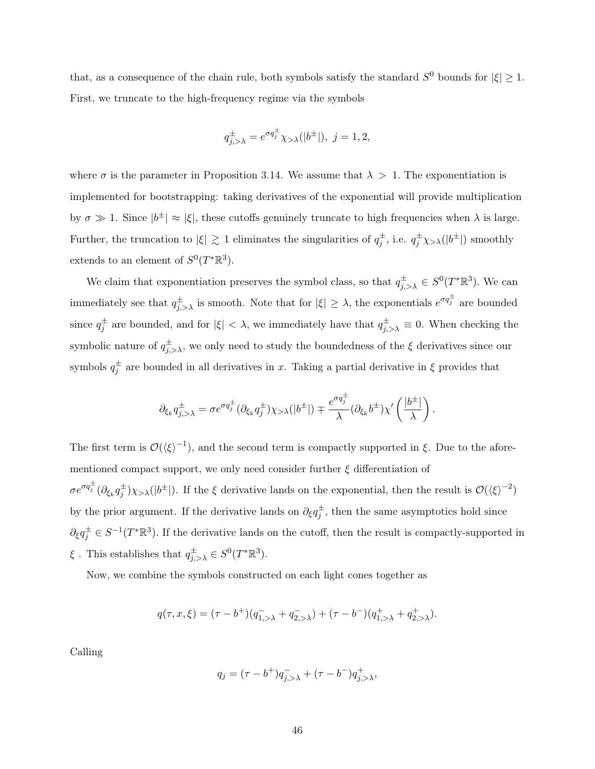that, as a consequence of the chain rule, both symbols satisfy the standard  $S^0$  bounds for  $|\xi| \geq 1$ . First, we truncate to the high-frequency regime via the symbols

$$
q_{j,>\lambda}^{\pm}=e^{\sigma q_j^{\pm}}\chi_{>\lambda}(|b^{\pm}|),\ j=1,2,
$$

where  $\sigma$  is the parameter in Proposition 3.14. We assume that  $\lambda > 1$ . The exponentiation is implemented for bootstrapping: taking derivatives of the exponential will provide multiplication by  $\sigma \gg 1$ . Since  $|b^{\pm}| \approx |\xi|$ , these cutoffs genuinely truncate to high frequencies when  $\lambda$  is large. Further, the truncation to  $|\xi| \gtrsim 1$  eliminates the singularities of  $q_j^{\pm}$ , i.e.  $q_j^{\pm} \chi_{>\lambda}(|b^{\pm}|)$  smoothly extends to an element of  $S^0(T^*\mathbb{R}^3)$ .

We claim that exponentiation preserves the symbol class, so that  $q_{j,>\lambda}^{\pm} \in S^{0}(T^{*}\mathbb{R}^{3})$ . We can immediately see that  $q_{j,>\lambda}^{\pm}$  is smooth. Note that for  $|\xi|\geq \lambda$ , the exponentials  $e^{\sigma q_j^{\pm}}$  are bounded since  $q_j^{\pm}$  are bounded, and for  $|\xi| < \lambda$ , we immediately have that  $q_{j,>\lambda}^{\pm} \equiv 0$ . When checking the symbolic nature of  $q_{j,>\lambda}^{\pm}$ , we only need to study the boundedness of the  $\xi$  derivatives since our symbols  $q_j^{\pm}$  are bounded in all derivatives in x. Taking a partial derivative in  $\xi$  provides that

$$
\partial_{\xi_k} q_{j,>\lambda}^{\pm} = \sigma e^{\sigma q_j^{\pm}} (\partial_{\xi_k} q_j^{\pm}) \chi_{>\lambda}(|b^{\pm}|) \mp \frac{e^{\sigma q_j^{\pm}}}{\lambda} (\partial_{\xi_k} b^{\pm}) \chi' \left(\frac{|b^{\pm}|}{\lambda}\right).
$$

The first term is  $\mathcal{O}(\langle \xi \rangle^{-1})$ , and the second term is compactly supported in  $\xi$ . Due to the aforementioned compact support, we only need consider further  $\xi$  differentiation of  $\sigma e^{\sigma q_j^{\pm}} (\partial_{\xi_k} q_j^{\pm}) \chi_{>\lambda}(|b^{\pm}|)$ . If the  $\xi$  derivative lands on the exponential, then the result is  $\mathcal{O}(\langle \xi \rangle^{-2})$ by the prior argument. If the derivative lands on  $\partial_{\xi}q_{j}^{\pm}$ , then the same asymptotics hold since  $\partial_{\xi}q_j^{\pm} \in S^{-1}(T^*\mathbb{R}^3)$ . If the derivative lands on the cutoff, then the result is compactly-supported in  $\xi$ . This establishes that  $q_{j,>\lambda}^{\pm} \in S^0(T^*\mathbb{R}^3)$ .

Now, we combine the symbols constructed on each light cones together as

$$
q(\tau,x,\xi)=(\tau-b^+)(q^-_{1,>\lambda}+q^-_{2,>\lambda})+(\tau-b^-)(q^+_{1,>\lambda}+q^+_{2,>\lambda}).
$$

Calling

$$
q_j = (\tau - b^+)q_{j, > \lambda}^- + (\tau - b^-)q_{j, > \lambda}^+,
$$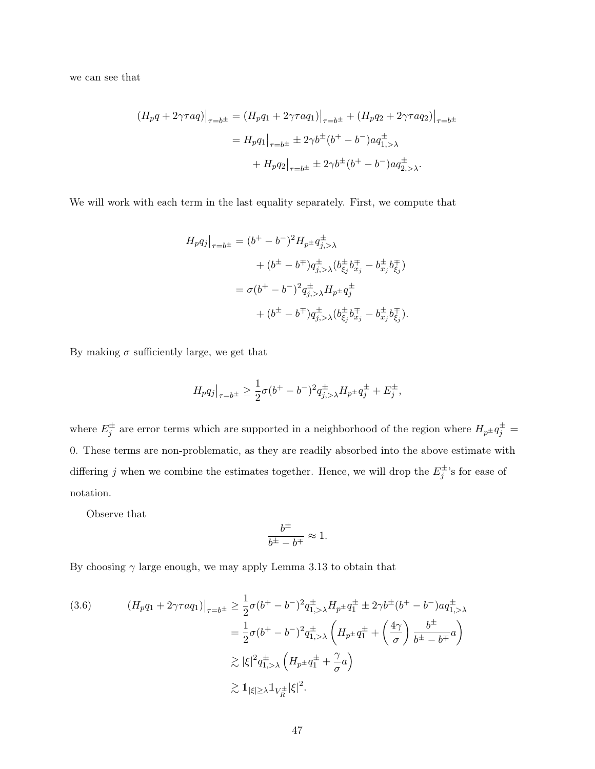we can see that

$$
(H_p q + 2\gamma \tau aq)|_{\tau=b^{\pm}} = (H_p q_1 + 2\gamma \tau aq_1)|_{\tau=b^{\pm}} + (H_p q_2 + 2\gamma \tau aq_2)|_{\tau=b^{\pm}}
$$
  
=  $H_p q_1|_{\tau=b^{\pm}} \pm 2\gamma b^{\pm} (b^+ - b^-) aq_{1,>\lambda}^{\pm}$   
+  $H_p q_2|_{\tau=b^{\pm}} \pm 2\gamma b^{\pm} (b^+ - b^-) aq_{2,>\lambda}^{\pm}.$ 

We will work with each term in the last equality separately. First, we compute that

$$
H_p q_j \big|_{\tau=b^{\pm}} = (b^+ - b^-)^2 H_{p^{\pm}} q_{j,>\lambda}^{\pm} + (b^{\pm} - b^{\mp}) q_{j,>\lambda}^{\pm} (b_{\xi_j}^{\pm} b_{x_j}^{\mp} - b_{x_j}^{\pm} b_{\xi_j}^{\mp}) = \sigma (b^+ - b^-)^2 q_{j,>\lambda}^{\pm} H_{p^{\pm}} q_j^{\pm} + (b^{\pm} - b^{\mp}) q_{j,>\lambda}^{\pm} (b_{\xi_j}^{\pm} b_{x_j}^{\mp} - b_{x_j}^{\pm} b_{\xi_j}^{\mp}).
$$

By making  $\sigma$  sufficiently large, we get that

$$
H_p q_j\big|_{\tau=b^{\pm}} \ge \frac{1}{2}\sigma (b^+ - b^-)^2 q^{\pm}_{j,>\lambda} H_{p^{\pm}} q^{\pm}_j + E^{\pm}_j,
$$

where  $E_j^{\pm}$  are error terms which are supported in a neighborhood of the region where  $H_{p^{\pm}}q^{\pm}_j$ 0. These terms are non-problematic, as they are readily absorbed into the above estimate with differing j when we combine the estimates together. Hence, we will drop the  $E_j^{\pm}$ 's for ease of notation.

Observe that

$$
\frac{b^\pm}{b^\pm - b^\mp} \approx 1.
$$

By choosing  $\gamma$  large enough, we may apply Lemma 3.13 to obtain that

$$
(3.6) \qquad (H_p q_1 + 2\gamma \tau a q_1)|_{\tau=b^{\pm}} \ge \frac{1}{2}\sigma (b^+ - b^-)^2 q_{1,>\lambda}^{\pm} H_{p^{\pm}} q_1^{\pm} \pm 2\gamma b^{\pm} (b^+ - b^-) a q_{1,>\lambda}^{\pm}
$$
  

$$
= \frac{1}{2}\sigma (b^+ - b^-)^2 q_{1,>\lambda}^{\pm} \left( H_{p^{\pm}} q_1^{\pm} + \left( \frac{4\gamma}{\sigma} \right) \frac{b^{\pm}}{b^{\pm} - b^{\mp}} a \right)
$$
  

$$
\gtrsim |\xi|^2 q_{1,>\lambda}^{\pm} \left( H_{p^{\pm}} q_1^{\pm} + \frac{\gamma}{\sigma} a \right)
$$
  

$$
\gtrsim \mathbb{1}_{|\xi| \ge \lambda} \mathbb{1}_{V_R^{\pm}} |\xi|^2.
$$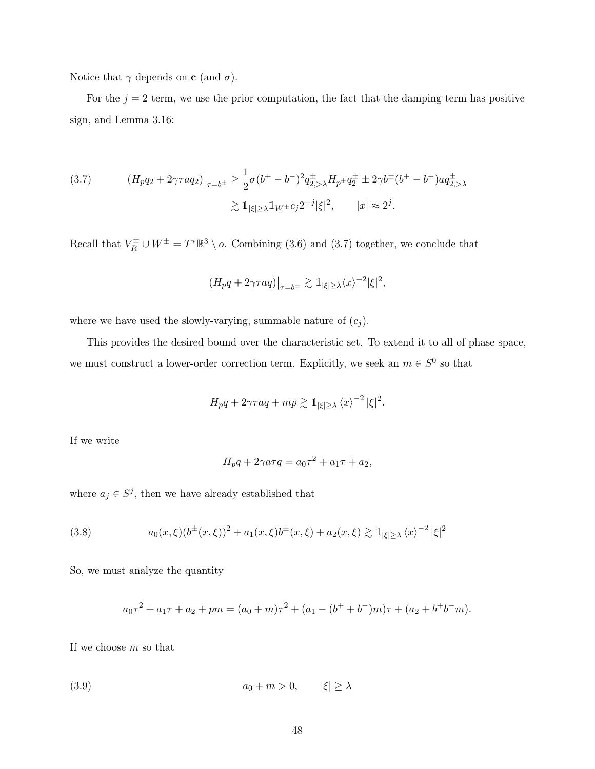Notice that  $\gamma$  depends on **c** (and  $\sigma$ ).

For the  $j = 2$  term, we use the prior computation, the fact that the damping term has positive sign, and Lemma 3.16:

(3.7) 
$$
(H_p q_2 + 2\gamma \tau a q_2)|_{\tau=b^{\pm}} \ge \frac{1}{2}\sigma(b^+ - b^-)^2 q_{2,\lambda}^{\pm} H_{p^{\pm}} q_2^{\pm} \pm 2\gamma b^{\pm} (b^+ - b^-) a q_{2,\lambda}^{\pm}
$$

$$
\gtrsim \mathbb{1}_{|\xi| \ge \lambda} \mathbb{1}_{W^{\pm}} c_j 2^{-j} |\xi|^2, \qquad |x| \approx 2^j.
$$

Recall that  $V_R^{\pm} \cup W^{\pm} = T^* \mathbb{R}^3 \setminus o$ . Combining (3.6) and (3.7) together, we conclude that

$$
(H_p q + 2\gamma \tau aq)|_{\tau=b^{\pm}} \gtrsim \mathbb{1}_{|\xi| \ge \lambda} \langle x \rangle^{-2} |\xi|^2,
$$

where we have used the slowly-varying, summable nature of  $(c_j)$ .

This provides the desired bound over the characteristic set. To extend it to all of phase space, we must construct a lower-order correction term. Explicitly, we seek an  $m \in S^0$  so that

$$
H_p q + 2\gamma \tau aq + mp \gtrsim 1
$$
<sub>|\xi| \ge \lambda \langle x \rangle^{-2} |\xi|^2.</sub>

If we write

$$
H_p q + 2\gamma a \tau q = a_0 \tau^2 + a_1 \tau + a_2,
$$

where  $a_j \in S^j$ , then we have already established that

(3.8) 
$$
a_0(x,\xi)(b^{\pm}(x,\xi))^2 + a_1(x,\xi)b^{\pm}(x,\xi) + a_2(x,\xi) \gtrsim \mathbb{1}_{|\xi| \ge \lambda} \langle x \rangle^{-2} |\xi|^2
$$

So, we must analyze the quantity

$$
a_0\tau^2 + a_1\tau + a_2 + pm = (a_0 + m)\tau^2 + (a_1 - (b^+ + b^-)m)\tau + (a_2 + b^+b^-m).
$$

If we choose m so that

$$
(3.9) \t\t\t a_0 + m > 0, \t |\xi| \ge \lambda
$$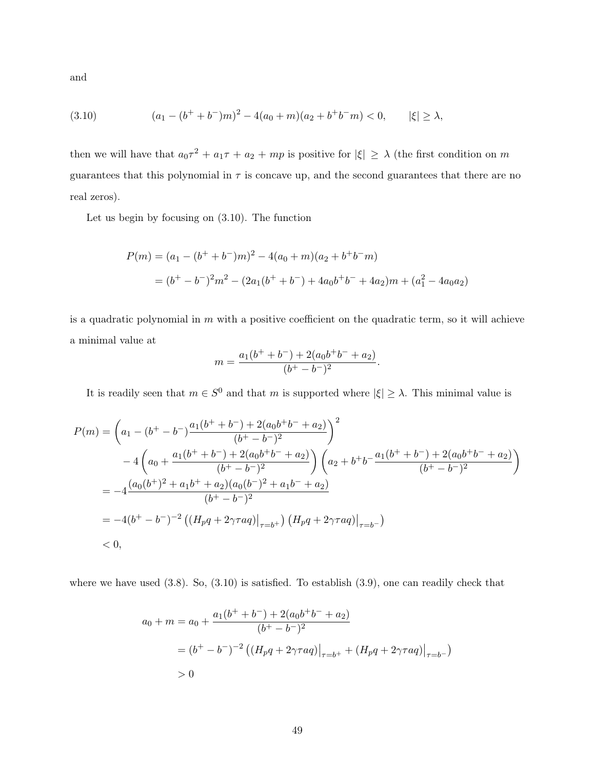and

(3.10) 
$$
(a_1 - (b^+ + b^-)m)^2 - 4(a_0 + m)(a_2 + b^+b^-m) < 0, \qquad |\xi| \ge \lambda,
$$

then we will have that  $a_0\tau^2 + a_1\tau + a_2 + mp$  is positive for  $|\xi| \geq \lambda$  (the first condition on m guarantees that this polynomial in  $\tau$  is concave up, and the second guarantees that there are no real zeros).

Let us begin by focusing on (3.10). The function

$$
P(m) = (a_1 - (b^+ + b^-)m)^2 - 4(a_0 + m)(a_2 + b^+b^-m)
$$
  
=  $(b^+ - b^-)^2m^2 - (2a_1(b^+ + b^-) + 4a_0b^+b^- + 4a_2)m + (a_1^2 - 4a_0a_2)$ 

is a quadratic polynomial in  $m$  with a positive coefficient on the quadratic term, so it will achieve a minimal value at

$$
m = \frac{a_1(b^+ + b^-) + 2(a_0b^+b^- + a_2)}{(b^+ - b^-)^2}.
$$

It is readily seen that  $m \in S^0$  and that m is supported where  $|\xi| \geq \lambda$ . This minimal value is

$$
P(m) = \left(a_1 - (b^+ - b^-) \frac{a_1(b^+ + b^-) + 2(a_0b^+b^- + a_2)}{(b^+ - b^-)^2}\right)^2
$$
  
- 4  $\left(a_0 + \frac{a_1(b^+ + b^-) + 2(a_0b^+b^- + a_2)}{(b^+ - b^-)^2}\right)\left(a_2 + b^+b^- \frac{a_1(b^+ + b^-) + 2(a_0b^+b^- + a_2)}{(b^+ - b^-)^2}\right)$   
= -4  $\frac{(a_0(b^+)^2 + a_1b^+ + a_2)(a_0(b^-)^2 + a_1b^- + a_2)}{(b^+ - b^-)^2}$   
= -4 $(b^+ - b^-)^{-2}$   $((H_p q + 2\gamma \tau aq)|_{\tau=b^+})$   $(H_p q + 2\gamma \tau aq)|_{\tau=b^-})$   
< 0,

where we have used (3.8). So, (3.10) is satisfied. To establish (3.9), one can readily check that

$$
a_0 + m = a_0 + \frac{a_1(b^+ + b^-) + 2(a_0b^+b^- + a_2)}{(b^+ - b^-)^2}
$$
  
=  $(b^+ - b^-)^{-2} ((H_p q + 2\gamma \tau aq)|_{\tau=b^+} + (H_p q + 2\gamma \tau aq)|_{\tau=b^-})$   
> 0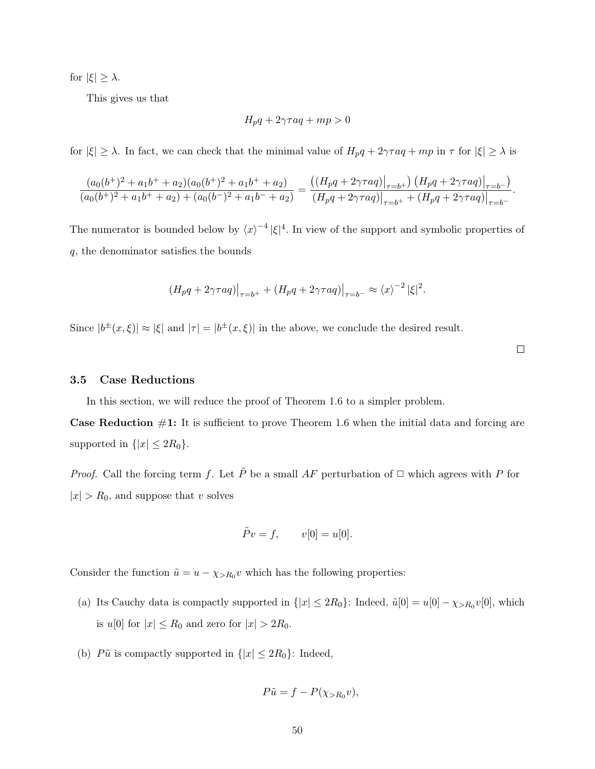for  $|\xi| \geq \lambda$ .

This gives us that

$$
H_p q + 2\gamma \tau aq + mp > 0
$$

for  $|\xi| \geq \lambda$ . In fact, we can check that the minimal value of  $H_p q + 2\gamma \tau aq + mp$  in  $\tau$  for  $|\xi| \geq \lambda$  is

$$
\frac{(a_0(b^+)^2 + a_1b^+ + a_2)(a_0(b^+)^2 + a_1b^+ + a_2)}{(a_0(b^+)^2 + a_1b^+ + a_2) + (a_0(b^-)^2 + a_1b^- + a_2)} = \frac{((H_pq + 2\gamma\tau aq)|_{\tau=b^+}) (H_pq + 2\gamma\tau aq)|_{\tau=b^-}}{(H_pq + 2\gamma\tau aq)|_{\tau=b^+} + (H_pq + 2\gamma\tau aq)|_{\tau=b^-}}.
$$

The numerator is bounded below by  $\langle x \rangle^{-4} |\xi|^4$ . In view of the support and symbolic properties of q, the denominator satisfies the bounds

$$
(H_p q + 2\gamma \tau aq)|_{\tau=b^+} + (H_p q + 2\gamma \tau aq)|_{\tau=b^-} \approx \langle x \rangle^{-2} |\xi|^2.
$$

Since  $|b^{\pm}(x,\xi)| \approx |\xi|$  and  $|\tau| = |b^{\pm}(x,\xi)|$  in the above, we conclude the desired result.

 $\Box$ 

#### 3.5 Case Reductions

In this section, we will reduce the proof of Theorem 1.6 to a simpler problem.

**Case Reduction**  $\#1$ : It is sufficient to prove Theorem 1.6 when the initial data and forcing are supported in  $\{|x| \leq 2R_0\}$ .

*Proof.* Call the forcing term f. Let  $\tilde{P}$  be a small AF perturbation of  $\Box$  which agrees with P for  $|x| > R_0$ , and suppose that v solves

$$
\tilde{P}v = f, \qquad v[0] = u[0].
$$

Consider the function  $\tilde{u} = u - \chi_{>R_0} v$  which has the following properties:

- (a) Its Cauchy data is compactly supported in  $\{|x| \leq 2R_0\}$ : Indeed,  $\tilde{u}[0] = u[0] \chi_{>R_0} v[0]$ , which is  $u[0]$  for  $|x| \le R_0$  and zero for  $|x| > 2R_0$ .
- (b)  $P\tilde{u}$  is compactly supported in  $\{|x| \leq 2R_0\}$ : Indeed,

$$
P\tilde{u} = f - P(\chi_{>R_0}v),
$$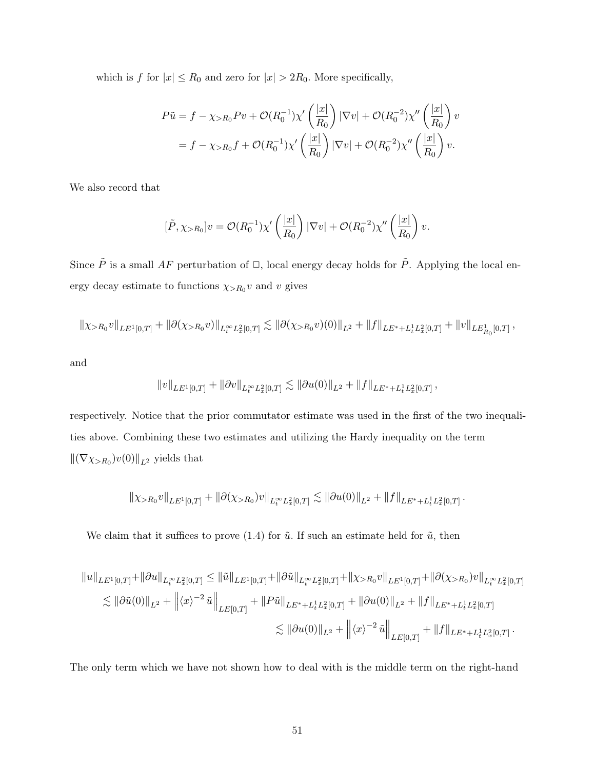which is f for  $|x| \le R_0$  and zero for  $|x| > 2R_0$ . More specifically,

$$
P\tilde{u} = f - \chi_{>R_0} P v + \mathcal{O}(R_0^{-1}) \chi' \left(\frac{|x|}{R_0}\right) |\nabla v| + \mathcal{O}(R_0^{-2}) \chi'' \left(\frac{|x|}{R_0}\right) v
$$
  
=  $f - \chi_{>R_0} f + \mathcal{O}(R_0^{-1}) \chi' \left(\frac{|x|}{R_0}\right) |\nabla v| + \mathcal{O}(R_0^{-2}) \chi'' \left(\frac{|x|}{R_0}\right) v.$ 

We also record that

$$
[\tilde{P}, \chi_{>R_0}]v = \mathcal{O}(R_0^{-1})\chi'\left(\frac{|x|}{R_0}\right)|\nabla v| + \mathcal{O}(R_0^{-2})\chi''\left(\frac{|x|}{R_0}\right)v.
$$

Since  $\tilde{P}$  is a small AF perturbation of  $\Box$ , local energy decay holds for  $\tilde{P}$ . Applying the local energy decay estimate to functions  $\chi_{>R_0}v$  and v gives

$$
\|\chi_{>R_0}v\|_{LE^1[0,T]} + \|\partial(\chi_{>R_0}v)\|_{L^\infty_t L^2_x[0,T]} \lesssim \|\partial(\chi_{>R_0}v)(0)\|_{L^2} + \|f\|_{LE^* + L^1_t L^2_x[0,T]} + \|v\|_{LE^1_{R_0}[0,T]} \,,
$$

and

$$
\|v\|_{LE^1[0,T]} + \|\partial v\|_{L^\infty_t L^2_x[0,T]} \lesssim \|\partial u(0)\|_{L^2} + \|f\|_{LE^* + L^1_t L^2_x[0,T]} \,,
$$

respectively. Notice that the prior commutator estimate was used in the first of the two inequalities above. Combining these two estimates and utilizing the Hardy inequality on the term  $\left\| (\nabla \chi_{>R_0}) v(0) \right\|_{L^2}$  yields that

$$
\|\chi_{>R_0} v\|_{LE^1[0,T]} + \|\partial (\chi_{>R_0})v\|_{L^\infty_t L^2_x[0,T]} \lesssim \|\partial u(0)\|_{L^2} + \|f\|_{LE^* + L^1_t L^2_x[0,T]} \, .
$$

We claim that it suffices to prove (1.4) for  $\tilde{u}$ . If such an estimate held for  $\tilde{u}$ , then

$$
\|u\|_{LE^{1}[0,T]} + \|\partial u\|_{L_{t}^{\infty}L_{x}^{2}[0,T]} \leq \|\tilde{u}\|_{LE^{1}[0,T]} + \|\partial \tilde{u}\|_{L_{t}^{\infty}L_{x}^{2}[0,T]} + \|\chi_{>R_{0}}v\|_{LE^{1}[0,T]} + \|\partial(\chi_{>R_{0}})v\|_{L_{t}^{\infty}L_{x}^{2}[0,T]} \leq \|\partial \tilde{u}(0)\|_{L^{2}} + \left\|\langle x\rangle^{-2}\tilde{u}\right\|_{LE[0,T]} + \|P\tilde{u}\|_{LE^{*}+L_{t}^{1}L_{x}^{2}[0,T]} + \|\partial u(0)\|_{L^{2}} + \|f\|_{LE^{*}+L_{t}^{1}L_{x}^{2}[0,T]} \leq \|\partial u(0)\|_{L^{2}} + \left\|\langle x\rangle^{-2}\tilde{u}\right\|_{LE[0,T]} + \|f\|_{LE^{*}+L_{t}^{1}L_{x}^{2}[0,T]}.
$$

The only term which we have not shown how to deal with is the middle term on the right-hand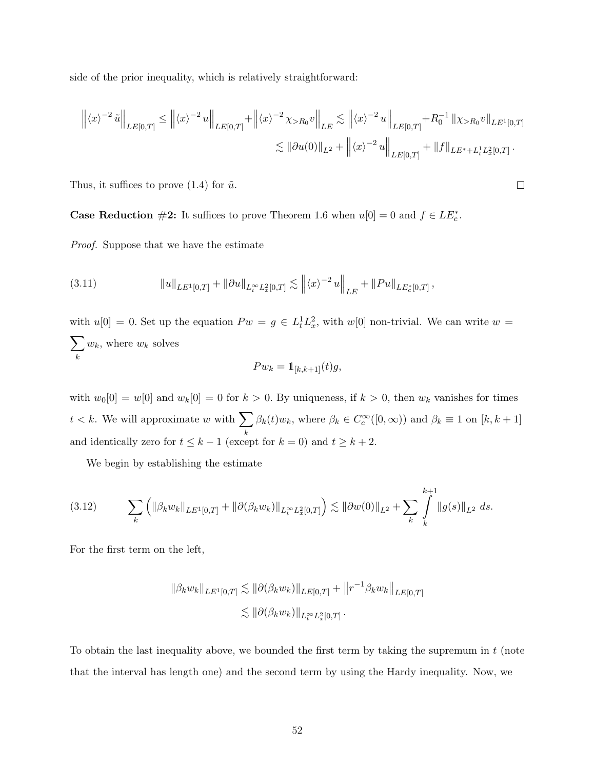side of the prior inequality, which is relatively straightforward:

$$
\left\| \langle x \rangle^{-2} \tilde{u} \right\|_{LE[0,T]} \le \left\| \langle x \rangle^{-2} u \right\|_{LE[0,T]} + \left\| \langle x \rangle^{-2} \chi_{>R_0} v \right\|_{LE} \lesssim \left\| \langle x \rangle^{-2} u \right\|_{LE[0,T]} + R_0^{-1} \left\| \chi_{>R_0} v \right\|_{LE^1[0,T]} \n\lesssim \left\| \partial u(0) \right\|_{L^2} + \left\| \langle x \rangle^{-2} u \right\|_{LE[0,T]} + \left\| f \right\|_{LE^* + L_t^1 L_x^2[0,T]}.
$$

Thus, it suffices to prove  $(1.4)$  for  $\tilde{u}$ .

**Case Reduction**  $\#2$ : It suffices to prove Theorem 1.6 when  $u[0] = 0$  and  $f \in LE_c^*$ .

Proof. Suppose that we have the estimate

(3.11) 
$$
||u||_{LE^{1}[0,T]} + ||\partial u||_{L_{t}^{\infty}L_{x}^{2}[0,T]} \lesssim ||\langle x\rangle^{-2} u||_{LE} + ||Pu||_{LE_{c}^{*}[0,T]},
$$

with  $u[0] = 0$ . Set up the equation  $P w = g \in L_t^1 L_x^2$ , with  $w[0]$  non-trivial. We can write  $w =$  $\sum$ k  $w_k$ , where  $w_k$  solves

$$
Pw_k = \mathbb{1}_{[k,k+1]}(t)g,
$$

with  $w_0[0] = w[0]$  and  $w_k[0] = 0$  for  $k > 0$ . By uniqueness, if  $k > 0$ , then  $w_k$  vanishes for times  $t < k$ . We will approximate w with  $\sum_{k=1}^{k}$ k  $\beta_k(t)w_k$ , where  $\beta_k \in C_c^{\infty}([0,\infty))$  and  $\beta_k \equiv 1$  on  $[k, k+1]$ and identically zero for  $t \leq k - 1$  (except for  $k = 0$ ) and  $t \geq k + 2$ .

We begin by establishing the estimate

$$
(3.12) \qquad \sum_{k} \left( \|\beta_k w_k\|_{LE^1[0,T]} + \|\partial(\beta_k w_k)\|_{L_t^{\infty} L_x^2[0,T]} \right) \lesssim \|\partial w(0)\|_{L^2} + \sum_{k} \int\limits_k^{k+1} \|g(s)\|_{L^2} ds.
$$

For the first term on the left,

$$
\|\beta_k w_k\|_{LE^1[0,T]} \lesssim \|\partial(\beta_k w_k)\|_{LE[0,T]} + \|r^{-1}\beta_k w_k\|_{LE[0,T]}
$$

$$
\lesssim \|\partial(\beta_k w_k)\|_{L_t^\infty L_x^2[0,T]}.
$$

To obtain the last inequality above, we bounded the first term by taking the supremum in  $t$  (note that the interval has length one) and the second term by using the Hardy inequality. Now, we

 $\Box$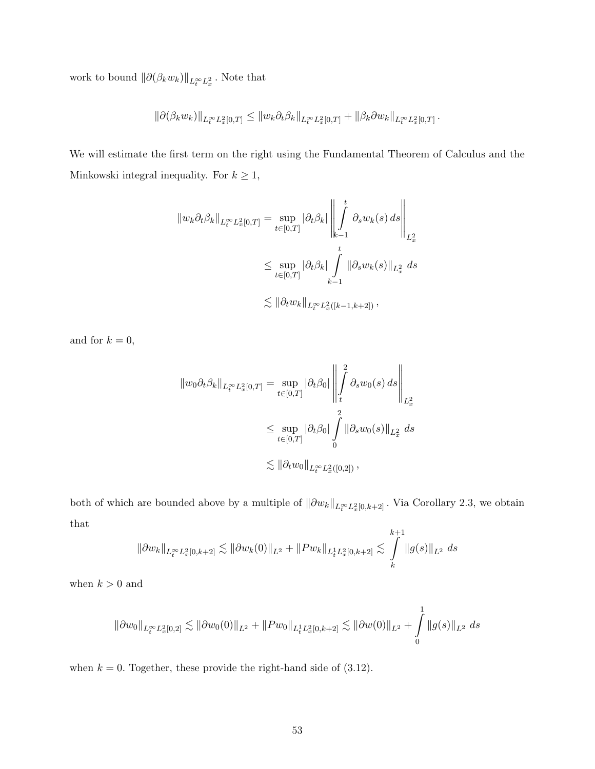work to bound  $\|\partial(\beta_k w_k)\|_{L_t^\infty L_x^2}$ . Note that

$$
\left\|\partial(\beta_k w_k)\right\|_{L^\infty_t L^2_x[0,T]} \leq \left\|w_k \partial_t \beta_k\right\|_{L^\infty_t L^2_x[0,T]} + \left\|\beta_k \partial w_k\right\|_{L^\infty_t L^2_x[0,T]}.
$$

We will estimate the first term on the right using the Fundamental Theorem of Calculus and the Minkowski integral inequality. For  $k\geq 1,$ 

$$
\|w_k \partial_t \beta_k\|_{L_t^{\infty} L_x^2[0,T]} = \sup_{t \in [0,T]} |\partial_t \beta_k| \left\| \int_{k-1}^t \partial_s w_k(s) ds \right\|_{L_x^2}
$$
  

$$
\leq \sup_{t \in [0,T]} |\partial_t \beta_k| \int_{k-1}^t \|\partial_s w_k(s)\|_{L_x^2} ds
$$
  

$$
\lesssim \|\partial_t w_k\|_{L_t^{\infty} L_x^2([k-1,k+2])},
$$

and for  $k = 0$ ,

$$
\|w_0 \partial_t \beta_k\|_{L_t^{\infty} L_x^2[0,T]} = \sup_{t \in [0,T]} |\partial_t \beta_0| \left\| \int_t^2 \partial_s w_0(s) ds \right\|_{L_x^2}
$$
  

$$
\leq \sup_{t \in [0,T]} |\partial_t \beta_0| \int_0^2 \|\partial_s w_0(s)\|_{L_x^2} ds
$$
  

$$
\lesssim \|\partial_t w_0\|_{L_t^{\infty} L_x^2([0,2])},
$$

both of which are bounded above by a multiple of  $\|\partial w_k\|_{L^\infty_t L^2_x[0,k+2]}$ . Via Corollary 2.3, we obtain that

$$
\|\partial w_k\|_{L_t^\infty L_x^2[0,k+2]} \lesssim \|\partial w_k(0)\|_{L^2} + \|P w_k\|_{L_t^1 L_x^2[0,k+2]} \lesssim \int_k^{k+1} \|g(s)\|_{L^2} ds
$$

when  $k > 0$  and

$$
\left\|\partial w_0\right\|_{L^\infty_tL^2_x[0,2]} \lesssim \left\|\partial w_0(0)\right\|_{L^2} + \left\|Pw_0\right\|_{L^1_tL^2_x[0,k+2]} \lesssim \left\|\partial w(0)\right\|_{L^2} + \int\limits_0^1 \left\|g(s)\right\|_{L^2} \, ds
$$

when  $k = 0$ . Together, these provide the right-hand side of  $(3.12)$ .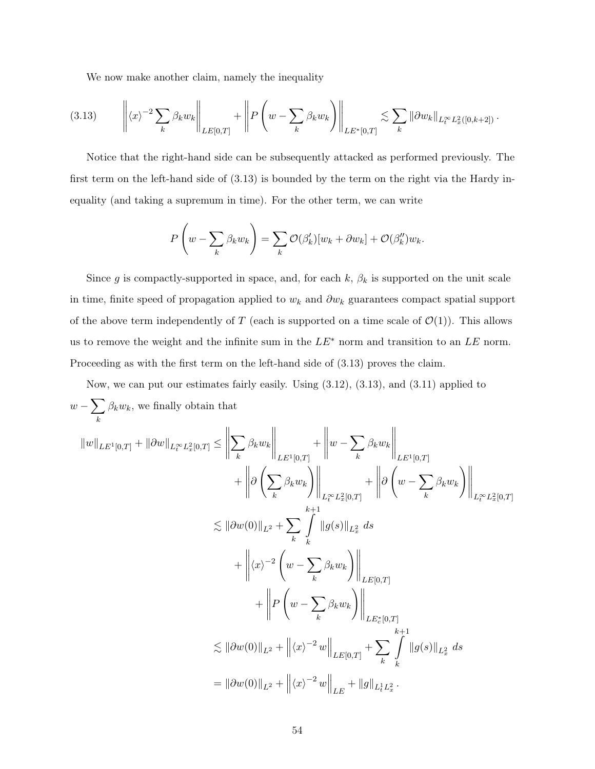We now make another claim, namely the inequality

$$
(3.13) \qquad \left\| \langle x \rangle^{-2} \sum_{k} \beta_{k} w_{k} \right\|_{LE[0,T]} + \left\| P \left( w - \sum_{k} \beta_{k} w_{k} \right) \right\|_{LE^{*}[0,T]} \lesssim \sum_{k} \|\partial w_{k} \|_{L_{t}^{\infty} L_{x}^{2}([0,k+2])}.
$$

Notice that the right-hand side can be subsequently attacked as performed previously. The first term on the left-hand side of (3.13) is bounded by the term on the right via the Hardy inequality (and taking a supremum in time). For the other term, we can write

$$
P\left(w - \sum_{k} \beta_{k} w_{k}\right) = \sum_{k} \mathcal{O}(\beta'_{k})[w_{k} + \partial w_{k}] + \mathcal{O}(\beta''_{k})w_{k}.
$$

Since g is compactly-supported in space, and, for each k,  $\beta_k$  is supported on the unit scale in time, finite speed of propagation applied to  $w_k$  and  $\partial w_k$  guarantees compact spatial support of the above term independently of T (each is supported on a time scale of  $\mathcal{O}(1)$ ). This allows us to remove the weight and the infinite sum in the  $LE^*$  norm and transition to an  $LE$  norm. Proceeding as with the first term on the left-hand side of  $(3.13)$  proves the claim.

Now, we can put our estimates fairly easily. Using (3.12), (3.13), and (3.11) applied to  $w - \sum$ k  $\beta_k w_k$ , we finally obtain that

$$
\|w\|_{LE^{1}[0,T]} + \|\partial w\|_{L_{t}^{\infty}L_{x}^{2}[0,T]} \leq \left\|\sum_{k} \beta_{k} w_{k}\right\|_{LE^{1}[0,T]} + \left\|w - \sum_{k} \beta_{k} w_{k}\right\|_{LE^{1}[0,T]} + \left\|\partial\left(\sum_{k} \beta_{k} w_{k}\right)\right\|_{L_{t}^{\infty}L_{x}^{2}[0,T]} + \left\|\partial\left(w - \sum_{k} \beta_{k} w_{k}\right)\right\|_{L_{t}^{\infty}L_{x}^{2}[0,T]} + \left\|\partial\left(w - \sum_{k} \beta_{k} w_{k}\right)\right\|_{L_{t}^{\infty}L_{x}^{2}[0,T]} + \left\|\langle x \rangle^{-2} \left(w - \sum_{k} \beta_{k} w_{k}\right)\right\|_{LE^{1}[0,T]} + \left\|P\left(w - \sum_{k} \beta_{k} w_{k}\right)\right\|_{LE^{1}[0,T]} + \left\|P\left(w - \sum_{k} \beta_{k} w_{k}\right)\right\|_{LE^{1}[0,T]} + \left\|P\left(w - \sum_{k} \beta_{k} w_{k}\right)\right\|_{LE^{1}[0,T]} + \sum_{k} \left\|\beta(s)\right\|_{L_{x}^{2}} ds
$$

$$
= \|\partial w(0)\|_{L^{2}} + \left\|\langle x \rangle^{-2} w\right\|_{LE} + \|\langle y \rangle^{-2} w\|_{LE} + \|\langle y \rangle_{LE}^{2}.
$$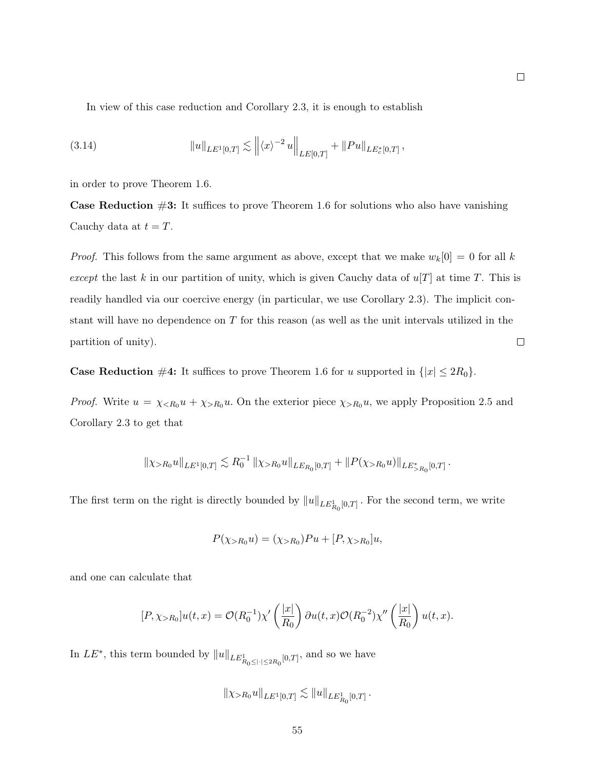In view of this case reduction and Corollary 2.3, it is enough to establish

(3.14) 
$$
||u||_{LE^{1}[0,T]} \lesssim ||\langle x \rangle^{-2} u||_{LE[0,T]} + ||Pu||_{LE_c^{*}[0,T]},
$$

in order to prove Theorem 1.6.

**Case Reduction**  $\#3$ : It suffices to prove Theorem 1.6 for solutions who also have vanishing Cauchy data at  $t = T$ .

*Proof.* This follows from the same argument as above, except that we make  $w_k[0] = 0$  for all k except the last k in our partition of unity, which is given Cauchy data of  $u[T]$  at time T. This is readily handled via our coercive energy (in particular, we use Corollary 2.3). The implicit constant will have no dependence on  $T$  for this reason (as well as the unit intervals utilized in the  $\Box$ partition of unity).

**Case Reduction** #4: It suffices to prove Theorem 1.6 for u supported in  $\{|x| \leq 2R_0\}$ .

*Proof.* Write  $u = \chi_{\leq R_0} u + \chi_{>R_0} u$ . On the exterior piece  $\chi_{>R_0} u$ , we apply Proposition 2.5 and Corollary 2.3 to get that

$$
\|\chi_{>R_0} u\|_{LE^1[0,T]} \lesssim R_0^{-1} \left\|\chi_{>R_0} u\right\|_{LE_{R_0}[0,T]} + \left\|P(\chi_{>R_0} u)\right\|_{LE_{>R_0}^*[0,T]}.
$$

The first term on the right is directly bounded by  $||u||_{LE_{R_0}[0,T]}$ . For the second term, we write

$$
P(\chi_{>R_0} u) = (\chi_{>R_0}) P u + [P, \chi_{>R_0}] u,
$$

and one can calculate that

$$
[P, \chi_{>R_0}]u(t, x) = \mathcal{O}(R_0^{-1})\chi'\left(\frac{|x|}{R_0}\right)\partial u(t, x)\mathcal{O}(R_0^{-2})\chi''\left(\frac{|x|}{R_0}\right)u(t, x).
$$

In  $LE^*$ , this term bounded by  $||u||_{LE^1_{R_0 \leq |\cdot| \leq 2R_0}[0,T]}$ , and so we have

$$
\|\chi_{>R_0} u\|_{LE^1[0,T]} \lesssim \|u\|_{LE^1_{R_0}[0,T]} \, .
$$

55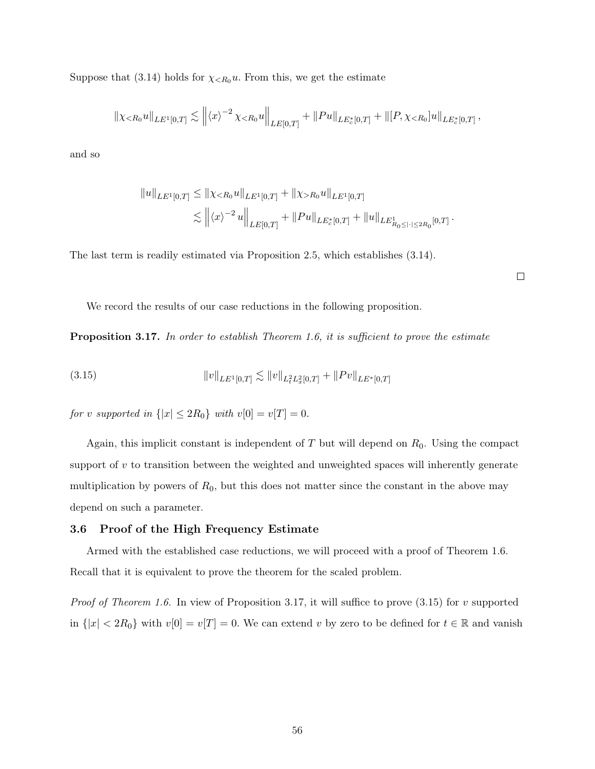Suppose that (3.14) holds for  $\chi_{\langle R_0} u$ . From this, we get the estimate

$$
\|\chi_{\leq R_0} u\|_{LE^1[0,T]} \lesssim \left\| \langle x \rangle^{-2} \chi_{\leq R_0} u \right\|_{LE[0,T]} + \|Pu\|_{LE_c^*[0,T]} + \| [P, \chi_{\leq R_0}] u\|_{LE_c^*[0,T]} ,
$$

and so

$$
||u||_{LE^{1}[0,T]} \le ||\chi_{\le R_0}u||_{LE^{1}[0,T]} + ||\chi_{>R_0}u||_{LE^{1}[0,T]}
$$
  

$$
\lesssim ||\langle x\rangle^{-2}u||_{LE[0,T]} + ||Pu||_{LE_c^{*}[0,T]} + ||u||_{LE_{R_0\leq |\cdot|\leq 2R_0}[0,T]}.
$$

The last term is readily estimated via Proposition 2.5, which establishes (3.14).

 $\Box$ 

We record the results of our case reductions in the following proposition.

Proposition 3.17. In order to establish Theorem 1.6, it is sufficient to prove the estimate

(3.15) 
$$
||v||_{LE^{1}[0,T]} \lesssim ||v||_{L_{t}^{2}L_{x}^{2}[0,T]} + ||Pv||_{LE^{*}[0,T]}
$$

for v supported in  $\{|x| \leq 2R_0\}$  with  $v[0] = v[T] = 0$ .

Again, this implicit constant is independent of  $T$  but will depend on  $R_0$ . Using the compact support of  $v$  to transition between the weighted and unweighted spaces will inherently generate multiplication by powers of  $R_0$ , but this does not matter since the constant in the above may depend on such a parameter.

## 3.6 Proof of the High Frequency Estimate

Armed with the established case reductions, we will proceed with a proof of Theorem 1.6. Recall that it is equivalent to prove the theorem for the scaled problem.

*Proof of Theorem 1.6.* In view of Proposition 3.17, it will suffice to prove  $(3.15)$  for v supported in  $\{|x| < 2R_0\}$  with  $v[0] = v[T] = 0$ . We can extend v by zero to be defined for  $t \in \mathbb{R}$  and vanish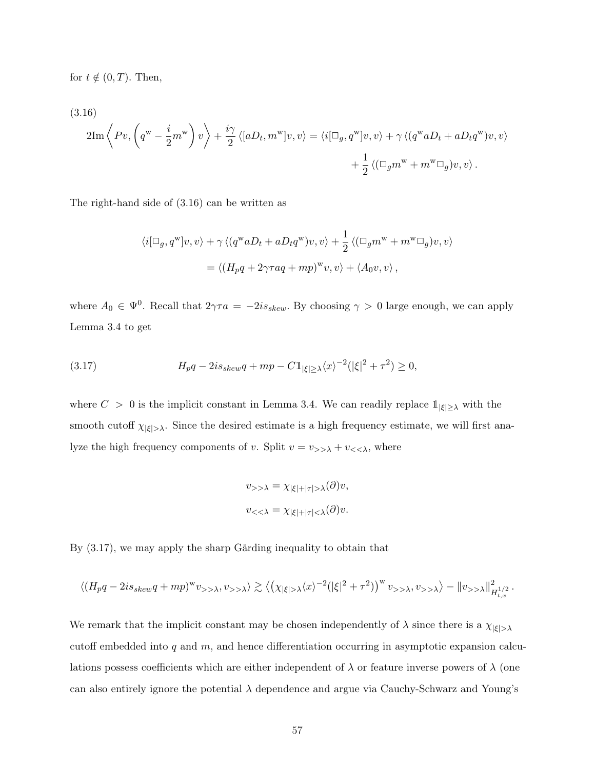for  $t \notin (0, T)$ . Then,

(3.16)

$$
2\mathrm{Im}\left\langle Pv, \left(q^{\mathrm{w}} - \frac{i}{2}m^{\mathrm{w}}\right)v\right\rangle + \frac{i\gamma}{2}\left\langle [aD_t, m^{\mathrm{w}}]v, v\right\rangle = \left\langle i[\Box_g, q^{\mathrm{w}}]v, v\right\rangle + \gamma \left\langle (q^{\mathrm{w}}aD_t + aD_tq^{\mathrm{w}})v, v\right\rangle + \frac{1}{2}\left\langle (\Box_g m^{\mathrm{w}} + m^{\mathrm{w}}\Box_g)v, v\right\rangle.
$$

The right-hand side of (3.16) can be written as

$$
\langle i[\Box_g, q^{\mathbf{w}}]v, v \rangle + \gamma \langle (q^{\mathbf{w}} a D_t + a D_t q^{\mathbf{w}})v, v \rangle + \frac{1}{2} \langle (\Box_g m^{\mathbf{w}} + m^{\mathbf{w}} \Box_g)v, v \rangle
$$
  
=  $\langle (H_p q + 2\gamma \tau a q + m p)^{\mathbf{w}} v, v \rangle + \langle A_0 v, v \rangle$ ,

where  $A_0 \in \Psi^0$ . Recall that  $2\gamma\tau a = -2is_{skew}$ . By choosing  $\gamma > 0$  large enough, we can apply Lemma 3.4 to get

(3.17) 
$$
H_p q - 2is_{skew} q + mp - C \mathbb{1}_{|\xi| \ge \lambda} \langle x \rangle^{-2} (|\xi|^2 + \tau^2) \ge 0,
$$

where  $C > 0$  is the implicit constant in Lemma 3.4. We can readily replace  $\mathbb{1}_{|\xi|\geq \lambda}$  with the smooth cutoff  $\chi_{|\xi|>\lambda}$ . Since the desired estimate is a high frequency estimate, we will first analyze the high frequency components of v. Split  $v = v_{\geq \lambda} + v_{\leq \lambda}$ , where

$$
v_{>>\lambda} = \chi_{|\xi|+|\tau|>\lambda}(\partial)v,
$$
  

$$
v_{<<\lambda} = \chi_{|\xi|+|\tau|<\lambda}(\partial)v.
$$

By (3.17), we may apply the sharp Gårding inequality to obtain that

$$
\langle (H_p q - 2is_{skew} q + mp)^w v_{>>\lambda}, v_{>>\lambda} \rangle \gtrsim \langle ( \chi_{|\xi| > \lambda} \langle x \rangle^{-2} (|\xi|^2 + \tau^2) )^w v_{>>\lambda}, v_{>>\lambda} \rangle - \| v_{>>\lambda} \|_{H^{1/2}_{t,x}}^2.
$$

We remark that the implicit constant may be chosen independently of  $\lambda$  since there is a  $\chi_{|\xi|>\lambda}$ cutoff embedded into  $q$  and  $m$ , and hence differentiation occurring in asymptotic expansion calculations possess coefficients which are either independent of  $\lambda$  or feature inverse powers of  $\lambda$  (one can also entirely ignore the potential  $\lambda$  dependence and argue via Cauchy-Schwarz and Young's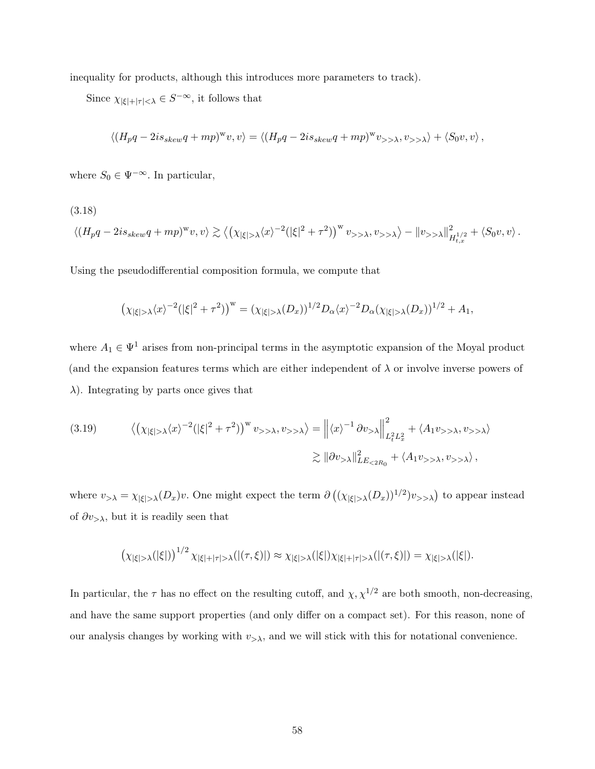inequality for products, although this introduces more parameters to track).

Since  $\chi_{|\xi|+|\tau|<\lambda} \in S^{-\infty}$ , it follows that

$$
\langle (H_p q - 2is_{skew} q + mp)^w v, v \rangle = \langle (H_p q - 2is_{skew} q + mp)^w v_{>>\lambda}, v_{>>\lambda} \rangle + \langle S_0 v, v \rangle,
$$

where  $S_0 \in \Psi^{-\infty}.$  In particular,

(3.18)

$$
\langle (H_p q - 2is_{skew} q + mp)^w v, v \rangle \gtrsim \langle (\chi_{|\xi| > \lambda} \langle x \rangle^{-2} (|\xi|^2 + \tau^2))^{w} v_{>> \lambda}, v_{>> \lambda} \rangle - ||v_{>> \lambda}||_{H_{t,x}^{1/2}}^2 + \langle S_0 v, v \rangle.
$$

Using the pseudodifferential composition formula, we compute that

$$
\left(\chi_{|\xi|>\lambda}\langle x\rangle^{-2}(|\xi|^2+\tau^2)\right)^{\mathrm{w}}=(\chi_{|\xi|>\lambda}(D_x))^{1/2}D_\alpha\langle x\rangle^{-2}D_\alpha(\chi_{|\xi|>\lambda}(D_x))^{1/2}+A_1,
$$

where  $A_1 \in \Psi^1$  arises from non-principal terms in the asymptotic expansion of the Moyal product (and the expansion features terms which are either independent of  $\lambda$  or involve inverse powers of  $\lambda$ ). Integrating by parts once gives that

(3.19) 
$$
\langle (\chi_{|\xi|>\lambda} \langle x \rangle^{-2} (|\xi|^2 + \tau^2) \rangle^w v_{>>\lambda}, v_{>>\lambda} \rangle = ||\langle x \rangle^{-1} \partial v_{>\lambda}||_{L_t^2 L_x^2}^2 + \langle A_1 v_{>>\lambda}, v_{>>\lambda} \rangle
$$

$$
\gtrsim ||\partial v_{>\lambda}||_{LE_{<2R_0}}^2 + \langle A_1 v_{>>\lambda}, v_{>>\lambda} \rangle,
$$

where  $v_{>\lambda} = \chi_{|\xi|>\lambda}(D_x)v$ . One might expect the term  $\partial ((\chi_{|\xi|>\lambda}(D_x))^{1/2})v_{>\lambda})$  to appear instead of  $\partial v_{>\lambda}$ , but it is readily seen that

$$
\left(\chi_{|\xi|>\lambda}(|\xi|)\right)^{1/2}\chi_{|\xi|+|\tau|>\lambda}(|(\tau,\xi)|)\approx \chi_{|\xi|>\lambda}(|\xi|)\chi_{|\xi|+|\tau|>\lambda}(|(\tau,\xi)|)=\chi_{|\xi|>\lambda}(|\xi|).
$$

In particular, the  $\tau$  has no effect on the resulting cutoff, and  $\chi$ ,  $\chi^{1/2}$  are both smooth, non-decreasing, and have the same support properties (and only differ on a compact set). For this reason, none of our analysis changes by working with  $v_{\geq \lambda}$ , and we will stick with this for notational convenience.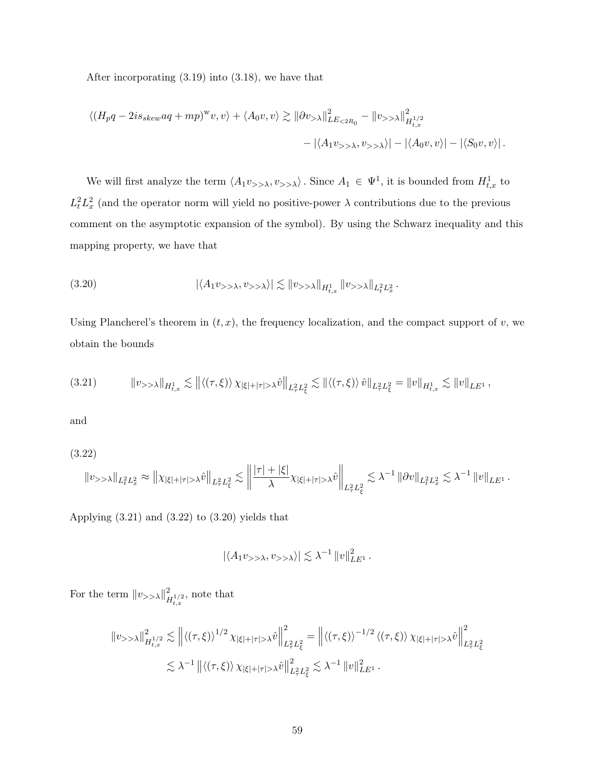After incorporating (3.19) into (3.18), we have that

$$
\langle (H_p q - 2is_{skew} aq + mp)^w v, v \rangle + \langle A_0 v, v \rangle \gtrsim ||\partial v_{> \lambda}||^2_{LE_{< 2R_0}} - ||v_{> \lambda}||^2_{H^{1/2}_{t,x}} - |\langle A_1 v_{> \lambda}, v_{> \lambda} \rangle| - |\langle A_0 v, v \rangle| - |\langle S_0 v, v \rangle|.
$$

We will first analyze the term  $\langle A_1v_{\rangle}\rangle$ ,  $v_{\rangle}\rangle$ . Since  $A_1 \in \Psi^1$ , it is bounded from  $H^1_{t,x}$  to  $L_t^2 L_x^2$  (and the operator norm will yield no positive-power  $\lambda$  contributions due to the previous comment on the asymptotic expansion of the symbol). By using the Schwarz inequality and this mapping property, we have that

(3.20) 
$$
|\langle A_1 v_{>>\lambda}, v_{>>\lambda} \rangle| \lesssim ||v_{>>\lambda}||_{H^1_{t,x}} ||v_{>>\lambda}||_{L^2_t L^2_x}.
$$

Using Plancherel's theorem in  $(t, x)$ , the frequency localization, and the compact support of v, we obtain the bounds

$$
(3.21) \t\t ||v_{>>\lambda}||_{H_{t,x}^{1}} \lesssim ||\langle (\tau,\xi) \rangle \chi_{|\xi|+|\tau|>\lambda} \hat{v}||_{L_{\tau}^{2}L_{\xi}^{2}} \lesssim ||\langle (\tau,\xi) \rangle \hat{v}||_{L_{\tau}^{2}L_{\xi}^{2}} = ||v||_{H_{t,x}^{1}} \lesssim ||v||_{LE^{1}},
$$

and

(3.22)

$$
\left\|v_{>>}\lambda\right\|_{L_{t}^{2}L_{x}^{2}}\approx\left\|\chi_{\left|\xi\right|+\left|\tau\right|>\lambda}\hat{v}\right\|_{L_{\tau}^{2}L_{\xi}^{2}}\lesssim\left\|\frac{\left|\tau\right|+\left|\xi\right|}{\lambda}\chi_{\left|\xi\right|+\left|\tau\right|>\lambda}\hat{v}\right\|_{L_{\tau}^{2}L_{\xi}^{2}}\lesssim\lambda^{-1}\left\|\partial v\right\|_{L_{t}^{2}L_{x}^{2}}\lesssim\lambda^{-1}\left\|v\right\|_{LE^{1}}.
$$

Applying  $(3.21)$  and  $(3.22)$  to  $(3.20)$  yields that

$$
|\langle A_1 v_{>>\lambda}, v_{>>\lambda}\rangle| \lesssim \lambda^{-1} ||v||_{LE^1}^2.
$$

For the term  $||v_{\rangle>\lambda}||_p^2$  $\sum_{H_{t,x}}^{2}$ , note that

$$
\begin{split} \left\| \boldsymbol{v}_{>>\lambda} \right\|_{H_{t,x}^{1/2}}^2 &\lesssim \left\| \left\langle (\tau,\xi) \right\rangle^{1/2} \chi_{|\xi|+|\tau|>\lambda} \hat{\boldsymbol{v}} \right\|_{L_\tau^2 L_\xi^2}^2 = \left\| \left\langle (\tau,\xi) \right\rangle^{-1/2} \left\langle (\tau,\xi) \right\rangle \chi_{|\xi|+|\tau|>\lambda} \hat{\boldsymbol{v}} \right\|_{L_\tau^2 L_\xi^2}^2 \\ &\lesssim \lambda^{-1} \left\| \left\langle (\tau,\xi) \right\rangle \chi_{|\xi|+|\tau|>\lambda} \hat{\boldsymbol{v}} \right\|_{L_\tau^2 L_\xi^2}^2 \lesssim \lambda^{-1} \left\| \boldsymbol{v} \right\|_{LE^1}^2. \end{split}
$$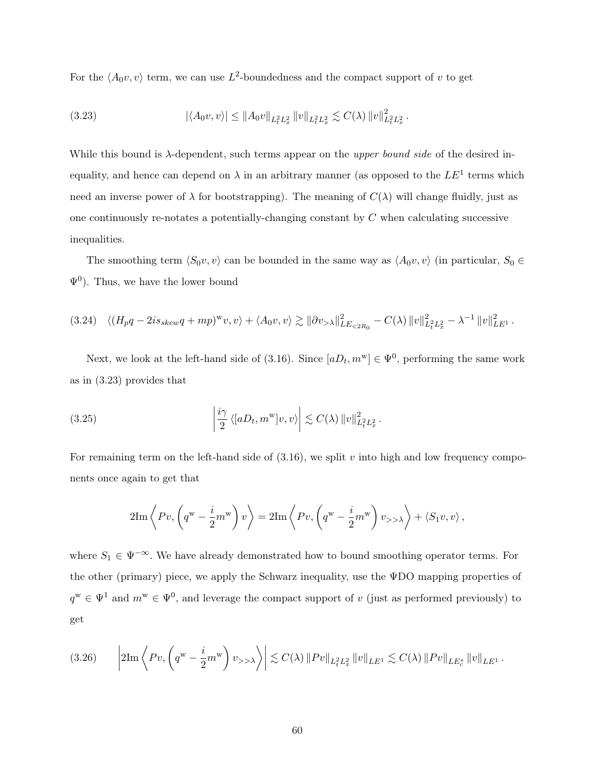For the  $\langle A_0 v, v \rangle$  term, we can use  $L^2$ -boundedness and the compact support of v to get

$$
(3.23) \qquad |\langle A_0 v, v \rangle| \le ||A_0 v||_{L_t^2 L_x^2} ||v||_{L_t^2 L_x^2} \lesssim C(\lambda) ||v||_{L_t^2 L_x^2}^2.
$$

While this bound is  $\lambda$ -dependent, such terms appear on the *upper bound side* of the desired inequality, and hence can depend on  $\lambda$  in an arbitrary manner (as opposed to the  $LE<sup>1</sup>$  terms which need an inverse power of  $\lambda$  for bootstrapping). The meaning of  $C(\lambda)$  will change fluidly, just as one continuously re-notates a potentially-changing constant by  $C$  when calculating successive inequalities.

The smoothing term  $\langle S_0v, v \rangle$  can be bounded in the same way as  $\langle A_0v, v \rangle$  (in particular,  $S_0 \in$  $\Psi^0$ ). Thus, we have the lower bound

$$
(3.24) \quad \langle (H_p q - 2is_{skew} q + mp)^{w} v, v \rangle + \langle A_0 v, v \rangle \gtrsim ||\partial v_{> \lambda}||_{LE_{< 2R_0}}^2 - C(\lambda) ||v||_{L_t^2 L_x^2}^2 - \lambda^{-1} ||v||_{LE^1}^2.
$$

Next, we look at the left-hand side of (3.16). Since  $[aD_t, m^w] \in \Psi^0$ , performing the same work as in (3.23) provides that

(3.25) 
$$
\left|\frac{i\gamma}{2}\left\langle [aD_t, m^{\mathrm{w}}]v, v\right\rangle\right| \lesssim C(\lambda) \|v\|_{L_t^2 L_x^2}^2.
$$

For remaining term on the left-hand side of  $(3.16)$ , we split v into high and low frequency components once again to get that

$$
2\mathrm{Im}\left\langle Pv, \left(q^{\mathrm{w}} - \frac{i}{2}m^{\mathrm{w}}\right)v \right\rangle = 2\mathrm{Im}\left\langle Pv, \left(q^{\mathrm{w}} - \frac{i}{2}m^{\mathrm{w}}\right)v_{>>\lambda}\right\rangle + \left\langle S_1v, v\right\rangle,
$$

where  $S_1 \in \Psi^{-\infty}$ . We have already demonstrated how to bound smoothing operator terms. For the other (primary) piece, we apply the Schwarz inequality, use the ΨDO mapping properties of  $q^w \in \Psi^1$  and  $m^w \in \Psi^0$ , and leverage the compact support of v (just as performed previously) to get

$$
(3.26) \qquad \left|2\mathrm{Im}\left\langle Pv, \left(q^{\mathrm{w}} - \frac{i}{2}m^{\mathrm{w}}\right)v_{>>\lambda}\right\rangle\right| \lesssim C(\lambda) \left\| Pv \right\|_{L_{t}^{2} L_{x}^{2}} \left\| v \right\|_{LE^{1}} \lesssim C(\lambda) \left\| Pv \right\|_{LE_{c}^{*}} \left\| v \right\|_{LE^{1}}.
$$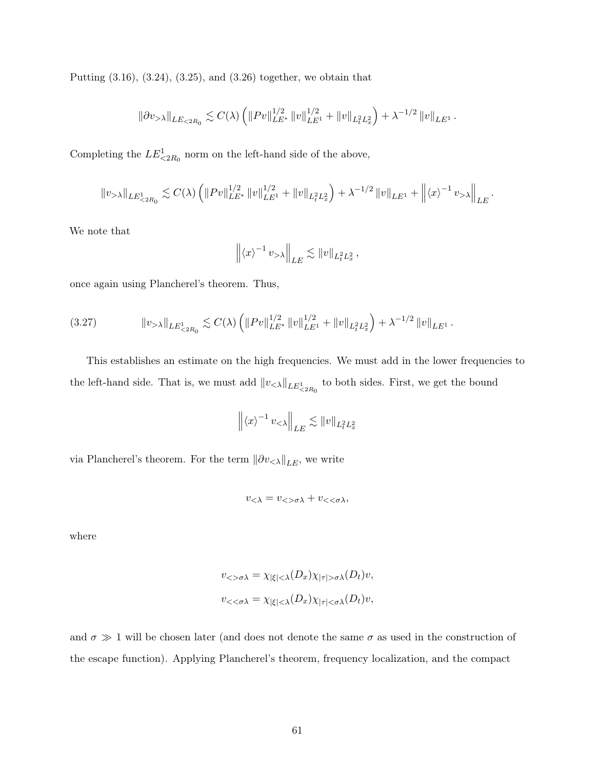Putting (3.16), (3.24), (3.25), and (3.26) together, we obtain that

$$
\|\partial v_{> \lambda}\|_{LE_{\leq 2R_0}} \lesssim C(\lambda) \left( \|Pv\|_{LE^*}^{1/2} \|v\|_{LE^1}^{1/2} + \|v\|_{L_t^2 L_x^2} \right) + \lambda^{-1/2} \|v\|_{LE^1}.
$$

Completing the  $LE^1_{\leq 2R_0}$  norm on the left-hand side of the above,

$$
||v_{>\lambda}||_{LE_{\leq 2R_0}^1} \lesssim C(\lambda) \left( ||Pv||_{LE^*}^{1/2} ||v||_{LE^1}^{1/2} + ||v||_{L_t^2 L_x^2} \right) + \lambda^{-1/2} ||v||_{LE^1} + \left( ||\langle x \rangle^{-1} v_{>\lambda}||_{LE} \right).
$$

We note that

$$
\left\| \langle x \rangle^{-1} v_{> \lambda} \right\|_{LE} \lesssim \|v\|_{L_t^2 L_x^2},
$$

once again using Plancherel's theorem. Thus,

$$
(3.27) \t\t\t ||v_{>\lambda}||_{LE_{\leq 2R_0}^1} \lesssim C(\lambda) \left( ||Pv||_{LE^*}^{1/2} ||v||_{LE^1}^{1/2} + ||v||_{L_t^2 L_x^2} \right) + \lambda^{-1/2} ||v||_{LE^1}.
$$

This establishes an estimate on the high frequencies. We must add in the lower frequencies to the left-hand side. That is, we must add  $||v_{< \lambda}||_{LE^1_{< 2R_0}}$  to both sides. First, we get the bound

$$
\left\| \langle x \rangle^{-1} v_{\leq \lambda} \right\|_{LE} \lesssim \|v\|_{L_t^2 L_x^2}
$$

via Plancherel's theorem. For the term  $\|\partial v_{<\lambda}\|_{LE},$  we write

$$
v_{<\lambda} = v_{<\sigma\lambda} + v_{<\sigma\lambda},
$$

where

$$
v_{<<\sigma\lambda} = \chi_{|\xi| < \lambda}(D_x)\chi_{|\tau| > \sigma\lambda}(D_t)v,
$$
  

$$
v_{<<\sigma\lambda} = \chi_{|\xi| < \lambda}(D_x)\chi_{|\tau| < \sigma\lambda}(D_t)v,
$$

and  $\sigma \gg 1$  will be chosen later (and does not denote the same  $\sigma$  as used in the construction of the escape function). Applying Plancherel's theorem, frequency localization, and the compact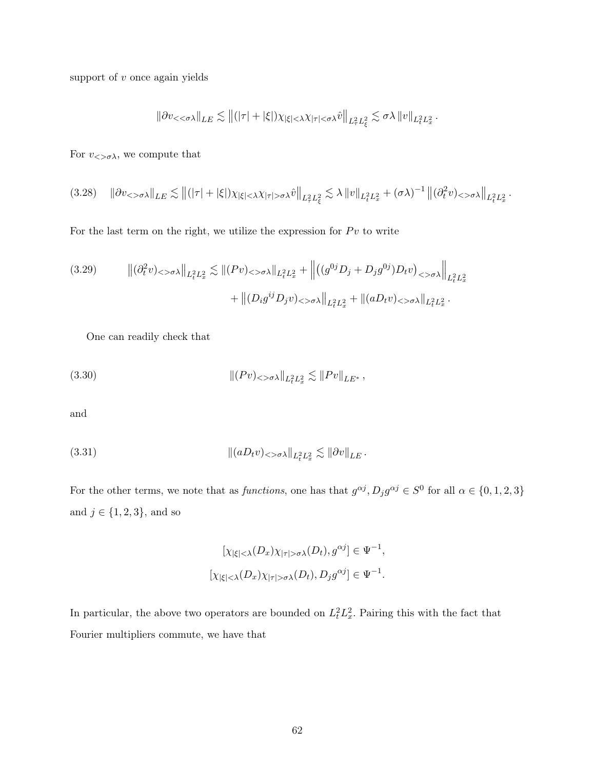support of  $v$  once again yields

$$
\left\|\partial v_{<<\sigma\lambda}\right\|_{LE}\lesssim\left\|(|\tau|+|\xi|)\chi_{|\xi|<\lambda}\chi_{|\tau|<\sigma\lambda}\hat v\right\|_{L_\tau^2L_\xi^2}\lesssim\sigma\lambda\left\|v\right\|_{L_t^2L_x^2}.
$$

For  $v_{\langle>\sigma\lambda\rangle}$ , we compute that

$$
(3.28)\quad \|\partial v_{< \sigma\lambda}\|_{LE} \lesssim \|(|\tau| + |\xi|)\chi_{|\xi| < \lambda}\chi_{|\tau| > \sigma\lambda}\hat{v}\|_{L^2_\tau L^2_\xi} \lesssim \lambda \|v\|_{L^2_t L^2_x} + (\sigma\lambda)^{-1} \left\|(\partial_t^2 v)_{< \sigma\lambda}\right\|_{L^2_t L^2_x}.
$$

For the last term on the right, we utilize the expression for  $Pv$  to write

$$
(3.29) \qquad \left\| (\partial_t^2 v)_{< \sigma \lambda} \right\|_{L_t^2 L_x^2} \lesssim \left\| (Pv)_{< \sigma \lambda} \right\|_{L_t^2 L_x^2} + \left\| \left( (g^{0j} D_j + D_j g^{0j}) D_t v \right)_{< \sigma \lambda} \right\|_{L_t^2 L_x^2} + \left\| (D_i g^{ij} D_j v)_{< \sigma \lambda} \right\|_{L_t^2 L_x^2} + \left\| (a D_t v)_{< \sigma \lambda} \right\|_{L_t^2 L_x^2}.
$$

One can readily check that

(3.30) 
$$
\| (Pv)_{< \sigma \lambda} \|_{L_t^2 L_x^2} \lesssim \| Pv \|_{LE^*},
$$

and

$$
||(aD_t v)_{< > \sigma \lambda}||_{L_t^2 L_x^2} \lesssim ||\partial v||_{LE}.
$$

For the other terms, we note that as *functions*, one has that  $g^{\alpha j}$ ,  $D_j g^{\alpha j} \in S^0$  for all  $\alpha \in \{0, 1, 2, 3\}$ and  $j \in \{1, 2, 3\}$ , and so

$$
[\chi_{|\xi| < \lambda}(D_x)\chi_{|\tau| > \sigma\lambda}(D_t), g^{\alpha j}] \in \Psi^{-1},
$$
  

$$
[\chi_{|\xi| < \lambda}(D_x)\chi_{|\tau| > \sigma\lambda}(D_t), D_j g^{\alpha j}] \in \Psi^{-1}.
$$

In particular, the above two operators are bounded on  $L_t^2 L_x^2$ . Pairing this with the fact that Fourier multipliers commute, we have that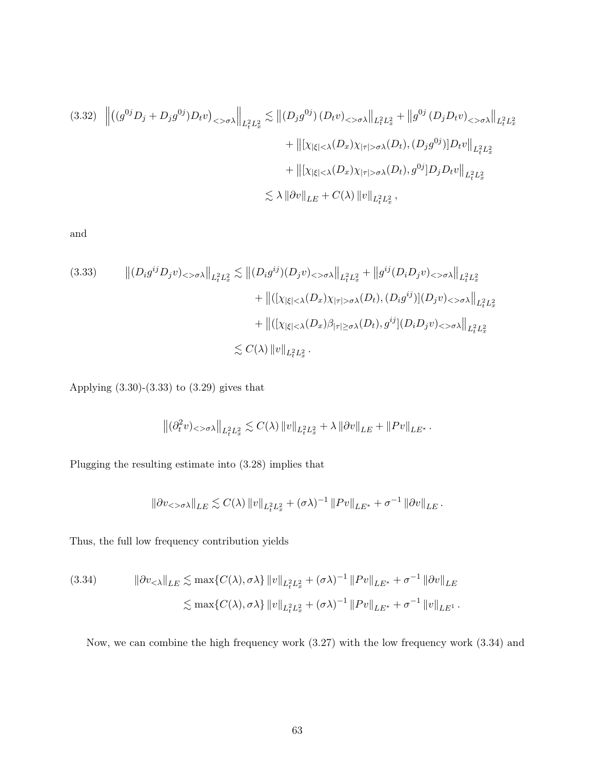$$
(3.32) \quad \left\| \left( (g^{0j}D_j + D_j g^{0j})D_t v \right)_{\langle > \sigma \lambda} \right\|_{L_t^2 L_x^2} \lesssim \left\| (D_j g^{0j}) \left( D_t v \right)_{\langle > \sigma \lambda} \right\|_{L_t^2 L_x^2} + \left\| g^{0j} \left( D_j D_t v \right)_{\langle > \sigma \lambda} \right\|_{L_t^2 L_x^2}
$$

$$
+ \left\| \left[ \chi_{|\xi| \langle \lambda}(D_x) \chi_{|\tau| > \sigma \lambda}(D_t), (D_j g^{0j}) \right] D_t v \right\|_{L_t^2 L_x^2}
$$

$$
+ \left\| \left[ \chi_{|\xi| < \lambda}(D_x) \chi_{|\tau| > \sigma \lambda}(D_t), g^{0j} \right] D_j D_t v \right\|_{L_t^2 L_x^2}
$$

$$
\lesssim \lambda \left\| \partial v \right\|_{LE} + C(\lambda) \left\| v \right\|_{L_t^2 L_x^2},
$$

and

$$
(3.33) \qquad ||(D_i g^{ij} D_j v)_{< \sigma \lambda}||_{L_t^2 L_x^2} \lesssim ||(D_i g^{ij})(D_j v)_{< \sigma \lambda}||_{L_t^2 L_x^2} + ||g^{ij}(D_i D_j v)_{< \sigma \lambda}||_{L_t^2 L_x^2} + ||( [\chi_{|\xi| < \lambda}(D_x) \chi_{|\tau| > \sigma \lambda}(D_t), (D_i g^{ij})](D_j v)_{< \sigma \lambda}||_{L_t^2 L_x^2} + ||( [\chi_{|\xi| < \lambda}(D_x) \beta_{|\tau| \ge \sigma \lambda}(D_t), g^{ij}](D_i D_j v)_{< \sigma \lambda}||_{L_t^2 L_x^2} \leq C(\lambda) ||v||_{L_t^2 L_x^2}.
$$

Applying (3.30)-(3.33) to (3.29) gives that

$$
\left\|(\partial_t^2 v)_{<>\sigma\lambda}\right\|_{L^2_tL^2_x}\lesssim C(\lambda)\left\|v\right\|_{L^2_tL^2_x}+\lambda\left\|\partial v\right\|_{LE}+\left\|Pv\right\|_{LE^*}.
$$

Plugging the resulting estimate into (3.28) implies that

$$
\|\partial v_{< \sigma\lambda}\|_{LE} \lesssim C(\lambda) \|v\|_{L_t^2 L_x^2} + (\sigma \lambda)^{-1} \|Pv\|_{LE^*} + \sigma^{-1} \|\partial v\|_{LE}.
$$

Thus, the full low frequency contribution yields

(3.34) 
$$
\|\partial v_{< \lambda}\|_{LE} \lesssim \max\{C(\lambda), \sigma\lambda\} \|v\|_{L^2_t L^2_x} + (\sigma\lambda)^{-1} \|Pv\|_{LE^*} + \sigma^{-1} \|\partial v\|_{LE}
$$

$$
\lesssim \max\{C(\lambda), \sigma\lambda\} \|v\|_{L^2_t L^2_x} + (\sigma\lambda)^{-1} \|Pv\|_{LE^*} + \sigma^{-1} \|v\|_{LE^1}.
$$

Now, we can combine the high frequency work (3.27) with the low frequency work (3.34) and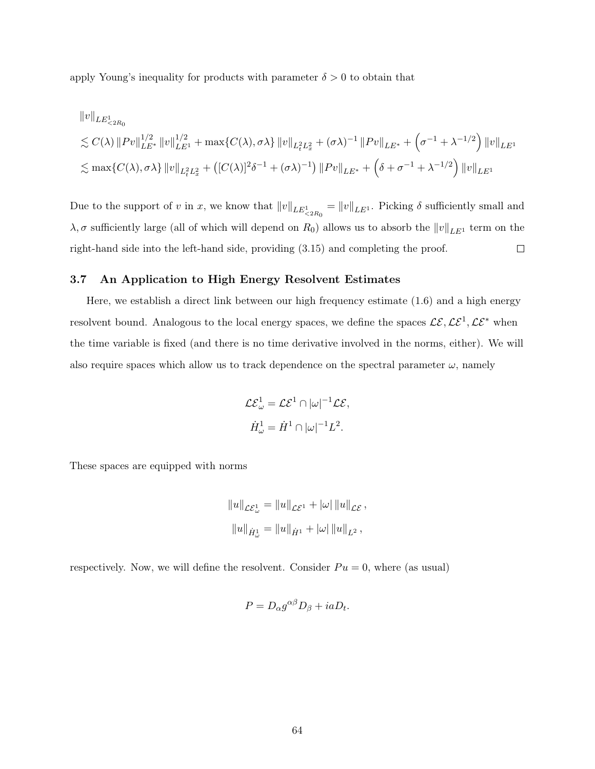apply Young's inequality for products with parameter  $\delta > 0$  to obtain that

$$
||v||_{LE_{\prec 2R_0}^1}
$$
  
\n
$$
\lesssim C(\lambda) ||Pv||_{LE^*}^{1/2} ||v||_{LE^1}^{1/2} + \max\{C(\lambda), \sigma\lambda\} ||v||_{L_t^2 L_x^2} + (\sigma\lambda)^{-1} ||Pv||_{LE^*} + (\sigma^{-1} + \lambda^{-1/2}) ||v||_{LE^1}
$$
  
\n
$$
\lesssim \max\{C(\lambda), \sigma\lambda\} ||v||_{L_t^2 L_x^2} + ([C(\lambda)]^2 \delta^{-1} + (\sigma\lambda)^{-1}) ||Pv||_{LE^*} + (\delta + \sigma^{-1} + \lambda^{-1/2}) ||v||_{LE^1}
$$

Due to the support of v in x, we know that  $||v||_{LE_{\leq 2R_0}^1} = ||v||_{LE^1}$ . Picking  $\delta$  sufficiently small and  $\lambda, \sigma$  sufficiently large (all of which will depend on  $R_0$ ) allows us to absorb the  $||v||_{LE^1}$  term on the right-hand side into the left-hand side, providing (3.15) and completing the proof.  $\Box$ 

# 3.7 An Application to High Energy Resolvent Estimates

Here, we establish a direct link between our high frequency estimate (1.6) and a high energy resolvent bound. Analogous to the local energy spaces, we define the spaces  $\mathcal{LE}, \mathcal{LE}^1, \mathcal{LE}^*$  when the time variable is fixed (and there is no time derivative involved in the norms, either). We will also require spaces which allow us to track dependence on the spectral parameter  $\omega$ , namely

$$
\mathcal{L}\mathcal{E}_{\omega}^{1} = \mathcal{L}\mathcal{E}^{1} \cap |\omega|^{-1} \mathcal{L}\mathcal{E},
$$
  

$$
\dot{H}_{\omega}^{1} = \dot{H}^{1} \cap |\omega|^{-1} L^{2}.
$$

These spaces are equipped with norms

$$
||u||_{\mathcal{L}\mathcal{E}_{\omega}^{1}} = ||u||_{\mathcal{L}\mathcal{E}^{1}} + |\omega| ||u||_{\mathcal{L}\mathcal{E}},
$$
  

$$
||u||_{\dot{H}_{\omega}^{1}} = ||u||_{\dot{H}^{1}} + |\omega| ||u||_{L^{2}},
$$

respectively. Now, we will define the resolvent. Consider  $Pu = 0$ , where (as usual)

$$
P = D_{\alpha} g^{\alpha\beta} D_{\beta} + ia D_t.
$$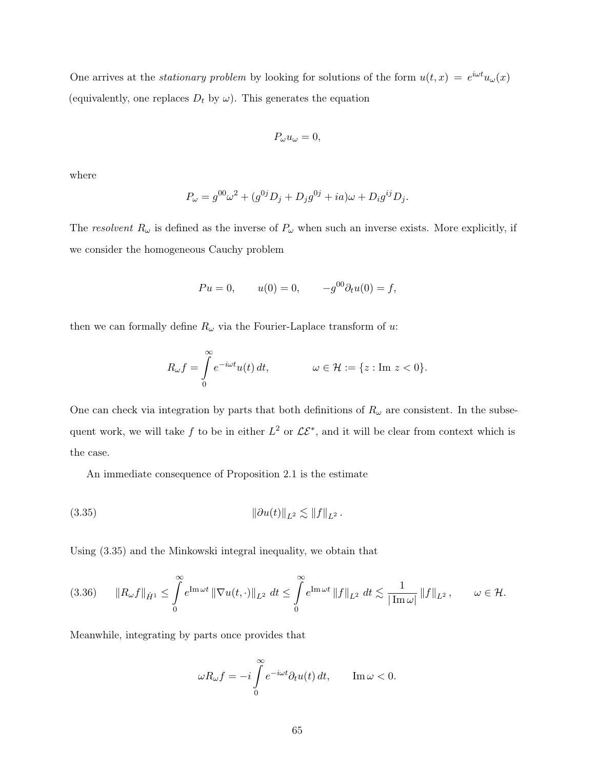One arrives at the *stationary problem* by looking for solutions of the form  $u(t,x) = e^{i\omega t}u_{\omega}(x)$ (equivalently, one replaces  $D_t$  by  $\omega$ ). This generates the equation

$$
P_{\omega}u_{\omega}=0,
$$

where

$$
P_{\omega} = g^{00} \omega^2 + (g^{0j} D_j + D_j g^{0j} + ia) \omega + D_i g^{ij} D_j.
$$

The resolvent  $R_{\omega}$  is defined as the inverse of  $P_{\omega}$  when such an inverse exists. More explicitly, if we consider the homogeneous Cauchy problem

$$
Pu = 0,
$$
  $u(0) = 0,$   $-g^{00} \partial_t u(0) = f,$ 

then we can formally define  $R_{\omega}$  via the Fourier-Laplace transform of u:

$$
R_{\omega}f = \int_{0}^{\infty} e^{-i\omega t} u(t) dt, \qquad \omega \in \mathcal{H} := \{z : \text{Im } z < 0\}.
$$

One can check via integration by parts that both definitions of  $R_{\omega}$  are consistent. In the subsequent work, we will take f to be in either  $L^2$  or  $\mathcal{LE}^*$ , and it will be clear from context which is the case.

An immediate consequence of Proposition 2.1 is the estimate

<sup>k</sup>∂u(t)kL<sup>2</sup> . <sup>k</sup>f<sup>k</sup> (3.35) <sup>L</sup><sup>2</sup> .

Using (3.35) and the Minkowski integral inequality, we obtain that

$$
(3.36) \qquad \|R_{\omega}f\|_{\dot{H}^1} \leq \int\limits_0^{\infty} e^{\text{Im}\,\omega t} \left\|\nabla u(t,\cdot)\right\|_{L^2} dt \leq \int\limits_0^{\infty} e^{\text{Im}\,\omega t} \left\|f\right\|_{L^2} dt \lesssim \frac{1}{|\text{Im}\,\omega|} \left\|f\right\|_{L^2}, \qquad \omega \in \mathcal{H}.
$$

Meanwhile, integrating by parts once provides that

$$
\omega R_{\omega}f = -i \int_{0}^{\infty} e^{-i\omega t} \partial_t u(t) dt, \qquad \text{Im}\,\omega < 0.
$$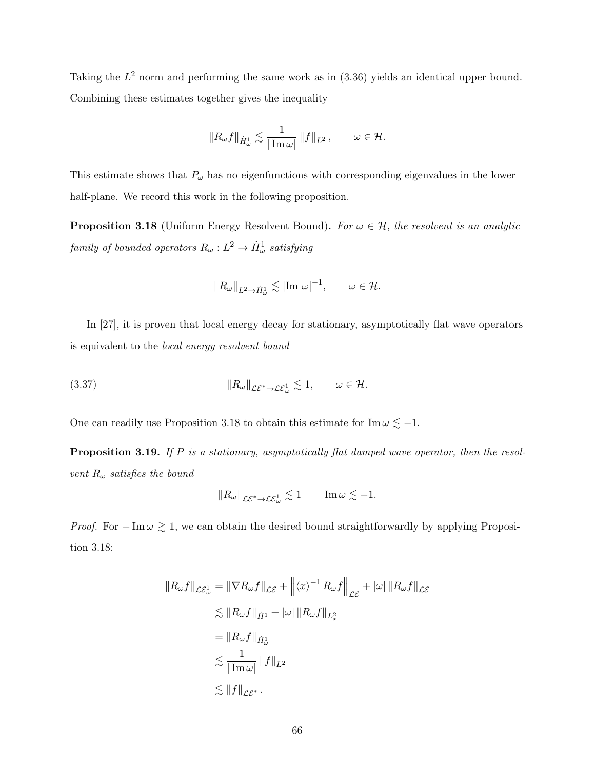Taking the  $L^2$  norm and performing the same work as in  $(3.36)$  yields an identical upper bound. Combining these estimates together gives the inequality

$$
\|R_\omega f\|_{\dot H^1_\omega} \lesssim \frac{1}{|\operatorname{Im}\omega|}\,\|f\|_{L^2}\,,\qquad \omega\in\mathcal H.
$$

This estimate shows that  $P_{\omega}$  has no eigenfunctions with corresponding eigenvalues in the lower half-plane. We record this work in the following proposition.

**Proposition 3.18** (Uniform Energy Resolvent Bound). For  $\omega \in \mathcal{H}$ , the resolvent is an analytic  $family~of~bounded~operators~R_\omega:L^2\rightarrow \dot{H}^1_\omega~satisfying$ 

$$
||R_{\omega}||_{L^2 \to \dot{H}^1_{\omega}} \lesssim |\text{Im } \omega|^{-1}, \qquad \omega \in \mathcal{H}.
$$

In [27], it is proven that local energy decay for stationary, asymptotically flat wave operators is equivalent to the local energy resolvent bound

(3.37) 
$$
\|R_{\omega}\|_{\mathcal{LE}^* \to \mathcal{LE}_{\omega}^1} \lesssim 1, \qquad \omega \in \mathcal{H}.
$$

One can readily use Proposition 3.18 to obtain this estimate for Im  $\omega \lesssim -1$ .

Proposition 3.19. If P is a stationary, asymptotically flat damped wave operator, then the resolvent  $R_{\omega}$  satisfies the bound

$$
\|R_\omega\|_{\mathcal{LE}^*\to \mathcal{LE}^1_\omega} \lesssim 1 \qquad \text{Im}\,\omega \lesssim -1.
$$

*Proof.* For  $-\text{Im }\omega \gtrsim 1$ , we can obtain the desired bound straightforwardly by applying Proposition 3.18:

$$
||R_{\omega}f||_{\mathcal{L}\mathcal{E}_{\omega}^{1}} = ||\nabla R_{\omega}f||_{\mathcal{L}\mathcal{E}} + ||\langle x\rangle^{-1} R_{\omega}f||_{\mathcal{L}\mathcal{E}} + |\omega| ||R_{\omega}f||_{\mathcal{L}\mathcal{E}}
$$
  
\n
$$
\lesssim ||R_{\omega}f||_{\dot{H}^{1}} + |\omega| ||R_{\omega}f||_{L^{2}_{x}}
$$
  
\n
$$
= ||R_{\omega}f||_{\dot{H}^{1}_{\omega}}
$$
  
\n
$$
\lesssim \frac{1}{|\operatorname{Im}\omega|} ||f||_{L^{2}}
$$
  
\n
$$
\lesssim ||f||_{\mathcal{L}\mathcal{E}^{*}}.
$$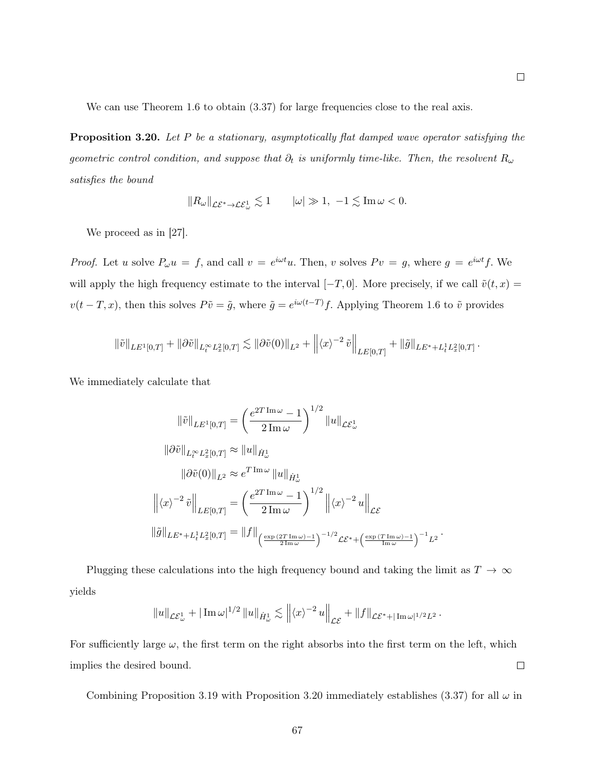We can use Theorem 1.6 to obtain  $(3.37)$  for large frequencies close to the real axis.

**Proposition 3.20.** Let P be a stationary, asymptotically flat damped wave operator satisfying the geometric control condition, and suppose that  $\partial_t$  is uniformly time-like. Then, the resolvent  $R_\omega$ satisfies the bound

$$
||R_\omega||_{\mathcal{LE}^* \to \mathcal{LE}^1_\omega} \lesssim 1 \qquad |\omega| \gg 1, -1 \lesssim \text{Im} \,\omega < 0.
$$

We proceed as in [27].

*Proof.* Let u solve  $P_{\omega}u = f$ , and call  $v = e^{i\omega t}u$ . Then, v solves  $Pv = g$ , where  $g = e^{i\omega t}f$ . We will apply the high frequency estimate to the interval  $[-T, 0]$ . More precisely, if we call  $\tilde{v}(t, x) =$  $v(t-T, x)$ , then this solves  $P\tilde{v} = \tilde{g}$ , where  $\tilde{g} = e^{i\omega(t-T)}f$ . Applying Theorem 1.6 to  $\tilde{v}$  provides

$$
\|\tilde{v}\|_{LE^{1}[0,T]} + \|\partial \tilde{v}\|_{L^{\infty}_t L^2_x[0,T]} \lesssim \|\partial \tilde{v}(0)\|_{L^2} + \left\|\langle x \rangle^{-2} \tilde{v}\right\|_{LE[0,T]} + \|\tilde{g}\|_{LE^* + L^1_t L^2_x[0,T]}.
$$

We immediately calculate that

$$
\|\tilde{v}\|_{LE^1[0,T]} = \left(\frac{e^{2T \operatorname{Im} \omega} - 1}{2 \operatorname{Im} \omega}\right)^{1/2} \|u\|_{\mathcal{L}\mathcal{E}_{\omega}^1}
$$

$$
\|\partial \tilde{v}\|_{L_t^{\infty} L_x^2[0,T]} \approx \|u\|_{\dot{H}_{\omega}^1}
$$

$$
\|\partial \tilde{v}(0)\|_{L^2} \approx e^{T \operatorname{Im} \omega} \|u\|_{\dot{H}_{\omega}^1}
$$

$$
\left\|\langle x\rangle^{-2} \tilde{v}\right\|_{LE[0,T]} = \left(\frac{e^{2T \operatorname{Im} \omega} - 1}{2 \operatorname{Im} \omega}\right)^{1/2} \left\|\langle x\rangle^{-2} u\right\|_{\mathcal{L}\mathcal{E}}
$$

$$
\|\tilde{g}\|_{LE^* + L_t^1 L_x^2[0,T]} = \|f\|_{\left(\frac{\exp(2T \operatorname{Im} \omega) - 1}{2 \operatorname{Im} \omega}\right)^{-1/2} \mathcal{L}\mathcal{E}^* + \left(\frac{\exp(T \operatorname{Im} \omega) - 1}{\operatorname{Im} \omega}\right)^{-1} L^2}
$$

.

Plugging these calculations into the high frequency bound and taking the limit as  $T \to \infty$ yields

$$
||u||_{\mathcal{LE}_{\omega}^1} + |\operatorname{Im} \omega|^{1/2} ||u||_{\dot{H}_{\omega}^1} \lesssim ||\langle x \rangle^{-2} u||_{\mathcal{LE}} + ||f||_{\mathcal{LE}^* + |\operatorname{Im} \omega|^{1/2} L^2}.
$$

For sufficiently large  $\omega$ , the first term on the right absorbs into the first term on the left, which  $\Box$ implies the desired bound.

Combining Proposition 3.19 with Proposition 3.20 immediately establishes (3.37) for all  $\omega$  in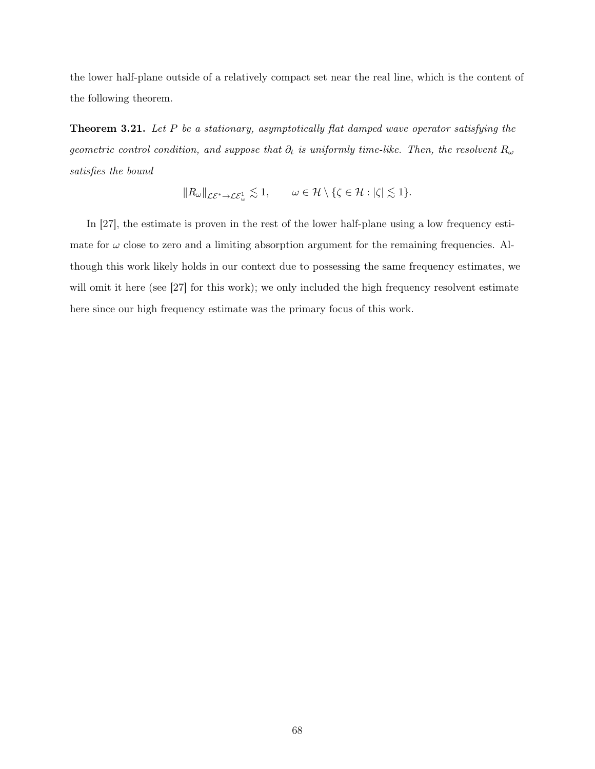the lower half-plane outside of a relatively compact set near the real line, which is the content of the following theorem.

**Theorem 3.21.** Let  $P$  be a stationary, asymptotically flat damped wave operator satisfying the geometric control condition, and suppose that  $\partial_t$  is uniformly time-like. Then, the resolvent  $R_\omega$ satisfies the bound

$$
||R_{\omega}||_{\mathcal{LE}^* \to \mathcal{LE}_{\omega}^1} \lesssim 1, \qquad \omega \in \mathcal{H} \setminus \{\zeta \in \mathcal{H} : |\zeta| \lesssim 1\}.
$$

In [27], the estimate is proven in the rest of the lower half-plane using a low frequency estimate for  $\omega$  close to zero and a limiting absorption argument for the remaining frequencies. Although this work likely holds in our context due to possessing the same frequency estimates, we will omit it here (see [27] for this work); we only included the high frequency resolvent estimate here since our high frequency estimate was the primary focus of this work.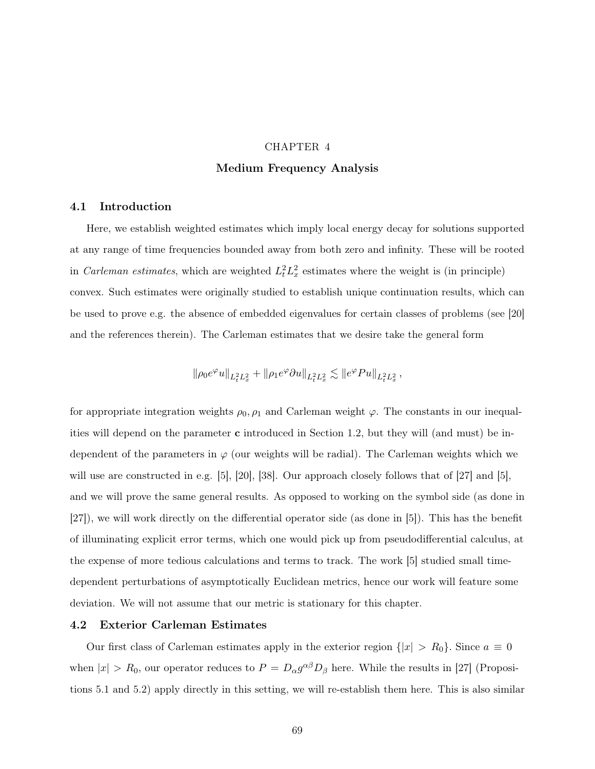## CHAPTER 4 Medium Frequency Analysis

#### 4.1 Introduction

Here, we establish weighted estimates which imply local energy decay for solutions supported at any range of time frequencies bounded away from both zero and infinity. These will be rooted in *Carleman estimates*, which are weighted  $L_t^2 L_x^2$  estimates where the weight is (in principle) convex. Such estimates were originally studied to establish unique continuation results, which can be used to prove e.g. the absence of embedded eigenvalues for certain classes of problems (see [20] and the references therein). The Carleman estimates that we desire take the general form

$$
\|\rho_0 e^{\varphi}u\|_{L^2_tL^2_x}+\|\rho_1 e^{\varphi}\partial u\|_{L^2_tL^2_x}\lesssim\|e^{\varphi}Pu\|_{L^2_tL^2_x}\,,
$$

for appropriate integration weights  $\rho_0$ ,  $\rho_1$  and Carleman weight  $\varphi$ . The constants in our inequalities will depend on the parameter c introduced in Section 1.2, but they will (and must) be independent of the parameters in  $\varphi$  (our weights will be radial). The Carleman weights which we will use are constructed in e.g. [5], [20], [38]. Our approach closely follows that of [27] and [5], and we will prove the same general results. As opposed to working on the symbol side (as done in [27]), we will work directly on the differential operator side (as done in [5]). This has the benefit of illuminating explicit error terms, which one would pick up from pseudodifferential calculus, at the expense of more tedious calculations and terms to track. The work [5] studied small timedependent perturbations of asymptotically Euclidean metrics, hence our work will feature some deviation. We will not assume that our metric is stationary for this chapter.

#### 4.2 Exterior Carleman Estimates

Our first class of Carleman estimates apply in the exterior region  $\{|x| > R_0\}$ . Since  $a \equiv 0$ when  $|x| > R_0$ , our operator reduces to  $P = D_{\alpha} g^{\alpha\beta} D_{\beta}$  here. While the results in [27] (Propositions 5.1 and 5.2) apply directly in this setting, we will re-establish them here. This is also similar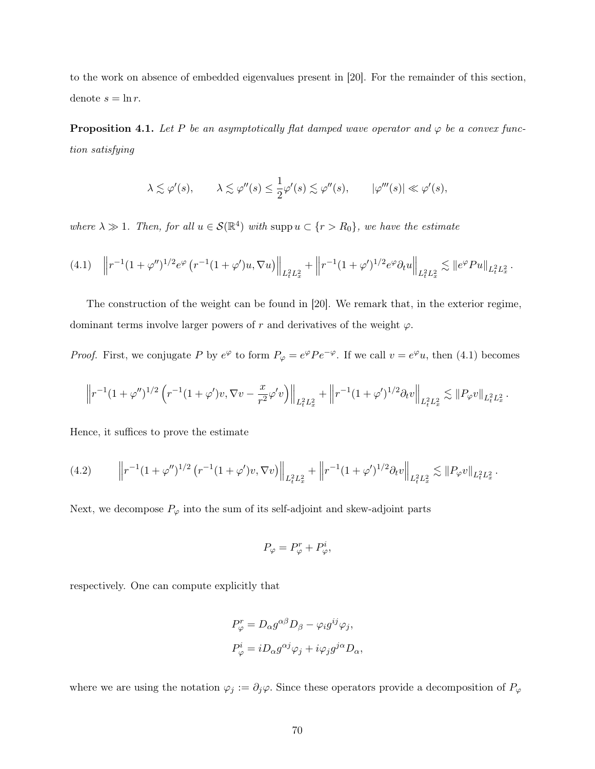to the work on absence of embedded eigenvalues present in [20]. For the remainder of this section, denote  $s = \ln r$ .

**Proposition 4.1.** Let P be an asymptotically flat damped wave operator and  $\varphi$  be a convex function satisfying

$$
\lambda \lesssim \varphi'(s), \qquad \lambda \lesssim \varphi''(s) \le \frac{1}{2}\varphi'(s) \lesssim \varphi''(s), \qquad |\varphi'''(s)| \ll \varphi'(s),
$$

where  $\lambda \gg 1$ . Then, for all  $u \in \mathcal{S}(\mathbb{R}^4)$  with supp  $u \subset \{r > R_0\}$ , we have the estimate

$$
(4.1) \quad \left\| r^{-1} (1+\varphi'')^{1/2} e^{\varphi} \left( r^{-1} (1+\varphi') u, \nabla u \right) \right\|_{L_t^2 L_x^2} + \left\| r^{-1} (1+\varphi')^{1/2} e^{\varphi} \partial_t u \right\|_{L_t^2 L_x^2} \lesssim \| e^{\varphi} Pu \|_{L_t^2 L_x^2} \, .
$$

The construction of the weight can be found in [20]. We remark that, in the exterior regime, dominant terms involve larger powers of r and derivatives of the weight  $\varphi$ .

*Proof.* First, we conjugate P by  $e^{\varphi}$  to form  $P_{\varphi} = e^{\varphi} P e^{-\varphi}$ . If we call  $v = e^{\varphi} u$ , then (4.1) becomes

$$
\left\| r^{-1} (1+\varphi'')^{1/2} \left( r^{-1} (1+\varphi') v, \nabla v - \frac{x}{r^2} \varphi' v \right) \right\|_{L^2_t L^2_x} + \left\| r^{-1} (1+\varphi')^{1/2} \partial_t v \right\|_{L^2_t L^2_x} \lesssim \| P_\varphi v \|_{L^2_t L^2_x}
$$

.

Hence, it suffices to prove the estimate

$$
(4.2) \qquad \left\| r^{-1} (1 + \varphi'')^{1/2} \left( r^{-1} (1 + \varphi') v, \nabla v \right) \right\|_{L_t^2 L_x^2} + \left\| r^{-1} (1 + \varphi')^{1/2} \partial_t v \right\|_{L_t^2 L_x^2} \lesssim \| P_{\varphi} v \|_{L_t^2 L_x^2} \, .
$$

Next, we decompose  $P_{\varphi}$  into the sum of its self-adjoint and skew-adjoint parts

$$
P_{\varphi} = P_{\varphi}^r + P_{\varphi}^i,
$$

respectively. One can compute explicitly that

$$
P_{\varphi}^{r} = D_{\alpha} g^{\alpha\beta} D_{\beta} - \varphi_{i} g^{ij} \varphi_{j},
$$
  

$$
P_{\varphi}^{i} = i D_{\alpha} g^{\alpha j} \varphi_{j} + i \varphi_{j} g^{j\alpha} D_{\alpha},
$$

where we are using the notation  $\varphi_j := \partial_j \varphi$ . Since these operators provide a decomposition of  $P_\varphi$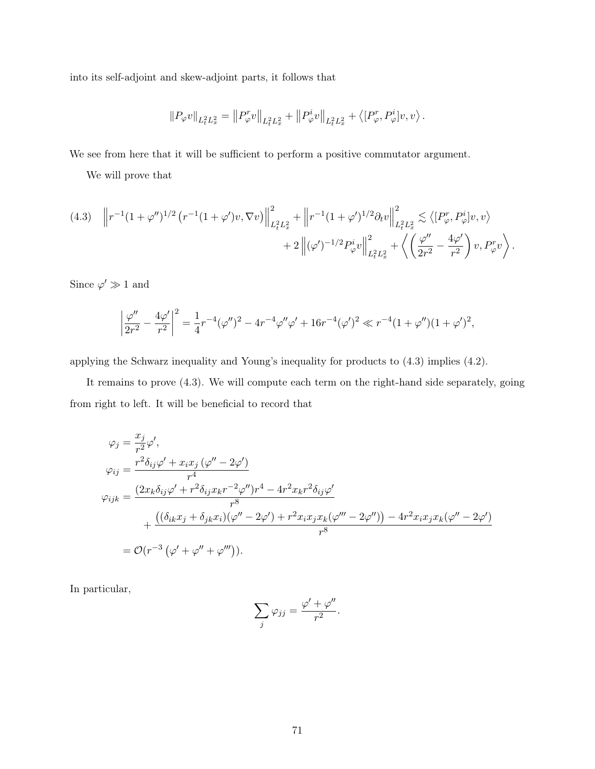into its self-adjoint and skew-adjoint parts, it follows that

$$
\|P_\varphi v\|_{L^2_tL^2_x}=\left\|P^r_\varphi v\right\|_{L^2_tL^2_x}+\left\|P^i_\varphi v\right\|_{L^2_tL^2_x}+\left\langle[P^r_\varphi,P^i_\varphi]v,v\right\rangle.
$$

We see from here that it will be sufficient to perform a positive commutator argument.

We will prove that

$$
(4.3) \quad \left\| r^{-1} (1 + \varphi'')^{1/2} \left( r^{-1} (1 + \varphi') v, \nabla v \right) \right\|_{L_t^2 L_x^2}^2 + \left\| r^{-1} (1 + \varphi')^{1/2} \partial_t v \right\|_{L_t^2 L_x^2}^2 \lesssim \left\langle [P_\varphi^r, P_\varphi^i] v, v \right\rangle + 2 \left\| (\varphi')^{-1/2} P_\varphi^i v \right\|_{L_t^2 L_x^2}^2 + \left\langle \left( \frac{\varphi''}{2r^2} - \frac{4\varphi'}{r^2} \right) v, P_\varphi^r v \right\rangle.
$$

Since  $\varphi' \gg 1$  and

$$
\left|\frac{\varphi''}{2r^2} - \frac{4\varphi'}{r^2}\right|^2 = \frac{1}{4}r^{-4}(\varphi'')^2 - 4r^{-4}\varphi''\varphi' + 16r^{-4}(\varphi')^2 \ll r^{-4}(1+\varphi'')(1+\varphi')^2,
$$

applying the Schwarz inequality and Young's inequality for products to (4.3) implies (4.2).

It remains to prove (4.3). We will compute each term on the right-hand side separately, going from right to left. It will be beneficial to record that

$$
\varphi_j = \frac{x_j}{r^2} \varphi',
$$
  
\n
$$
\varphi_{ij} = \frac{r^2 \delta_{ij} \varphi' + x_i x_j (\varphi'' - 2\varphi')}{r^4}
$$
  
\n
$$
\varphi_{ijk} = \frac{(2x_k \delta_{ij} \varphi' + r^2 \delta_{ij} x_k r^{-2} \varphi'') r^4 - 4r^2 x_k r^2 \delta_{ij} \varphi'}{r^8}
$$
  
\n
$$
+ \frac{((\delta_{ik} x_j + \delta_{jk} x_i)(\varphi'' - 2\varphi') + r^2 x_i x_j x_k (\varphi''' - 2\varphi'')) - 4r^2 x_i x_j x_k (\varphi'' - 2\varphi')}{r^8}
$$
  
\n
$$
= \mathcal{O}(r^{-3} (\varphi' + \varphi'' + \varphi''')).
$$

In particular,

$$
\sum_j \varphi_{jj} = \frac{\varphi' + \varphi''}{r^2}.
$$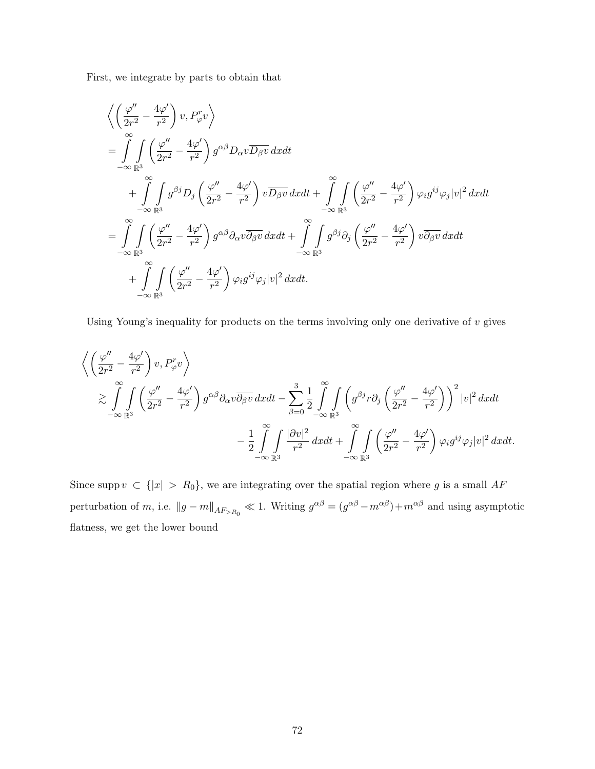First, we integrate by parts to obtain that

$$
\begin{split}\n&\left\langle \left(\frac{\varphi''}{2r^2} - \frac{4\varphi'}{r^2}\right) v, P_{\varphi}^r v \right\rangle \\
&= \int_{-\infty}^{\infty} \int_{\mathbb{R}^3} \left(\frac{\varphi''}{2r^2} - \frac{4\varphi'}{r^2}\right) g^{\alpha\beta} D_{\alpha} v \overline{D_{\beta} v} \, dx dt \\
&+ \int_{-\infty}^{\infty} \int_{\mathbb{R}^3} g^{\beta j} D_j \left(\frac{\varphi''}{2r^2} - \frac{4\varphi'}{r^2}\right) v \overline{D_{\beta} v} \, dx dt + \int_{-\infty}^{\infty} \int_{\mathbb{R}^3} \left(\frac{\varphi''}{2r^2} - \frac{4\varphi'}{r^2}\right) \varphi_i g^{ij} \varphi_j |v|^2 \, dx dt \\
&= \int_{-\infty}^{\infty} \int_{\mathbb{R}^3} \left(\frac{\varphi''}{2r^2} - \frac{4\varphi'}{r^2}\right) g^{\alpha\beta} \partial_{\alpha} v \overline{\partial_{\beta} v} \, dx dt + \int_{-\infty}^{\infty} \int_{\mathbb{R}^3} g^{\beta j} \partial_j \left(\frac{\varphi''}{2r^2} - \frac{4\varphi'}{r^2}\right) v \overline{\partial_{\beta} v} \, dx dt \\
&+ \int_{-\infty}^{\infty} \int_{\mathbb{R}^3} \left(\frac{\varphi''}{2r^2} - \frac{4\varphi'}{r^2}\right) \varphi_i g^{ij} \varphi_j |v|^2 \, dx dt.\n\end{split}
$$

Using Young's inequality for products on the terms involving only one derivative of  $v$  gives

$$
\begin{split}\n&\left\langle \left(\frac{\varphi''}{2r^2} - \frac{4\varphi'}{r^2}\right) v, P_{\varphi}^r v \right\rangle \\
&\geq \int_{-\infty}^{\infty} \int_{\mathbb{R}^3} \left(\frac{\varphi''}{2r^2} - \frac{4\varphi'}{r^2}\right) g^{\alpha\beta} \partial_{\alpha} v \overline{\partial_{\beta} v} \, dx dt - \sum_{\beta=0}^3 \frac{1}{2} \int_{-\infty}^{\infty} \int_{\mathbb{R}^3} \left(g^{\beta j} r \partial_j \left(\frac{\varphi''}{2r^2} - \frac{4\varphi'}{r^2}\right)\right)^2 |v|^2 \, dx dt \\
&- \frac{1}{2} \int_{-\infty}^{\infty} \int_{\mathbb{R}^3} \frac{|\partial v|^2}{r^2} \, dx dt + \int_{-\infty}^{\infty} \int_{\mathbb{R}^3} \left(\frac{\varphi''}{2r^2} - \frac{4\varphi'}{r^2}\right) \varphi_i g^{ij} \varphi_j |v|^2 \, dx dt.\n\end{split}
$$

Since supp  $v \subset \{|x| > R_0\}$ , we are integrating over the spatial region where g is a small AF perturbation of m, i.e.  $||g - m||_{AF_{>R_0}} \ll 1$ . Writing  $g^{\alpha\beta} = (g^{\alpha\beta} - m^{\alpha\beta}) + m^{\alpha\beta}$  and using asymptotic flatness, we get the lower bound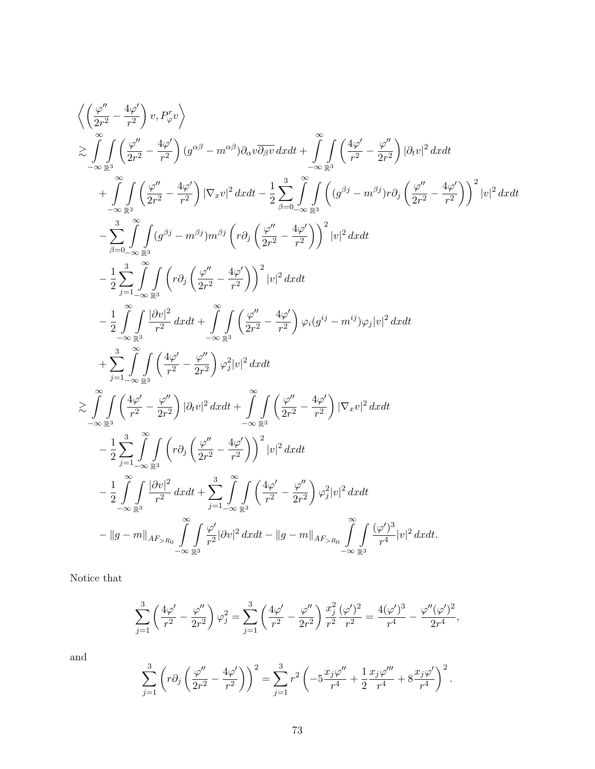$$
\left\langle \left(\frac{\varphi''}{2r^2} - \frac{4\varphi'}{r^2}\right) v, P_{\varphi}^r v \right\rangle
$$
\n
$$
\geq \int_{-\infty}^{\infty} \int_{\mathbb{R}^3} \left( \frac{\varphi''}{2r^2} - \frac{4\varphi'}{r^2} \right) (\theta^{\alpha\beta} - m^{\alpha\beta}) \partial_{\alpha} v \overline{\partial_{\beta} v} \, dxdt + \int_{-\infty}^{\infty} \int_{\mathbb{R}^3} \left( \frac{4\varphi'}{r^2} - \frac{\varphi''}{2r^2} \right) |\partial_t v|^2 \, dxdt
$$
\n
$$
+ \int_{-\infty}^{\infty} \int_{\mathbb{R}^3} \left( \frac{\varphi''}{2r^2} - \frac{4\varphi'}{r^2} \right) |\nabla_x v|^2 \, dxdt - \frac{1}{2} \sum_{\beta=0}^3 \int_{-\infty}^{\infty} \int_{\mathbb{R}^3} \left( (\theta^{\beta j} - m^{\beta j}) r \partial_j \left( \frac{\varphi''}{2r^2} - \frac{4\varphi'}{r^2} \right) \right)^2 |v|^2 \, dxdt
$$
\n
$$
- \sum_{\beta=0}^3 \int_{-\infty}^{\infty} \int_{\mathbb{R}^3} (\theta^{\beta j} - m^{\beta j}) m^{\beta j} \left( r \partial_j \left( \frac{\varphi''}{2r^2} - \frac{4\varphi'}{r^2} \right) \right)^2 |v|^2 \, dxdt
$$
\n
$$
- \frac{1}{2} \sum_{j=1}^3 \int_{-\infty}^{\infty} \int_{\mathbb{R}^3} \left( r \partial_j \left( \frac{\varphi''}{2r^2} - \frac{4\varphi'}{r^2} \right) \right)^2 |v|^2 \, dxdt
$$
\n
$$
+ \sum_{j=1}^3 \int_{-\infty}^{\infty} \int_{\mathbb{R}^3} \left( \frac{4\varphi'}{r^2} - \frac{\varphi''}{2r^2} \right) \varphi_j^2 |v|^2 \, dxdt
$$
\n
$$
+ \sum_{j=1}^3 \int_{-\infty}^{\infty} \int_{\mathbb{R}^3}
$$

Notice that

$$
\sum_{j=1}^{3} \left( \frac{4\varphi'}{r^2} - \frac{\varphi''}{2r^2} \right) \varphi_j^2 = \sum_{j=1}^{3} \left( \frac{4\varphi'}{r^2} - \frac{\varphi''}{2r^2} \right) \frac{x_j^2}{r^2} \frac{(\varphi')^2}{r^2} = \frac{4(\varphi')^3}{r^4} - \frac{\varphi''(\varphi')^2}{2r^4},
$$

and

$$
\sum_{j=1}^{3} \left( r \partial_j \left( \frac{\varphi''}{2r^2} - \frac{4\varphi'}{r^2} \right) \right)^2 = \sum_{j=1}^{3} r^2 \left( -5 \frac{x_j \varphi''}{r^4} + \frac{1}{2} \frac{x_j \varphi'''}{r^4} + 8 \frac{x_j \varphi'}{r^4} \right)^2.
$$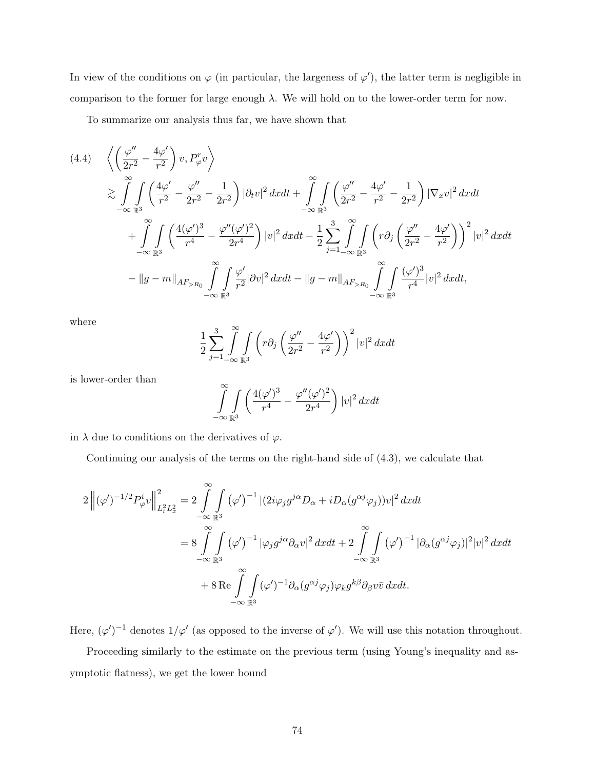In view of the conditions on  $\varphi$  (in particular, the largeness of  $\varphi'$ ), the latter term is negligible in comparison to the former for large enough  $\lambda$ . We will hold on to the lower-order term for now.

To summarize our analysis thus far, we have shown that

$$
(4.4) \quad \left\langle \left(\frac{\varphi''}{2r^2} - \frac{4\varphi'}{r^2}\right) v, P_{\varphi}^r v \right\rangle
$$
  
\n
$$
\geq \int_{-\infty}^{\infty} \int_{\mathbb{R}^3} \left(\frac{4\varphi'}{r^2} - \frac{\varphi''}{2r^2} - \frac{1}{2r^2}\right) |\partial_t v|^2 dx dt + \int_{-\infty}^{\infty} \int_{\mathbb{R}^3} \left(\frac{\varphi''}{2r^2} - \frac{4\varphi'}{r^2} - \frac{1}{2r^2}\right) |\nabla_x v|^2 dx dt
$$
  
\n
$$
+ \int_{-\infty}^{\infty} \int_{\mathbb{R}^3} \left(\frac{4(\varphi')^3}{r^4} - \frac{\varphi''(\varphi')^2}{2r^4}\right) |v|^2 dx dt - \frac{1}{2} \sum_{j=1}^3 \int_{-\infty}^{\infty} \int_{\mathbb{R}^3} \left(r \partial_j \left(\frac{\varphi''}{2r^2} - \frac{4\varphi'}{r^2}\right)\right)^2 |v|^2 dx dt
$$
  
\n
$$
- \|g - m\|_{AF > R_0} \int_{-\infty}^{\infty} \int_{\mathbb{R}^3} \frac{\varphi'}{r^2} |\partial v|^2 dx dt - \|g - m\|_{AF > R_0} \int_{-\infty}^{\infty} \int_{\mathbb{R}^3} \frac{(\varphi')^3}{r^4} |v|^2 dx dt,
$$

where

$$
\frac{1}{2}\sum_{j=1}^{3}\int_{-\infty}^{\infty}\int_{\mathbb{R}^{3}}\left(r\partial_{j}\left(\frac{\varphi''}{2r^{2}}-\frac{4\varphi'}{r^{2}}\right)\right)^{2}|v|^{2}dxdt
$$

is lower-order than

$$
\int_{-\infty}^{\infty} \int_{\mathbb{R}^3} \left( \frac{4(\varphi')^3}{r^4} - \frac{\varphi''(\varphi')^2}{2r^4} \right) |v|^2 dx dt
$$

in  $\lambda$  due to conditions on the derivatives of  $\varphi$ .

−∞

Continuing our analysis of the terms on the right-hand side of (4.3), we calculate that

$$
2\left\|(\varphi')^{-1/2}P_{\varphi}^{i}v\right\|_{L_{t}^{2}L_{x}^{2}}^{2} = 2\int_{-\infty}^{\infty}\int_{\mathbb{R}^{3}} (\varphi')^{-1} |(2i\varphi_{j}g^{j\alpha}D_{\alpha}+iD_{\alpha}(g^{\alpha j}\varphi_{j}))v|^{2} dxdt
$$
  

$$
= 8\int_{-\infty}^{\infty}\int_{\mathbb{R}^{3}} (\varphi')^{-1} |\varphi_{j}g^{j\alpha}\partial_{\alpha}v|^{2} dxdt + 2\int_{-\infty}^{\infty}\int_{\mathbb{R}^{3}} (\varphi')^{-1} |\partial_{\alpha}(g^{\alpha j}\varphi_{j})|^{2}|v|^{2} dxdt
$$
  

$$
+ 8 \operatorname{Re} \int_{-\infty}^{\infty}\int_{\mathbb{R}^{3}} (\varphi')^{-1} \partial_{\alpha}(g^{\alpha j}\varphi_{j})\varphi_{k}g^{k\beta}\partial_{\beta}v\bar{v} dxdt.
$$

Here,  $(\varphi')^{-1}$  denotes  $1/\varphi'$  (as opposed to the inverse of  $\varphi'$ ). We will use this notation throughout.

Proceeding similarly to the estimate on the previous term (using Young's inequality and asymptotic flatness), we get the lower bound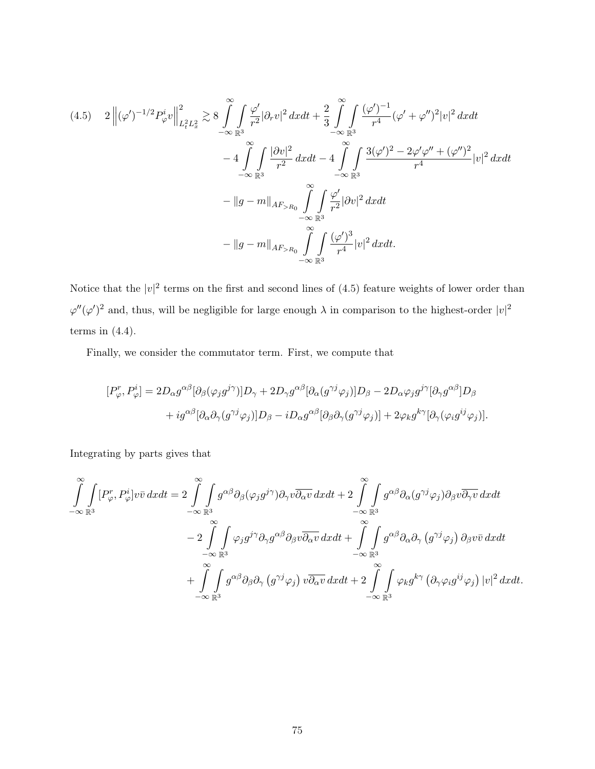$$
(4.5) \quad 2 \left\| (\varphi')^{-1/2} P_{\varphi}^{i} v \right\|_{L_{t}^{2} L_{x}^{2}}^{2} \gtrsim 8 \int_{-\infty}^{\infty} \int_{\mathbb{R}^{3}} \frac{\varphi'}{r^{2}} |\partial_{r} v|^{2} dx dt + \frac{2}{3} \int_{-\infty}^{\infty} \int_{\mathbb{R}^{3}} \frac{(\varphi')^{-1}}{r^{4}} (\varphi' + \varphi'')^{2} |v|^{2} dx dt - 4 \int_{-\infty}^{\infty} \int_{\mathbb{R}^{3}} \frac{|\partial v|^{2}}{r^{2}} dx dt - 4 \int_{-\infty}^{\infty} \int_{\mathbb{R}^{3}} \frac{3(\varphi')^{2} - 2\varphi' \varphi'' + (\varphi'')^{2}}{r^{4}} |v|^{2} dx dt - \|g - m\|_{AF_{>R_{0}}} \int_{-\infty}^{\infty} \int_{\mathbb{R}^{3}} \frac{\varphi'}{r^{2}} |\partial v|^{2} dx dt - \|g - m\|_{AF_{>R_{0}}} \int_{-\infty}^{\infty} \int_{\mathbb{R}^{3}} \frac{(\varphi')^{3}}{r^{4}} |v|^{2} dx dt.
$$

Notice that the  $|v|^2$  terms on the first and second lines of (4.5) feature weights of lower order than  $\varphi''(\varphi')^2$  and, thus, will be negligible for large enough  $\lambda$  in comparison to the highest-order  $|v|^2$ terms in  $(4.4)$ .

Finally, we consider the commutator term. First, we compute that

$$
[P_{\varphi}^{r}, P_{\varphi}^{i}] = 2D_{\alpha}g^{\alpha\beta}[\partial_{\beta}(\varphi_{j}g^{j\gamma})]D_{\gamma} + 2D_{\gamma}g^{\alpha\beta}[\partial_{\alpha}(g^{\gamma j}\varphi_{j})]D_{\beta} - 2D_{\alpha}\varphi_{j}g^{j\gamma}[\partial_{\gamma}g^{\alpha\beta}]D_{\beta} + ig^{\alpha\beta}[\partial_{\alpha}\partial_{\gamma}(g^{\gamma j}\varphi_{j})]D_{\beta} - iD_{\alpha}g^{\alpha\beta}[\partial_{\beta}\partial_{\gamma}(g^{\gamma j}\varphi_{j})] + 2\varphi_{k}g^{k\gamma}[\partial_{\gamma}(\varphi_{i}g^{ij}\varphi_{j})].
$$

Integrating by parts gives that

$$
\int_{-\infty}^{\infty} \int_{\mathbb{R}^3} [P_{\varphi}^r, P_{\varphi}^i] v \bar{v} \, dx dt = 2 \int_{-\infty}^{\infty} \int_{\mathbb{R}^3} g^{\alpha \beta} \partial_{\beta} (\varphi_j g^{j\gamma}) \partial_{\gamma} v \overline{\partial_{\alpha} v} \, dx dt + 2 \int_{-\infty}^{\infty} \int_{\mathbb{R}^3} g^{\alpha \beta} \partial_{\alpha} (g^{\gamma j} \varphi_j) \partial_{\beta} v \overline{\partial_{\gamma} v} \, dx dt \n- 2 \int_{-\infty}^{\infty} \int_{\mathbb{R}^3} \varphi_j g^{j\gamma} \partial_{\gamma} g^{\alpha \beta} \partial_{\beta} v \overline{\partial_{\alpha} v} \, dx dt + \int_{-\infty}^{\infty} \int_{\mathbb{R}^3} g^{\alpha \beta} \partial_{\alpha} \partial_{\gamma} (g^{\gamma j} \varphi_j) \partial_{\beta} v \bar{v} \, dx dt \n+ \int_{-\infty}^{\infty} \int_{\mathbb{R}^3} g^{\alpha \beta} \partial_{\beta} \partial_{\gamma} (g^{\gamma j} \varphi_j) v \overline{\partial_{\alpha} v} \, dx dt + 2 \int_{-\infty}^{\infty} \int_{\mathbb{R}^3} \varphi_k g^{k\gamma} (\partial_{\gamma} \varphi_i g^{ij} \varphi_j) |v|^2 \, dx dt.
$$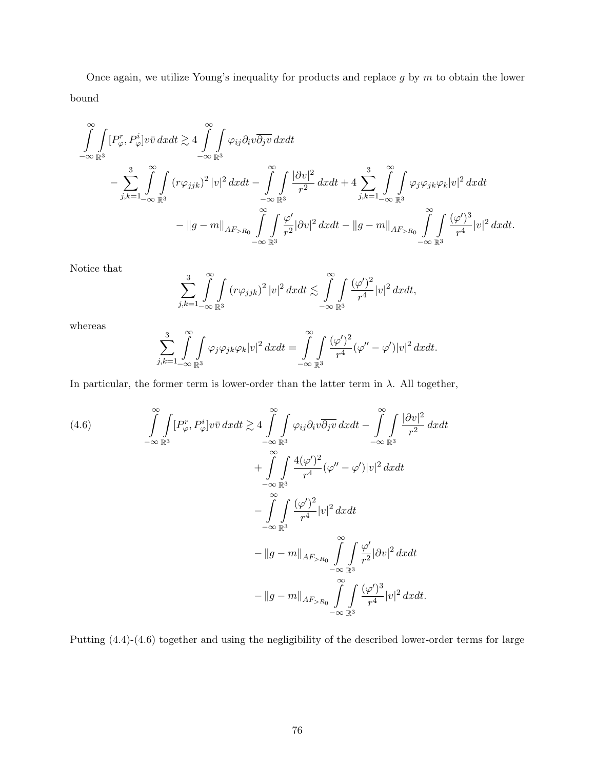Once again, we utilize Young's inequality for products and replace  $g$  by  $m$  to obtain the lower bound

$$
\int_{-\infty}^{\infty} \int_{\mathbb{R}^3} [P_{\varphi}^r, P_{\varphi}^i] v \bar{v} \, dx dt \gtrsim 4 \int_{-\infty}^{\infty} \int_{\mathbb{R}^3} \varphi_{ij} \partial_i v \overline{\partial_j v} \, dx dt \n- \sum_{j,k=1}^3 \int_{-\infty}^3 \int_{\mathbb{R}^3} (r \varphi_{jjk})^2 |v|^2 \, dx dt - \int_{-\infty}^{\infty} \int_{\mathbb{R}^3} \frac{|\partial v|^2}{r^2} \, dx dt + 4 \sum_{j,k=1}^3 \int_{-\infty}^{\infty} \int_{\mathbb{R}^3} \varphi_{j} \varphi_{jk} \varphi_{k} |v|^2 \, dx dt \n- \|g - m\|_{AF_{>R_0}} \int_{-\infty}^{\infty} \int_{\mathbb{R}^3} \frac{\varphi'}{r^2} |\partial v|^2 \, dx dt - \|g - m\|_{AF_{>R_0}} \int_{-\infty}^{\infty} \int_{\mathbb{R}^3} \frac{(\varphi')^3}{r^4} |v|^2 \, dx dt.
$$

Notice that

$$
\sum_{j,k=1}^3 \int_{-\infty}^{\infty} \int_{\mathbb{R}^3} (r \varphi_{jjk})^2 |v|^2 dx dt \lesssim \int_{-\infty}^{\infty} \int_{\mathbb{R}^3} \frac{(\varphi')^2}{r^4} |v|^2 dx dt,
$$

whereas

$$
\sum_{j,k=1}^3 \int_{-\infty}^{\infty} \int_{\mathbb{R}^3} \varphi_j \varphi_j k \varphi_k |v|^2 dx dt = \int_{-\infty}^{\infty} \int_{\mathbb{R}^3} \frac{(\varphi')^2}{r^4} (\varphi'' - \varphi') |v|^2 dx dt.
$$

In particular, the former term is lower-order than the latter term in  $\lambda$ . All together,

(4.6)  
\n
$$
\int_{-\infty}^{\infty} \int_{\mathbb{R}^3} [P_{\varphi}^r, P_{\varphi}^i] v \bar{v} \, dx dt \gtrsim 4 \int_{-\infty}^{\infty} \int_{\mathbb{R}^3} \varphi_{ij} \partial_i v \overline{\partial_j v} \, dx dt - \int_{-\infty}^{\infty} \int_{\mathbb{R}^3} \frac{|\partial v|^2}{r^2} \, dx dt \n+ \int_{-\infty}^{\infty} \int_{\mathbb{R}^3} \frac{4(\varphi')^2}{r^4} (\varphi'' - \varphi') |v|^2 \, dx dt \n- \int_{-\infty}^{\infty} \int_{\mathbb{R}^3} \frac{(\varphi')^2}{r^4} |v|^2 \, dx dt \n- \int_{-\infty}^{\infty} \int_{\mathbb{R}^3} \frac{(\varphi')^2}{r^2} |\partial v|^2 \, dx dt \n- \|g - m\|_{AF_{>R_0}} \int_{-\infty}^{\infty} \int_{\mathbb{R}^3} \frac{\varphi'}{r^2} |\partial v|^2 \, dx dt \n- \|g - m\|_{AF_{>R_0}} \int_{-\infty}^{\infty} \int_{\mathbb{R}^3} \frac{(\varphi')^3}{r^4} |v|^2 \, dx dt.
$$

Putting (4.4)-(4.6) together and using the negligibility of the described lower-order terms for large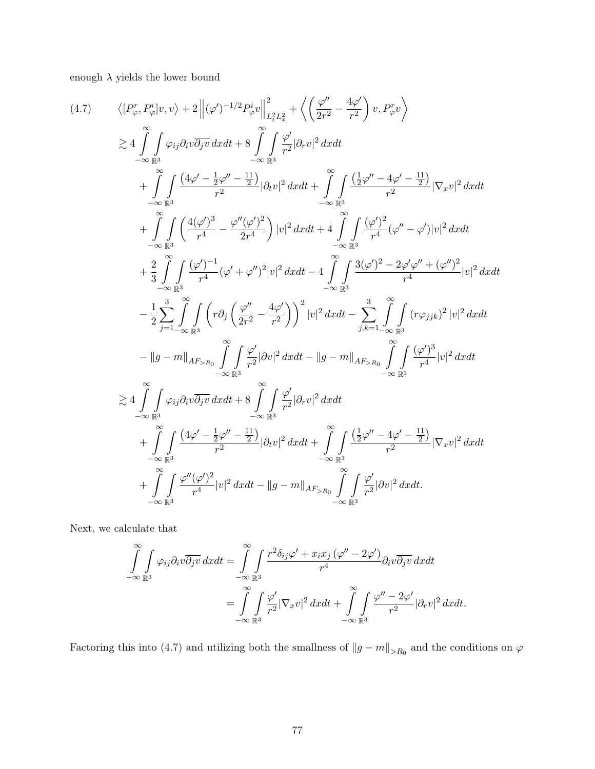enough  $\lambda$  yields the lower bound

$$
(4.7) \qquad \langle [P_{\varphi}^{r}, P_{\varphi}^{i}]v, v \rangle + 2 \left\| (\varphi')^{-1/2} P_{\varphi}^{i}v \right\|_{L_{t}^{2} L_{x}^{2}}^{2} + \left\langle (\frac{\varphi''}{2r^{2}} - \frac{4\varphi'}{r^{2}}) v, P_{\varphi}^{r}v \right\rangle
$$
  
\n
$$
\gtrsim 4 \int_{-\infty}^{\infty} \int_{\mathbb{R}^{3}} \varphi_{ij} \partial_{i} v \overline{\partial_{j} v} \, dx dt + 8 \int_{-\infty}^{\infty} \int_{\mathbb{R}^{3}} \frac{\varphi'}{r^{2}} |\partial_{r} v|^{2} \, dx dt
$$
  
\n
$$
+ \int_{-\infty}^{\infty} \int_{\mathbb{R}^{3}} \frac{(4\varphi' - \frac{1}{2}\varphi'' - \frac{11}{2})}{r^{2}} |\partial_{t} v|^{2} \, dx dt + \int_{-\infty}^{\infty} \int_{\mathbb{R}^{3}} \frac{(\frac{1}{2}\varphi'' - 4\varphi' - \frac{11}{2})}{r^{2}} |\nabla_{x} v|^{2} \, dx dt
$$
  
\n
$$
+ \int_{-\infty}^{\infty} \int_{\mathbb{R}^{3}} \frac{(4(\varphi')^{3}}{r^{4}} - \frac{\varphi''(\varphi')^{2}}{2r^{4}}) |v|^{2} \, dx dt + 4 \int_{-\infty}^{\infty} \int_{\mathbb{R}^{3}} \frac{(\varphi')^{2}}{r^{4}} (\varphi'' - \varphi') |v|^{2} \, dx dt
$$
  
\n
$$
+ \frac{2}{3} \int_{-\infty}^{\infty} \int_{\mathbb{R}^{3}} \frac{(\varphi')^{-1}}{r^{4}} (\varphi' + \varphi'')^{2} |v|^{2} \, dx dt - 4 \int_{-\infty}^{\infty} \int_{\mathbb{R}^{3}} \frac{3(\varphi')^{2} - 2\varphi' \varphi'' + (\varphi'')^{2}}{r^{4}} |v|^{2} \, dx dt
$$
  
\n
$$
- \frac{1}{2} \int_{j=1}^{3} \int_{-\infty}^{\infty} \int_{\mathbb{R}^{
$$

Next, we calculate that

$$
\int_{-\infty}^{\infty} \int_{\mathbb{R}^3} \varphi_{ij} \partial_i v \overline{\partial_j v} \, dx dt = \int_{-\infty}^{\infty} \int_{\mathbb{R}^3} \frac{r^2 \delta_{ij} \varphi' + x_i x_j \, (\varphi'' - 2\varphi')}{r^4} \partial_i v \overline{\partial_j v} \, dx dt \n= \int_{-\infty}^{\infty} \int_{\mathbb{R}^3} \frac{\varphi'}{r^2} |\nabla_x v|^2 \, dx dt + \int_{-\infty}^{\infty} \int_{\mathbb{R}^3} \frac{\varphi'' - 2\varphi'}{r^2} |\partial_r v|^2 \, dx dt.
$$

Factoring this into (4.7) and utilizing both the smallness of  $||g - m||_{>R_0}$  and the conditions on  $\varphi$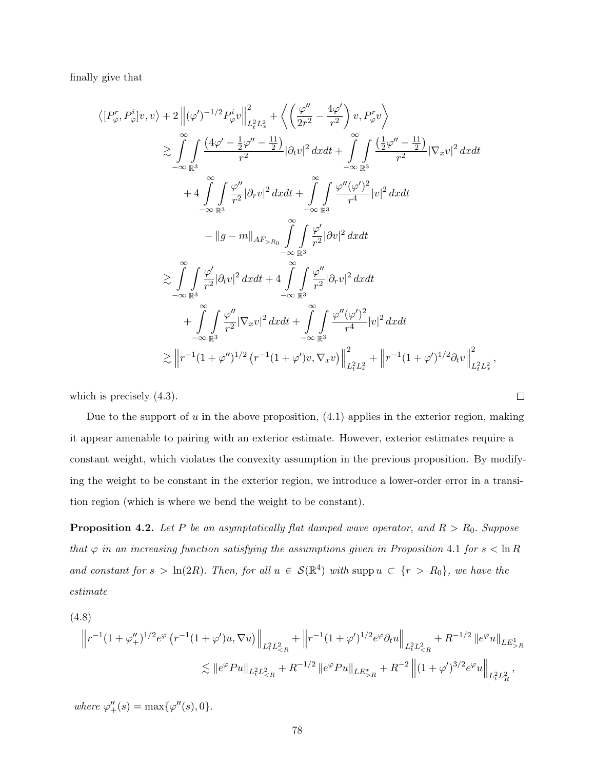finally give that

$$
\langle [P_{\varphi}^{r}, P_{\varphi}^{i}]v, v \rangle + 2 \left\| (\varphi')^{-1/2} P_{\varphi}^{i} v \right\|_{L_{t}^{2} L_{x}^{2}}^{2} + \left\langle \left( \frac{\varphi''}{2r^{2}} - \frac{4\varphi'}{r^{2}} \right) v, P_{\varphi}^{r} v \right\rangle
$$
  
\n
$$
\geq \int_{-\infty}^{\infty} \int_{\mathbb{R}^{3}} \frac{(4\varphi' - \frac{1}{2}\varphi'' - \frac{11}{2})}{r^{2}} |\partial_{t} v|^{2} dxdt + \int_{-\infty}^{\infty} \int_{\mathbb{R}^{3}} \frac{(\frac{1}{2}\varphi'' - \frac{11}{2})}{r^{2}} |\nabla_{x} v|^{2} dxdt
$$
  
\n
$$
+ 4 \int_{-\infty}^{\infty} \int_{\mathbb{R}^{3}} \frac{\varphi''}{r^{2}} |\partial_{r} v|^{2} dxdt + \int_{-\infty}^{\infty} \int_{\mathbb{R}^{3}} \frac{\varphi''(\varphi')^{2}}{r^{4}} |v|^{2} dxdt
$$
  
\n
$$
- \|g - m\|_{AF_{>R_{0}}} \int_{-\infty}^{\infty} \int_{\mathbb{R}^{3}} \frac{\varphi'}{r^{2}} |\partial v|^{2} dxdt
$$
  
\n
$$
\geq \int_{-\infty}^{\infty} \int_{\mathbb{R}^{3}} \frac{\varphi'}{r^{2}} |\partial_{t} v|^{2} dxdt + 4 \int_{-\infty}^{\infty} \int_{\mathbb{R}^{3}} \frac{\varphi''}{r^{2}} |\partial_{r} v|^{2} dxdt
$$
  
\n
$$
+ \int_{-\infty}^{\infty} \int_{\mathbb{R}^{3}} \frac{\varphi''}{r^{2}} |\nabla_{x} v|^{2} dxdt + \int_{-\infty}^{\infty} \int_{\mathbb{R}^{3}} \frac{\varphi''(\varphi')^{2}}{r^{4}} |v|^{2} dxdt
$$
  
\n
$$
\geq ||r^{-1}(1 + \varphi'')^{1/2} (r^{-1}(1 + \varphi')v, \nabla_{x} v) ||^{2}_{L_{t}^{2} L_{x}^{2}} + ||r^{-1
$$

which is precisely  $(4.3)$ .

Due to the support of u in the above proposition,  $(4.1)$  applies in the exterior region, making it appear amenable to pairing with an exterior estimate. However, exterior estimates require a constant weight, which violates the convexity assumption in the previous proposition. By modifying the weight to be constant in the exterior region, we introduce a lower-order error in a transition region (which is where we bend the weight to be constant).

**Proposition 4.2.** Let P be an asymptotically flat damped wave operator, and  $R > R_0$ . Suppose that  $\varphi$  in an increasing function satisfying the assumptions given in Proposition 4.1 for  $s < \ln R$ and constant for  $s > \ln(2R)$ . Then, for all  $u \in S(\mathbb{R}^4)$  with supp  $u \subset \{r > R_0\}$ , we have the estimate

$$
(4.8)
$$

$$
\|r^{-1}(1+\varphi''_+)^{1/2}e^{\varphi}\left(r^{-1}(1+\varphi')u,\nabla u\right)\|_{L^2_tL^2_{\leq R}} + \|r^{-1}(1+\varphi')^{1/2}e^{\varphi}\partial_t u\|_{L^2_tL^2_{\leq R}} + R^{-1/2} \|e^{\varphi}u\|_{LE^1_{>R}} \leq \|e^{\varphi}Pu\|_{L^2_tL^2_{\leq R}} + R^{-1/2} \|e^{\varphi}Pu\|_{LE^*_{>R}} + R^{-2} \left\|(1+\varphi')^{3/2}e^{\varphi}u\right\|_{L^2_tL^2_R},
$$

where  $\varphi''_+(s) = \max{\lbrace \varphi''(s), 0 \rbrace}.$ 

,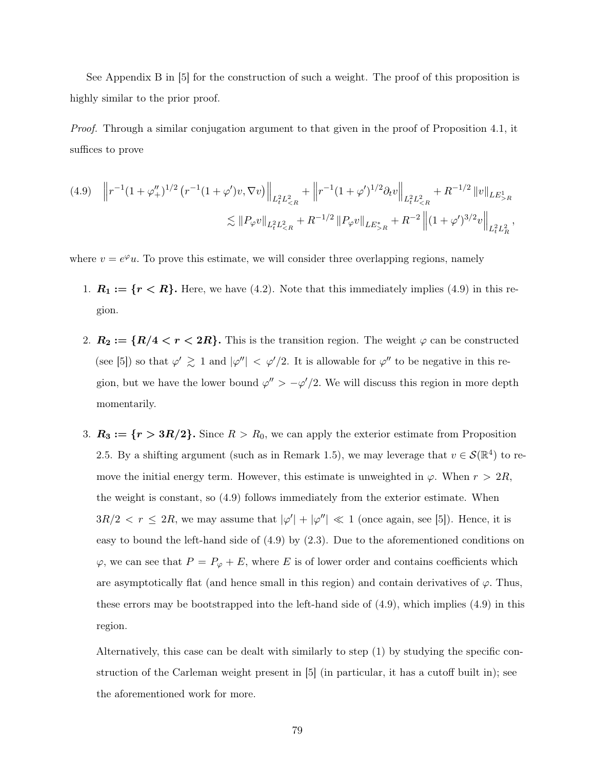See Appendix B in [5] for the construction of such a weight. The proof of this proposition is highly similar to the prior proof.

Proof. Through a similar conjugation argument to that given in the proof of Proposition 4.1, it suffices to prove

$$
(4.9) \quad \left\| r^{-1} (1 + \varphi_+^{\prime\prime})^{1/2} \left( r^{-1} (1 + \varphi') v, \nabla v \right) \right\|_{L_t^2 L_{\le R}^2} + \left\| r^{-1} (1 + \varphi')^{1/2} \partial_t v \right\|_{L_t^2 L_{\le R}^2} + R^{-1/2} \left\| v \right\|_{LE_{>R}^1}
$$

$$
\lesssim \left\| P_{\varphi} v \right\|_{L_t^2 L_{\le R}^2} + R^{-1/2} \left\| P_{\varphi} v \right\|_{LE_{>R}^*} + R^{-2} \left\| (1 + \varphi')^{3/2} v \right\|_{L_t^2 L_R^2},
$$

where  $v = e^{\varphi}u$ . To prove this estimate, we will consider three overlapping regions, namely

- 1.  $R_1 := \{r < R\}$ . Here, we have (4.2). Note that this immediately implies (4.9) in this region.
- 2.  $R_2 := \{R/4 < r < 2R\}$ . This is the transition region. The weight  $\varphi$  can be constructed (see [5]) so that  $\varphi' \geq 1$  and  $|\varphi''| < \varphi'/2$ . It is allowable for  $\varphi''$  to be negative in this region, but we have the lower bound  $\varphi'' > -\varphi'/2$ . We will discuss this region in more depth momentarily.
- 3.  $R_3 := \{r > 3R/2\}$ . Since  $R > R_0$ , we can apply the exterior estimate from Proposition 2.5. By a shifting argument (such as in Remark 1.5), we may leverage that  $v \in \mathcal{S}(\mathbb{R}^4)$  to remove the initial energy term. However, this estimate is unweighted in  $\varphi$ . When  $r > 2R$ , the weight is constant, so (4.9) follows immediately from the exterior estimate. When  $3R/2 < r \leq 2R$ , we may assume that  $|\varphi' + \varphi''| \ll 1$  (once again, see [5]). Hence, it is easy to bound the left-hand side of (4.9) by (2.3). Due to the aforementioned conditions on  $\varphi$ , we can see that  $P = P_{\varphi} + E$ , where E is of lower order and contains coefficients which are asymptotically flat (and hence small in this region) and contain derivatives of  $\varphi$ . Thus, these errors may be bootstrapped into the left-hand side of (4.9), which implies (4.9) in this region.

Alternatively, this case can be dealt with similarly to step (1) by studying the specific construction of the Carleman weight present in [5] (in particular, it has a cutoff built in); see the aforementioned work for more.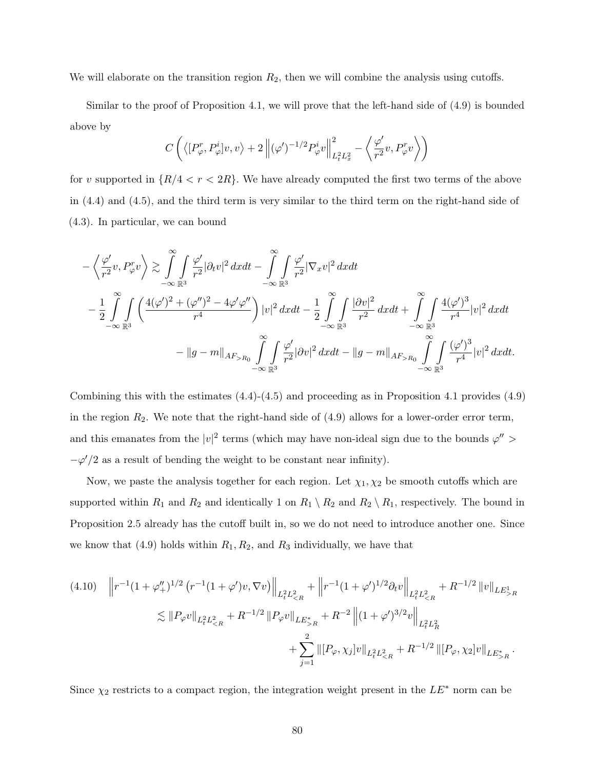We will elaborate on the transition region  $R_2$ , then we will combine the analysis using cutoffs.

Similar to the proof of Proposition 4.1, we will prove that the left-hand side of (4.9) is bounded above by

$$
C\left(\left\langle [P_{\varphi}^r,P_{\varphi}^i]v,v\right\rangle+2\left\|(\varphi')^{-1/2}P_{\varphi}^iv\right\|_{L^2_tL^2_x}^2-\left\langle \frac{\varphi'}{r^2}v,P_{\varphi}^rv\right\rangle\right)
$$

for v supported in  $\{R/4 < r < 2R\}$ . We have already computed the first two terms of the above in (4.4) and (4.5), and the third term is very similar to the third term on the right-hand side of (4.3). In particular, we can bound

$$
-\left\langle \frac{\varphi'}{r^2}v, P_{\varphi}^r v \right\rangle \gtrsim \int_{-\infty}^{\infty} \int_{\mathbb{R}^3} \frac{\varphi'}{r^2} |\partial_t v|^2 \, dxdt - \int_{-\infty}^{\infty} \int_{\mathbb{R}^3} \frac{\varphi'}{r^2} |\nabla_x v|^2 \, dxdt
$$
  

$$
-\frac{1}{2} \int_{-\infty}^{\infty} \int_{\mathbb{R}^3} \left( \frac{4(\varphi')^2 + (\varphi'')^2 - 4\varphi' \varphi''}{r^4} \right) |v|^2 \, dxdt - \frac{1}{2} \int_{-\infty}^{\infty} \int_{\mathbb{R}^3} \frac{|\partial v|^2}{r^2} \, dxdt + \int_{-\infty}^{\infty} \int_{\mathbb{R}^3} \frac{4(\varphi')^3}{r^4} |v|^2 \, dxdt
$$
  

$$
- \|g - m\|_{AF_{>R_0}} \int_{-\infty}^{\infty} \int_{\mathbb{R}^3} \frac{\varphi'}{r^2} |\partial v|^2 \, dxdt - \|g - m\|_{AF_{>R_0}} \int_{-\infty}^{\infty} \int_{\mathbb{R}^3} \frac{(\varphi')^3}{r^4} |v|^2 \, dxdt.
$$

Combining this with the estimates  $(4.4)-(4.5)$  and proceeding as in Proposition 4.1 provides  $(4.9)$ in the region  $R_2$ . We note that the right-hand side of  $(4.9)$  allows for a lower-order error term, and this emanates from the  $|v|^2$  terms (which may have non-ideal sign due to the bounds  $\varphi'' >$  $-\varphi'/2$  as a result of bending the weight to be constant near infinity).

Now, we paste the analysis together for each region. Let  $\chi_1, \chi_2$  be smooth cutoffs which are supported within  $R_1$  and  $R_2$  and identically 1 on  $R_1 \setminus R_2$  and  $R_2 \setminus R_1$ , respectively. The bound in Proposition 2.5 already has the cutoff built in, so we do not need to introduce another one. Since we know that (4.9) holds within  $R_1, R_2$ , and  $R_3$  individually, we have that

$$
(4.10) \quad \left\| r^{-1} (1 + \varphi_{+}^{"})^{1/2} (r^{-1} (1 + \varphi') v, \nabla v) \right\|_{L_{t}^{2} L_{\leq R}^{2}} + \left\| r^{-1} (1 + \varphi')^{1/2} \partial_{t} v \right\|_{L_{t}^{2} L_{\leq R}^{2}} + R^{-1/2} \left\| v \right\|_{LE_{>R}^{1}} \n\lesssim \left\| P_{\varphi} v \right\|_{L_{t}^{2} L_{\leq R}^{2}} + R^{-1/2} \left\| P_{\varphi} v \right\|_{LE_{>R}^{*}} + R^{-2} \left\| (1 + \varphi')^{3/2} v \right\|_{L_{t}^{2} L_{\leq R}^{2}} \n+ \sum_{j=1}^{2} \left\| [P_{\varphi}, \chi_{j}] v \right\|_{L_{t}^{2} L_{\leq R}^{2}} + R^{-1/2} \left\| [P_{\varphi}, \chi_{2}] v \right\|_{LE_{>R}^{*}}.
$$

Since  $\chi_2$  restricts to a compact region, the integration weight present in the  $LE^*$  norm can be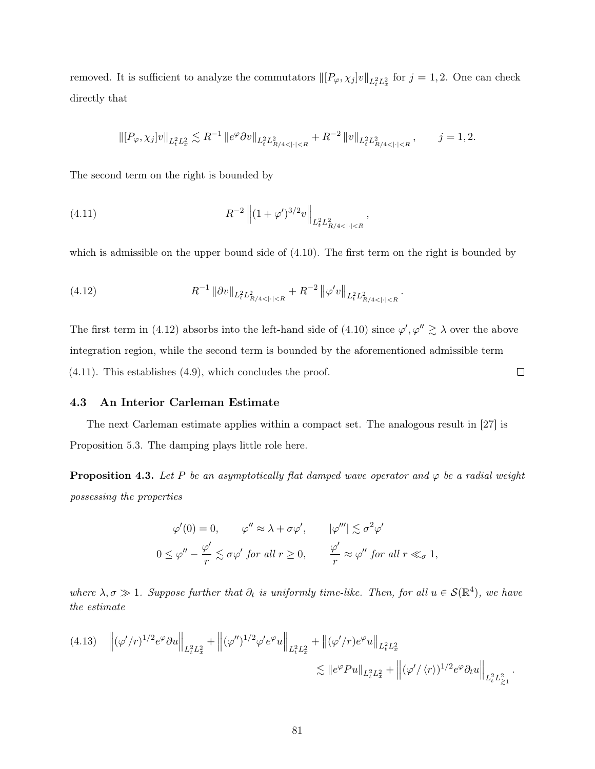removed. It is sufficient to analyze the commutators  $\| [P_{\varphi}, \chi_j] v \|_{L^2_t L^2_x}$  for  $j = 1, 2$ . One can check directly that

$$
\left\|[P_{\varphi}, \chi_j]v\right\|_{L_t^2 L_x^2} \lesssim R^{-1} \left\|e^{\varphi} \partial v\right\|_{L_t^2 L_{R/4<|\cdot|
$$

The second term on the right is bounded by

(4.11) 
$$
R^{-2} \left\| (1 + \varphi')^{3/2} v \right\|_{L_t^2 L_{R/4 < |\cdot| < R}^2},
$$

which is admissible on the upper bound side of  $(4.10)$ . The first term on the right is bounded by

(4.12) 
$$
R^{-1} \|\partial v\|_{L^2_t L^2_{R/4 < |\cdot| < R}} + R^{-2} \|\varphi' v\|_{L^2_t L^2_{R/4 < |\cdot| < R}}.
$$

The first term in (4.12) absorbs into the left-hand side of (4.10) since  $\varphi', \varphi'' \geq \lambda$  over the above integration region, while the second term is bounded by the aforementioned admissible term  $\Box$ (4.11). This establishes (4.9), which concludes the proof.

### 4.3 An Interior Carleman Estimate

The next Carleman estimate applies within a compact set. The analogous result in [27] is Proposition 5.3. The damping plays little role here.

**Proposition 4.3.** Let P be an asymptotically flat damped wave operator and  $\varphi$  be a radial weight possessing the properties

$$
\varphi'(0) = 0, \qquad \varphi'' \approx \lambda + \sigma \varphi', \qquad |\varphi'''| \lesssim \sigma^2 \varphi'
$$
  

$$
0 \leq \varphi'' - \frac{\varphi'}{r} \lesssim \sigma \varphi' \text{ for all } r \geq 0, \qquad \frac{\varphi'}{r} \approx \varphi'' \text{ for all } r \ll_{\sigma} 1,
$$

where  $\lambda, \sigma \gg 1$ . Suppose further that  $\partial_t$  is uniformly time-like. Then, for all  $u \in \mathcal{S}(\mathbb{R}^4)$ , we have the estimate

$$
(4.13) \quad \left\| (\varphi'/r)^{1/2} e^{\varphi} \partial u \right\|_{L_t^2 L_x^2} + \left\| (\varphi'')^{1/2} \varphi' e^{\varphi} u \right\|_{L_t^2 L_x^2} + \left\| (\varphi'/r) e^{\varphi} u \right\|_{L_t^2 L_x^2}
$$
  

$$
\lesssim \| e^{\varphi} Pu \|_{L_t^2 L_x^2} + \left\| (\varphi'/\langle r \rangle)^{1/2} e^{\varphi} \partial_t u \right\|_{L_t^2 L_{\geq 1}^2}.
$$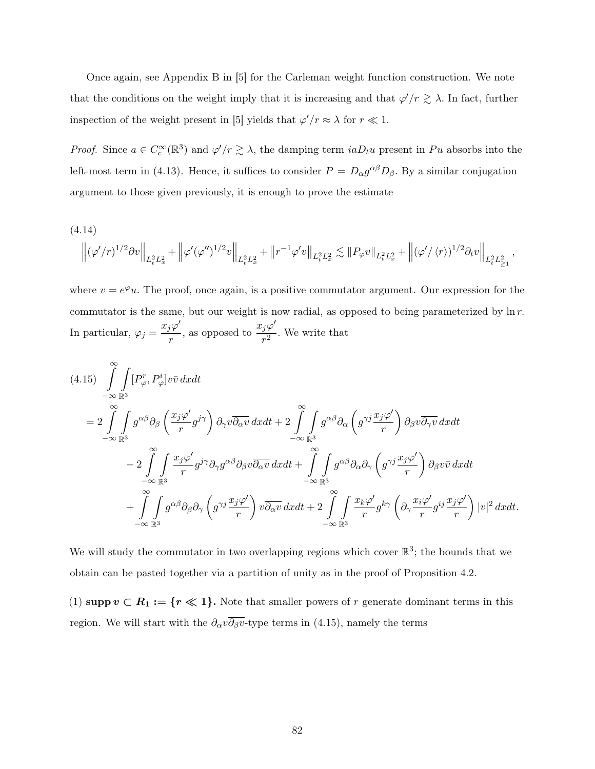Once again, see Appendix B in [5] for the Carleman weight function construction. We note that the conditions on the weight imply that it is increasing and that  $\varphi'/r \gtrsim \lambda$ . In fact, further inspection of the weight present in [5] yields that  $\varphi'/r \approx \lambda$  for  $r \ll 1$ .

*Proof.* Since  $a \in C_c^{\infty}(\mathbb{R}^3)$  and  $\varphi'/r \gtrsim \lambda$ , the damping term  $iaD_tu$  present in Pu absorbs into the left-most term in (4.13). Hence, it suffices to consider  $P = D_{\alpha}g^{\alpha\beta}D_{\beta}$ . By a similar conjugation argument to those given previously, it is enough to prove the estimate

(4.14)

$$
\left\|(\varphi'/r)^{1/2}\partial v\right\|_{L^2_tL^2_x}+\left\|\varphi'(\varphi'')^{1/2}v\right\|_{L^2_tL^2_x}+\left\|r^{-1}\varphi' v\right\|_{L^2_tL^2_x}\lesssim \|P_\varphi v\|_{L^2_tL^2_x}+\left\|(\varphi'/\left)^{1/2}\partial_t v\right\|_{L^2_tL^2_{\gtrsim^1}},
$$

where  $v = e^{\varphi}u$ . The proof, once again, is a positive commutator argument. Our expression for the commutator is the same, but our weight is now radial, as opposed to being parameterized by  $\ln r$ . In particular,  $\varphi_j = \frac{x_j \varphi'}{x_j}$  $\frac{i\varphi'}{r}$ , as opposed to  $\frac{x_j\varphi'}{r^2}$  $\frac{f^{2}}{r^{2}}$ . We write that

$$
(4.15) \int_{-\infty}^{\infty} \int_{\mathbb{R}^3} [P_{\varphi}^r, P_{\varphi}^i] v \bar{v} \, dx dt
$$
  
\n
$$
= 2 \int_{-\infty}^{\infty} \int_{\mathbb{R}^3} g^{\alpha \beta} \partial_{\beta} \left( \frac{x_j \varphi'}{r} g^{j\gamma} \right) \partial_{\gamma} v \overline{\partial_{\alpha} v} \, dx dt + 2 \int_{-\infty}^{\infty} \int_{\mathbb{R}^3} g^{\alpha \beta} \partial_{\alpha} \left( g^{\gamma j} \frac{x_j \varphi'}{r} \right) \partial_{\beta} v \overline{\partial_{\gamma} v} \, dx dt
$$
  
\n
$$
- 2 \int_{-\infty}^{\infty} \int_{\mathbb{R}^3} \frac{x_j \varphi'}{r} g^{j\gamma} \partial_{\gamma} g^{\alpha \beta} \partial_{\beta} v \overline{\partial_{\alpha} v} \, dx dt + \int_{-\infty}^{\infty} \int_{\mathbb{R}^3} g^{\alpha \beta} \partial_{\alpha} \partial_{\gamma} \left( g^{\gamma j} \frac{x_j \varphi'}{r} \right) \partial_{\beta} v \bar{v} \, dx dt
$$
  
\n
$$
+ \int_{-\infty}^{\infty} \int_{\mathbb{R}^3} g^{\alpha \beta} \partial_{\beta} \partial_{\gamma} \left( g^{\gamma j} \frac{x_j \varphi'}{r} \right) v \overline{\partial_{\alpha} v} \, dx dt + 2 \int_{-\infty}^{\infty} \int_{\mathbb{R}^3} \frac{x_k \varphi'}{r} g^{k\gamma} \left( \partial_{\gamma} \frac{x_i \varphi'}{r} g^{ij} \frac{x_j \varphi'}{r} \right) |v|^2 \, dx dt.
$$

We will study the commutator in two overlapping regions which cover  $\mathbb{R}^3$ ; the bounds that we obtain can be pasted together via a partition of unity as in the proof of Proposition 4.2.

(1) supp  $v \subset R_1 := \{r \ll 1\}$ . Note that smaller powers of r generate dominant terms in this region. We will start with the  $\partial_{\alpha}v\overline{\partial_{\beta}v}$ -type terms in (4.15), namely the terms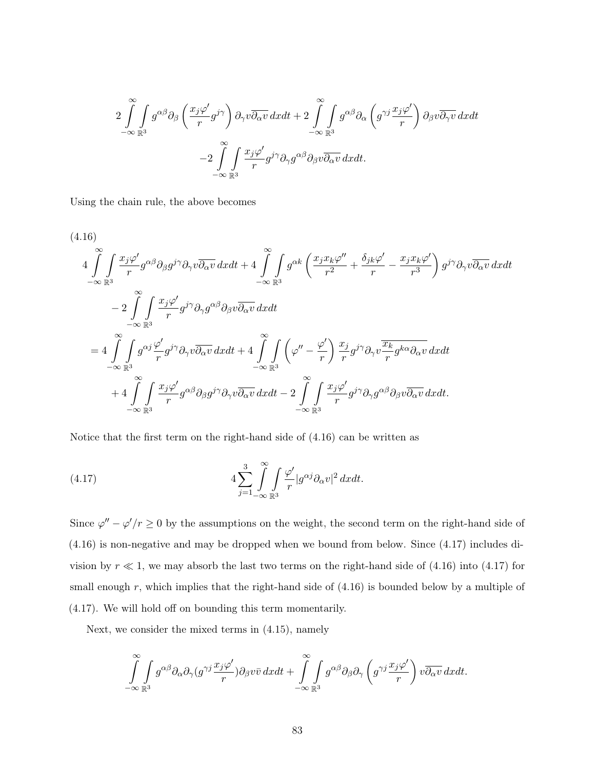$$
2\int_{-\infty}^{\infty}\int_{\mathbb{R}^3} g^{\alpha\beta}\partial_{\beta}\left(\frac{x_j\varphi'}{r}g^{j\gamma}\right)\partial_{\gamma}v\overline{\partial_{\alpha}v}\,dxdt+2\int_{-\infty}^{\infty}\int_{\mathbb{R}^3} g^{\alpha\beta}\partial_{\alpha}\left(g^{\gamma j}\frac{x_j\varphi'}{r}\right)\partial_{\beta}v\overline{\partial_{\gamma}v}\,dxdt\\ -2\int_{-\infty}^{\infty}\int_{\mathbb{R}^3} \frac{x_j\varphi'}{r}g^{j\gamma}\partial_{\gamma}g^{\alpha\beta}\partial_{\beta}v\overline{\partial_{\alpha}v}\,dxdt.
$$

Using the chain rule, the above becomes

$$
(4.16)
$$
\n
$$
4\int_{-\infty}^{\infty} \int_{\mathbb{R}^3} \frac{x_j \varphi'}{r} g^{\alpha \beta} \partial_{\beta} g^{j\gamma} \partial_{\gamma} v \overline{\partial_{\alpha} v} \, dxdt + 4 \int_{-\infty}^{\infty} \int_{\mathbb{R}^3} g^{\alpha k} \left( \frac{x_j x_k \varphi''}{r^2} + \frac{\delta_{jk} \varphi'}{r} - \frac{x_j x_k \varphi'}{r^3} \right) g^{j\gamma} \partial_{\gamma} v \overline{\partial_{\alpha} v} \, dxdt
$$
\n
$$
- 2 \int_{-\infty}^{\infty} \int_{\mathbb{R}^3} \frac{x_j \varphi'}{r} g^{j\gamma} \partial_{\gamma} g^{\alpha \beta} \partial_{\beta} v \overline{\partial_{\alpha} v} \, dxdt
$$
\n
$$
= 4 \int_{-\infty}^{\infty} \int_{\mathbb{R}^3} g^{\alpha j} \frac{\varphi'}{r} g^{j\gamma} \partial_{\gamma} v \overline{\partial_{\alpha} v} \, dxdt + 4 \int_{-\infty}^{\infty} \int_{\mathbb{R}^3} \left( \varphi'' - \frac{\varphi'}{r} \right) \frac{x_j}{r} g^{j\gamma} \partial_{\gamma} v \frac{\overline{x_k} g^{k\alpha} \partial_{\alpha} v}{r} \, dxdt
$$
\n
$$
+ 4 \int_{-\infty}^{\infty} \int_{\mathbb{R}^3} \frac{x_j \varphi'}{r} g^{\alpha \beta} \partial_{\beta} g^{j\gamma} \partial_{\gamma} v \overline{\partial_{\alpha} v} \, dxdt - 2 \int_{-\infty}^{\infty} \int_{\mathbb{R}^3} \frac{x_j \varphi'}{r} g^{j\gamma} \partial_{\gamma} g^{\alpha \beta} \partial_{\beta} v \overline{\partial_{\alpha} v} \, dxdt.
$$

Notice that the first term on the right-hand side of (4.16) can be written as

(4.17) 
$$
4\sum_{j=1}^{3}\int_{-\infty}^{\infty}\int_{\mathbb{R}^{3}}\frac{\varphi'}{r}|g^{\alpha j}\partial_{\alpha}v|^{2}dxdt.
$$

Since  $\varphi'' - \varphi'/r \ge 0$  by the assumptions on the weight, the second term on the right-hand side of (4.16) is non-negative and may be dropped when we bound from below. Since (4.17) includes division by  $r \ll 1$ , we may absorb the last two terms on the right-hand side of (4.16) into (4.17) for small enough  $r$ , which implies that the right-hand side of  $(4.16)$  is bounded below by a multiple of (4.17). We will hold off on bounding this term momentarily.

Next, we consider the mixed terms in (4.15), namely

$$
\int_{-\infty}^{\infty}\int_{\mathbb{R}^3}g^{\alpha\beta}\partial_{\alpha}\partial_{\gamma}(g^{\gamma j}\frac{x_j\varphi'}{r})\partial_{\beta}v\bar{v}\,dxdt+\int_{-\infty}^{\infty}\int_{\mathbb{R}^3}g^{\alpha\beta}\partial_{\beta}\partial_{\gamma}\left(g^{\gamma j}\frac{x_j\varphi'}{r}\right)v\overline{\partial_{\alpha}v}\,dxdt.
$$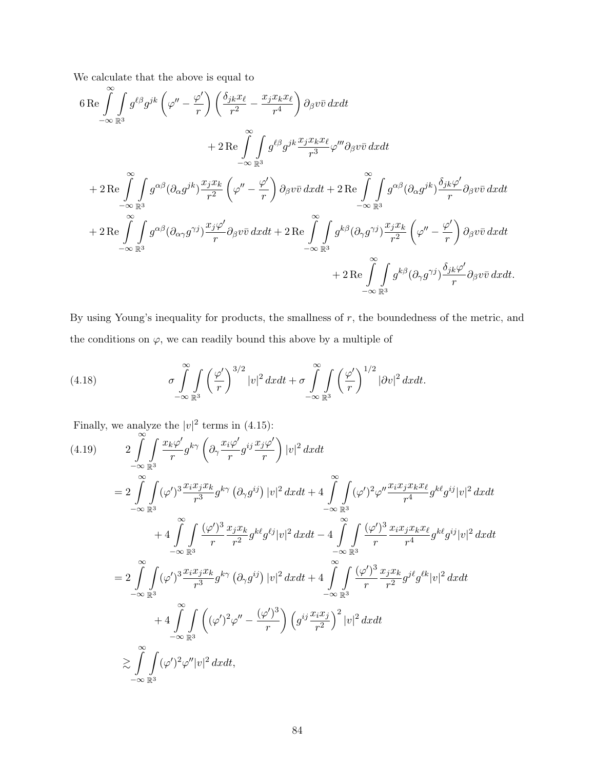We calculate that the above is equal to

$$
6 \text{Re} \int_{-\infty}^{\infty} \int_{\mathbb{R}^3} g^{\ell\beta} g^{jk} \left( \varphi'' - \frac{\varphi'}{r} \right) \left( \frac{\delta_{jk} x_{\ell}}{r^2} - \frac{x_j x_k x_{\ell}}{r^4} \right) \partial_{\beta} v \bar{v} \, dx dt + 2 \text{Re} \int_{-\infty}^{\infty} \int_{\mathbb{R}^3} g^{\ell\beta} g^{jk} \frac{x_j x_k x_{\ell}}{r^3} \varphi''' \partial_{\beta} v \bar{v} \, dx dt + 2 \text{Re} \int_{-\infty}^{\infty} \int_{\mathbb{R}^3} g^{\alpha\beta} (\partial_{\alpha} g^{jk}) \frac{x_j x_k}{r^2} \left( \varphi'' - \frac{\varphi'}{r} \right) \partial_{\beta} v \bar{v} \, dx dt + 2 \text{Re} \int_{-\infty}^{\infty} \int_{\mathbb{R}^3} g^{\alpha\beta} (\partial_{\alpha} g^{jk}) \frac{\delta_{jk} \varphi'}{r} \partial_{\beta} v \bar{v} \, dx dt + 2 \text{Re} \int_{-\infty}^{\infty} \int_{\mathbb{R}^3} g^{\alpha\beta} (\partial_{\alpha\gamma} g^{\gamma j}) \frac{x_j \varphi'}{r} \partial_{\beta} v \bar{v} \, dx dt + 2 \text{Re} \int_{-\infty}^{\infty} \int_{\mathbb{R}^3} g^{k\beta} (\partial_{\gamma} g^{\gamma j}) \frac{x_j x_k}{r^2} \left( \varphi'' - \frac{\varphi'}{r} \right) \partial_{\beta} v \bar{v} \, dx dt + 2 \text{Re} \int_{-\infty}^{\infty} \int_{\mathbb{R}^3} g^{k\beta} (\partial_{\gamma} g^{\gamma j}) \frac{\delta_{jk} \varphi'}{r} \partial_{\beta} v \bar{v} \, dx dt.
$$

By using Young's inequality for products, the smallness of  $r$ , the boundedness of the metric, and the conditions on  $\varphi$ , we can readily bound this above by a multiple of

(4.18) 
$$
\sigma \int_{-\infty}^{\infty} \int_{\mathbb{R}^3} \left(\frac{\varphi'}{r}\right)^{3/2} |v|^2 dx dt + \sigma \int_{-\infty}^{\infty} \int_{\mathbb{R}^3} \left(\frac{\varphi'}{r}\right)^{1/2} |\partial v|^2 dx dt.
$$

Finally, we analyze the  $|v|^2$  terms in (4.15):

$$
(4.19) \qquad 2 \int_{-\infty}^{\infty} \int_{\mathbb{R}^3} \frac{x_k \varphi'}{r} g^{k\gamma} \left( \partial_\gamma \frac{x_i \varphi'}{r} g^{ij} \frac{x_j \varphi'}{r} \right) |v|^2 dx dt
$$
\n
$$
= 2 \int_{-\infty}^{\infty} \int_{\mathbb{R}^3} (\varphi')^3 \frac{x_i x_j x_k}{r^3} g^{k\gamma} (\partial_\gamma g^{ij}) |v|^2 dx dt + 4 \int_{-\infty}^{\infty} \int_{\mathbb{R}^3} (\varphi')^2 \varphi'' \frac{x_i x_j x_k x_\ell}{r^4} g^{k\ell} g^{ij} |v|^2 dx dt
$$
\n
$$
+ 4 \int_{-\infty}^{\infty} \int_{\mathbb{R}^3} \frac{(\varphi')^3}{r} \frac{x_j x_k}{r^2} g^{k\ell} g^{\ell j} |v|^2 dx dt - 4 \int_{-\infty}^{\infty} \int_{\mathbb{R}^3} \frac{(\varphi')^3}{r} \frac{x_i x_j x_k x_\ell}{r^4} g^{k\ell} g^{ij} |v|^2 dx dt
$$
\n
$$
= 2 \int_{-\infty}^{\infty} \int_{\mathbb{R}^3} (\varphi')^3 \frac{x_i x_j x_k}{r^3} g^{k\gamma} (\partial_\gamma g^{ij}) |v|^2 dx dt + 4 \int_{-\infty}^{\infty} \int_{\mathbb{R}^3} \frac{(\varphi')^3}{r} \frac{x_j x_k}{r^2} g^{j\ell} g^{k\ell} |v|^2 dx dt
$$
\n
$$
+ 4 \int_{-\infty}^{\infty} \int_{\mathbb{R}^3} ((\varphi')^2 \varphi'' - \frac{(\varphi')^3}{r}) \left( g^{ij} \frac{x_i x_j}{r^2} \right)^2 |v|^2 dx dt
$$
\n
$$
\geq \int_{-\infty}^{\infty} \int_{\mathbb{R}^3} (\varphi')^2 \varphi'' |v|^2 dx dt,
$$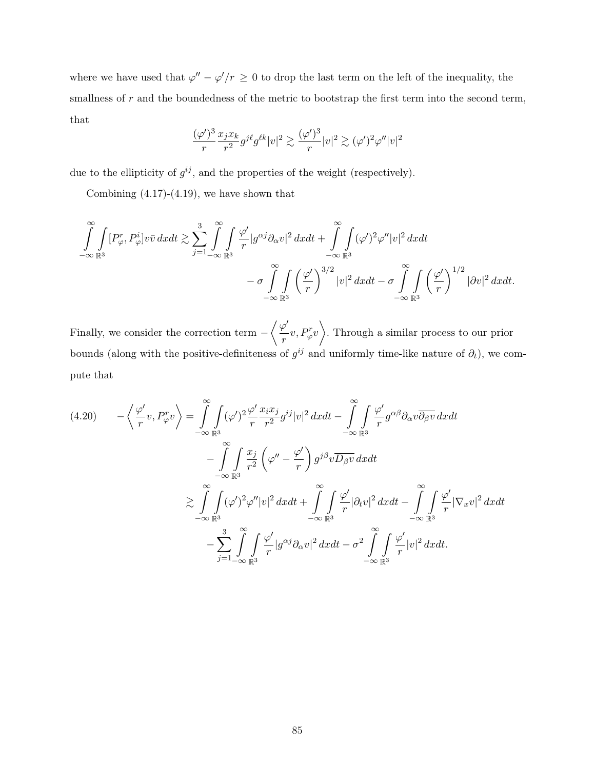where we have used that  $\varphi'' - \varphi'/r \geq 0$  to drop the last term on the left of the inequality, the smallness of  $r$  and the boundedness of the metric to bootstrap the first term into the second term, that

$$
\frac{(\varphi')^3}{r} \frac{x_j x_k}{r^2} g^{j\ell} g^{\ell k} |v|^2 \gtrsim \frac{(\varphi')^3}{r} |v|^2 \gtrsim (\varphi')^2 \varphi'' |v|^2
$$

due to the ellipticity of  $g^{ij}$ , and the properties of the weight (respectively).

Combining  $(4.17)-(4.19)$ , we have shown that

$$
\int_{-\infty}^{\infty} \int_{\mathbb{R}^3} [P_{\varphi}^r, P_{\varphi}^i] v \bar{v} \, dx dt \gtrsim \sum_{j=1}^3 \int_{-\infty}^{\infty} \int_{\mathbb{R}^3} \frac{\varphi'}{r} |g^{\alpha j} \partial_{\alpha} v|^2 \, dx dt + \int_{-\infty}^{\infty} \int_{\mathbb{R}^3} (\varphi')^2 \varphi'' |v|^2 \, dx dt - \sigma \int_{-\infty}^{\infty} \int_{\mathbb{R}^3} (\frac{\varphi'}{r})^{3/2} |v|^2 \, dx dt - \sigma \int_{-\infty}^{\infty} \int_{\mathbb{R}^3} (\frac{\varphi'}{r})^{1/2} |\partial v|^2 \, dx dt.
$$

Finally, we consider the correction term  $-\left\langle \frac{\varphi'}{2}\right\rangle$  $\left\langle \frac{\rho'}{r}v, P_{\varphi}^{r}v \right\rangle$ . Through a similar process to our prior bounds (along with the positive-definiteness of  $g^{ij}$  and uniformly time-like nature of  $\partial_t$ ), we compute that

$$
(4.20) \qquad -\left\langle \frac{\varphi'}{r}v, P_{\varphi}^{r}v \right\rangle = \int_{-\infty}^{\infty} \int_{\mathbb{R}^{3}} (\varphi')^{2} \frac{\varphi'}{r} \frac{x_{i}x_{j}}{r^{2}} g^{ij} |v|^{2} dx dt - \int_{-\infty}^{\infty} \int_{\mathbb{R}^{3}} \frac{\varphi'}{r} g^{\alpha\beta} \partial_{\alpha} v \overline{\partial_{\beta} v} dx dt -\int_{-\infty}^{\infty} \int_{\mathbb{R}^{3}} \frac{x_{j}}{r^{2}} \left( \varphi'' - \frac{\varphi'}{r} \right) g^{j\beta} v \overline{D_{\beta} v} dx dt \geq \int_{-\infty}^{\infty} \int_{\mathbb{R}^{3}} (\varphi')^{2} \varphi'' |v|^{2} dx dt + \int_{-\infty}^{\infty} \int_{\mathbb{R}^{3}} \frac{\varphi'}{r} |\partial_{t} v|^{2} dx dt - \int_{-\infty}^{\infty} \int_{\mathbb{R}^{3}} \frac{\varphi'}{r} |\nabla_{x} v|^{2} dx dt -\frac{3}{\infty} \int_{\mathbb{R}^{3}} \int_{\mathbb{R}^{3}} \frac{\varphi'}{r} |g^{\alpha j} \partial_{\alpha} v|^{2} dx dt - \sigma^{2} \int_{-\infty}^{\infty} \int_{\mathbb{R}^{3}} \frac{\varphi'}{r} |v|^{2} dx dt.
$$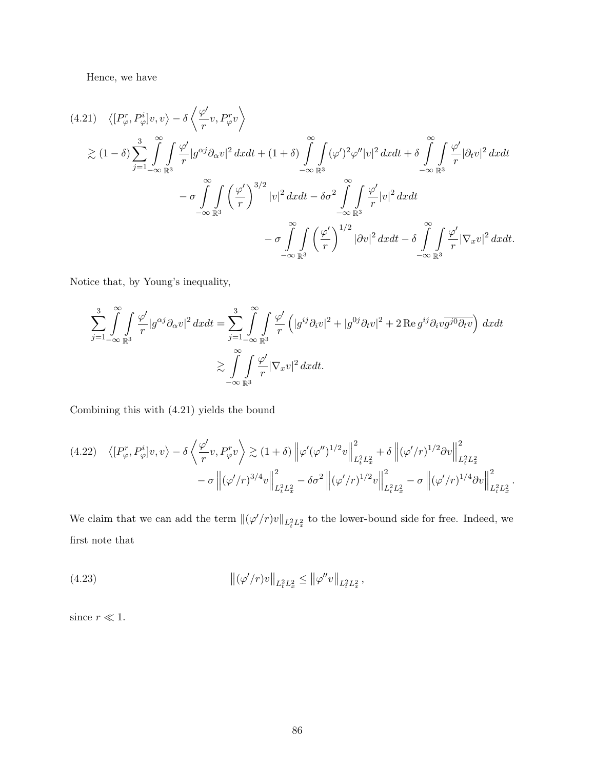Hence, we have

$$
(4.21) \langle [P_{\varphi}^{r}, P_{\varphi}^{i}]v, v \rangle - \delta \langle \frac{\varphi'}{r}v, P_{\varphi}^{r}v \rangle
$$
  
\n
$$
\geq (1 - \delta) \sum_{j=1}^{3} \int_{-\infty}^{\infty} \int_{\mathbb{R}^{3}} \frac{\varphi'}{r} |g^{\alpha j} \partial_{\alpha} v|^{2} dxdt + (1 + \delta) \int_{-\infty}^{\infty} \int_{\mathbb{R}^{3}} (\varphi')^{2} \varphi'' |v|^{2} dxdt + \delta \int_{-\infty}^{\infty} \int_{\mathbb{R}^{3}} \frac{\varphi'}{r} |\partial_{t} v|^{2} dxdt
$$
  
\n
$$
- \sigma \int_{-\infty}^{\infty} \int_{\mathbb{R}^{3}} (\frac{\varphi'}{r})^{3/2} |v|^{2} dxdt - \delta \sigma^{2} \int_{-\infty}^{\infty} \int_{\mathbb{R}^{3}} \frac{\varphi'}{r} |v|^{2} dxdt
$$
  
\n
$$
- \sigma \int_{-\infty}^{\infty} \int_{\mathbb{R}^{3}} (\frac{\varphi'}{r})^{1/2} |\partial v|^{2} dxdt - \delta \int_{-\infty}^{\infty} \int_{\mathbb{R}^{3}} \frac{\varphi'}{r} |\nabla_{x} v|^{2} dxdt.
$$

Notice that, by Young's inequality,

$$
\sum_{j=1}^{3} \int_{-\infty}^{\infty} \int_{\mathbb{R}^3} \frac{\varphi'}{r} |g^{\alpha j} \partial_{\alpha} v|^2 dx dt = \sum_{j=1}^{3} \int_{-\infty}^{\infty} \int_{\mathbb{R}^3} \frac{\varphi'}{r} \left( |g^{ij} \partial_i v|^2 + |g^{0j} \partial_t v|^2 + 2 \operatorname{Re} g^{ij} \partial_i v \overline{g^{j0} \partial_t v} \right) dx dt
$$
  

$$
\geq \int_{-\infty}^{\infty} \int_{\mathbb{R}^3} \frac{\varphi'}{r} |\nabla_x v|^2 dx dt.
$$

Combining this with (4.21) yields the bound

$$
(4.22) \quad \langle [P^r_{\varphi}, P^i_{\varphi}]v, v \rangle - \delta \left\langle \frac{\varphi'}{r}v, P^r_{\varphi}v \right\rangle \gtrsim (1+\delta) \left\| \varphi'(\varphi'')^{1/2}v \right\|_{L_t^2 L_x^2}^2 + \delta \left\| (\varphi'/r)^{1/2} \partial v \right\|_{L_t^2 L_x^2}^2 - \sigma \left\| (\varphi'/r)^{3/4}v \right\|_{L_t^2 L_x^2}^2 - \delta \sigma^2 \left\| (\varphi'/r)^{1/2}v \right\|_{L_t^2 L_x^2}^2 - \sigma \left\| (\varphi'/r)^{1/4} \partial v \right\|_{L_t^2 L_x^2}^2.
$$

We claim that we can add the term  $\|(\varphi'/r)v\|_{L^2_tL^2_x}$  to the lower-bound side for free. Indeed, we first note that

(4.23) 
$$
\|(\varphi'/r)v\|_{L_t^2 L_x^2} \le \|\varphi''v\|_{L_t^2 L_x^2},
$$

since  $r \ll 1$ .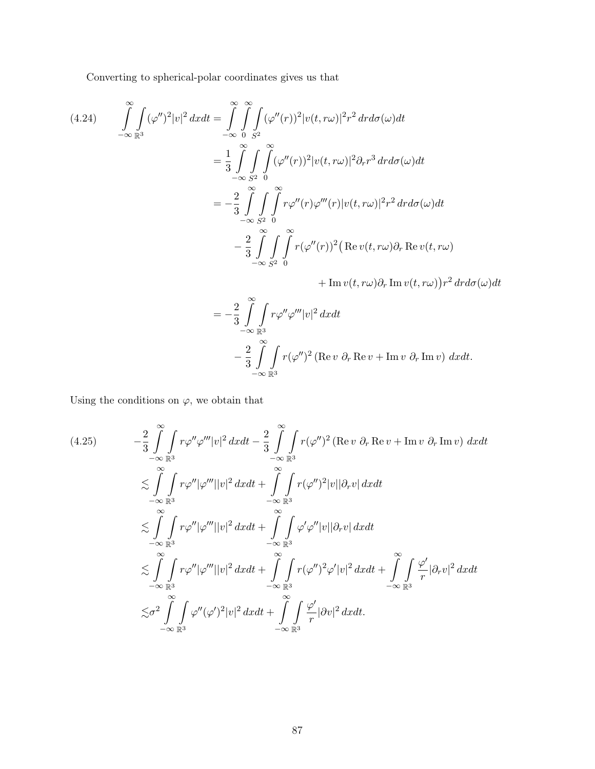Converting to spherical-polar coordinates gives us that

(4.24) 
$$
\int_{-\infty}^{\infty} \int_{\mathbb{R}^3} (\varphi'')^2 |v|^2 dx dt = \int_{-\infty}^{\infty} \int_{0}^{\infty} \int_{S^2} (\varphi''(r))^2 |v(t, r\omega)|^2 r^2 dr d\sigma(\omega) dt
$$

$$
= \frac{1}{3} \int_{-\infty}^{\infty} \int_{S^2}^{\infty} \int_{0}^{\infty} (\varphi''(r))^2 |v(t, r\omega)|^2 \partial_r r^3 dr d\sigma(\omega) dt
$$

$$
= -\frac{2}{3} \int_{-\infty}^{\infty} \int_{S^2} \int_{0}^{\infty} r \varphi''(r) \varphi'''(r) |v(t, r\omega)|^2 r^2 dr d\sigma(\omega) dt
$$

$$
- \frac{2}{3} \int_{-\infty}^{\infty} \int_{S^2}^{\infty} \int_{0}^{\infty} r (\varphi''(r))^2 (\text{Re } v(t, r\omega) \partial_r \text{Re } v(t, r\omega))
$$

 $+\mathop{\rm Im}\nolimits v(t,r\omega)\partial_r\mathop{\rm Im}\nolimits v(t,r\omega)\bigl)r^2\,drd\sigma(\omega)dt$ 

$$
= -\frac{2}{3} \int_{-\infty}^{\infty} \int_{\mathbb{R}^3} r \varphi'' \varphi''' |v|^2 dx dt
$$
  

$$
- \frac{2}{3} \int_{-\infty}^{\infty} \int_{\mathbb{R}^3} r (\varphi'')^2 (\text{Re } v \partial_r \text{Re } v + \text{Im } v \partial_r \text{Im } v) dx dt.
$$

Using the conditions on  $\varphi$ , we obtain that

$$
(4.25) \qquad -\frac{2}{3} \int_{-\infty}^{\infty} \int_{\mathbb{R}^3} r \varphi'' \varphi''' |v|^2 dx dt - \frac{2}{3} \int_{-\infty}^{\infty} \int_{\mathbb{R}^3} r (\varphi'')^2 (\text{Re} \, v \, \partial_r \, \text{Re} \, v + \text{Im} \, v \, \partial_r \, \text{Im} \, v) \, dx dt
$$
  
\n
$$
\lesssim \int_{-\infty}^{\infty} \int_{\mathbb{R}^3} r \varphi'' |\varphi'''| |v|^2 dx dt + \int_{-\infty}^{\infty} \int_{\mathbb{R}^3} r (\varphi'')^2 |v| |\partial_r v| dx dt
$$
  
\n
$$
\lesssim \int_{-\infty}^{\infty} \int_{\mathbb{R}^3} r \varphi'' |\varphi'''| |v|^2 dx dt + \int_{-\infty}^{\infty} \int_{\mathbb{R}^3} \varphi' \varphi'' |v| |\partial_r v| dx dt
$$
  
\n
$$
\lesssim \int_{-\infty}^{\infty} \int_{\mathbb{R}^3} r \varphi'' |\varphi'''| |v|^2 dx dt + \int_{-\infty}^{\infty} \int_{\mathbb{R}^3} r (\varphi'')^2 \varphi' |v|^2 dx dt + \int_{-\infty}^{\infty} \int_{\mathbb{R}^3} \frac{\varphi'}{r} |\partial_r v|^2 dx dt
$$
  
\n
$$
\lesssim \sigma^2 \int_{-\infty}^{\infty} \int_{\mathbb{R}^3} \varphi'' (\varphi')^2 |v|^2 dx dt + \int_{-\infty}^{\infty} \int_{\mathbb{R}^3} \frac{\varphi'}{r} |\partial v|^2 dx dt.
$$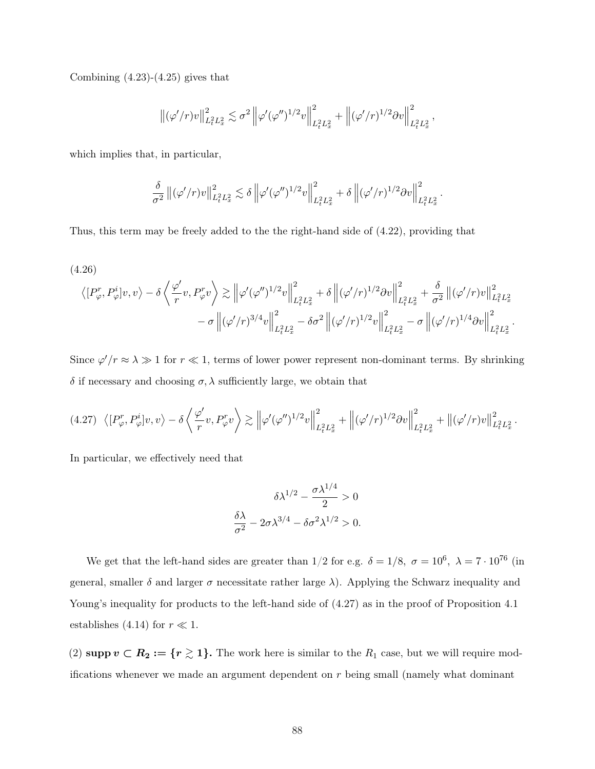Combining  $(4.23)-(4.25)$  gives that

$$
\left\|(\varphi'/r) v\right\|_{L_t^2 L_x^2}^2 \lesssim \sigma^2 \left\|\varphi'(\varphi'')^{1/2} v\right\|_{L_t^2 L_x^2}^2 + \left\|(\varphi'/r)^{1/2} \partial v\right\|_{L_t^2 L_x^2}^2,
$$

which implies that, in particular,

$$
\frac{\delta}{\sigma^2} ||(\varphi'/r)v||^2_{L^2_t L^2_x} \lesssim \delta \left\| \varphi'(\varphi'')^{1/2}v \right\|_{L^2_t L^2_x}^2 + \delta \left\| (\varphi'/r)^{1/2} \partial v \right\|_{L^2_t L^2_x}^2.
$$

Thus, this term may be freely added to the the right-hand side of (4.22), providing that

(4.26)  
\n
$$
\langle [P_{\varphi}^{r}, P_{\varphi}^{i}]v, v \rangle - \delta \langle \frac{\varphi'}{r}v, P_{\varphi}^{r}v \rangle \gtrsim ||\varphi'(\varphi'')^{1/2}v||_{L_{t}^{2}L_{x}^{2}}^{2} + \delta ||(\varphi'/r)^{1/2}\partial v||_{L_{t}^{2}L_{x}^{2}}^{2} + \frac{\delta}{\sigma^{2}} ||(\varphi'/r)v||_{L_{t}^{2}L_{x}^{2}}^{2} - \sigma ||(\varphi'/r)^{3/4}v||_{L_{t}^{2}L_{x}^{2}}^{2} - \delta \sigma^{2} ||(\varphi'/r)^{1/2}v||_{L_{t}^{2}L_{x}^{2}}^{2} - \sigma ||(\varphi'/r)^{1/4}\partial v||_{L_{t}^{2}L_{x}^{2}}^{2}.
$$

Since  $\varphi'/r \approx \lambda \gg 1$  for  $r \ll 1$ , terms of lower power represent non-dominant terms. By shrinking δ if necessary and choosing σ, λ sufficiently large, we obtain that

$$
(4.27) \left\langle [P_{\varphi}^r, P_{\varphi}^i]v, v \right\rangle - \delta \left\langle \frac{\varphi'}{r}v, P_{\varphi}^rv \right\rangle \gtrsim \left\| \varphi'(\varphi'')^{1/2}v \right\|_{L_t^2 L_x^2}^2 + \left\| (\varphi'/r)^{1/2} \partial v \right\|_{L_t^2 L_x^2}^2 + \left\| (\varphi'/r)v \right\|_{L_t^2 L_x^2}^2.
$$

In particular, we effectively need that

$$
\delta \lambda^{1/2} - \frac{\sigma \lambda^{1/4}}{2} > 0
$$

$$
\frac{\delta \lambda}{\sigma^2} - 2\sigma \lambda^{3/4} - \delta \sigma^2 \lambda^{1/2} > 0.
$$

We get that the left-hand sides are greater than  $1/2$  for e.g.  $\delta = 1/8$ ,  $\sigma = 10^6$ ,  $\lambda = 7 \cdot 10^{76}$  (in general, smaller  $\delta$  and larger  $\sigma$  necessitate rather large  $\lambda$ ). Applying the Schwarz inequality and Young's inequality for products to the left-hand side of  $(4.27)$  as in the proof of Proposition 4.1 establishes (4.14) for  $r \ll 1$ .

(2) supp  $v \subset R_2 := \{r \geq 1\}$ . The work here is similar to the  $R_1$  case, but we will require modifications whenever we made an argument dependent on r being small (namely what dominant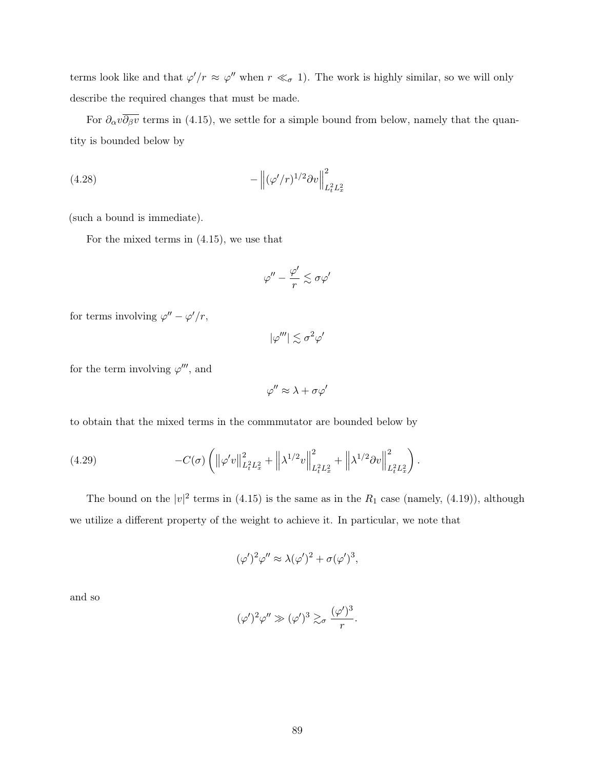terms look like and that  $\varphi'/r \approx \varphi''$  when  $r \ll_{\sigma} 1$ ). The work is highly similar, so we will only describe the required changes that must be made.

For  $\partial_{\alpha}v\overline{\partial_{\beta}v}$  terms in (4.15), we settle for a simple bound from below, namely that the quantity is bounded below by

(4.28) 
$$
- \left\| (\varphi'/r)^{1/2} \partial v \right\|_{L_t^2 L_x^2}^2
$$

(such a bound is immediate).

For the mixed terms in (4.15), we use that

$$
\varphi'' - \frac{\varphi'}{r} \lesssim \sigma \varphi'
$$

for terms involving  $\varphi'' - \varphi'/r$ ,

 $|\varphi'''| \lesssim \sigma^2 \varphi'$ 

for the term involving  $\varphi'''$ , and

$$
\varphi'' \approx \lambda + \sigma \varphi'
$$

to obtain that the mixed terms in the commmutator are bounded below by

(4.29) 
$$
-C(\sigma) \left( \left\| \varphi' v \right\|_{L_t^2 L_x^2}^2 + \left\| \lambda^{1/2} v \right\|_{L_t^2 L_x^2}^2 + \left\| \lambda^{1/2} \partial v \right\|_{L_t^2 L_x^2}^2 \right).
$$

The bound on the  $|v|^2$  terms in (4.15) is the same as in the  $R_1$  case (namely, (4.19)), although we utilize a different property of the weight to achieve it. In particular, we note that

$$
(\varphi')^2 \varphi'' \approx \lambda (\varphi')^2 + \sigma (\varphi')^3,
$$

and so

$$
(\varphi')^2 \varphi'' \gg (\varphi')^3 \gtrsim_{\sigma} \frac{(\varphi')^3}{r}.
$$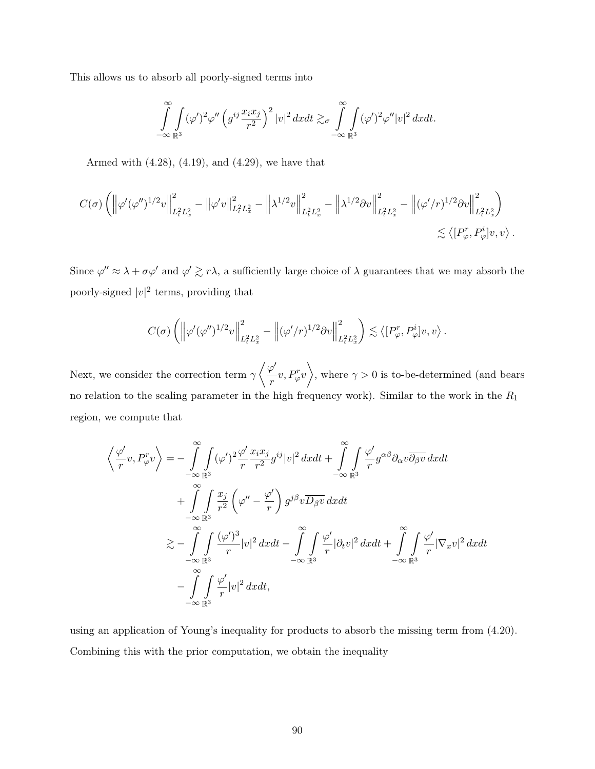This allows us to absorb all poorly-signed terms into

$$
\int_{-\infty}^{\infty}\int_{\mathbb{R}^3}(\varphi')^2\varphi''\left(g^{ij}\frac{x_ix_j}{r^2}\right)^2|v|^2 dxdt \gtrsim_{\sigma}\int_{-\infty}^{\infty}\int_{\mathbb{R}^3}(\varphi')^2\varphi''|v|^2 dxdt.
$$

Armed with (4.28), (4.19), and (4.29), we have that

$$
C(\sigma) \left( \left\| \varphi'(\varphi'')^{1/2} v \right\|_{L_t^2 L_x^2}^2 - \left\| \varphi' v \right\|_{L_t^2 L_x^2}^2 - \left\| \lambda^{1/2} v \right\|_{L_t^2 L_x^2}^2 - \left\| \lambda^{1/2} \partial v \right\|_{L_t^2 L_x^2}^2 - \left\| (\varphi'/r)^{1/2} \partial v \right\|_{L_t^2 L_x^2}^2 \right) \lesssim \left\langle [P_\varphi^r, P_\varphi^i] v, v \right\rangle.
$$

Since  $\varphi'' \approx \lambda + \sigma \varphi'$  and  $\varphi' \gtrsim r\lambda$ , a sufficiently large choice of  $\lambda$  guarantees that we may absorb the poorly-signed  $|v|^2$  terms, providing that

$$
C(\sigma) \left( \left\| \varphi'(\varphi'')^{1/2} v \right\|_{L^2_t L^2_x}^2 - \left\| (\varphi'/r)^{1/2} \partial v \right\|_{L^2_t L^2_x}^2 \right) \lesssim \left\langle [P_\varphi^r, P_\varphi^i] v, v \right\rangle.
$$

Next, we consider the correction term  $\gamma \langle \frac{\varphi'}{|\varphi'|}$  $\left\langle \frac{\rho'}{r}v,P_{\varphi}^{r}v\right\rangle$ , where  $\gamma>0$  is to-be-determined (and bears no relation to the scaling parameter in the high frequency work). Similar to the work in the  $R_1$ region, we compute that

$$
\left\langle \frac{\varphi'}{r}v, P_{\varphi}^{r}v \right\rangle = -\int_{-\infty}^{\infty} \int_{\mathbb{R}^{3}} (\varphi')^{2} \frac{\varphi'}{r} \frac{x_{i}x_{j}}{r^{2}} g^{ij}|v|^{2} dx dt + \int_{-\infty}^{\infty} \int_{\mathbb{R}^{3}} \frac{\varphi'}{r} g^{\alpha\beta} \partial_{\alpha} v \overline{\partial_{\beta} v} dx dt + \int_{-\infty}^{\infty} \int_{\mathbb{R}^{3}} \frac{x_{j}}{r^{2}} \left( \varphi'' - \frac{\varphi'}{r} \right) g^{j\beta} v \overline{D_{\beta} v} dx dt \n\gtrsim -\int_{-\infty}^{\infty} \int_{\mathbb{R}^{3}} \frac{(\varphi')^{3}}{r} |v|^{2} dx dt - \int_{-\infty}^{\infty} \int_{\mathbb{R}^{3}} \frac{\varphi'}{r} |\partial_{t} v|^{2} dx dt + \int_{-\infty}^{\infty} \int_{\mathbb{R}^{3}} \frac{\varphi'}{r} |\nabla_{x} v|^{2} dx dt - \int_{-\infty}^{\infty} \int_{\mathbb{R}^{3}} \frac{\varphi'}{r} |v|^{2} dx dt,
$$

using an application of Young's inequality for products to absorb the missing term from (4.20). Combining this with the prior computation, we obtain the inequality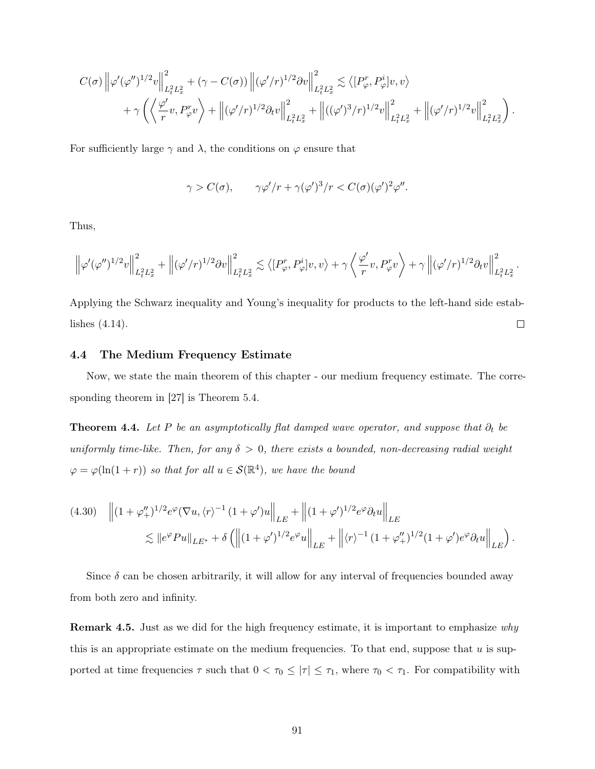$$
C(\sigma) \left\| \varphi'(\varphi'')^{1/2} v \right\|_{L_t^2 L_x^2}^2 + (\gamma - C(\sigma)) \left\| (\varphi'/r)^{1/2} \partial v \right\|_{L_t^2 L_x^2}^2 \lesssim \left\langle [P_{\varphi}^r, P_{\varphi}^i] v, v \right\rangle + \gamma \left( \left\langle \frac{\varphi'}{r} v, P_{\varphi}^r v \right\rangle + \left\| (\varphi'/r)^{1/2} \partial_t v \right\|_{L_t^2 L_x^2}^2 + \left\| ((\varphi')^3/r)^{1/2} v \right\|_{L_t^2 L_x^2}^2 + \left\| (\varphi'/r)^{1/2} v \right\|_{L_t^2 L_x^2}^2 \right).
$$

For sufficiently large  $\gamma$  and  $\lambda$ , the conditions on  $\varphi$  ensure that

$$
\gamma > C(\sigma), \qquad \gamma \varphi'/r + \gamma (\varphi')^3/r < C(\sigma)(\varphi')^2 \varphi''.
$$

Thus,

$$
\left\| \varphi'(\varphi'')^{1/2} v \right\|_{L_t^2 L_x^2}^2 + \left\| (\varphi'/r)^{1/2} \partial v \right\|_{L_t^2 L_x^2}^2 \lesssim \left\langle [P_\varphi^r, P_\varphi^i] v, v \right\rangle + \gamma \left\langle \frac{\varphi'}{r} v, P_\varphi^r v \right\rangle + \gamma \left\| (\varphi'/r)^{1/2} \partial_t v \right\|_{L_t^2 L_x^2}^2.
$$

Applying the Schwarz inequality and Young's inequality for products to the left-hand side establishes (4.14).  $\Box$ 

### 4.4 The Medium Frequency Estimate

Now, we state the main theorem of this chapter - our medium frequency estimate. The corresponding theorem in [27] is Theorem 5.4.

Theorem 4.4. Let P be an asymptotically flat damped wave operator, and suppose that  $\partial_t$  be uniformly time-like. Then, for any  $\delta > 0$ , there exists a bounded, non-decreasing radial weight  $\varphi = \varphi(\ln(1+r))$  so that for all  $u \in \mathcal{S}(\mathbb{R}^4)$ , we have the bound

$$
(4.30) \quad \left\| (1+\varphi_{+}^{\prime\prime})^{1/2} e^{\varphi} (\nabla u, \langle r \rangle^{-1} (1+\varphi^{\prime}) u \right\|_{LE} + \left\| (1+\varphi^{\prime})^{1/2} e^{\varphi} \partial_t u \right\|_{LE}
$$
  

$$
\lesssim \| e^{\varphi} Pu \|_{LE^*} + \delta \left( \left\| (1+\varphi^{\prime})^{1/2} e^{\varphi} u \right\|_{LE} + \left\| \langle r \rangle^{-1} (1+\varphi_{+}^{\prime\prime})^{1/2} (1+\varphi^{\prime}) e^{\varphi} \partial_t u \right\|_{LE} \right).
$$

Since  $\delta$  can be chosen arbitrarily, it will allow for any interval of frequencies bounded away from both zero and infinity.

**Remark 4.5.** Just as we did for the high frequency estimate, it is important to emphasize why this is an appropriate estimate on the medium frequencies. To that end, suppose that  $u$  is supported at time frequencies  $\tau$  such that  $0 < \tau_0 \leq |\tau| \leq \tau_1$ , where  $\tau_0 < \tau_1$ . For compatibility with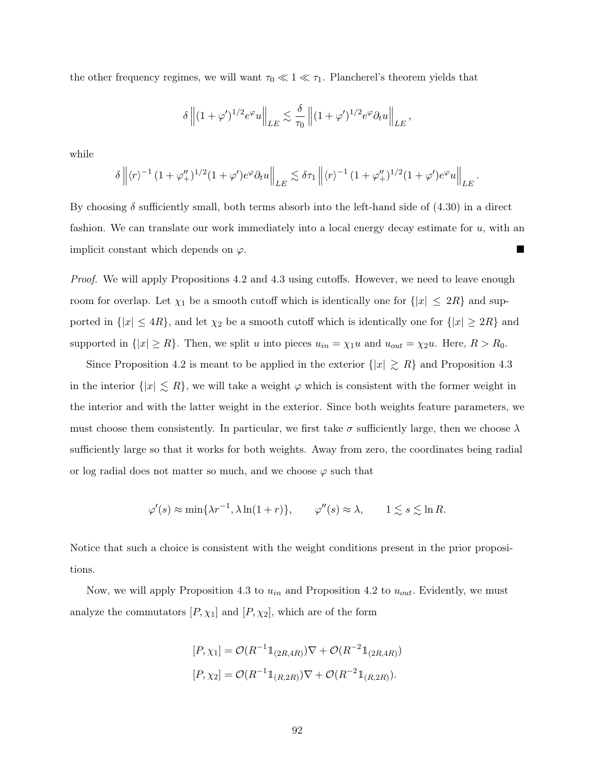the other frequency regimes, we will want  $\tau_0 \ll 1 \ll \tau_1$ . Plancherel's theorem yields that

$$
\delta \left\| (1+\varphi')^{1/2} e^{\varphi} u \right\|_{LE} \lesssim \frac{\delta}{\tau_0} \left\| (1+\varphi')^{1/2} e^{\varphi} \partial_t u \right\|_{LE},
$$

while

$$
\delta \left\| \langle r \rangle^{-1} \left( 1 + \varphi_+'' \right)^{1/2} \left( 1 + \varphi' \right) e^{\varphi} \partial_t u \right\|_{LE} \lesssim \delta \tau_1 \left\| \langle r \rangle^{-1} \left( 1 + \varphi_+'' \right)^{1/2} \left( 1 + \varphi' \right) e^{\varphi} u \right\|_{LE}.
$$

By choosing  $\delta$  sufficiently small, both terms absorb into the left-hand side of (4.30) in a direct fashion. We can translate our work immediately into a local energy decay estimate for  $u$ , with an implicit constant which depends on  $\varphi$ .

Proof. We will apply Propositions 4.2 and 4.3 using cutoffs. However, we need to leave enough room for overlap. Let  $\chi_1$  be a smooth cutoff which is identically one for  $\{|x| \leq 2R\}$  and supported in  $\{|x| \leq 4R\}$ , and let  $\chi_2$  be a smooth cutoff which is identically one for  $\{|x| \geq 2R\}$  and supported in  $\{|x| \ge R\}$ . Then, we split u into pieces  $u_{in} = \chi_1 u$  and  $u_{out} = \chi_2 u$ . Here,  $R > R_0$ .

Since Proposition 4.2 is meant to be applied in the exterior  $\{|x| \ge R\}$  and Proposition 4.3 in the interior  $\{|x| \leq R\}$ , we will take a weight  $\varphi$  which is consistent with the former weight in the interior and with the latter weight in the exterior. Since both weights feature parameters, we must choose them consistently. In particular, we first take  $\sigma$  sufficiently large, then we choose  $\lambda$ sufficiently large so that it works for both weights. Away from zero, the coordinates being radial or log radial does not matter so much, and we choose  $\varphi$  such that

$$
\varphi'(s) \approx \min\{\lambda r^{-1}, \lambda \ln(1+r)\}, \qquad \varphi''(s) \approx \lambda, \qquad 1 \lesssim s \lesssim \ln R.
$$

Notice that such a choice is consistent with the weight conditions present in the prior propositions.

Now, we will apply Proposition 4.3 to  $u_{in}$  and Proposition 4.2 to  $u_{out}$ . Evidently, we must analyze the commutators  $[P, \chi_1]$  and  $[P, \chi_2]$ , which are of the form

$$
[P, \chi_1] = \mathcal{O}(R^{-1} \mathbb{1}_{(2R, 4R)}) \nabla + \mathcal{O}(R^{-2} \mathbb{1}_{(2R, 4R)})
$$
  

$$
[P, \chi_2] = \mathcal{O}(R^{-1} \mathbb{1}_{(R, 2R)}) \nabla + \mathcal{O}(R^{-2} \mathbb{1}_{(R, 2R)}).
$$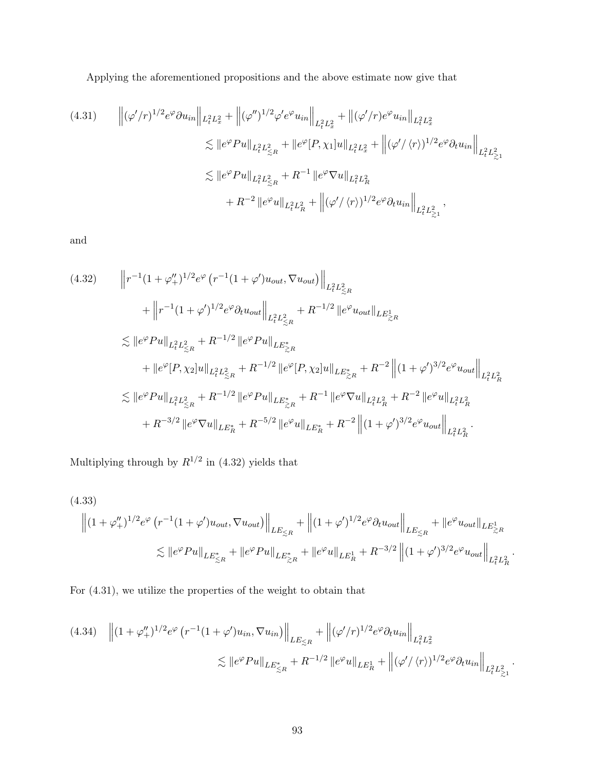Applying the aforementioned propositions and the above estimate now give that

$$
(4.31) \qquad \left\| (\varphi'/r)^{1/2} e^{\varphi} \partial u_{in} \right\|_{L_{t}^{2} L_{x}^{2}} + \left\| (\varphi'')^{1/2} \varphi' e^{\varphi} u_{in} \right\|_{L_{t}^{2} L_{x}^{2}} + \left\| (\varphi'/r) e^{\varphi} u_{in} \right\|_{L_{t}^{2} L_{x}^{2}}
$$
  
\n
$$
\lesssim \| e^{\varphi} Pu \|_{L_{t}^{2} L_{\leq R}^{2}} + \| e^{\varphi} [P, \chi_{1}] u \|_{L_{t}^{2} L_{x}^{2}} + \left\| (\varphi'/\langle r \rangle)^{1/2} e^{\varphi} \partial_{t} u_{in} \right\|_{L_{t}^{2} L_{\geq 1}^{2}}
$$
  
\n
$$
\lesssim \| e^{\varphi} Pu \|_{L_{t}^{2} L_{\leq R}^{2}} + R^{-1} \| e^{\varphi} \nabla u \|_{L_{t}^{2} L_{R}^{2}}
$$
  
\n
$$
+ R^{-2} \| e^{\varphi} u \|_{L_{t}^{2} L_{R}^{2}} + \left\| (\varphi'/\langle r \rangle)^{1/2} e^{\varphi} \partial_{t} u_{in} \right\|_{L_{t}^{2} L_{\geq 1}^{2}},
$$

and

$$
(4.32) \qquad \left\| r^{-1} (1 + \varphi_{+}^{\prime\prime})^{1/2} e^{\varphi} \left( r^{-1} (1 + \varphi^{\prime}) u_{out}, \nabla u_{out} \right) \right\|_{L_{t}^{2} L_{\leq R}^{2}} \n+ \left\| r^{-1} (1 + \varphi^{\prime})^{1/2} e^{\varphi} \partial_{t} u_{out} \right\|_{L_{t}^{2} L_{\leq R}^{2}} + R^{-1/2} \left\| e^{\varphi} u_{out} \right\|_{LE_{\geq R}^{1}} \n\lesssim \left\| e^{\varphi} Pu \right\|_{L_{t}^{2} L_{\leq R}^{2}} + R^{-1/2} \left\| e^{\varphi} Pu \right\|_{LE_{\geq R}^{*}} \n+ \left\| e^{\varphi} [P, \chi_{2}] u \right\|_{L_{t}^{2} L_{\leq R}^{2}} + R^{-1/2} \left\| e^{\varphi} [P, \chi_{2}] u \right\|_{LE_{\geq R}^{*}} + R^{-2} \left\| (1 + \varphi^{\prime})^{3/2} e^{\varphi} u_{out} \right\|_{L_{t}^{2} L_{R}^{2}} \n\lesssim \left\| e^{\varphi} Pu \right\|_{L_{t}^{2} L_{\leq R}^{2}} + R^{-1/2} \left\| e^{\varphi} Pu \right\|_{LE_{\geq R}^{*}} + R^{-1} \left\| e^{\varphi} \nabla u \right\|_{L_{t}^{2} L_{R}^{2}} + R^{-2} \left\| e^{\varphi} u \right\|_{L_{t}^{2} L_{R}^{2}} \n+ R^{-3/2} \left\| e^{\varphi} \nabla u \right\|_{LE_{R}^{*}} + R^{-5/2} \left\| e^{\varphi} u \right\|_{LE_{R}^{*}} + R^{-2} \left\| (1 + \varphi^{\prime})^{3/2} e^{\varphi} u_{out} \right\|_{L_{t}^{2} L_{R}^{2}}.
$$

Multiplying through by  $R^{1/2}$  in (4.32) yields that

(4.33)  
\n
$$
\left\| (1 + \varphi''_{+})^{1/2} e^{\varphi} \left( r^{-1} (1 + \varphi') u_{out}, \nabla u_{out} \right) \right\|_{LE \leq R} + \left\| (1 + \varphi')^{1/2} e^{\varphi} \partial_t u_{out} \right\|_{LE \leq R} + \left\| e^{\varphi} u_{out} \right\|_{LE \geq R}
$$
\n
$$
\lesssim \| e^{\varphi} Pu \|_{LE \leq R} + \| e^{\varphi} Pu \|_{LE \geq R} + \| e^{\varphi} u \|_{LE \geq R} + R^{-3/2} \left\| (1 + \varphi')^{3/2} e^{\varphi} u_{out} \right\|_{L_{t}^{2} L_{R}^{2}}.
$$

For (4.31), we utilize the properties of the weight to obtain that

$$
(4.34) \quad \left\| (1 + \varphi_{+}^{\prime\prime})^{1/2} e^{\varphi} \left( r^{-1} (1 + \varphi^{\prime}) u_{in}, \nabla u_{in} \right) \right\|_{LE \leq R} + \left\| (\varphi^{\prime}/r)^{1/2} e^{\varphi} \partial_t u_{in} \right\|_{L_{t}^{2} L_{x}^{2}} \leq \| e^{\varphi} Pu \|_{LE_{\leq R}^{*}} + R^{-1/2} \| e^{\varphi} u \|_{LE_{R}^{1}} + \left\| (\varphi^{\prime}/\langle r \rangle)^{1/2} e^{\varphi} \partial_t u_{in} \right\|_{L_{t}^{2} L_{\geq 1}^{2}}.
$$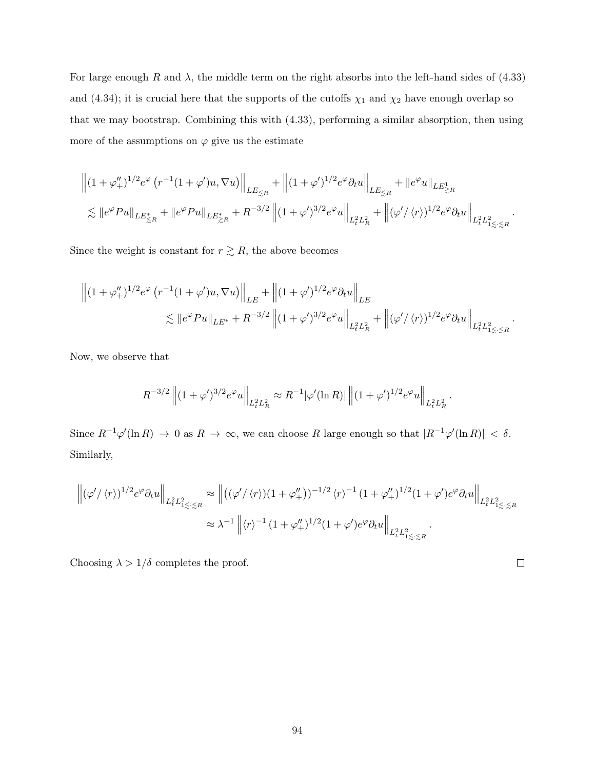For large enough R and  $\lambda$ , the middle term on the right absorbs into the left-hand sides of (4.33) and (4.34); it is crucial here that the supports of the cutoffs  $\chi_1$  and  $\chi_2$  have enough overlap so that we may bootstrap. Combining this with (4.33), performing a similar absorption, then using more of the assumptions on  $\varphi$  give us the estimate

$$
\begin{aligned} & \left\| (1+\varphi_+^{\prime\prime})^{1/2} e^{\varphi} \left( r^{-1} (1+\varphi') u, \nabla u \right) \right\|_{LE\lesssim_R} + \left\| (1+\varphi')^{1/2} e^{\varphi} \partial_t u \right\|_{LE\lesssim_R} + \| e^{\varphi} u \|_{LE\gtrsim_R} \\ & \lesssim \| e^{\varphi} Pu \|_{LE\lesssim_R} + \| e^{\varphi} Pu \|_{LE\gtrsim_R} + R^{-3/2} \left\| (1+\varphi')^{3/2} e^{\varphi} u \right\|_{L_t^2 L^2_R} + \left\| (\varphi'/\langle r \rangle)^{1/2} e^{\varphi} \partial_t u \right\|_{L_t^2 L^2_{1\lesssim \cdot \lesssim R}}. \end{aligned}
$$

Since the weight is constant for  $r \gtrsim R$ , the above becomes

$$
\left\| (1 + \varphi_{+}^{\prime\prime})^{1/2} e^{\varphi} \left( r^{-1} (1 + \varphi^{\prime}) u, \nabla u \right) \right\|_{LE} + \left\| (1 + \varphi^{\prime})^{1/2} e^{\varphi} \partial_t u \right\|_{LE} \n\lesssim \| e^{\varphi} Pu \|_{LE^*} + R^{-3/2} \left\| (1 + \varphi^{\prime})^{3/2} e^{\varphi} u \right\|_{L_{t}^{2} L_{R}^{2}} + \left\| (\varphi^{\prime} / \langle r \rangle)^{1/2} e^{\varphi} \partial_t u \right\|_{L_{t}^{2} L_{1 \le \cdot \le R}^{2}}.
$$

Now, we observe that

$$
R^{-3/2} ||(1+\varphi')^{3/2} e^{\varphi} u||_{L_t^2 L_R^2} \approx R^{-1} |\varphi'(\ln R)|| ||(1+\varphi')^{1/2} e^{\varphi} u||_{L_t^2 L_R^2}.
$$

Since  $R^{-1}\varphi'(\ln R) \to 0$  as  $R \to \infty$ , we can choose R large enough so that  $|R^{-1}\varphi'(\ln R)| < \delta$ . Similarly,

$$
\left\| (\varphi'/\langle r \rangle)^{1/2} e^{\varphi} \partial_t u \right\|_{L_t^2 L_{1 \le \cdot \le R}^2} \approx \left\| \left( (\varphi'/\langle r \rangle)(1 + \varphi''_+) \right)^{-1/2} \langle r \rangle^{-1} (1 + \varphi''_+)^{1/2} (1 + \varphi') e^{\varphi} \partial_t u \right\|_{L_t^2 L_{1 \le \cdot \le R}^2}
$$
  

$$
\approx \lambda^{-1} \left\| \langle r \rangle^{-1} (1 + \varphi''_+)^{1/2} (1 + \varphi') e^{\varphi} \partial_t u \right\|_{L_t^2 L_{1 \le \cdot \le R}^2}.
$$

 $\Box$ 

Choosing  $\lambda > 1/\delta$  completes the proof.

94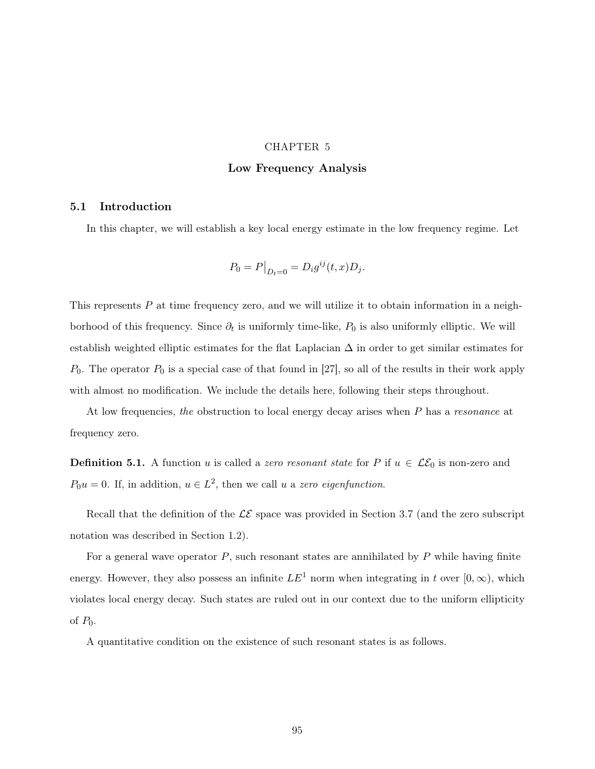# CHAPTER 5 Low Frequency Analysis

#### 5.1 Introduction

In this chapter, we will establish a key local energy estimate in the low frequency regime. Let

$$
P_0 = P|_{D_t=0} = D_i g^{ij}(t, x) D_j.
$$

This represents  $P$  at time frequency zero, and we will utilize it to obtain information in a neighborhood of this frequency. Since  $\partial_t$  is uniformly time-like,  $P_0$  is also uniformly elliptic. We will establish weighted elliptic estimates for the flat Laplacian  $\Delta$  in order to get similar estimates for  $P_0$ . The operator  $P_0$  is a special case of that found in [27], so all of the results in their work apply with almost no modification. We include the details here, following their steps throughout.

At low frequencies, the obstruction to local energy decay arises when P has a resonance at frequency zero.

**Definition 5.1.** A function u is called a zero resonant state for P if  $u \in \mathcal{LE}_0$  is non-zero and  $P_0u = 0$ . If, in addition,  $u \in L^2$ , then we call u a zero eigenfunction.

Recall that the definition of the  $\mathcal{LE}$  space was provided in Section 3.7 (and the zero subscript notation was described in Section 1.2).

For a general wave operator  $P$ , such resonant states are annihilated by  $P$  while having finite energy. However, they also possess an infinite  $LE^1$  norm when integrating in t over  $[0, \infty)$ , which violates local energy decay. Such states are ruled out in our context due to the uniform ellipticity of  $P_0$ .

A quantitative condition on the existence of such resonant states is as follows.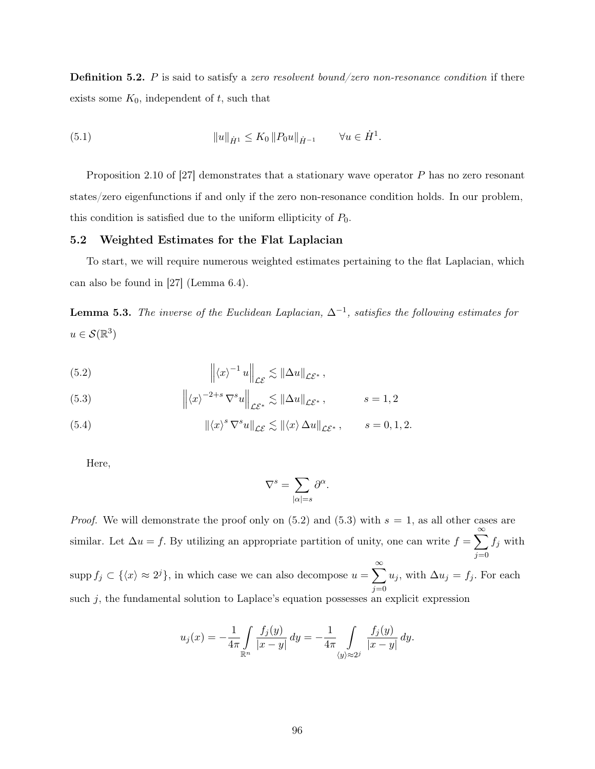**Definition 5.2.** P is said to satisfy a zero resolvent bound/zero non-resonance condition if there exists some  $K_0$ , independent of  $t$ , such that

(5.1) 
$$
||u||_{\dot{H}^1} \leq K_0 ||P_0 u||_{\dot{H}^{-1}} \qquad \forall u \in \dot{H}^1.
$$

Proposition 2.10 of [27] demonstrates that a stationary wave operator P has no zero resonant states/zero eigenfunctions if and only if the zero non-resonance condition holds. In our problem, this condition is satisfied due to the uniform ellipticity of  $P_0$ .

### 5.2 Weighted Estimates for the Flat Laplacian

To start, we will require numerous weighted estimates pertaining to the flat Laplacian, which can also be found in [27] (Lemma 6.4).

**Lemma 5.3.** The inverse of the Euclidean Laplacian,  $\Delta^{-1}$ , satisfies the following estimates for  $u \in \mathcal{S}(\mathbb{R}^3)$ 

(5.2) 
$$
\left\| \langle x \rangle^{-1} u \right\|_{\mathcal{LE}} \lesssim \|\Delta u\|_{\mathcal{LE}^*},
$$

(5.3) 
$$
\left\| \langle x \rangle^{-2+s} \nabla^s u \right\|_{\mathcal{L}^s} \lesssim \left\| \Delta u \right\|_{\mathcal{L}^s}, \qquad s = 1, 2
$$

(5.4) 
$$
\|\langle x \rangle^s \nabla^s u\|_{\mathcal{LE}} \lesssim \|\langle x \rangle \Delta u\|_{\mathcal{LE}^*}, \qquad s = 0, 1, 2.
$$

Here,

$$
\nabla^s = \sum_{|\alpha|=s} \partial^\alpha
$$

.

*Proof.* We will demonstrate the proof only on  $(5.2)$  and  $(5.3)$  with  $s = 1$ , as all other cases are similar. Let  $\Delta u = f$ . By utilizing an appropriate partition of unity, one can write  $f = \sum_{n=1}^{\infty}$  $j=0$  $f_j$  with supp  $f_j \subset \{\langle x \rangle \approx 2^j\}$ , in which case we can also decompose  $u = \sum_{i=1}^{\infty}$  $j=0$  $u_j$ , with  $\Delta u_j = f_j$ . For each such  $j$ , the fundamental solution to Laplace's equation possesses an explicit expression

$$
u_j(x) = -\frac{1}{4\pi} \int_{\mathbb{R}^n} \frac{f_j(y)}{|x - y|} dy = -\frac{1}{4\pi} \int_{\langle y \rangle \approx 2^j} \frac{f_j(y)}{|x - y|} dy.
$$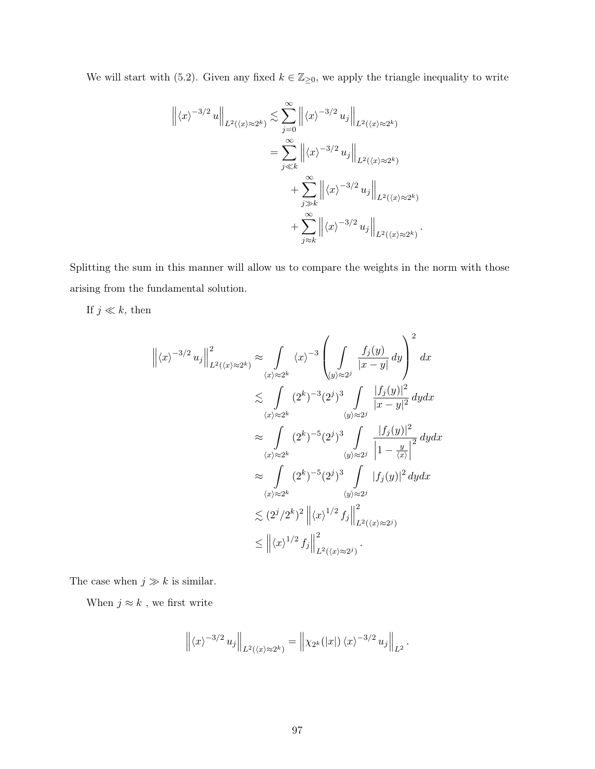We will start with (5.2). Given any fixed  $k \in \mathbb{Z}_{\geq 0}$ , we apply the triangle inequality to write

$$
\left\| \langle x \rangle^{-3/2} u \right\|_{L^2(\langle x \rangle \approx 2^k)} \lesssim \sum_{j=0}^{\infty} \left\| \langle x \rangle^{-3/2} u_j \right\|_{L^2(\langle x \rangle \approx 2^k)}
$$
  

$$
= \sum_{j \ll k}^{\infty} \left\| \langle x \rangle^{-3/2} u_j \right\|_{L^2(\langle x \rangle \approx 2^k)}
$$
  

$$
+ \sum_{j \gg k}^{\infty} \left\| \langle x \rangle^{-3/2} u_j \right\|_{L^2(\langle x \rangle \approx 2^k)}
$$
  

$$
+ \sum_{j \approx k}^{\infty} \left\| \langle x \rangle^{-3/2} u_j \right\|_{L^2(\langle x \rangle \approx 2^k)}
$$

.

.

Splitting the sum in this manner will allow us to compare the weights in the norm with those arising from the fundamental solution.

If  $j \ll k$ , then

$$
\left\| \langle x \rangle^{-3/2} u_j \right\|_{L^2(\langle x \rangle \approx 2^k)}^2 \approx \int_{\langle x \rangle \approx 2^k} \langle x \rangle^{-3} \left( \int_{\langle y \rangle \approx 2^j} \frac{f_j(y)}{|x - y|} dy \right)^2 dx
$$
  

$$
\lesssim \int_{\langle x \rangle \approx 2^k} (2^k)^{-3} (2^j)^3 \int_{\langle y \rangle \approx 2^j} \frac{|f_j(y)|^2}{|x - y|^2} dy dx
$$
  

$$
\approx \int_{\langle x \rangle \approx 2^k} (2^k)^{-5} (2^j)^3 \int_{\langle y \rangle \approx 2^j} \frac{|f_j(y)|^2}{|1 - \frac{y}{\langle x \rangle}|^2} dy dx
$$
  

$$
\approx \int_{\langle x \rangle \approx 2^k} (2^k)^{-5} (2^j)^3 \int_{\langle y \rangle \approx 2^j} |f_j(y)|^2 dy dx
$$
  

$$
\lesssim (2^j / 2^k)^2 \left\| \langle x \rangle^{1/2} f_j \right\|_{L^2(\langle x) \approx 2^j)}^2
$$
  

$$
\leq \left\| \langle x \rangle^{1/2} f_j \right\|_{L^2(\langle x) \approx 2^j)}^2.
$$

The case when  $j \gg k$  is similar.

When  $j\approx k$  , we first write

$$
\left\| \langle x \rangle^{-3/2} u_j \right\|_{L^2(\langle x \rangle \approx 2^k)} = \left\| \chi_{2^k}(|x|) \langle x \rangle^{-3/2} u_j \right\|_{L^2}
$$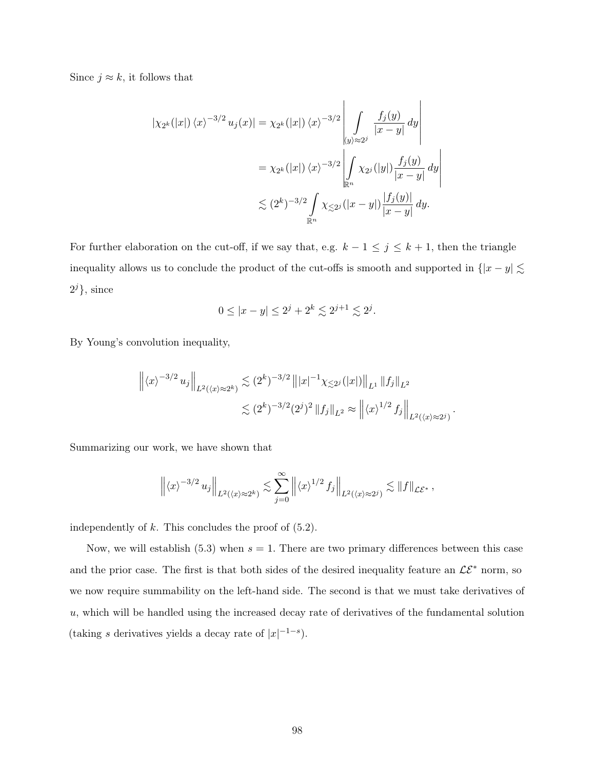Since  $j \approx k$ , it follows that

$$
\begin{aligned} |\chi_{2^k}(|x|) \langle x \rangle^{-3/2} u_j(x)| &= \chi_{2^k}(|x|) \langle x \rangle^{-3/2} \left| \int\limits_{\{y\} \approx 2^j} \frac{f_j(y)}{|x-y|} \, dy \right| \\ &= \chi_{2^k}(|x|) \langle x \rangle^{-3/2} \left| \int\limits_{\mathbb{R}^n} \chi_{2^j}(|y|) \frac{f_j(y)}{|x-y|} \, dy \right| \\ &\lesssim (2^k)^{-3/2} \int\limits_{\mathbb{R}^n} \chi_{\lesssim 2^j}(|x-y|) \frac{|f_j(y)|}{|x-y|} \, dy. \end{aligned}
$$

For further elaboration on the cut-off, if we say that, e.g.  $k - 1 \leq j \leq k + 1$ , then the triangle inequality allows us to conclude the product of the cut-offs is smooth and supported in  $\{|x - y| \lesssim$  $2^{j}\},\$  since

$$
0 \le |x - y| \le 2^j + 2^k \lesssim 2^{j+1} \lesssim 2^j.
$$

By Young's convolution inequality,

$$
\left\| \langle x \rangle^{-3/2} u_j \right\|_{L^2(\langle x \rangle \approx 2^k)} \lesssim (2^k)^{-3/2} \left\| |x|^{-1} \chi_{\leq 2^j}(|x|) \right\|_{L^1} \left\| f_j \right\|_{L^2}
$$
  

$$
\lesssim (2^k)^{-3/2} (2^j)^2 \left\| f_j \right\|_{L^2} \approx \left\| \langle x \rangle^{1/2} f_j \right\|_{L^2(\langle x \rangle \approx 2^j)}
$$

.

Summarizing our work, we have shown that

$$
\left\| \langle x \rangle^{-3/2} u_j \right\|_{L^2(\langle x \rangle \approx 2^k)} \lesssim \sum_{j=0}^{\infty} \left\| \langle x \rangle^{1/2} f_j \right\|_{L^2(\langle x \rangle \approx 2^j)} \lesssim \|f\|_{\mathcal{LE}^*},
$$

independently of  $k$ . This concludes the proof of  $(5.2)$ .

Now, we will establish  $(5.3)$  when  $s = 1$ . There are two primary differences between this case and the prior case. The first is that both sides of the desired inequality feature an  $\mathcal{LE}^*$  norm, so we now require summability on the left-hand side. The second is that we must take derivatives of  $u$ , which will be handled using the increased decay rate of derivatives of the fundamental solution (taking s derivatives yields a decay rate of  $|x|^{-1-s}$ ).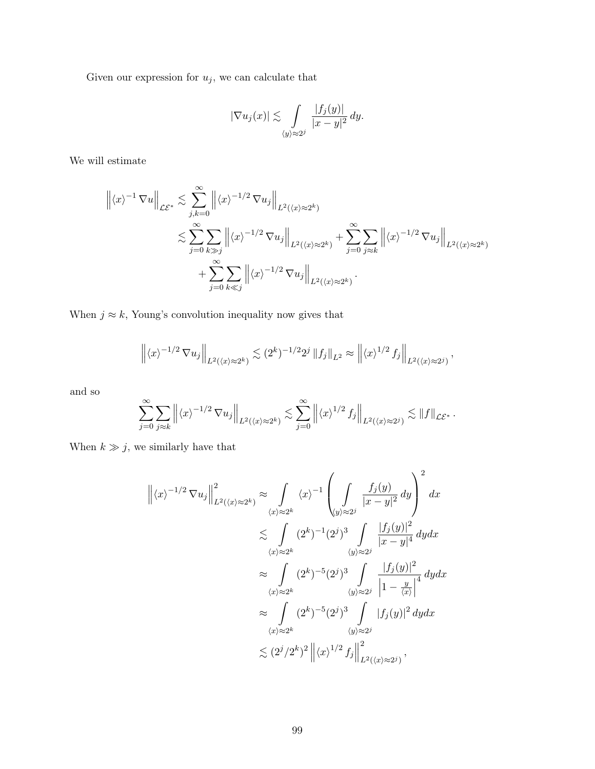Given our expression for  $\boldsymbol{u}_j,$  we can calculate that

$$
|\nabla u_j(x)| \lesssim \int_{\langle y \rangle \approx 2^j} \frac{|f_j(y)|}{|x - y|^2} \, dy.
$$

We will estimate

$$
\left\| \langle x \rangle^{-1} \nabla u \right\|_{\mathcal{LE}^*} \lesssim \sum_{j,k=0}^{\infty} \left\| \langle x \rangle^{-1/2} \nabla u_j \right\|_{L^2(\langle x \rangle \approx 2^k)}
$$
  

$$
\lesssim \sum_{j=0}^{\infty} \sum_{k \gg j} \left\| \langle x \rangle^{-1/2} \nabla u_j \right\|_{L^2(\langle x \rangle \approx 2^k)} + \sum_{j=0}^{\infty} \sum_{j \approx k} \left\| \langle x \rangle^{-1/2} \nabla u_j \right\|_{L^2(\langle x \rangle \approx 2^k)}
$$
  

$$
+ \sum_{j=0}^{\infty} \sum_{k \ll j} \left\| \langle x \rangle^{-1/2} \nabla u_j \right\|_{L^2(\langle x \rangle \approx 2^k)}.
$$

When  $j \approx k$ , Young's convolution inequality now gives that

$$
\left\| \langle x \rangle^{-1/2} \nabla u_j \right\|_{L^2(\langle x \rangle \approx 2^k)} \lesssim (2^k)^{-1/2} 2^j \left\| f_j \right\|_{L^2} \approx \left\| \langle x \rangle^{1/2} f_j \right\|_{L^2(\langle x \rangle \approx 2^j)},
$$

and so

$$
\sum_{j=0}^{\infty} \sum_{j\approx k} \left\| \langle x \rangle^{-1/2} \nabla u_j \right\|_{L^2(\langle x \rangle \approx 2^k)} \lesssim \sum_{j=0}^{\infty} \left\| \langle x \rangle^{1/2} f_j \right\|_{L^2(\langle x \rangle \approx 2^j)} \lesssim \|f\|_{\mathcal{LE}^*}.
$$

When  $k \gg j$ , we similarly have that

$$
\left\| \langle x \rangle^{-1/2} \nabla u_j \right\|_{L^2(\langle x) \approx 2^k}^2 \approx \int_{\langle x \rangle \approx 2^k} \langle x \rangle^{-1} \left( \int_{\langle y \rangle \approx 2^j} \frac{f_j(y)}{|x - y|^2} dy \right)^2 dx
$$
  

$$
\lesssim \int_{\langle x \rangle \approx 2^k} (2^k)^{-1} (2^j)^3 \int_{\langle y \rangle \approx 2^j} \frac{|f_j(y)|^2}{|x - y|^4} dy dx
$$
  

$$
\approx \int_{\langle x \rangle \approx 2^k} (2^k)^{-5} (2^j)^3 \int_{\langle y \rangle \approx 2^j} \frac{|f_j(y)|^2}{|1 - \frac{y}{\langle x \rangle}|^4} dy dx
$$
  

$$
\approx \int_{\langle x \rangle \approx 2^k} (2^k)^{-5} (2^j)^3 \int_{\langle y \rangle \approx 2^j} |f_j(y)|^2 dy dx
$$
  

$$
\lesssim (2^j / 2^k)^2 \left\| \langle x \rangle^{1/2} f_j \right\|_{L^2(\langle x) \approx 2^j}^2,
$$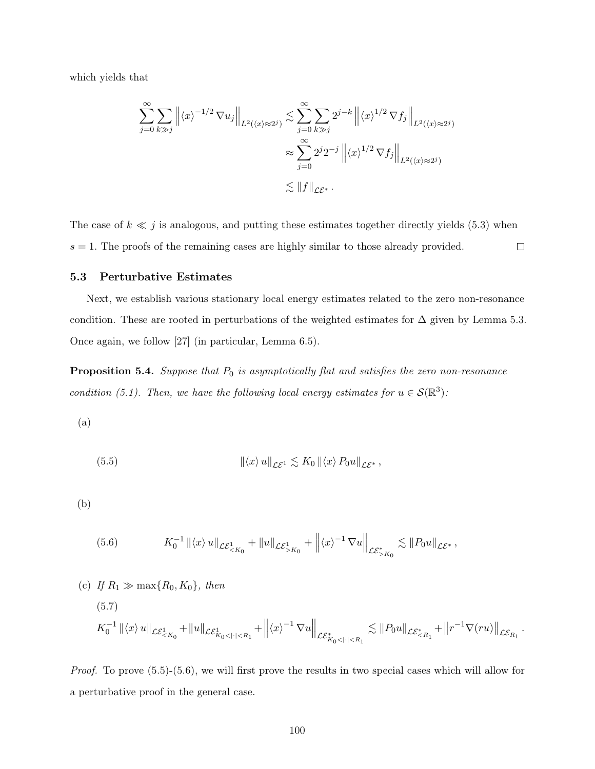which yields that

$$
\sum_{j=0}^{\infty} \sum_{k \gg j} \left\| \langle x \rangle^{-1/2} \nabla u_j \right\|_{L^2(\langle x \rangle \approx 2^j)} \lesssim \sum_{j=0}^{\infty} \sum_{k \gg j} 2^{j-k} \left\| \langle x \rangle^{1/2} \nabla f_j \right\|_{L^2(\langle x \rangle \approx 2^j)}
$$

$$
\approx \sum_{j=0}^{\infty} 2^j 2^{-j} \left\| \langle x \rangle^{1/2} \nabla f_j \right\|_{L^2(\langle x \rangle \approx 2^j)}
$$

$$
\lesssim \|f\|_{\mathcal{LE}^*}.
$$

The case of  $k \ll j$  is analogous, and putting these estimates together directly yields (5.3) when  $s = 1$ . The proofs of the remaining cases are highly similar to those already provided.  $\Box$ 

## 5.3 Perturbative Estimates

Next, we establish various stationary local energy estimates related to the zero non-resonance condition. These are rooted in perturbations of the weighted estimates for  $\Delta$  given by Lemma 5.3. Once again, we follow [27] (in particular, Lemma 6.5).

**Proposition 5.4.** Suppose that  $P_0$  is asymptotically flat and satisfies the zero non-resonance condition (5.1). Then, we have the following local energy estimates for  $u \in \mathcal{S}(\mathbb{R}^3)$ :

(a)

(5.5) 
$$
\|\langle x\rangle u\|_{\mathcal{L}\mathcal{E}^1} \lesssim K_0 \|\langle x\rangle P_0 u\|_{\mathcal{L}\mathcal{E}^*},
$$

(b)

$$
(5.6) \t K_0^{-1} ||\langle x \rangle u||_{\mathcal{L}\mathcal{E}^1_{\leq K_0}} + ||u||_{\mathcal{L}\mathcal{E}^1_{>K_0}} + ||\langle x \rangle^{-1} \nabla u||_{\mathcal{L}\mathcal{E}^*_{>K_0}} \lesssim ||P_0 u||_{\mathcal{L}\mathcal{E}^*},
$$

(c) If 
$$
R_1 \gg \max\{R_0, K_0\}
$$
, then  
\n(5.7)  
\n
$$
K_0^{-1} ||\langle x \rangle u||_{\mathcal{LE}^1_{\le K_0}} + ||u||_{\mathcal{LE}^1_{K_0 \le |\cdot| \le R_1}} + ||\langle x \rangle^{-1} \nabla u||_{\mathcal{LE}^*_{K_0 \le |\cdot| \le R_1}} \lesssim ||P_0 u||_{\mathcal{LE}^*_{\le R_1}} + ||r^{-1} \nabla(ru)||_{\mathcal{LE}_{R_1}}.
$$

*Proof.* To prove  $(5.5)-(5.6)$ , we will first prove the results in two special cases which will allow for a perturbative proof in the general case.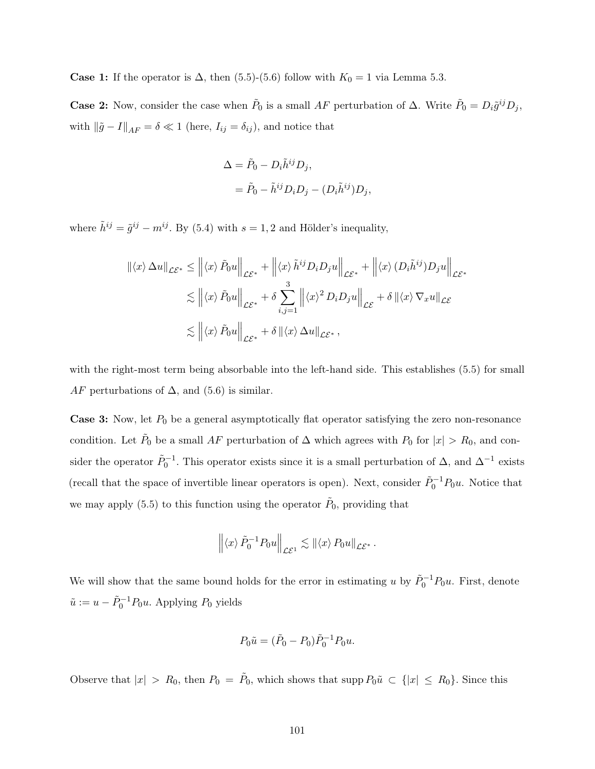**Case 1:** If the operator is  $\Delta$ , then (5.5)-(5.6) follow with  $K_0 = 1$  via Lemma 5.3.

**Case 2:** Now, consider the case when  $\tilde{P}_0$  is a small AF perturbation of  $\Delta$ . Write  $\tilde{P}_0 = D_i \tilde{g}^{ij} D_j$ , with  $\|\tilde{g} - I\|_{AF} = \delta \ll 1$  (here,  $I_{ij} = \delta_{ij}$ ), and notice that

$$
\Delta = \tilde{P}_0 - D_i \tilde{h}^{ij} D_j,
$$
  
= 
$$
\tilde{P}_0 - \tilde{h}^{ij} D_i D_j - (D_i \tilde{h}^{ij}) D_j,
$$

where  $\tilde{h}^{ij} = \tilde{g}^{ij} - m^{ij}$ . By (5.4) with  $s = 1, 2$  and Hölder's inequality,

$$
\begin{aligned} \left\| \langle x \rangle \, \Delta u \right\|_{\mathcal{L}\mathcal{E}^*} &\leq \left\| \langle x \rangle \, \tilde{P}_0 u \right\|_{\mathcal{L}\mathcal{E}^*} + \left\| \langle x \rangle \, \tilde{h}^{ij} D_i D_j u \right\|_{\mathcal{L}\mathcal{E}^*} + \left\| \langle x \rangle \, (D_i \tilde{h}^{ij}) D_j u \right\|_{\mathcal{L}\mathcal{E}^*} \\ &\lesssim \left\| \langle x \rangle \, \tilde{P}_0 u \right\|_{\mathcal{L}\mathcal{E}^*} + \delta \sum_{i,j=1}^3 \left\| \langle x \rangle^2 D_i D_j u \right\|_{\mathcal{L}\mathcal{E}} + \delta \left\| \langle x \rangle \, \nabla_x u \right\|_{\mathcal{L}\mathcal{E}} \\ &\lesssim \left\| \langle x \rangle \, \tilde{P}_0 u \right\|_{\mathcal{L}\mathcal{E}^*} + \delta \left\| \langle x \rangle \, \Delta u \right\|_{\mathcal{L}\mathcal{E}^*}, \end{aligned}
$$

with the right-most term being absorbable into the left-hand side. This establishes (5.5) for small AF perturbations of  $\Delta$ , and (5.6) is similar.

**Case 3:** Now, let  $P_0$  be a general asymptotically flat operator satisfying the zero non-resonance condition. Let  $\tilde{P}_0$  be a small AF perturbation of  $\Delta$  which agrees with  $P_0$  for  $|x| > R_0$ , and consider the operator  $\tilde{P}_0^{-1}$ . This operator exists since it is a small perturbation of  $\Delta$ , and  $\Delta^{-1}$  exists (recall that the space of invertible linear operators is open). Next, consider  $\tilde{P}_0^{-1}P_0u$ . Notice that we may apply (5.5) to this function using the operator  $\tilde{P}_0$ , providing that

$$
\left\| \langle x \rangle \, \tilde{P}_0^{-1} P_0 u \right\|_{\mathcal{LE}^1} \lesssim \left\| \langle x \rangle P_0 u \right\|_{\mathcal{LE}^*}.
$$

We will show that the same bound holds for the error in estimating u by  $\tilde{P}_0^{-1}P_0u$ . First, denote  $\tilde{u} := u - \tilde{P}_0^{-1} P_0 u$ . Applying  $P_0$  yields

$$
P_0\tilde{u} = (\tilde{P}_0 - P_0)\tilde{P}_0^{-1}P_0u.
$$

Observe that  $|x| > R_0$ , then  $P_0 = \tilde{P}_0$ , which shows that supp  $P_0\tilde{u} \subset \{|x| \le R_0\}$ . Since this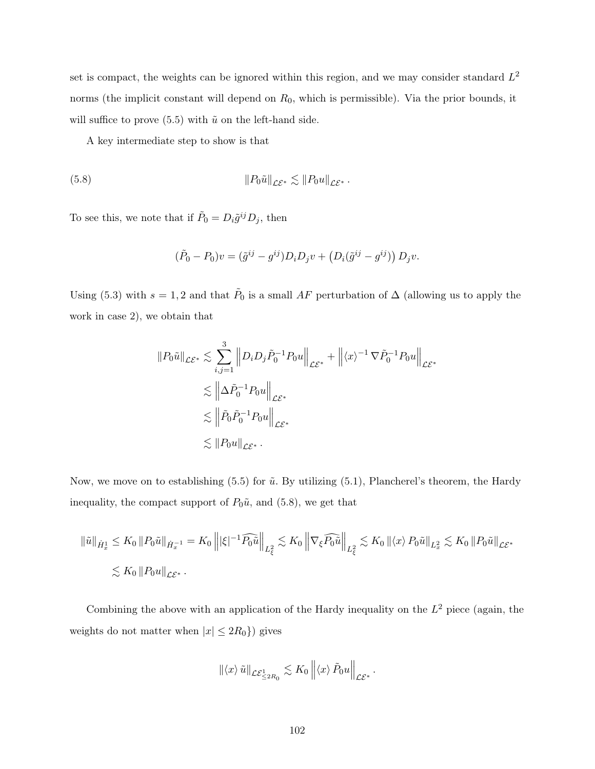set is compact, the weights can be ignored within this region, and we may consider standard  $L^2$ norms (the implicit constant will depend on  $R_0$ , which is permissible). Via the prior bounds, it will suffice to prove  $(5.5)$  with  $\tilde{u}$  on the left-hand side.

A key intermediate step to show is that

(5.8) 
$$
||P_0\tilde{u}||_{\mathcal{L}\mathcal{E}^*} \lesssim ||P_0u||_{\mathcal{L}\mathcal{E}^*}.
$$

To see this, we note that if  $\tilde{P}_0 = D_i \tilde{g}^{ij} D_j$ , then

$$
(\tilde{P}_0 - P_0)v = (\tilde{g}^{ij} - g^{ij})D_iD_jv + (D_i(\tilde{g}^{ij} - g^{ij}))D_jv.
$$

Using (5.3) with  $s = 1, 2$  and that  $\tilde{P}_0$  is a small AF perturbation of  $\Delta$  (allowing us to apply the work in case 2), we obtain that

$$
||P_0\tilde{u}||_{\mathcal{LE}^*} \lesssim \sum_{i,j=1}^3 ||D_iD_j\tilde{P}_0^{-1}P_0u||_{\mathcal{LE}^*} + ||\langle x \rangle^{-1} \nabla \tilde{P}_0^{-1}P_0u||_{\mathcal{LE}^*}
$$
  

$$
\lesssim ||\Delta \tilde{P}_0^{-1}P_0u||_{\mathcal{LE}^*}
$$
  

$$
\lesssim ||\tilde{P}_0\tilde{P}_0^{-1}P_0u||_{\mathcal{LE}^*}
$$
  

$$
\lesssim ||P_0u||_{\mathcal{LE}^*}.
$$

Now, we move on to establishing  $(5.5)$  for  $\tilde{u}$ . By utilizing  $(5.1)$ , Plancherel's theorem, the Hardy inequality, the compact support of  $P_0\tilde{u}$ , and (5.8), we get that

$$
\|\tilde{u}\|_{\dot{H}^1_x} \leq K_0 \|P_0\tilde{u}\|_{\dot{H}^{-1}_x} = K_0 \left\| |\xi|^{-1} \widehat{P_0\tilde{u}} \right\|_{L^2_{\xi}} \lesssim K_0 \left\| \nabla_{\xi} \widehat{P_0\tilde{u}} \right\|_{L^2_{\xi}} \lesssim K_0 \left\| \langle x \rangle P_0\tilde{u} \right\|_{L^2_x} \lesssim K_0 \|P_0\tilde{u}\|_{\mathcal{L}\mathcal{E}^*}
$$
  

$$
\lesssim K_0 \|P_0u\|_{\mathcal{L}\mathcal{E}^*}.
$$

Combining the above with an application of the Hardy inequality on the  $L^2$  piece (again, the weights do not matter when  $|x| \leq 2R_0$ }) gives

$$
\|\langle x\rangle\tilde{u}\|_{\mathcal{LE}^1_{\leq 2R_0}} \lesssim K_0 \left\|\langle x\rangle\tilde{P}_0u\right\|_{\mathcal{LE}^*}
$$

.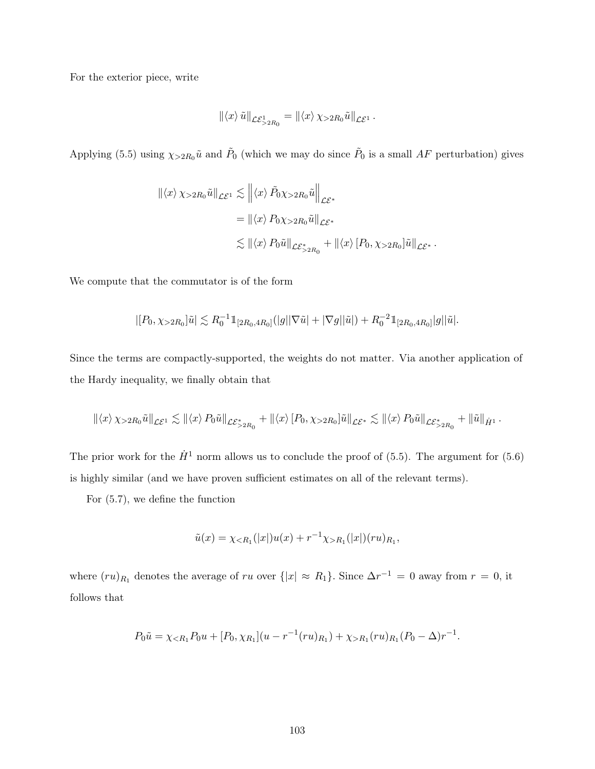For the exterior piece, write

$$
\| \langle x \rangle \, \tilde{u} \|_{\mathcal{LE}^1_{>2R_0}} = \| \langle x \rangle \, \chi_{>2R_0} \tilde{u} \|_{\mathcal{LE}^1} \, .
$$

Applying (5.5) using  $\chi_{>2R_0}\tilde{u}$  and  $\tilde{P}_0$  (which we may do since  $\tilde{P}_0$  is a small AF perturbation) gives

$$
\begin{aligned} ||\langle x \rangle \chi_{>2R_0} \tilde{u}||_{\mathcal{L}\mathcal{E}^1} &\lesssim \left\| \langle x \rangle \tilde{P}_0 \chi_{>2R_0} \tilde{u} \right\|_{\mathcal{L}\mathcal{E}^*} \\ &= ||\langle x \rangle P_0 \chi_{>2R_0} \tilde{u}||_{\mathcal{L}\mathcal{E}^*} \\ &\lesssim ||\langle x \rangle P_0 \tilde{u}||_{\mathcal{L}\mathcal{E}^*_{>2R_0}} + ||\langle x \rangle [P_0, \chi_{>2R_0}] \tilde{u}||_{\mathcal{L}\mathcal{E}^*} \,. \end{aligned}
$$

We compute that the commutator is of the form

$$
|[P_0,\chi_{>2R_0}]\tilde{u}| \lesssim R_0^{-1} \mathbb{1}_{[2R_0,4R_0]}(|g||\nabla \tilde{u}|+|\nabla g||\tilde{u}|) + R_0^{-2} \mathbb{1}_{[2R_0,4R_0]}|g||\tilde{u}|.
$$

Since the terms are compactly-supported, the weights do not matter. Via another application of the Hardy inequality, we finally obtain that

$$
\left\|\langle x \rangle \chi_{>2R_0} \tilde{u} \right\|_{\mathcal{L}^{\mathcal{E}^1}} \lesssim \left\|\langle x \rangle P_0 \tilde{u} \right\|_{\mathcal{L}^{\mathcal{E}^*}_{\geq 2R_0}} + \left\|\langle x \rangle \left[ P_0, \chi_{>2R_0} \right] \tilde{u} \right\|_{\mathcal{L}^{\mathcal{E}^*}_{\leq 2}} \lesssim \left\|\langle x \rangle P_0 \tilde{u} \right\|_{\mathcal{L}^{\mathcal{E}^*}_{\geq 2R_0}} + \left\|\tilde{u} \right\|_{\dot{H}^1}.
$$

The prior work for the  $\dot{H}^1$  norm allows us to conclude the proof of (5.5). The argument for (5.6) is highly similar (and we have proven sufficient estimates on all of the relevant terms).

For (5.7), we define the function

$$
\tilde{u}(x) = \chi_{\leq R_1}(|x|)u(x) + r^{-1}\chi_{>R_1}(|x|)(ru)_{R_1},
$$

where  $(ru)_{R_1}$  denotes the average of ru over  $\{|x| \approx R_1\}$ . Since  $\Delta r^{-1} = 0$  away from  $r = 0$ , it follows that

$$
P_0\tilde{u} = \chi_{\langle R_1} P_0 u + [P_0, \chi_{R_1}](u - r^{-1}(ru)_{R_1}) + \chi_{\langle R_1}(ru)_{R_1}(P_0 - \Delta)r^{-1}.
$$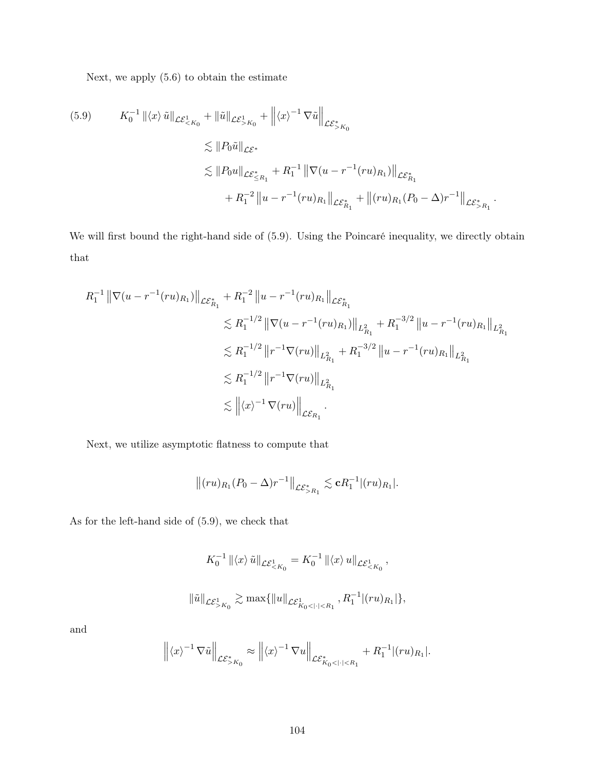Next, we apply (5.6) to obtain the estimate

$$
(5.9) \t K_0^{-1} \| \langle x \rangle \tilde{u} \|_{\mathcal{L} \mathcal{E}^1_{\le K_0}} + \| \tilde{u} \|_{\mathcal{L} \mathcal{E}^1_{> K_0}} + \| \langle x \rangle^{-1} \nabla \tilde{u} \|_{\mathcal{L} \mathcal{E}^*_{> K_0}}
$$
  
\n
$$
\lesssim \| P_0 \tilde{u} \|_{\mathcal{L} \mathcal{E}^*_{\le R_1}} + R_1^{-1} \| \nabla (u - r^{-1} (ru)_{R_1}) \|_{\mathcal{L} \mathcal{E}^*_{R_1}}
$$
  
\n
$$
+ R_1^{-2} \| u - r^{-1} (ru)_{R_1} \|_{\mathcal{L} \mathcal{E}^*_{R_1}} + \| (ru)_{R_1} (P_0 - \Delta) r^{-1} \|_{\mathcal{L} \mathcal{E}^*_{> R_1}}.
$$

We will first bound the right-hand side of  $(5.9)$ . Using the Poincaré inequality, we directly obtain that

$$
R_1^{-1} \|\nabla(u - r^{-1}(ru)_{R_1})\|_{\mathcal{LE}_{R_1}^*} + R_1^{-2} \|u - r^{-1}(ru)_{R_1}\|_{\mathcal{LE}_{R_1}^*}
$$
  
\n
$$
\lesssim R_1^{-1/2} \|\nabla(u - r^{-1}(ru)_{R_1})\|_{L_{R_1}^2} + R_1^{-3/2} \|u - r^{-1}(ru)_{R_1}\|_{L_{R_1}^2}
$$
  
\n
$$
\lesssim R_1^{-1/2} \|r^{-1}\nabla(ru)\|_{L_{R_1}^2} + R_1^{-3/2} \|u - r^{-1}(ru)_{R_1}\|_{L_{R_1}^2}
$$
  
\n
$$
\lesssim R_1^{-1/2} \|r^{-1}\nabla(ru)\|_{L_{R_1}^2}
$$
  
\n
$$
\lesssim \| \langle x \rangle^{-1} \nabla(ru) \|_{\mathcal{LE}_{R_1}}.
$$

Next, we utilize asymptotic flatness to compute that

$$
||(ru)_{R_1}(P_0-\Delta)r^{-1}||_{\mathcal{LE}_{>R_1}^*}\lesssim \mathbf{c}R_1^{-1}|(ru)_{R_1}|.
$$

As for the left-hand side of (5.9), we check that

$$
K_0^{-1} ||\langle x \rangle \tilde{u}||_{\mathcal{L}\mathcal{E}^1_{< K_0}} = K_0^{-1} ||\langle x \rangle u||_{\mathcal{L}\mathcal{E}^1_{< K_0}},
$$
  

$$
||\tilde{u}||_{\mathcal{L}\mathcal{E}^1_{> K_0}} \gtrsim \max\{||u||_{\mathcal{L}\mathcal{E}^1_{K_0 < | \cdot | < R_1}}, R_1^{-1} |(ru)_{R_1}|\},
$$

and

$$
\left\| \langle x \rangle^{-1} \nabla \tilde{u} \right\|_{\mathcal{LE}^*_{>K_0}} \approx \left\| \langle x \rangle^{-1} \nabla u \right\|_{\mathcal{LE}^*_{K_0 < |\cdot| < R_1}} + R_1^{-1} |(ru)_{R_1}|.
$$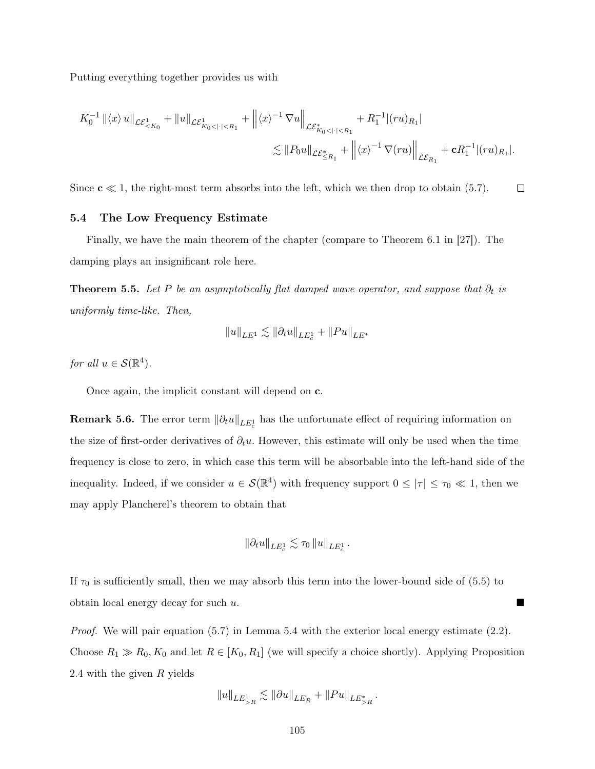Putting everything together provides us with

$$
K_0^{-1} ||\langle x \rangle u||_{\mathcal{L}\mathcal{E}^1_{< K_0}} + ||u||_{\mathcal{L}\mathcal{E}^1_{K_0 < | \cdot | < R_1}} + ||\langle x \rangle^{-1} \nabla u||_{\mathcal{L}\mathcal{E}^*_{K_0 < | \cdot | < R_1}} + R_1^{-1} ||(ru)_{R_1}||_{\mathcal{L}\mathcal{E}^*_{K_1}} + R_1^{-1} ||(ru)_{R_1}||_{\mathcal{L}\mathcal{E}^*_{R_1}} + \mathbf{c} R_1^{-1} ||(ru)_{R_1}||.
$$

Since  $c \ll 1$ , the right-most term absorbs into the left, which we then drop to obtain (5.7).  $\Box$ 

## 5.4 The Low Frequency Estimate

Finally, we have the main theorem of the chapter (compare to Theorem 6.1 in [27]). The damping plays an insignificant role here.

**Theorem 5.5.** Let P be an asymptotically flat damped wave operator, and suppose that  $\partial_t$  is uniformly time-like. Then,

$$
\|u\|_{LE^1} \lesssim \|\partial_t u\|_{LE^1_c} + \|Pu\|_{LE^*}
$$

for all  $u \in \mathcal{S}(\mathbb{R}^4)$ .

Once again, the implicit constant will depend on c.

**Remark 5.6.** The error term  $\|\partial_t u\|_{LE_c^1}$  has the unfortunate effect of requiring information on the size of first-order derivatives of  $\partial_t u$ . However, this estimate will only be used when the time frequency is close to zero, in which case this term will be absorbable into the left-hand side of the inequality. Indeed, if we consider  $u \in \mathcal{S}(\mathbb{R}^4)$  with frequency support  $0 \leq |\tau| \leq \tau_0 \ll 1$ , then we may apply Plancherel's theorem to obtain that

$$
\|\partial_t u\|_{LE^1_c} \lesssim \tau_0 \|u\|_{LE^1_c} \,.
$$

If  $\tau_0$  is sufficiently small, then we may absorb this term into the lower-bound side of (5.5) to obtain local energy decay for such u.

*Proof.* We will pair equation  $(5.7)$  in Lemma 5.4 with the exterior local energy estimate  $(2.2)$ . Choose  $R_1 \gg R_0, K_0$  and let  $R \in [K_0, R_1]$  (we will specify a choice shortly). Applying Proposition 2.4 with the given R yields

$$
||u||_{LE_{>R}^1} \lesssim ||\partial u||_{LE_R} + ||Pu||_{LE_{>R}^*}.
$$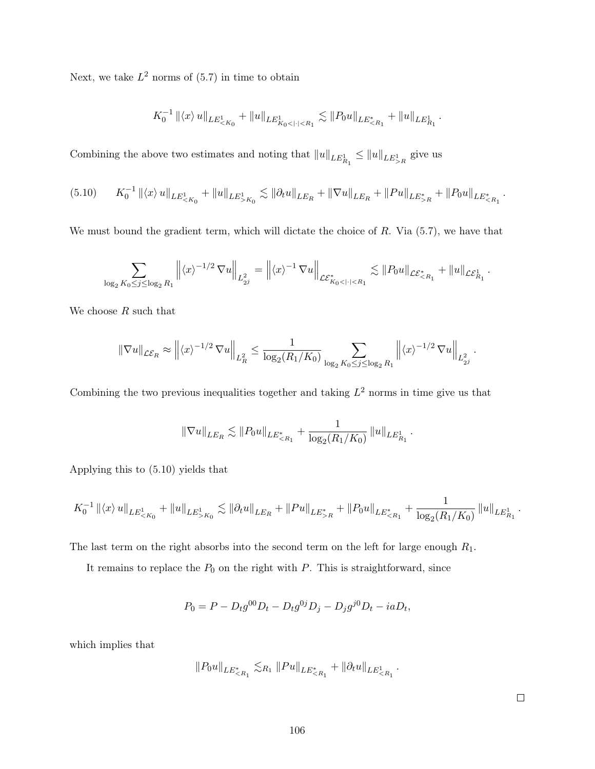Next, we take  $L^2$  norms of  $(5.7)$  in time to obtain

$$
K_0^{-1} ||\langle x \rangle u||_{LE^1_{
$$

Combining the above two estimates and noting that  $||u||_{LE^1_{R_1}} \le ||u||_{LE^1_{>R}}$  give us

$$
(5.10) \t K_0^{-1} || \langle x \rangle u ||_{LE^1_{\leq K_0}} + ||u||_{LE^1_{>K_0}} \lesssim ||\partial_t u ||_{LE_R} + ||\nabla u||_{LE_R} + ||Pu||_{LE^*_{>R}} + ||P_0 u||_{LE^*_{\leq R_1}}.
$$

We must bound the gradient term, which will dictate the choice of  $R$ . Via  $(5.7)$ , we have that

$$
\sum_{\log_2 K_0 \leq j \leq \log_2 R_1} \left\| \langle x \rangle^{-1/2} \, \nabla u \right\|_{L^2_{2^j}} = \left\| \langle x \rangle^{-1} \, \nabla u \right\|_{\mathcal{LE}^*_{K_0 < | \cdot | < R_1}} \lesssim \| P_0 u \|_{\mathcal{LE}^*_{< R_1}} + \| u \|_{\mathcal{LE}^1_{R_1}}.
$$

We choose  $R$  such that

$$
\|\nabla u\|_{\mathcal{LE}_R} \approx \left\| \langle x \rangle^{-1/2} \nabla u \right\|_{L^2_R} \le \frac{1}{\log_2(R_1/K_0)} \sum_{\log_2 K_0 \le j \le \log_2 R_1} \left\| \langle x \rangle^{-1/2} \nabla u \right\|_{L^2_{2^j}}.
$$

Combining the two previous inequalities together and taking  $L^2$  norms in time give us that

$$
\|\nabla u\|_{LE_R} \lesssim \|P_0 u\|_{LE^*_{\le R_1}} + \frac{1}{\log_2(R_1/K_0)} \|u\|_{LE^1_{R_1}}.
$$

Applying this to (5.10) yields that

$$
K_0^{-1} ||\langle x \rangle u||_{LE^1_{K_0}} \lesssim ||\partial_t u||_{LE_R} + ||Pu||_{LE^*_{>R}} + ||P_0 u||_{LE^*_{
$$

The last term on the right absorbs into the second term on the left for large enough  $R_1$ .

It remains to replace the  $P_0$  on the right with  $P$ . This is straightforward, since

$$
P_0 = P - D_t g^{00} D_t - D_t g^{0j} D_j - D_j g^{j0} D_t - ia D_t,
$$

which implies that

$$
||P_0u||_{LE_{
$$

 $\Box$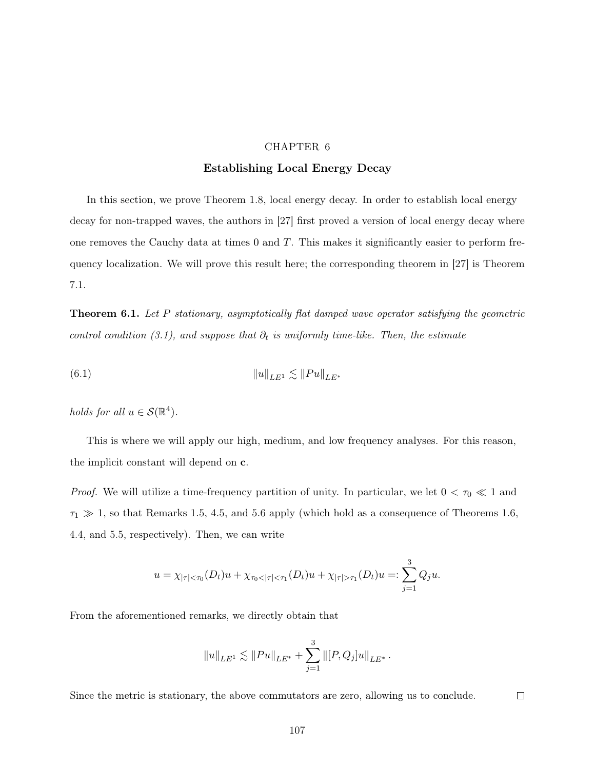## CHAPTER 6

## Establishing Local Energy Decay

In this section, we prove Theorem 1.8, local energy decay. In order to establish local energy decay for non-trapped waves, the authors in [27] first proved a version of local energy decay where one removes the Cauchy data at times  $0$  and  $T$ . This makes it significantly easier to perform frequency localization. We will prove this result here; the corresponding theorem in [27] is Theorem 7.1.

**Theorem 6.1.** Let P stationary, asymptotically flat damped wave operator satisfying the geometric control condition (3.1), and suppose that  $\partial_t$  is uniformly time-like. Then, the estimate

(6.1) 
$$
||u||_{LE^1} \lesssim ||Pu||_{LE^*}
$$

holds for all  $u \in \mathcal{S}(\mathbb{R}^4)$ .

This is where we will apply our high, medium, and low frequency analyses. For this reason, the implicit constant will depend on c.

*Proof.* We will utilize a time-frequency partition of unity. In particular, we let  $0 < \tau_0 \ll 1$  and  $\tau_1 \gg 1$ , so that Remarks 1.5, 4.5, and 5.6 apply (which hold as a consequence of Theorems 1.6, 4.4, and 5.5, respectively). Then, we can write

$$
u = \chi_{|\tau| < \tau_0}(D_t)u + \chi_{\tau_0 < |\tau| < \tau_1}(D_t)u + \chi_{|\tau| > \tau_1}(D_t)u =: \sum_{j=1}^3 Q_j u.
$$

From the aforementioned remarks, we directly obtain that

$$
||u||_{LE^1} \lesssim ||Pu||_{LE^*} + \sum_{j=1}^3 ||[P,Q_j]u||_{LE^*}.
$$

Since the metric is stationary, the above commutators are zero, allowing us to conclude.

 $\Box$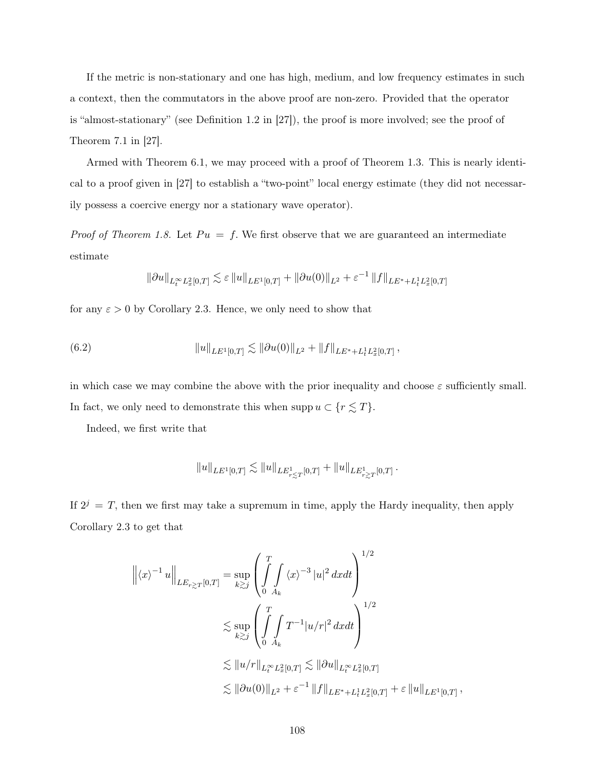If the metric is non-stationary and one has high, medium, and low frequency estimates in such a context, then the commutators in the above proof are non-zero. Provided that the operator is "almost-stationary" (see Definition 1.2 in [27]), the proof is more involved; see the proof of Theorem 7.1 in [27].

Armed with Theorem 6.1, we may proceed with a proof of Theorem 1.3. This is nearly identical to a proof given in [27] to establish a "two-point" local energy estimate (they did not necessarily possess a coercive energy nor a stationary wave operator).

*Proof of Theorem 1.8.* Let  $Pu = f$ . We first observe that we are guaranteed an intermediate estimate

$$
\left\|\partial u\right\|_{L^{\infty}_{t}L^{2}_{x}[0,T]} \lesssim \varepsilon \left\|u\right\|_{LE^{1}[0,T]} + \left\|\partial u(0)\right\|_{L^{2}} + \varepsilon^{-1}\left\|f\right\|_{LE^{*} + L^{1}_{t}L^{2}_{x}[0,T]}
$$

for any  $\varepsilon > 0$  by Corollary 2.3. Hence, we only need to show that

(6.2) 
$$
||u||_{LE^{1}[0,T]} \lesssim ||\partial u(0)||_{L^{2}} + ||f||_{LE^{*}+L_{t}^{1}L_{x}^{2}[0,T]},
$$

in which case we may combine the above with the prior inequality and choose  $\varepsilon$  sufficiently small. In fact, we only need to demonstrate this when  $\mathrm{supp}\,u\subset\{r\lesssim T\}.$ 

Indeed, we first write that

$$
\|u\|_{LE^1[0,T]}\lesssim \|u\|_{LE^1_{r\lesssim T}[0,T]}+\|u\|_{LE^1_{r\gtrsim T}[0,T]}\,.
$$

If  $2^{j} = T$ , then we first may take a supremum in time, apply the Hardy inequality, then apply Corollary 2.3 to get that

$$
\left\| \langle x \rangle^{-1} u \right\|_{LE_{r \geq T}[0,T]} = \sup_{k \geq j} \left( \int_{0}^{T} \int_{A_k} \langle x \rangle^{-3} |u|^2 dx dt \right)^{1/2}
$$
  

$$
\lesssim \sup_{k \geq j} \left( \int_{0}^{T} \int_{A_k} T^{-1} |u/r|^2 dx dt \right)^{1/2}
$$
  

$$
\lesssim ||u/r||_{L_t^{\infty} L_x^2[0,T]} \lesssim ||\partial u||_{L_t^{\infty} L_x^2[0,T]}
$$
  

$$
\lesssim ||\partial u(0)||_{L^2} + \varepsilon^{-1} ||f||_{LE^* + L_t^1 L_x^2[0,T]} + \varepsilon ||u||_{LE^1[0,T]}
$$

,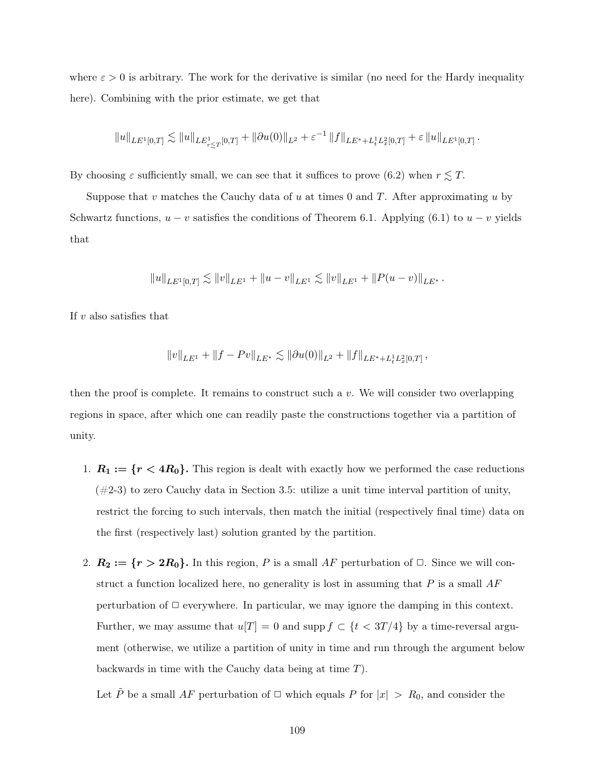where  $\varepsilon > 0$  is arbitrary. The work for the derivative is similar (no need for the Hardy inequality here). Combining with the prior estimate, we get that

$$
||u||_{LE^{1}[0,T]}\lesssim ||u||_{LE_{r\lesssim T}^{1}[0,T]}+||\partial u(0)||_{L^{2}}+\varepsilon^{-1}||f||_{LE^{*}+L_{t}^{1}L_{x}^{2}[0,T]}+\varepsilon||u||_{LE^{1}[0,T]}.
$$

By choosing  $\varepsilon$  sufficiently small, we can see that it suffices to prove (6.2) when  $r \lesssim T$ .

Suppose that v matches the Cauchy data of u at times 0 and  $T$ . After approximating u by Schwartz functions,  $u - v$  satisfies the conditions of Theorem 6.1. Applying (6.1) to  $u - v$  yields that

$$
||u||_{LE^{1}[0,T]} \lesssim ||v||_{LE^{1}} + ||u - v||_{LE^{1}} \lesssim ||v||_{LE^{1}} + ||P(u - v)||_{LE^{*}}.
$$

If  $v$  also satisfies that

$$
||v||_{LE^1} + ||f - Pv||_{LE^*} \lesssim ||\partial u(0)||_{L^2} + ||f||_{LE^* + L_t^1 L_x^2[0,T]},
$$

then the proof is complete. It remains to construct such a  $v$ . We will consider two overlapping regions in space, after which one can readily paste the constructions together via a partition of unity.

- 1.  $R_1 := \{r < 4R_0\}$ . This region is dealt with exactly how we performed the case reductions  $(\#2-3)$  to zero Cauchy data in Section 3.5: utilize a unit time interval partition of unity, restrict the forcing to such intervals, then match the initial (respectively final time) data on the first (respectively last) solution granted by the partition.
- 2.  $R_2 := \{r > 2R_0\}$ . In this region, P is a small AF perturbation of  $\Box$ . Since we will construct a function localized here, no generality is lost in assuming that  $P$  is a small  $AF$ perturbation of  $\Box$  everywhere. In particular, we may ignore the damping in this context. Further, we may assume that  $u[T] = 0$  and supp  $f \subset \{t < 3T/4\}$  by a time-reversal argument (otherwise, we utilize a partition of unity in time and run through the argument below backwards in time with the Cauchy data being at time T).

Let  $\tilde{P}$  be a small AF perturbation of  $\Box$  which equals P for  $|x| > R_0$ , and consider the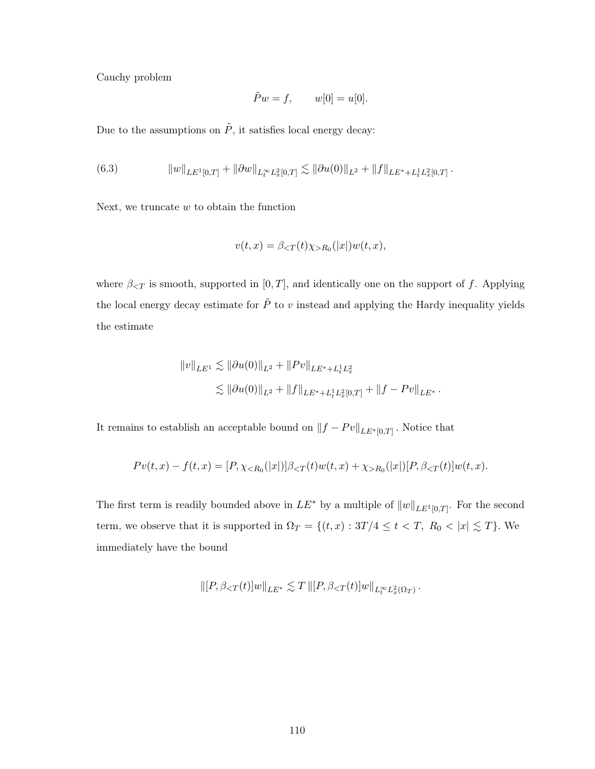Cauchy problem

$$
\tilde{P}w = f, \qquad w[0] = u[0].
$$

Due to the assumptions on  $\tilde{P},$  it satisfies local energy decay:

(6.3) 
$$
||w||_{LE^{1}[0,T]} + ||\partial w||_{L_{t}^{\infty}L_{x}^{2}[0,T]} \lesssim ||\partial u(0)||_{L^{2}} + ||f||_{LE^{*}+L_{t}^{1}L_{x}^{2}[0,T]}.
$$

Next, we truncate  $w$  to obtain the function

$$
v(t,x) = \beta_{\leq T}(t)\chi_{>R_0}(|x|)w(t,x),
$$

where  $\beta_{\leq T}$  is smooth, supported in [0, T], and identically one on the support of f. Applying the local energy decay estimate for  $\tilde{P}$  to v instead and applying the Hardy inequality yields the estimate

$$
\begin{aligned} \|v\|_{LE^1}&\lesssim \|\partial u(0)\|_{L^2}+\|Pv\|_{LE^*+L^1_tL^2_x}\\ &\lesssim \|\partial u(0)\|_{L^2}+\|f\|_{LE^*+L^1_tL^2_x[0,T]}+\|f-Pv\|_{LE^*} \, . \end{aligned}
$$

It remains to establish an acceptable bound on  $||f - Pv||_{LE^*[0,T]}$ . Notice that

$$
Pv(t,x) - f(t,x) = [P, \chi_{\leq R_0}(|x|)] \beta_{\leq T}(t) w(t,x) + \chi_{>R_0}(|x|)[P, \beta_{\leq T}(t)] w(t,x).
$$

The first term is readily bounded above in  $LE^*$  by a multiple of  $||w||_{LE^1[0,T]}$ . For the second term, we observe that it is supported in  $\Omega_T = \{(t, x) : 3T/4 \le t < T, R_0 < |x| \lesssim T\}$ . We immediately have the bound

$$
\|[P,\beta_{
$$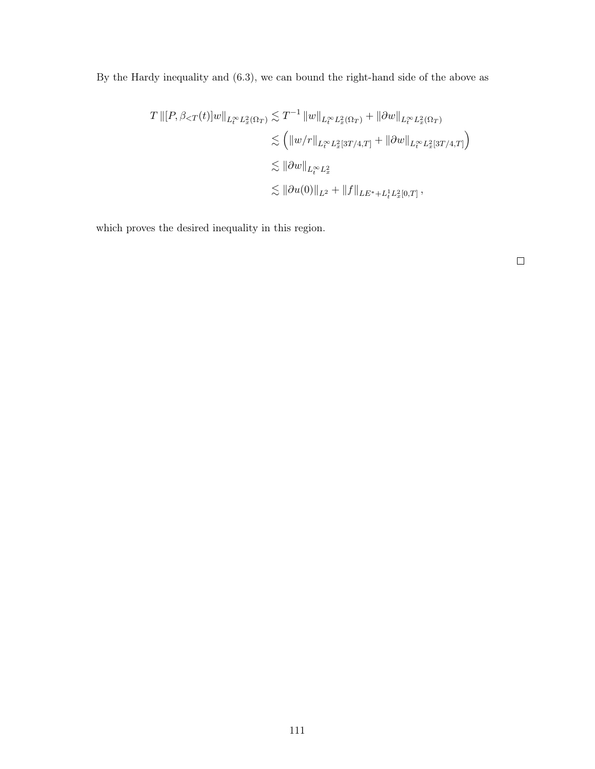By the Hardy inequality and (6.3), we can bound the right-hand side of the above as

$$
T \|\n\left[P, \beta < T(t)\right] w\|_{L_t^\infty L_x^2(\Omega_T)} \lesssim T^{-1} \|w\|_{L_t^\infty L_x^2(\Omega_T)} + \|\partial w\|_{L_t^\infty L_x^2(\Omega_T)} \\
\lesssim \left( \|w/r\|_{L_t^\infty L_x^2[3T/4,T]} + \|\partial w\|_{L_t^\infty L_x^2[3T/4,T]} \right) \\
\lesssim \|\partial w\|_{L_t^\infty L_x^2} \\
\lesssim \|\partial u(0)\|_{L^2} + \|f\|_{LE^* + L_t^1 L_x^2[0,T]},
$$

which proves the desired inequality in this region.

 $\Box$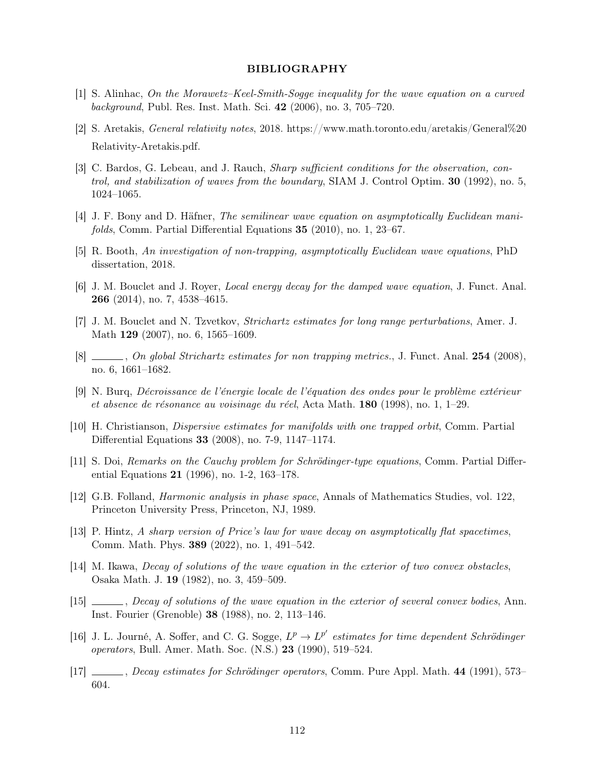## BIBLIOGRAPHY

- [1] S. Alinhac, On the Morawetz–Keel-Smith-Sogge inequality for the wave equation on a curved background, Publ. Res. Inst. Math. Sci. 42 (2006), no. 3, 705–720.
- [2] S. Aretakis, General relativity notes, 2018. https://www.math.toronto.edu/aretakis/General%20 Relativity-Aretakis.pdf.
- [3] C. Bardos, G. Lebeau, and J. Rauch, *Sharp sufficient conditions for the observation, con*trol, and stabilization of waves from the boundary, SIAM J. Control Optim. 30 (1992), no. 5, 1024–1065.
- [4] J. F. Bony and D. Häfner, The semilinear wave equation on asymptotically Euclidean manifolds, Comm. Partial Differential Equations 35 (2010), no. 1, 23–67.
- [5] R. Booth, An investigation of non-trapping, asymptotically Euclidean wave equations, PhD dissertation, 2018.
- [6] J. M. Bouclet and J. Royer, Local energy decay for the damped wave equation, J. Funct. Anal. 266 (2014), no. 7, 4538–4615.
- [7] J. M. Bouclet and N. Tzvetkov, Strichartz estimates for long range perturbations, Amer. J. Math 129 (2007), no. 6, 1565–1609.
- [8]  $\Box$ , On global Strichartz estimates for non trapping metrics., J. Funct. Anal. 254 (2008), no. 6, 1661–1682.
- [9] N. Burq, Décroissance de l'énergie locale de l'équation des ondes pour le problème extérieur et absence de résonance au voisinage du réel, Acta Math. 180 (1998), no. 1, 1–29.
- [10] H. Christianson, Dispersive estimates for manifolds with one trapped orbit, Comm. Partial Differential Equations 33 (2008), no. 7-9, 1147–1174.
- [11] S. Doi, Remarks on the Cauchy problem for Schrödinger-type equations, Comm. Partial Differential Equations 21 (1996), no. 1-2, 163–178.
- [12] G.B. Folland, Harmonic analysis in phase space, Annals of Mathematics Studies, vol. 122, Princeton University Press, Princeton, NJ, 1989.
- [13] P. Hintz, A sharp version of Price's law for wave decay on asymptotically flat spacetimes, Comm. Math. Phys. 389 (2022), no. 1, 491–542.
- [14] M. Ikawa, Decay of solutions of the wave equation in the exterior of two convex obstacles, Osaka Math. J. 19 (1982), no. 3, 459–509.
- [15] \_\_\_\_\_, Decay of solutions of the wave equation in the exterior of several convex bodies, Ann. Inst. Fourier (Grenoble) 38 (1988), no. 2, 113–146.
- [16] J. L. Journé, A. Soffer, and C. G. Sogge,  $L^p \to L^{p'}$  estimates for time dependent Schrödinger operators, Bull. Amer. Math. Soc. (N.S.) 23 (1990), 519–524.
- [17] , Decay estimates for Schrödinger operators, Comm. Pure Appl. Math. 44 (1991), 573– 604.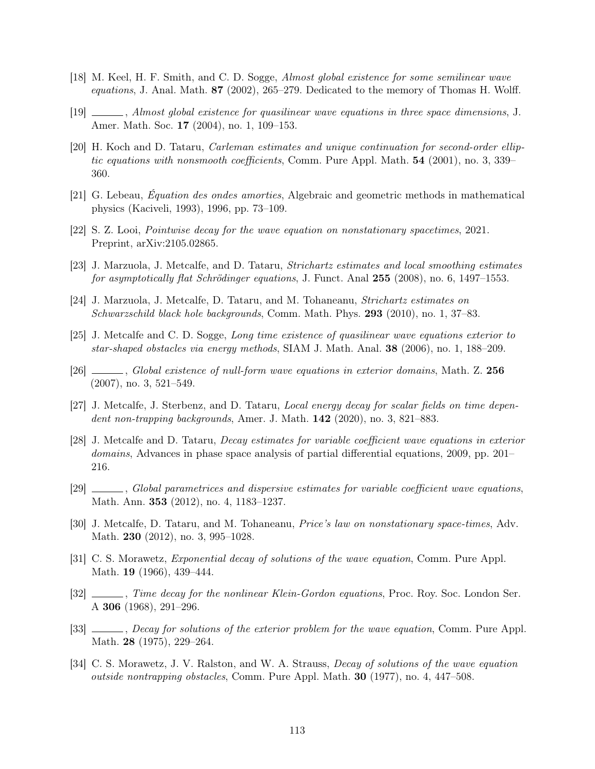- [18] M. Keel, H. F. Smith, and C. D. Sogge, Almost global existence for some semilinear wave equations, J. Anal. Math.  $87$  (2002), 265–279. Dedicated to the memory of Thomas H. Wolff.
- [19] , Almost global existence for quasilinear wave equations in three space dimensions, J. Amer. Math. Soc. 17 (2004), no. 1, 109–153.
- [20] H. Koch and D. Tataru, Carleman estimates and unique continuation for second-order elliptic equations with nonsmooth coefficients, Comm. Pure Appl. Math. 54 (2001), no. 3, 339– 360.
- [21] G. Lebeau, Équation des ondes amorties, Algebraic and geometric methods in mathematical physics (Kaciveli, 1993), 1996, pp. 73–109.
- [22] S. Z. Looi, Pointwise decay for the wave equation on nonstationary spacetimes, 2021. Preprint, arXiv:2105.02865.
- [23] J. Marzuola, J. Metcalfe, and D. Tataru, Strichartz estimates and local smoothing estimates for asymptotically flat Schrödinger equations, J. Funct. Anal 255 (2008), no. 6, 1497–1553.
- [24] J. Marzuola, J. Metcalfe, D. Tataru, and M. Tohaneanu, Strichartz estimates on Schwarzschild black hole backgrounds, Comm. Math. Phys. 293 (2010), no. 1, 37–83.
- [25] J. Metcalfe and C. D. Sogge, Long time existence of quasilinear wave equations exterior to star-shaped obstacles via energy methods, SIAM J. Math. Anal. 38 (2006), no. 1, 188–209.
- [26] \_\_\_\_, Global existence of null-form wave equations in exterior domains, Math. Z. 256 (2007), no. 3, 521–549.
- [27] J. Metcalfe, J. Sterbenz, and D. Tataru, Local energy decay for scalar fields on time dependent non-trapping backgrounds, Amer. J. Math. **142** (2020), no. 3, 821–883.
- [28] J. Metcalfe and D. Tataru, Decay estimates for variable coefficient wave equations in exterior domains, Advances in phase space analysis of partial differential equations, 2009, pp. 201– 216.
- [29] , Global parametrices and dispersive estimates for variable coefficient wave equations, Math. Ann. 353 (2012), no. 4, 1183–1237.
- [30] J. Metcalfe, D. Tataru, and M. Tohaneanu, Price's law on nonstationary space-times, Adv. Math. **230** (2012), no. 3, 995-1028.
- [31] C. S. Morawetz, Exponential decay of solutions of the wave equation, Comm. Pure Appl. Math. **19** (1966), 439–444.
- [32] , Time decay for the nonlinear Klein-Gordon equations, Proc. Roy. Soc. London Ser. A 306 (1968), 291–296.
- [33] , Decay for solutions of the exterior problem for the wave equation, Comm. Pure Appl. Math. 28 (1975), 229–264.
- [34] C. S. Morawetz, J. V. Ralston, and W. A. Strauss, *Decay of solutions of the wave equation* outside nontrapping obstacles, Comm. Pure Appl. Math. 30 (1977), no. 4, 447–508.